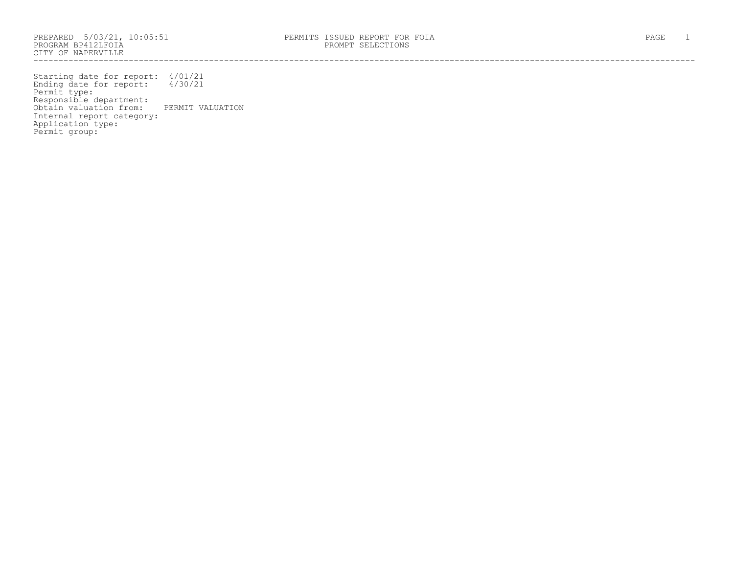PROGRAM BP412LFOIA PROMPT SELECTIONS CITY OF NAPERVILLE ------------------------------------------------------------------------------------------------------------------------------------

Starting date for report: 4/01/21 Ending date for report: 4/30/21 Permit type: Responsible department: Obtain valuation from: PERMIT VALUATION Internal report category: Application type: Permit group: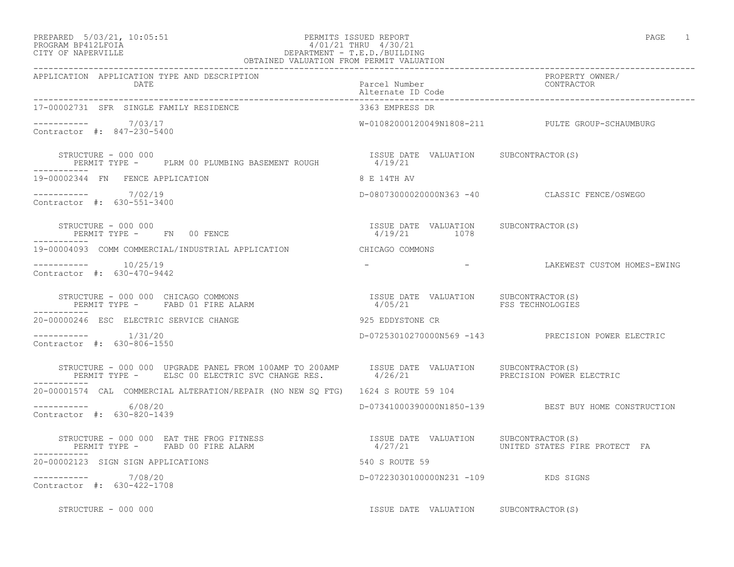## PREPARED 5/03/21, 10:05:51 PERMITS ISSUED REPORT PAGE 1 PROGRAM BP412LFOIA 4/01/21 THRU 4/30/21 CITY OF NAPERVILLE DEPARTMENT - T.E.D./BUILDING

| OBTAINED VALUATION FROM PERMIT VALUATION                                                                                                                                         |                                                       |                                                                 |
|----------------------------------------------------------------------------------------------------------------------------------------------------------------------------------|-------------------------------------------------------|-----------------------------------------------------------------|
| APPLICATION APPLICATION TYPE AND DESCRIPTION<br><b>DATE</b>                                                                                                                      | Parcel Number<br>Alternate ID Code                    | PROPERTY OWNER/<br>CONTRACTOR                                   |
| 17-00002731 SFR SINGLE FAMILY RESIDENCE                                                                                                                                          | 3363 EMPRESS DR                                       |                                                                 |
| ---------- 7/03/17<br>Contractor #: 847-230-5400                                                                                                                                 |                                                       | W-01082000120049N1808-211 PULTE GROUP-SCHAUMBURG                |
| STRUCTURE - 000 000<br>STRUCTURE - 000 000<br>PERMIT TYPE -      PLRM 00 PLUMBING BASEMENT ROUGH                 4/19/21                                                         | ISSUE DATE VALUATION SUBCONTRACTOR(S)                 |                                                                 |
| 19-00002344 FN FENCE APPLICATION                                                                                                                                                 | 8 E 14TH AV                                           |                                                                 |
| $--------- 7/02/19$<br>Contractor #: 630-551-3400                                                                                                                                |                                                       | D-08073000020000N363 -40 CLASSIC FENCE/OSWEGO                   |
| STRUCTURE - 000 000<br>PERMIT TYPE -       FN     00 FENCE                                                                                                                       | ISSUE DATE VALUATION SUBCONTRACTOR(S)<br>4/19/21 1078 |                                                                 |
| 19-00004093 COMM COMMERCIAL/INDUSTRIAL APPLICATION CHICAGO COMMONS                                                                                                               |                                                       |                                                                 |
| -----------    10/25/19<br>Contractor #: 630-470-9442                                                                                                                            |                                                       | -                                   LAKEWEST CUSTOM HOMES-EWING |
| STRUCTURE - 000 000 CHICAGO COMMONS<br>STRUCTURE - 000 000 CHICAGO COMMONS<br>PERMIT TYPE -       FABD 01 FIRE ALARM                                                             | ISSUE DATE VALUATION SUBCONTRACTOR(S)                 |                                                                 |
| 20-00000246 ESC ELECTRIC SERVICE CHANGE                                                                                                                                          | 925 EDDYSTONE CR                                      |                                                                 |
| $--------- 1/31/20$<br>Contractor #: 630-806-1550                                                                                                                                |                                                       | D-07253010270000N569 -143 PRECISION POWER ELECTRIC              |
| STRUCTURE - 000 000 UPGRADE PANEL FROM 100AMP TO 200AMP ISSUE DATE VALUATION SUBCONTRACTOR(S)<br>PERMIT TYPE - ELSC 00 ELECTRIC SVC CHANGE RES. 4/26/21 PRECISION POWER ELECTRIC |                                                       |                                                                 |
| 20-00001574 CAL COMMERCIAL ALTERATION/REPAIR (NO NEW SQ FTG) 1624 S ROUTE 59 104                                                                                                 |                                                       |                                                                 |
| $--------- 6/08/20$<br>Contractor #: 630-820-1439                                                                                                                                |                                                       | D-07341000390000N1850-139 BEST BUY HOME CONSTRUCTION            |
| STRUCTURE - 000 000 EAT THE FROG FITNESS<br>PERMIT TYPE - FABD 00 FIRE ALARM MOTHER AND MOST CONSULTION SUBCONTRACTOR(S)<br>---------                                            |                                                       | 4/27/21                         UNITED STATES FIRE PROTECT FA   |
| 20-00002123 SIGN SIGN APPLICATIONS                                                                                                                                               | 540 S ROUTE 59                                        |                                                                 |
| ----------- 7/08/20<br>Contractor #: 630-422-1708                                                                                                                                | D-07223030100000N231 -109 KDS SIGNS                   |                                                                 |
| STRUCTURE - 000 000                                                                                                                                                              | ISSUE DATE VALUATION SUBCONTRACTOR(S)                 |                                                                 |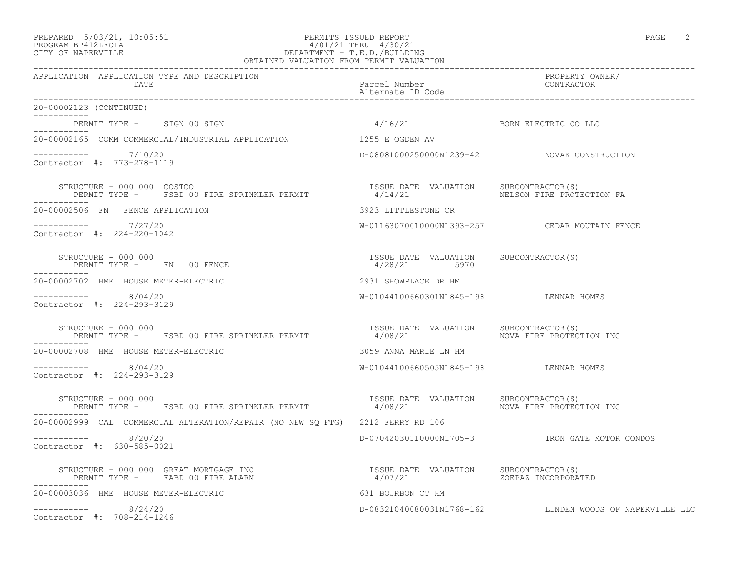## PREPARED 5/03/21, 10:05:51 PERMITS ISSUED REPORT PAGE 2 PROGRAM BP412LFOIA 4/01/21 THRU 4/30/21 CITY OF NAPERVILLE DEPARTMENT - T.E.D./BUILDING OBTAINED VALUATION FROM PERMIT VALUATION

| APPLICATION APPLICATION TYPE AND DESCRIPTION<br>DATE                                                                                                                                              | Parcel Number<br>Alternate ID Code                    | PROPERTY OWNER/<br>CONTRACTOR                            |
|---------------------------------------------------------------------------------------------------------------------------------------------------------------------------------------------------|-------------------------------------------------------|----------------------------------------------------------|
| 20-00002123 (CONTINUED)                                                                                                                                                                           |                                                       |                                                          |
| PERMIT TYPE - SIGN 00 SIGN<br>___________                                                                                                                                                         | 4/16/21 BORN ELECTRIC CO LLC                          |                                                          |
| 20-00002165 COMM COMMERCIAL/INDUSTRIAL APPLICATION 1255 E OGDEN AV                                                                                                                                |                                                       |                                                          |
| $--------- 7/10/20$<br>Contractor #: 773-278-1119                                                                                                                                                 |                                                       | D-08081000250000N1239-42 NOVAK CONSTRUCTION              |
| STRUCTURE - 000 000 COSTCO<br>SIRUCIURE – UUU UUSTCU<br>PERMIT TYPE –    FSBD 00 FIRE SPRINKLER PERMIT                  4/14/21                          NELSON FIRE PROTECTION FA<br>----------- | ISSUE DATE VALUATION SUBCONTRACTOR(S)                 |                                                          |
| 20-00002506 FN FENCE APPLICATION                                                                                                                                                                  | 3923 LITTLESTONE CR                                   |                                                          |
| ----------- 7/27/20<br>Contractor #: 224-220-1042                                                                                                                                                 |                                                       | W-01163070010000N1393-257 CEDAR MOUTAIN FENCE            |
| STRUCTURE - 000 000<br>PERMIT TYPE - FN 00 FENCE                                                                                                                                                  | ISSUE DATE VALUATION SUBCONTRACTOR(S)<br>4/28/21 5970 |                                                          |
| 20-00002702 HME HOUSE METER-ELECTRIC                                                                                                                                                              | 2931 SHOWPLACE DR HM                                  |                                                          |
| $--------- 8/04/20$<br>Contractor #: 224-293-3129                                                                                                                                                 | W-01044100660301N1845-198 LENNAR HOMES                |                                                          |
| STRUCTURE - 000 000<br>PERMIT TYPE - FSBD 00 FIRE SPRINKLER PERMIT                                                                                                                                |                                                       |                                                          |
| 20-00002708 HME HOUSE METER-ELECTRIC                                                                                                                                                              | 3059 ANNA MARIE LN HM                                 |                                                          |
| $--------- 8/04/20$<br>Contractor #: 224-293-3129                                                                                                                                                 | W-01044100660505N1845-198 LENNAR HOMES                |                                                          |
| STRUCTURE - 000 000<br>PERMIT TYPE - FSBD 00 FIRE SPRINKLER PERMIT 4/08/21 AND MOVA FIRE PROTECTION INC                                                                                           | ISSUE DATE VALUATION SUBCONTRACTOR(S)                 |                                                          |
| 20-00002999 CAL COMMERCIAL ALTERATION/REPAIR (NO NEW SO FTG) 2212 FERRY RD 106                                                                                                                    |                                                       |                                                          |
| $--------- 8/20/20$<br>Contractor #: 630-585-0021                                                                                                                                                 |                                                       | D-07042030110000N1705-3    IRON GATE MOTOR CONDOS        |
| STRUCTURE - 000 000 GREAT MORTGAGE INC<br>PERMIT TYPE - FABD 00 FIRE ALARM                                                                                                                        |                                                       |                                                          |
| 20-00003036 HME HOUSE METER-ELECTRIC                                                                                                                                                              | 631 BOURBON CT HM                                     |                                                          |
| $--------- 8/24/20$<br>Contractor #: 708-214-1246                                                                                                                                                 |                                                       | D-08321040080031N1768-162 LINDEN WOODS OF NAPERVILLE LLC |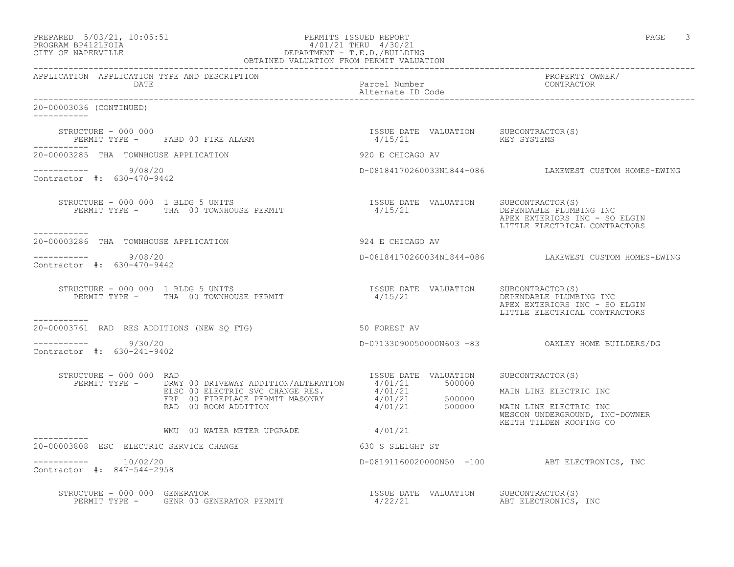| PREPARED | $5/03/21$ , $10:05:51$ |  |
|----------|------------------------|--|
|          | PROCRAM RP419IFOIA     |  |

# PREPARED 5/03/21, 10:05:51 PERMITS ISSUED REPORT PAGE 3 PROGRAM BP412LFOIA 4/01/21 THRU 4/30/21 CITY OF NAPERVILLE DEPARTMENT - T.E.D./BUILDING

| OBTAINED VALUATION FROM PERMIT VALUATION                |                                                                                                                                                                                                                                                                                                                                                   |                                    |                                                                                                                                   |
|---------------------------------------------------------|---------------------------------------------------------------------------------------------------------------------------------------------------------------------------------------------------------------------------------------------------------------------------------------------------------------------------------------------------|------------------------------------|-----------------------------------------------------------------------------------------------------------------------------------|
| APPLICATION APPLICATION TYPE AND DESCRIPTION<br>DATE    |                                                                                                                                                                                                                                                                                                                                                   | Parcel Number<br>Alternate ID Code | PROPERTY OWNER/<br>CONTRACTOR                                                                                                     |
| 20-00003036 (CONTINUED)                                 |                                                                                                                                                                                                                                                                                                                                                   |                                    |                                                                                                                                   |
|                                                         | $\begin{array}{cccc} \texttt{STRUCTURE} & - & 000 & 000 \\ \texttt{PERMIT TYPE} & - & \texttt{FABD} & 00 & \texttt{FIRE} & \texttt{ALARM} \\ \end{array} \qquad \begin{array}{cccc} \texttt{TSSUE} & \texttt{DATE} & \texttt{VALUATION} & \texttt{SUBCONTRACTOR(S)} \\ \texttt{4/15/21} & \texttt{4/15/21} & \texttt{KEY SYSTEMS} \\ \end{array}$ |                                    |                                                                                                                                   |
| 20-00003285 THA TOWNHOUSE APPLICATION                   |                                                                                                                                                                                                                                                                                                                                                   | 920 E CHICAGO AV                   |                                                                                                                                   |
| $--------- 9/08/20$<br>Contractor #: 630-470-9442       |                                                                                                                                                                                                                                                                                                                                                   |                                    | D-08184170260033N1844-086 LAKEWEST CUSTOM HOMES-EWING                                                                             |
| -----------                                             |                                                                                                                                                                                                                                                                                                                                                   |                                    | DEPENDABLE PLUMBING INC<br>APEX EXTERIORS INC - SO ELGIN<br>LITTLE ELECTRICAL CONTRACTORS                                         |
|                                                         |                                                                                                                                                                                                                                                                                                                                                   |                                    |                                                                                                                                   |
| $--------- 9/08/20$<br>Contractor #: 630-470-9442       |                                                                                                                                                                                                                                                                                                                                                   |                                    | D-08184170260034N1844-086 LAKEWEST CUSTOM HOMES-EWING                                                                             |
| ----------                                              | STRUCTURE – 000 000 1 BLDG 5 UNITS<br>PERMIT TYPE – THA 00 TOWNHOUSE PERMIT – 1/15/21 CHALUATION DEPENDABLE PLUMBI                                                                                                                                                                                                                                |                                    | DEPENDABLE PLUMBING INC<br>APEX EXTERIORS INC - SO ELGIN<br>LITTLE ELECTRICAL CONTRACTORS                                         |
| 20-00003761 RAD RES ADDITIONS (NEW SO FTG)              | 50 FOREST AV                                                                                                                                                                                                                                                                                                                                      |                                    |                                                                                                                                   |
| $--------- 9/30/20$<br>Contractor #: 630-241-9402       |                                                                                                                                                                                                                                                                                                                                                   |                                    | D-07133090050000N603 -83 OAKLEY HOME BUILDERS/DG                                                                                  |
| STRUCTURE - 000 000 RAD                                 | XUCTURE - 000 000 KAD<br>PERMIT TYPE - DRWY 00 DRIVEWAY ADDITION/ALTERATION 4/01/21 500000<br>ELSC 00 ELECTRIC SVC CHANGE RES. 4/01/21 500000<br>FRP 00 FIREPLACE PERMIT MASONRY 4/01/21 500000<br>RAD 00 ROOM ADDITION 4/01/21 500000<br>WMU 00 WATER METER UPGRADE 4/01/21                                                                      | ISSUE DATE VALUATION               | SUBCONTRACTOR(S)<br>MAIN LINE ELECTRIC INC<br>MAIN LINE ELECTRIC INC<br>WESCON UNDERGROUND, INC-DOWNER<br>KEITH TILDEN ROOFING CO |
| ------------<br>20-00003808 ESC ELECTRIC SERVICE CHANGE |                                                                                                                                                                                                                                                                                                                                                   | 630 S SLEIGHT ST                   |                                                                                                                                   |
| $--------- 10/02/20$<br>Contractor #: 847-544-2958      |                                                                                                                                                                                                                                                                                                                                                   |                                    | D-08191160020000N50 -100 ABT ELECTRONICS, INC                                                                                     |
| STRUCTURE - 000 000 GENERATOR                           | RUCTURE - 000 000 GENERATOR<br>PERMIT TYPE -   GENR 00 GENERATOR PERMIT                               4/22/21                                                                                                                                                                                                                                     |                                    | SUBCONTRACTOR(S)<br>ABT ELECTRONICS, INC                                                                                          |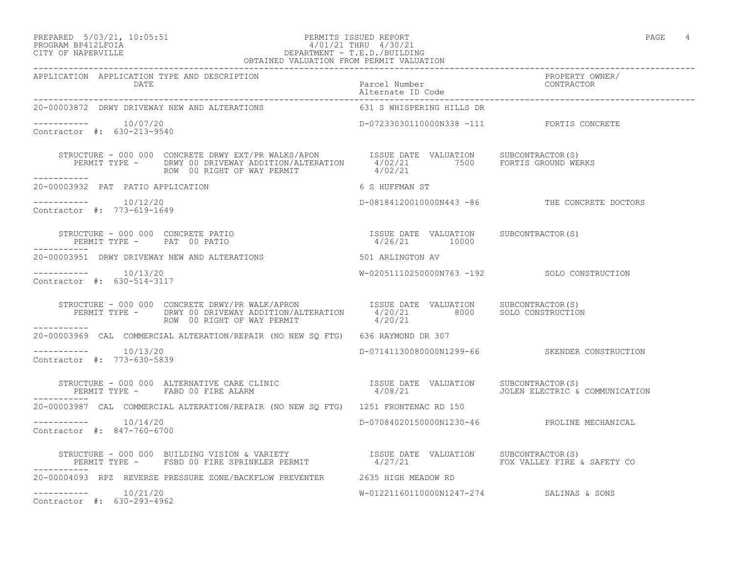## PREPARED 5/03/21, 10:05:51 PERMITS ISSUED REPORT PAGE 4 PROGRAM BP412LFOIA 4/01/21 THRU 4/30/21 CITY OF NAPERVILLE DEPARTMENT - T.E.D./BUILDING OBTAINED VALUATION FROM PERMIT VALUATION

| APPLICATION APPLICATION TYPE AND DESCRIPTION PACK PACCAL Number PACK PROPERTY OWNER/<br>DATE Parcel Number Paccel D Code Patternate ID Code Patternate ID Code Patternate ID Code Patternate ID Code                                              |                                                        |                                               |
|---------------------------------------------------------------------------------------------------------------------------------------------------------------------------------------------------------------------------------------------------|--------------------------------------------------------|-----------------------------------------------|
| 20-00003872 DRWY DRIVEWAY NEW AND ALTERATIONS                                                                                                                                                                                                     | 631 S WHISPERING HILLS DR                              |                                               |
| -----------    10/07/20<br>Contractor #: 630-213-9540                                                                                                                                                                                             | D-07233030110000N338 -111 FORTIS CONCRETE              |                                               |
| STRUCTURE - 000 000 CONCRETE DRWY EXT/PR WALKS/APON ISSUE DATE VALUATION SUBCONTRACTOR(S)<br>PERMIT TYPE - DRWY 00 DRIVEWAY ADDITION/ALTERATION 4/02/21 7500 FORTIS GROUND WERKS<br>------- ROW 00 RIGHT OF WAY PERMIT 4/02/21<br>-----------     |                                                        |                                               |
| 20-00003932 PAT PATIO APPLICATION                                                                                                                                                                                                                 | 6 S HUFFMAN ST                                         |                                               |
| -----------    10/12/20<br>Contractor #: 773-619-1649                                                                                                                                                                                             |                                                        | D-08184120010000N443 -86 THE CONCRETE DOCTORS |
| STRUCTURE - 000 000 CONCRETE PATIO<br>PERMIT TYPE - PAT 00 PATIO                                                                                                                                                                                  | ISSUE DATE VALUATION SUBCONTRACTOR(S)<br>4/26/21 10000 |                                               |
| 20-00003951 DRWY DRIVEWAY NEW AND ALTERATIONS THE SERIES OF ARLINGTON AV                                                                                                                                                                          |                                                        |                                               |
| Contractor #: 630-514-3117                                                                                                                                                                                                                        | W-02051110250000N763 -192 SOLO CONSTRUCTION            |                                               |
| STRUCTURE - 000 000 CONCRETE DRWY/PR WALK/APRON ISSUE DATE VALUATION SUBCONTRACTOR(S)<br>PERMIT TYPE - DRWY 00 DRIVEWAY ADDITION/ALTERATION 4/20/21 8000 SOLO CONSTRUCTION<br>-------                                                             |                                                        |                                               |
| ------------<br>20-00003969 CAL COMMERCIAL ALTERATION/REPAIR (NO NEW SQ FTG) 636 RAYMOND DR 307                                                                                                                                                   |                                                        |                                               |
| $--------- 10/13/20$<br>Contractor #: 773-630-5839                                                                                                                                                                                                |                                                        | D-07141130080000N1299-66 SKENDER CONSTRUCTION |
| STRUCTURE - 000 000 ALTERNATIVE CARE CLINIC                       ISSUE DATE VALUATION    SUBCONTRACTOR(S)<br>PERMIT TYPE -    FABD 00 FIRE ALARM                              4/08/21              JOLEN ELECTRIC & COMMUNICATIO<br>------------ |                                                        |                                               |
| 20-00003987 CAL COMMERCIAL ALTERATION/REPAIR (NO NEW SQ FTG) 1251 FRONTENAC RD 150                                                                                                                                                                |                                                        |                                               |
| $--------- 10/14/20$<br>Contractor #: 847-760-6700                                                                                                                                                                                                |                                                        | D-07084020150000N1230-46 PROLINE MECHANICAL   |
| STRUCTURE - 000 000 BUILDING VISION & VARIETY                   ISSUE DATE VALUATION    SUBCONTRACTOR(S)<br>PERMIT TYPE -     FSBD 00 FIRE SPRINKLER PERMIT                4/27/21                    FOX VALLEY FIRE & SAFETY CO<br>------------ |                                                        |                                               |
| 20-00004093 RPZ REVERSE PRESSURE ZONE/BACKFLOW PREVENTER 2635 HIGH MEADOW RD                                                                                                                                                                      |                                                        |                                               |
| $--------- 10/21/20$<br>Contractor #: 630-293-4962                                                                                                                                                                                                | W-01221160110000N1247-274 SALINAS & SONS               |                                               |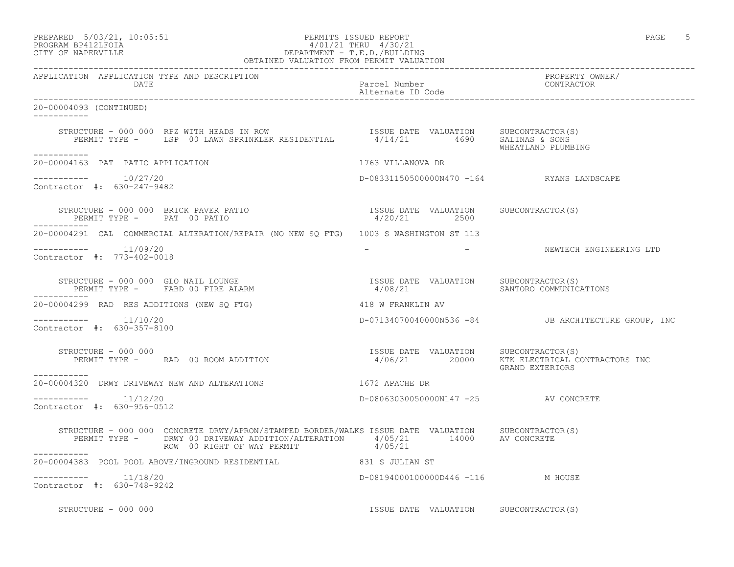### PREPARED 5/03/21, 10:05:51 PERMITS ISSUED REPORT PAGE 5 PROGRAM BP412LFOIA 4/01/21 THRU 4/30/21 CITY OF NAPERVILLE DEPARTMENT - T.E.D./BUILDING OBTAINED VALUATION FROM PERMIT VALUATION

------------------------------------------------------------------------------------------------------------------------------------ APPLICATION APPLICATION TYPE AND DESCRIPTION PROPERTY OWNER/ DATE PARTICLE IN THE PARTICLE OF THE PARTICLE NUMBER OF THE PARTICLE IN THE PARTICLE IN THE PARTICLE IN THE PARTICLE IN THE PARTICLE IN THE PARTICLE IN THE PARTICLE IN THE PARTICLE IN THE PARTICLE IN THE PARTICLE IN THE PA Alternate ID Code ------------------------------------------------------------------------------------------------------------------------------------ 20-00004093 (CONTINUED) ----------- STRUCTURE - 000 000 RPZ WITH HEADS IN ROW ISSUE DATE VALUATION SUBCONTRACTOR(S) PERMIT TYPE - LSP 00 LAWN SPRINKLER RESIDENTIAL 4/14/21 4690 SALINAS & SONS WHEATLAND PLUMBING ----------- 20-00004163 PAT PATIO APPLICATION 1763 VILLANOVA DR  $--------- 10/27/20$ D-08331150500000N470 -164 RYANS LANDSCAPE Contractor #: 630-247-9482 STRUCTURE - 000 000 BRICK PAVER PATIO ISSUE DATE VALUATION SUBCONTRACTOR(S) PERMIT TYPE - PAT 00 PATIO ----------- 20-00004291 CAL COMMERCIAL ALTERATION/REPAIR (NO NEW SQ FTG) 1003 S WASHINGTON ST 113 ----------- 11/09/20 - - NEWTECH ENGINEERING LTD Contractor #: 773-402-0018 STRUCTURE - 000 000 GLO NAIL LOUNGE<br>PERMIT TYPE - FABD 00 FIRE ALARM 4/08/21 SANTORO COMMUNICA PERMIT TYPE - FABD 00 FIRE ALARM 4/08/21 SANTORO COMMUNICATIONS ----------- 20-00004299 RAD RES ADDITIONS (NEW SQ FTG) 418 W FRANKLIN AV ----------- 11/10/20 D-07134070040000N536 -84 JB ARCHITECTURE GROUP, INC Contractor #: 630-357-8100 STRUCTURE - 000 000 ISSUE DATE VALUATION SUBCONTRACTOR(S) 4/06/21 20000 KTK ELECTRICAL CONTRACTORS INC GRAND EXTERIORS ----------- 20-00004320 DRWY DRIVEWAY NEW AND ALTERATIONS 1672 APACHE DR \_\_\_\_\_\_\_\_\_\_\_ ----------- 11/12/20 D-08063030050000N147 -25 AV CONCRETE Contractor #: 630-956-0512 STRUCTURE - 000 000 CONCRETE DRWY/APRON/STAMPED BORDER/WALKS ISSUE DATE VALUATION SUBCONTRACTOR(S) PERMIT TYPE - DRWY 00 DRIVEWAY ADDITION/ALTERATION  $4/05/21$  14000 AV CONCRETE ROW 00 RIGHT OF WAY PERMIT 4/05/21 ----------- 20-00004383 POOL POOL ABOVE/INGROUND RESIDENTIAL 831 S JULIAN ST ----------- 11/18/20 D-08194000100000D446 -116 M HOUSE Contractor #: 630-748-9242

STRUCTURE - 000 000 **ISSUE DATE VALUATION** SUBCONTRACTOR(S)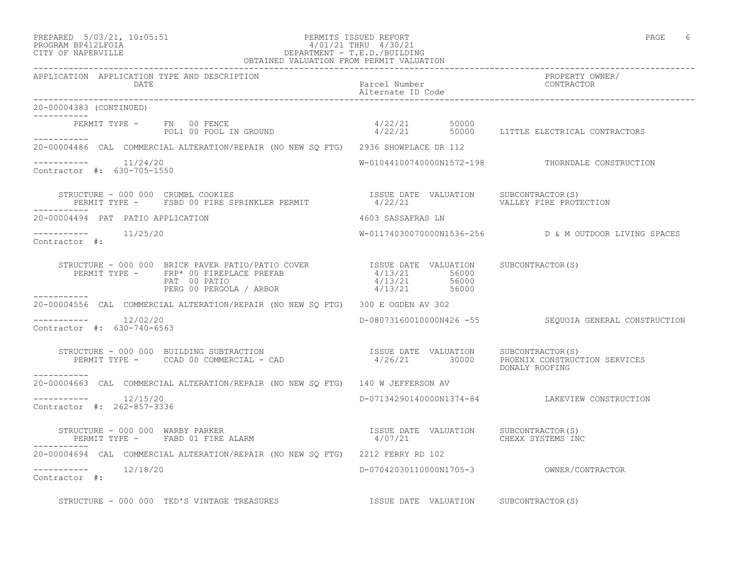## PREPARED 5/03/21, 10:05:51 PERMITS ISSUED REPORT PAGE 6 PROGRAM BP412LFOIA 4/01/21 THRU 4/30/21 CITY OF NAPERVILLE DEPARTMENT - T.E.D./BUILDING OBTAINED VALUATION FROM PERMIT VALUATION

------------------------------------------------------------------------------------------------------------------------------------ APPLICATION APPLICATION TYPE AND DESCRIPTION PROPERTY OWNER/ DATE Parcel Number CONTRACTOR Alternate ID Code ------------------------------------------------------------------------------------------------------------------------------------ 20-00004383 (CONTINUED) ----------- PERMIT TYPE - FN 00 FENCE 4/22/21 50000 POL1 00 POOL IN GROUND  $4/22/21$  50000 LITTLE ELECTRICAL CONTRACTORS ----------- 20-00004486 CAL COMMERCIAL ALTERATION/REPAIR (NO NEW SQ FTG) 2936 SHOWPLACE DR 112  $--------- 11/24/20$ W-01044100740000N1572-198 THORNDALE CONSTRUCTION Contractor #: 630-705-1550 STRUCTURE - 000 000 CRUMBL COOKIES ISSUE DATE VALUATION SUBCONTRACTOR(S) PERMIT TYPE - FSBD 00 FIRE SPRINKLER PERMIT ----------- 20-00004494 PAT PATIO APPLICATION 4603 SASSAFRAS LN ----------- 11/25/20 W-01174030070000N1536-256 D & M OUTDOOR LIVING SPACES Contractor #: STRUCTURE - 000 000 BRICK PAVER PATIO/PATIO COVER ISSUE DATE VALUATION SUBCONTRACTOR(S) PERMIT TYPE - FRP\* 00 FIREPLACE PREFAB  $4/13/21$  56000 PAT 00 PATIO 4/13/21 56000 PERG 00 PERGOLA / ARBOR  $4/13/21$  56000 ----------- 20-00004556 CAL COMMERCIAL ALTERATION/REPAIR (NO NEW SQ FTG) 300 E OGDEN AV 302  $--------- 12/02/20$ D-08073160010000N426 -55 SEQUOIA GENERAL CONSTRUCTION Contractor #: 630-740-6563 STRUCTURE - 000 000 BUILDING SUBTRACTION ISSUE DATE VALUATION SUBCONTRACTOR(S) PERMIT TYPE - CCAD 00 COMMERCIAL - CAD 4/26/21 30000 PHOENIX CONSTRUCTION SERVICES DONALY ROOFING ----------- 20-00004663 CAL COMMERCIAL ALTERATION/REPAIR (NO NEW SQ FTG) 140 W JEFFERSON AV \_\_\_\_\_\_\_\_\_\_\_ ----------- 12/15/20 D-07134290140000N1374-84 LAKEVIEW CONSTRUCTION Contractor #: 262-857-3336 STRUCTURE - 000 000 WARBY PARKER ISSUE DATE VALUATION SUBCONTRACTOR(S) PERMIT TYPE - FABD 01 FIRE ALARM  $4/07/21$  CHEXX SYSTEMS INC ----------- 20-00004694 CAL COMMERCIAL ALTERATION/REPAIR (NO NEW SQ FTG) 2212 FERRY RD 102 ----------- 12/18/20 D-07042030110000N1705-3 OWNER/CONTRACTOR Contractor #: STRUCTURE - 000 000 TED'S VINTAGE TREASURES **ISSUE DATE** VALUATION SUBCONTRACTOR(S)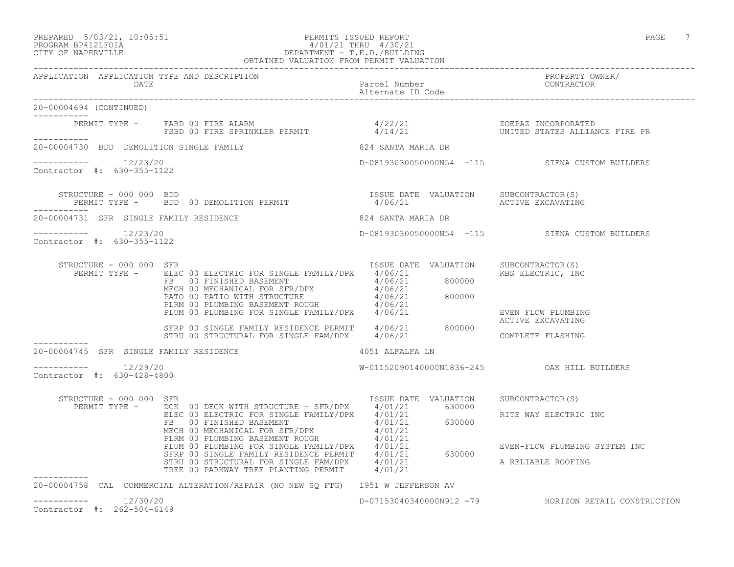#### PREPARED 5/03/21, 10:05:51 PERMITS ISSUED REPORT PAGE 7 PROGRAM BP412LFOIA 4/01/21 THRU 4/30/21 CITY OF NAPERVILLE DEPARTMENT - T.E.D./BUILDING OBTAINED VALUATION FROM PERMIT VALUATION ------------------------------------------------------------------------------------------------------------------------------------

| APPLICATION APPLICATION TYPE AND DESCRIPTION<br>DATE  |                                                                                                                                                                                                                                                                                                                                                                                    | Parcel Number<br>Alternate ID Code | PROPERTY OWNER/<br>CONTRACTOR                  |
|-------------------------------------------------------|------------------------------------------------------------------------------------------------------------------------------------------------------------------------------------------------------------------------------------------------------------------------------------------------------------------------------------------------------------------------------------|------------------------------------|------------------------------------------------|
| 20-00004694 (CONTINUED)<br>___________                |                                                                                                                                                                                                                                                                                                                                                                                    |                                    |                                                |
| ___________                                           | PERMIT TYPE -    FABD 00 FIRE ALARM                              4/22/21                         ZOEPAZ INCORPORATED<br>FSBD 00 FIRE SPRINKLER PERMIT                4/14/21                       UNITED STATES ALLIANCE FIRE PR                                                                                                                                                  |                                    |                                                |
|                                                       | 20-00004730 BDD DEMOLITION SINGLE FAMILY                                                                                                                                                                                                                                                                                                                                           | 824 SANTA MARIA DR                 |                                                |
| $--------- 12/23/20$<br>Contractor #: 630-355-1122    |                                                                                                                                                                                                                                                                                                                                                                                    |                                    | D-08193030050000N54 -115 SIENA CUSTOM BUILDERS |
| STRUCTURE - 000 000 BDD<br>------------               | STRUCTURE - 000 000 BDD<br>PERMIT TYPE -    BDD 00 DEMOLITION PERMIT                                                                                                                                                                                                                                                                                                               |                                    |                                                |
| 20-00004731 SFR SINGLE FAMILY RESIDENCE               |                                                                                                                                                                                                                                                                                                                                                                                    | 824 SANTA MARIA DR                 |                                                |
| $--------- 12/23/20$<br>Contractor #: 630-355-1122    |                                                                                                                                                                                                                                                                                                                                                                                    |                                    | D-08193030050000N54 -115 SIENA CUSTOM BUILDERS |
| STRUCTURE - 000 000 SFR                               | $\begin{tabular}{l c c c c c c} \texttt{RUCTURE} & 000 000 & SFR & 1550E & \texttt{DALE} & \texttt{VALUON} \\ \hline \texttt{PERMIT TYPE} & = & \texttt{ELEC} & 00 & \texttt{ELECTRIC FOR SINGLE FAMILY/DPX} & 4/06/21 & 800000 \\ & FB & 00 & \texttt{FINISHED BASEMENT} & 4/06/21 & 800000 \\ & \texttt{MECH} & 00 & \texttt{MENTB} & 4/06/21 & 4/06/21 \\ & \texttt{PATO} & 00$ | ISSUE DATE VALUATION               | SUBCONTRACTOR(S)<br>KBS ELECTRIC, INC          |
|                                                       | SFRP 00 SINGLE FAMILY RESIDENCE PERMIT 4/06/21 800000<br>STRU 00 STRUCTURAL FOR SINGLE FAM/DPX 4/06/21                                                                                                                                                                                                                                                                             |                                    | EVEN FLOW PLUMBING<br>ACTIVE EXCAVATING        |
|                                                       |                                                                                                                                                                                                                                                                                                                                                                                    |                                    | COMPLETE FLASHING                              |
| 20-00004745 SFR SINGLE FAMILY RESIDENCE               |                                                                                                                                                                                                                                                                                                                                                                                    | 4051 ALFALFA LN                    |                                                |
| $--------- 12/29/20$<br>Contractor #: 630-428-4800    |                                                                                                                                                                                                                                                                                                                                                                                    |                                    | W-01152090140000N1836-245 OAK HILL BUILDERS    |
| STRUCTURE - 000 000 SFR                               |                                                                                                                                                                                                                                                                                                                                                                                    |                                    |                                                |
|                                                       |                                                                                                                                                                                                                                                                                                                                                                                    |                                    | RITE WAY ELECTRIC INC                          |
|                                                       |                                                                                                                                                                                                                                                                                                                                                                                    |                                    | EVEN-FLOW PLUMBING SYSTEM INC                  |
|                                                       |                                                                                                                                                                                                                                                                                                                                                                                    |                                    |                                                |
| -----------                                           | 20-00004758 CAL COMMERCIAL ALTERATION/REPAIR (NO NEW SQ FTG) 1951 W JEFFERSON AV                                                                                                                                                                                                                                                                                                   |                                    |                                                |
| 12/30/20<br>___________<br>Contractor #: 262-504-6149 |                                                                                                                                                                                                                                                                                                                                                                                    | D-07153040340000N912 -79           | HORIZON RETAIL CONSTRUCTION                    |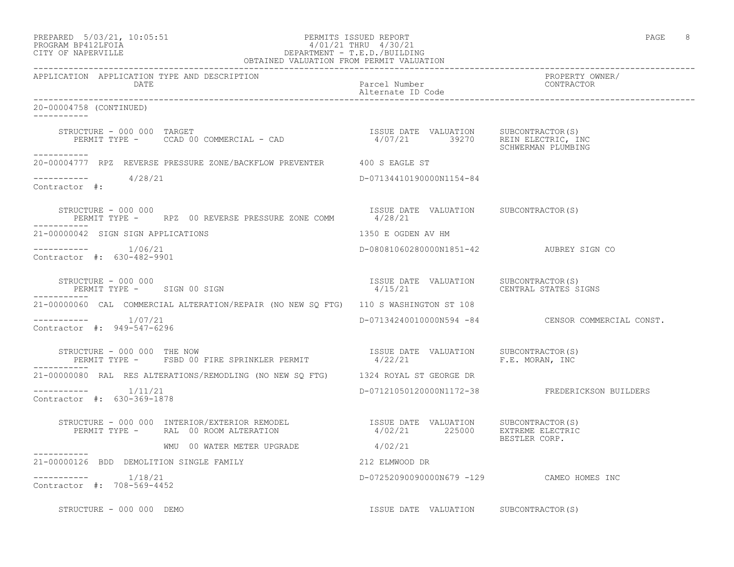| PREPARED            | $5/03/21$ , $10:05:51$ |  |
|---------------------|------------------------|--|
| DDOOD3M DD410T DOT3 |                        |  |

### PREPARED 5/03/21, 10:05:51 PERMITS ISSUED REPORT PAGE 8 PROGRAM BP412LFOIA 4/01/21 THRU 4/30/21 CITY OF NAPERVILLE DEPARTMENT - T.E.D./BUILDING OBTAINED VALUATION FROM PERMIT VALUATION

------------------------------------------------------------------------------------------------------------------------------------ APPLICATION APPLICATION TYPE AND DESCRIPTION PROPERTY OWNER/ DATE Parcel Number Contractor Contractor Parcel Number Alternate ID Code ------------------------------------------------------------------------------------------------------------------------------------ 20-00004758 (CONTINUED) ----------- STRUCTURE - 000 000 TARGET ISSUE DATE VALUATION SUBCONTRACTOR(S) PERMIT TYPE - CCAD 00 COMMERCIAL - CAD 47 SCHWERMAN PLUMBING ----------- 20-00004777 RPZ REVERSE PRESSURE ZONE/BACKFLOW PREVENTER 400 S EAGLE ST ----------- 4/28/21 D-07134410190000N1154-84 Contractor #: STRUCTURE - 000 000<br>
PERMIT TYPE - RPZ 00 REVERSE PRESSURE ZONE COMM 4/28/21 PERMIT TYPE - RPZ 00 REVERSE PRESSURE ZONE COMM ----------- 21-00000042 SIGN SIGN APPLICATIONS 1350 E OGDEN AV HM ----------- 1/06/21 D-08081060280000N1851-42 AUBREY SIGN CO Contractor #: 630-482-9901 STRUCTURE - 000 000 ISSUE DATE VALUATION SUBCONTRACTOR(S) PERMIT TYPE - SIGN 00 SIGN ----------- 21-00000060 CAL COMMERCIAL ALTERATION/REPAIR (NO NEW SQ FTG) 110 S WASHINGTON ST 108 ----------- 1/07/21 D-07134240010000N594 -84 CENSOR COMMERCIAL CONST. Contractor #: 949-547-6296 STRUCTURE - 000 000 THE NOW ISSUE DATE VALUATION SUBCONTRACTOR(S) PERMIT TYPE - FSBD 00 FIRE SPRINKLER PERMIT 4/22/21 F.E. MORAN, INC ----------- 21-00000080 RAL RES ALTERATIONS/REMODLING (NO NEW SQ FTG) 1324 ROYAL ST GEORGE DR ----------- 1/11/21 D-07121050120000N1172-38 FREDERICKSON BUILDERS Contractor #: 630-369-1878 STRUCTURE - 000 000 INTERIOR/EXTERIOR REMODEL ISSUE DATE VALUATION SUBCONTRACTOR(S)<br>PERMIT TYPE - RAL 00 ROOM ALTERATION 4/02/21 225000 EXTREME PERMIT THE REPORT OF STREAM AND THE RAL OF A RAL ON A RAL ON A RAL ON A RAL ON A RAL ON A RAL ON A RAL ON A RA BESTLER CORP.<br>4/02/21 WMU 00 WATER METER UPGRADE ----------- 21-00000126 BDD DEMOLITION SINGLE FAMILY 212 ELMWOOD DR ----------- 1/18/21 D-07252090090000N679 -129 CAMEO HOMES INC Contractor #: 708-569-4452 STRUCTURE - 000 000 DEMO **ISSUE DATE** VALUATION SUBCONTRACTOR(S)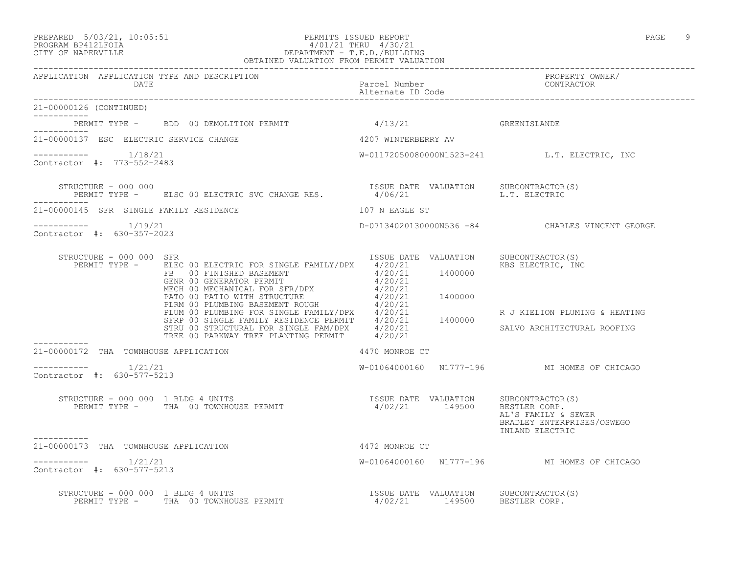## PREPARED 5/03/21, 10:05:51 PERMITS ISSUED REPORT PAGE 9 PROGRAM BP412LFOIA 4/01/21 THRU 4/30/21 CITY OF NAPERVILLE DEPARTMENT - T.E.D./BUILDING OBTAINED VALUATION FROM PERMIT VALUATION

| APPLICATION APPLICATION TYPE AND DESCRIPTION PACK Parcel Number Parcel Description PROPERTY OWNER/<br>DATE Parcel Number Description Parcel Description Parcel Description Parcel Description Parcel Description Parcel Descripti                                  |                                              |                                                                                   |
|--------------------------------------------------------------------------------------------------------------------------------------------------------------------------------------------------------------------------------------------------------------------|----------------------------------------------|-----------------------------------------------------------------------------------|
| 21-00000126 (CONTINUED)                                                                                                                                                                                                                                            |                                              |                                                                                   |
| PERMIT TYPE - BDD 00 DEMOLITION PERMIT                                                                                                                                                                                                                             | 4/13/21                                      | GREENISLANDE                                                                      |
| 21-00000137 ESC ELECTRIC SERVICE CHANGE                                                                                                                                                                                                                            | 4207 WINTERBERRY AV                          |                                                                                   |
| $--------- 1/18/21$<br>Contractor #: 773-552-2483                                                                                                                                                                                                                  | W-01172050080000N1523-241 L.T. ELECTRIC, INC |                                                                                   |
| STRUCTURE - 000 000<br>PERMIT TYPE - ELSC 00 ELECTRIC SVC CHANGE RES. 4/06/21 UALUATION E.T. ELECTRIC                                                                                                                                                              |                                              |                                                                                   |
| 21-00000145 SFR SINGLE FAMILY RESIDENCE                                                                                                                                                                                                                            | 107 N EAGLE ST                               |                                                                                   |
| $--------- 1/19/21$<br>Contractor #: 630-357-2023                                                                                                                                                                                                                  |                                              | D-07134020130000N536 -84 CHARLES VINCENT GEORGE                                   |
| STRUCTURE - 000 000 SFR<br>XAUCTURE - UUU UUU SFR<br>PERMIT TYPE - ELEC 00 ELECTRIC FOR SINGLE FAMILY/DPX $4/20/21$<br>FB 00 FINISHED BASEMENT $4/20/21$<br>GENR 00 GENERATOR PERMIT $4/20/21$<br>MECH 00 MECHANICAL FOR SFR/DPX $4/20/21$<br>PATO 00 PARTOR TERUC | ISSUE DATE VALUATION SUBCONTRACTOR(S)        | KBS ELECTRIC, INC<br>R J KIELION PLUMING & HEATING<br>SALVO ARCHITECTURAL ROOFING |
| 21-00000172 THA TOWNHOUSE APPLICATION                                                                                                                                                                                                                              | 4470 MONROE CT                               |                                                                                   |
| $--------- 1/21/21$<br>Contractor #: 630-577-5213                                                                                                                                                                                                                  | W-01064000160 N1777-196 MI HOMES OF CHICAGO  |                                                                                   |
| STRUCTURE – 000 000 1 BLDG 4 UNITS<br>PERMIT TYPE – THA 00 TOWNHOUSE PERMIT – 14/02/21 149500 BESTLER CORP.                                                                                                                                                        |                                              | AL'S FAMILY & SEWER<br>BRADLEY ENTERPRISES/OSWEGO<br>INLAND ELECTRIC              |
| 21-00000173 THA TOWNHOUSE APPLICATION                                                                                                                                                                                                                              | 4472 MONROE CT                               |                                                                                   |
| $--------- 1/21/21$<br>Contractor #: 630-577-5213                                                                                                                                                                                                                  | W-01064000160 N1777-196 MI HOMES OF CHICAGO  |                                                                                   |
| STRUCTURE - 000 000 1 BLDG 4 UNITS<br>PERMIT TYPE - THA 00 TOWNHOUSE PERMIT 100 100 100 PERMIT 14/02/21 149500 BESTLER CORP.                                                                                                                                       |                                              |                                                                                   |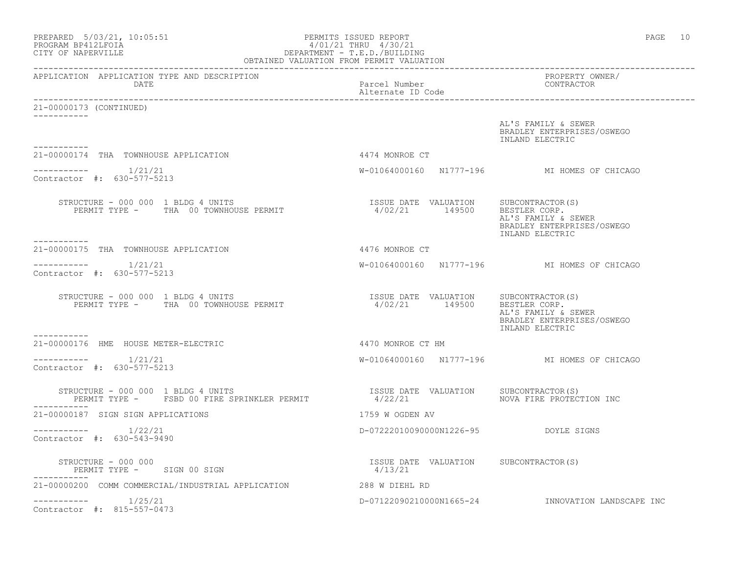| $\begin{tabular}{lllllllllllll} \multicolumn{2}{c}{\textbf{PREPARED}}&5/03/21,&10:05:51\\ \multicolumn{2}{c}{\textbf{PROGRAM BP412LFOIA}}&\multicolumn{2}{c}{\textbf{DEPARTMENT - T.E.D.}/BULIDING}\\ \multicolumn{2}{c}{\textbf{CPARIMENT - T.E.D.}/BULIDING}\\ \multicolumn{2}{c}{\textbf{CPARINED VALUATION FROM PERMIT VALUATION}\\ \multicolumn{2}{c}{\textbf{CPARINED VALUATION}}&\multicolumn{2}{c}{\textbf{CPARIMENT - T.E.D.}/BULIDING}\\ \multicolumn{2}{c}{\$ |                                                         | PAGE 10                                                                               |
|--------------------------------------------------------------------------------------------------------------------------------------------------------------------------------------------------------------------------------------------------------------------------------------------------------------------------------------------------------------------------------------------------------------------------------------------------------------------------|---------------------------------------------------------|---------------------------------------------------------------------------------------|
| APPLICATION APPLICATION TYPE AND DESCRIPTION<br><b>DATE</b>                                                                                                                                                                                                                                                                                                                                                                                                              | Parcel Number<br>Alternate ID Code                      | PROPERTY OWNER/<br>CONTRACTOR                                                         |
| 21-00000173 (CONTINUED)                                                                                                                                                                                                                                                                                                                                                                                                                                                  |                                                         |                                                                                       |
| -----------                                                                                                                                                                                                                                                                                                                                                                                                                                                              |                                                         | AL'S FAMILY & SEWER<br>BRADLEY ENTERPRISES/OSWEGO<br>INLAND ELECTRIC                  |
| 21-00000174 THA TOWNHOUSE APPLICATION                                                                                                                                                                                                                                                                                                                                                                                                                                    | 4474 MONROE CT                                          |                                                                                       |
| Contractor #: 630-577-5213                                                                                                                                                                                                                                                                                                                                                                                                                                               |                                                         | W-01064000160 N1777-196 MI HOMES OF CHICAGO                                           |
| STRUCTURE - 000 000 1 BLDG 4 UNITS<br>PERMIT TYPE - THA 00 TOWNHOUSE PERMIT                                                                                                                                                                                                                                                                                                                                                                                              | ISSUE DATE VALUATION SUBCONTRACTOR(S)<br>4/02/21 149500 | BESTLER CORP.<br>AL'S FAMILY & SEWER<br>BRADLEY ENTERPRISES/OSWEGO<br>INLAND ELECTRIC |
| -----------<br>21-00000175 THA TOWNHOUSE APPLICATION                                                                                                                                                                                                                                                                                                                                                                                                                     | 4476 MONROE CT                                          |                                                                                       |
| -----------    1/21/21<br>Contractor #: 630-577-5213                                                                                                                                                                                                                                                                                                                                                                                                                     |                                                         | W-01064000160 N1777-196 MI HOMES OF CHICAGO                                           |
| STRUCTURE - 000 000 1 BLDG 4 UNITS<br>PERMIT TYPE - THA 00 TOWNHOUSE PERMIT                                                                                                                                                                                                                                                                                                                                                                                              | ISSUE DATE VALUATION SUBCONTRACTOR(S)<br>4/02/21 149500 | BESTLER CORP.<br>AL'S FAMILY & SEWER<br>BRADLEY ENTERPRISES/OSWEGO<br>INLAND ELECTRIC |
| 21-00000176 HME HOUSE METER-ELECTRIC                                                                                                                                                                                                                                                                                                                                                                                                                                     | 4470 MONROE CT HM                                       |                                                                                       |
| 1/21/21<br>-----------<br>Contractor #: 630-577-5213                                                                                                                                                                                                                                                                                                                                                                                                                     |                                                         | W-01064000160 N1777-196 MI HOMES OF CHICAGO                                           |
| STRUCTURE - 000 000 1 BLDG 4 UNITS<br>PERMIT TYPE - FSBD 00 FIRE SPRINKLER PERMIT                                                                                                                                                                                                                                                                                                                                                                                        | ISSUE DATE VALUATION<br>4/22/21                         | SUBCONTRACTOR(S)<br>NOVA FIRE PROTECTION INC                                          |
| 21-00000187 SIGN SIGN APPLICATIONS                                                                                                                                                                                                                                                                                                                                                                                                                                       | 1759 W OGDEN AV                                         |                                                                                       |
| 1/22/21<br>-----------<br>Contractor #: 630-543-9490                                                                                                                                                                                                                                                                                                                                                                                                                     | D-07222010090000N1226-95 DOYLE SIGNS                    |                                                                                       |
| STRUCTURE - 000 000<br>PERMIT TYPE - SIGN 00 SIGN                                                                                                                                                                                                                                                                                                                                                                                                                        | ISSUE DATE VALUATION SUBCONTRACTOR(S)<br>4/13/21        |                                                                                       |
| 21-00000200 COMM COMMERCIAL/INDUSTRIAL APPLICATION                                                                                                                                                                                                                                                                                                                                                                                                                       | 288 W DIEHL RD                                          |                                                                                       |
| 1/25/21<br>Contractor #: 815-557-0473                                                                                                                                                                                                                                                                                                                                                                                                                                    | D-07122090210000N1665-24                                | INNOVATION LANDSCAPE INC                                                              |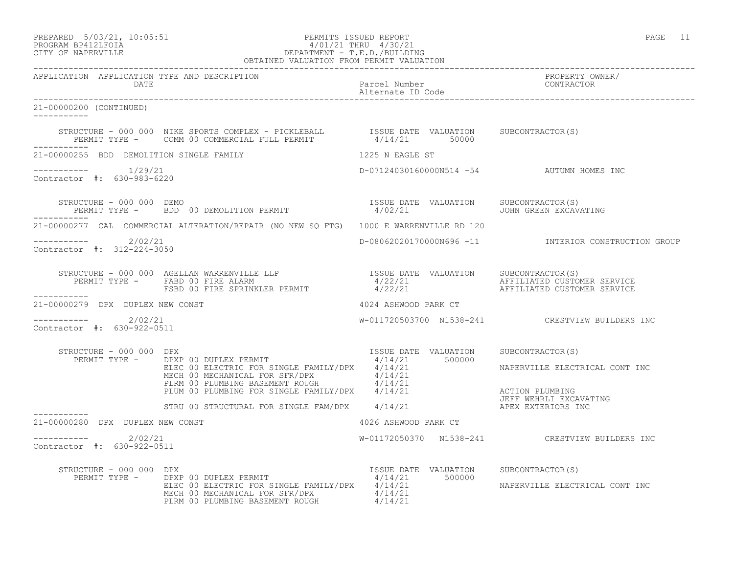PREPARED 5/03/21, 10:05:51 PERMITS ISSUED REPORT PAGE 11

## PROGRAM BP412LFOIA 4/01/21 THRU 4/30/21 CITY OF NAPERVILLE DEPARTMENT - T.E.D./BUILDING OBTAINED VALUATION FROM PERMIT VALUATION

------------------------------------------------------------------------------------------------------------------------------------ APPLICATION APPLICATION TYPE AND DESCRIPTION PROPERTY OWNER/ DATE Parcel Number CONTRACTOR Alternate ID Code ------------------------------------------------------------------------------------------------------------------------------------ 21-00000200 (CONTINUED) ----------- STRUCTURE - 000 000 NIKE SPORTS COMPLEX - PICKLEBALL ISSUE DATE VALUATION SUBCONTRACTOR(S) PERMIT TYPE - COMM 00 COMMERCIAL FULL PERMIT  $4/14/21$  50000 ----------- 21-00000255 BDD DEMOLITION SINGLE FAMILY 1225 N EAGLE ST ----------- 1/29/21 D-07124030160000N514 -54 AUTUMN HOMES INC Contractor #: 630-983-6220 STRUCTURE - 000 000 DEMO ISSUE DATE VALUATION SUBCONTRACTOR(S) PERMIT TYPE - BDD 00 DEMOLITION PERMIT 4/02/21 JOHN GREEN EXCAVATING ----------- 21-00000277 CAL COMMERCIAL ALTERATION/REPAIR (NO NEW SQ FTG) 1000 E WARRENVILLE RD 120 ----------- 2/02/21 D-08062020170000N696 -11 INTERIOR CONSTRUCTION GROUP Contractor #: 312-224-3050 STRUCTURE - 000 000 AGELLAN WARRENVILLE LLP ISSUE DATE VALUATION SUBCONTRACTOR(S) PERMIT TYPE - FABD 00 FIRE ALARM  $4/22/21$  AFFILIATED CUSTOMER SERVICE FILEN OF THE SPRINKLER PERMIT AND A THE SERVICE CONTROLLER SERVICE AND DUSTOMER SERVICE AND THE SPRINKLER PERMIT AND A THE SPRINKLER PERMIT AFFILIATED CUSTOMER SERVICE ----------- 21-00000279 DPX DUPLEX NEW CONST 4024 ASHWOOD PARK CT  $---------2$  2/02/21 W-011720503700 N1538-241 CRESTVIEW BUILDERS INC Contractor #: 630-922-0511 STRUCTURE - 000 000 DPX ISSUE DATE VALUATION SUBCONTRACTOR(S) PERMIT TYPE - DPXP 00 DUPLEX PERMIT  $4/14/21$  500000 DPXP 00 DUPLEX PERMIT<br>ELEC 00 ELECTRIC FOR SINGLE FAMILY/DPX  $\frac{4/14/21}{4/14/21}$  500000 NAPERVILLE ELECTRICAL CONT INC MECH 00 MECHANICAL FOR SFR/DPX  $4/14/21$ PLRM 00 PLUMBING BASEMENT ROUGH  $4/14/21$ PLUM 00 PLUMBING FOR SINGLE FAMILY/DPX 4/14/21 ACTION PLUMBING<br>PLUM 00 PLUMBING FOR SINGLE FAMILY/DPX 4/14/21 AFT AND TEET WEHRLI EXCAVATING JEFF WEHRLI EXCAVATING STRU 00 STRUCTURAL FOR SINGLE FAM/DPX  $4/14/21$  APEX EXTERIORS INC ----------- 21-00000280 DPX DUPLEX NEW CONST 4026 ASHWOOD PARK CT ----------- 2/02/21 W-01172050370 N1538-241 CRESTVIEW BUILDERS INC Contractor #: 630-922-0511 STRUCTURE - 000 000 DPX ISSUE DATE VALUATION SUBCONTRACTOR(S) PERMIT TYPE - DPXP 00 DUPLEX PERMIT  $4/14/21$  500000 ELEC 00 ELECTRIC FOR SINGLE FAMILY/DPX 4/14/21 NAPERVILLE ELECTRICAL CONT INC MECH 00 MECHANICAL FOR SFR/DPX  $4/14/21$ 

PLRM 00 PLUMBING BASEMENT ROUGH  $4/14/21$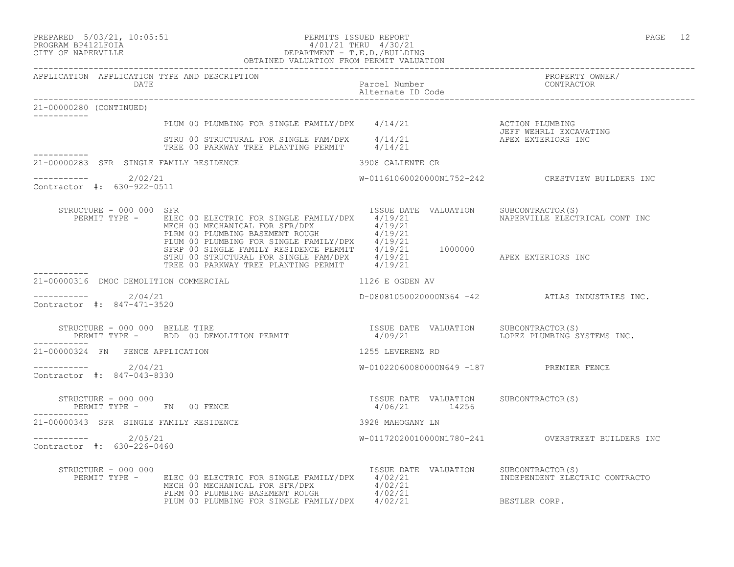# PREPARED 5/03/21, 10:05:51 PERMITS ISSUED REPORT PAGE 12 PROGRAM BP412LFOIA 4/01/21 THRU 4/30/21 CITY OF NAPERVILLE DEPARTMENT - T.E.D./BUILDING

|                                                      | OBTAINED VALUATION FROM PERMIT VALUATION                                                                                                                                                                                                                                                               |                                                        |                                                  |
|------------------------------------------------------|--------------------------------------------------------------------------------------------------------------------------------------------------------------------------------------------------------------------------------------------------------------------------------------------------------|--------------------------------------------------------|--------------------------------------------------|
| APPLICATION APPLICATION TYPE AND DESCRIPTION<br>DATE |                                                                                                                                                                                                                                                                                                        | Parcel Number<br>Alternate ID Code                     | PROPERTY OWNER/<br>CONTRACTOR                    |
| 21-00000280 (CONTINUED)                              |                                                                                                                                                                                                                                                                                                        |                                                        |                                                  |
|                                                      |                                                                                                                                                                                                                                                                                                        |                                                        |                                                  |
| -----------                                          | PLUM 00 PLUMBING FOR SINGLE FAMILY/DPX $4/14/21$<br>STRU 00 STRUCTURAL FOR SINGLE FAM/DPX $4/14/21$<br>TREE 00 PARKWAY TREE PLANTING PERMIT $4/14/21$<br>TREE 00 PARKWAY TREE PLANTING PERMIT $4/14/21$                                                                                                |                                                        |                                                  |
| 21-00000283 SFR SINGLE FAMILY RESIDENCE              |                                                                                                                                                                                                                                                                                                        | 3908 CALIENTE CR                                       |                                                  |
| ----------- 2/02/21<br>Contractor #: 630-922-0511    |                                                                                                                                                                                                                                                                                                        |                                                        | W-01161060020000N1752-242 CRESTVIEW BUILDERS INC |
| STRUCTURE - 000 000 SFR                              | PERMIT TYPE - ELEC 00 ELECTRIC FOR SINGLE FAMILY/DPX 4/19/21<br>MECH 00 MECHANICAL FOR SFR/DPX 4/19/21<br>MECH 00 PLUMBING BASEMENT ROUGH 4/19/21<br>PLUM 00 PLUMBING FOR SINGLE FAMILY/DPX 4/19/21<br>SFRP 00 SINGLE FAMILY RESIDENCE PERMIT 4/19/21 1000000<br>STRU 00 STRUCTURAL FOR SINGLE FAM/DPX | ISSUE DATE VALUATION SUBCONTRACTOR(S)                  | NAPERVILLE ELECTRICAL CONT INC                   |
|                                                      |                                                                                                                                                                                                                                                                                                        |                                                        |                                                  |
| 21-00000316 DMOC DEMOLITION COMMERCIAL               | 1126 E OGDEN AV                                                                                                                                                                                                                                                                                        |                                                        |                                                  |
| ----------    2/04/21<br>Contractor #: 847-471-3520  |                                                                                                                                                                                                                                                                                                        |                                                        | D-08081050020000N364 -42 ATLAS INDUSTRIES INC.   |
| STRUCTURE - 000 000 BELLE TIRE<br>------------       | RUCTURE – 000 000 BELLE TIRE<br>PERMIT TYPE – BDD 00 DEMOLITION PERMIT – 1/09/21 VALUATION – LOPEZ PLUMBING SYSTEMS INC.                                                                                                                                                                               |                                                        |                                                  |
| 21-00000324 FN FENCE APPLICATION                     |                                                                                                                                                                                                                                                                                                        | 1255 LEVERENZ RD                                       |                                                  |
| $--------- 2/04/21$<br>Contractor #: 847-043-8330    |                                                                                                                                                                                                                                                                                                        | W-01022060080000N649 -187 PREMIER FENCE                |                                                  |
| STRUCTURE - 000 000<br>PERMIT TYPE - FN 00 FENCE     |                                                                                                                                                                                                                                                                                                        | ISSUE DATE VALUATION SUBCONTRACTOR(S)<br>4/06/21 14256 |                                                  |
| 21-00000343 SFR SINGLE FAMILY RESIDENCE              |                                                                                                                                                                                                                                                                                                        | 3928 MAHOGANY LN                                       |                                                  |
| $---------2/05/21$<br>Contractor #: 630-226-0460     |                                                                                                                                                                                                                                                                                                        |                                                        |                                                  |
| STRUCTURE - 000 000                                  | PERMIT TYPE - ELEC 00 ELECTRIC FOR SINGLE FAMILY/DPX 4/02/21<br>MECH 00 MECHANICAL FOR SFR/DPX $4/02/21$<br>PLRM 00 PLUMBING BASEMENT ROUGH $4/02/21$<br>PLUM 00 PLUMBING FOR SINGLE FAMILY/DPX 4/02/21                                                                                                | ISSUE DATE VALUATION SUBCONTRACTOR(S)                  | INDEPENDENT ELECTRIC CONTRACTO<br>BESTLER CORP.  |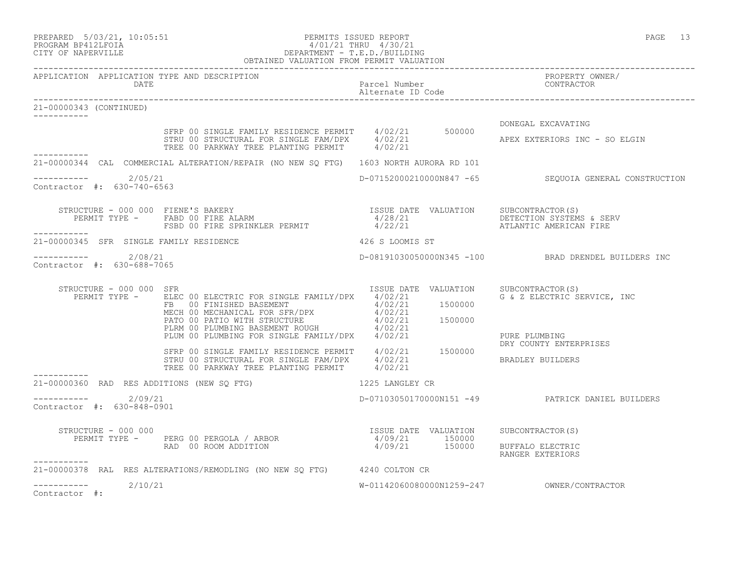## PREPARED 5/03/21, 10:05:51 PERMITS ISSUED REPORT PAGE 13 PROGRAM BP412LFOIA 4/01/21 THRU 4/30/21 CITY OF NAPERVILLE DEPARTMENT - T.E.D./BUILDING OBTAINED VALUATION FROM PERMIT VALUATION

| APPLICATION APPLICATION TYPE AND DESCRIPTION<br>DATE |                                                                                                                                                                                                                                                                                                          | Parcel Number                         | PROPERTY OWNER/<br>CONTRACTOR                         |
|------------------------------------------------------|----------------------------------------------------------------------------------------------------------------------------------------------------------------------------------------------------------------------------------------------------------------------------------------------------------|---------------------------------------|-------------------------------------------------------|
| 21-00000343 (CONTINUED)<br>___________               |                                                                                                                                                                                                                                                                                                          |                                       |                                                       |
|                                                      | SFRP 00 SINGLE FAMILY RESIDENCE PERMIT 4/02/21 500000<br>STRU 00 STRUCTURAL FOR SINGLE FAM/DPX 4/02/21<br>TREE 00 PARKWAY TREE PLANTING PERMIT 4/02/21                                                                                                                                                   |                                       | DONEGAL EXCAVATING<br>APEX EXTERIORS INC - SO ELGIN   |
|                                                      | 21-00000344 CAL COMMERCIAL ALTERATION/REPAIR (NO NEW SQ FTG) 1603 NORTH AURORA RD 101                                                                                                                                                                                                                    |                                       |                                                       |
| ---------- 2/05/21<br>Contractor #: 630-740-6563     |                                                                                                                                                                                                                                                                                                          |                                       | D-07152000210000N847 -65 SEQUOIA GENERAL CONSTRUCTION |
| ___________                                          | STRUCTURE - 000 000 FIENE'S BAKERY<br>PERMIT TYPE - FABD 00 FIRE ALARM                                    4/28/21<br>FSBD 00 FIRE SPRINKLER PERMIT                     4/22/21                       ATLANTIC AMERICAN FIRE                                                                              |                                       |                                                       |
| 21-00000345 SFR SINGLE FAMILY RESIDENCE              | 426 S LOOMIS ST                                                                                                                                                                                                                                                                                          |                                       |                                                       |
| $--------- 2/08/21$<br>Contractor #: 630-688-7065    |                                                                                                                                                                                                                                                                                                          |                                       | D-08191030050000N345 -100 BRAD DRENDEL BUILDERS INC   |
| STRUCTURE - 000 000 SFR                              | PERMIT TYPE - ELEC 00 ELECTRIC FOR SINGLE FAMILY/DPX 4/02/21<br>ELEC 00 ELECTRIC FOR SINGLE FAMILY/DPX 4/02/21<br>FB 00 FINISHED BASEMENT 4/02/21 1500000<br>MECH 00 MECHANICAL FOR SFR/DPX 4/02/21<br>PATO 00 PATIO WITH STRUCTURE 4/02/21 1500000<br>PLRM 00 PLUMBING BASEMENT ROUGH 4/02/21<br>PLUM 0 | ISSUE DATE VALUATION SUBCONTRACTOR(S) | G & Z ELECTRIC SERVICE, INC                           |
|                                                      |                                                                                                                                                                                                                                                                                                          |                                       | PURE PLUMBING<br>DRY COUNTY ENTERPRISES               |
|                                                      | SFRP 00 SINGLE FAMILY RESIDENCE PERMIT 4/02/21 1500000<br>STRU 00 STRUCTURAL FOR SINGLE FAM/DPX 4/02/21<br>TREE 00 PARKWAY TREE PLANTING PERMIT 4/02/21                                                                                                                                                  |                                       | BRADLEY BUILDERS                                      |
| 21-00000360 RAD RES ADDITIONS (NEW SO FTG)           | 1225 LANGLEY CR                                                                                                                                                                                                                                                                                          |                                       |                                                       |
| $--------- 2/09/21$<br>Contractor #: 630-848-0901    |                                                                                                                                                                                                                                                                                                          |                                       | D-07103050170000N151 -49 PATRICK DANIEL BUILDERS      |
| STRUCTURE - 000 000<br>------------                  | STRUCTURE - 000 000<br>PERMIT TYPE - PERG 00 PERGOLA / ARBOR 1/09/21 150000<br>RAD 00 ROOM ADDITION 1/09/21 150000 BUFFALO ELECTRIC                                                                                                                                                                      |                                       | RANGER EXTERIORS                                      |
|                                                      | 21-00000378 RAL RES ALTERATIONS/REMODLING (NO NEW SQ FTG) 4240 COLTON CR                                                                                                                                                                                                                                 |                                       |                                                       |
| 2/10/21<br>------------                              |                                                                                                                                                                                                                                                                                                          |                                       |                                                       |

Contractor #: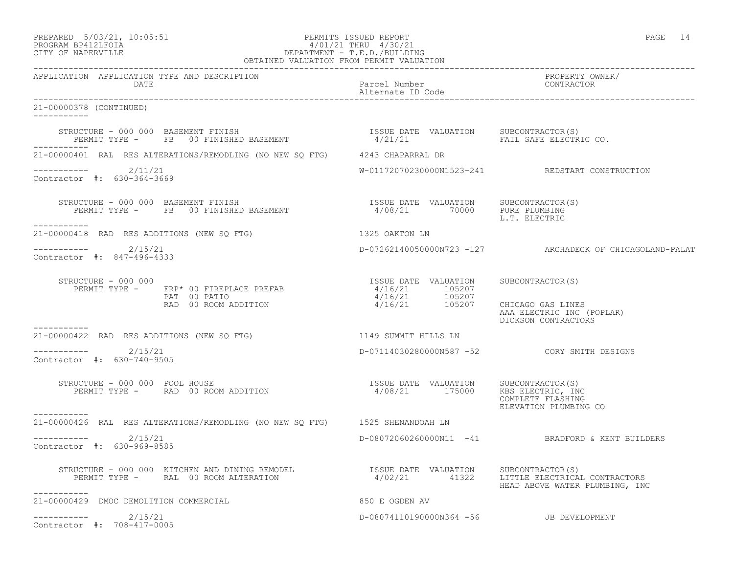| PREPARED | $5/03/21$ , $10:05:51$ |  |
|----------|------------------------|--|
|          | PROCRAM RP419IFOIA     |  |

# PREPARED 5/03/21, 10:05:51 PERMITS ISSUED REPORT<br>PROGRAM BP412LFOIA PROGRAM PROGRAM PROGRAM PROGRAM PROGRAM PROGRAM BP412LFOIA PROGRAM BP412LFOIA 4/01/21 THRU 4/30/21<br>
CITY OF NAPERVILLE DEPARTMENT - T.E.D./BUILDIN CITY OF NAPERVILLE DEPARTMENT - T.E.D./BUILDING

| OBTAINED VALUATION FROM PERMIT VALUATION                                                                                                                                     |                                         |                                                                               |  |
|------------------------------------------------------------------------------------------------------------------------------------------------------------------------------|-----------------------------------------|-------------------------------------------------------------------------------|--|
| APPLICATION APPLICATION TYPE AND DESCRIPTION<br>DATE                                                                                                                         | Parcel Number<br>Alternate ID Code      | PROPERTY OWNER/<br>CONTRACTOR                                                 |  |
| 21-00000378 (CONTINUED)                                                                                                                                                      |                                         |                                                                               |  |
| STRUCTURE - 000 000 BASEMENT FINISH<br>STRUCTURE - 000 000 BASEMENT FINISH<br>PERMIT TYPE - FB 00 FINISHED BASEMENT - 1/21/21 FAIL SAFE ELECTRIC CO.                         |                                         |                                                                               |  |
| 21-00000401 RAL RES ALTERATIONS/REMODLING (NO NEW SQ FTG) 4243 CHAPARRAL DR                                                                                                  |                                         |                                                                               |  |
| ----------- 2/11/21<br>Contractor #: 630-364-3669                                                                                                                            |                                         | W-01172070230000N1523-241 REDSTART CONSTRUCTION                               |  |
| STRUCTURE - 000 000 BASEMENT FINISH<br>PERMIT TYPE - FB 00 FINISHED BASEMENT 1998/21 70000 PURE PLUMBING<br>___________                                                      |                                         | L.T. ELECTRIC                                                                 |  |
| 21-00000418 RAD RES ADDITIONS (NEW SQ FTG)                                                                                                                                   | 1325 OAKTON LN                          |                                                                               |  |
| $--------$ 2/15/21<br>Contractor #: 847-496-4333                                                                                                                             |                                         | D-07262140050000N723 -127 ARCHADECK OF CHICAGOLAND-PALAT                      |  |
| STRUCTURE - 000 000                                                                                                                                                          | ISSUE DATE VALUATION SUBCONTRACTOR(S)   | CHICAGO GAS LINES<br>AAA ELECTRIC INC (POPLAR)<br>DICKSON CONTRACTORS         |  |
| 21-00000422 RAD RES ADDITIONS (NEW SQ FTG) 1149 SUMMIT HILLS LN                                                                                                              |                                         |                                                                               |  |
| ----------- 2/15/21<br>Contractor #: 630-740-9505                                                                                                                            |                                         |                                                                               |  |
| STRUCTURE - 000 000 POOL HOUSE<br>RUCTURE – 000 000 POOL HOUSE<br>PERMIT TYPE – RAD 00 ROOM ADDITION – 1/08/21 175000 KBS ELECTRIC, INC                                      |                                         | COMPLETE FLASHING<br>ELEVATION PLUMBING CO                                    |  |
| -----------<br>21-00000426 RAL RES ALTERATIONS/REMODLING (NO NEW SQ FTG) 1525 SHENANDOAH LN                                                                                  |                                         |                                                                               |  |
| $--------$ 2/15/21<br>Contractor #: 630-969-8585                                                                                                                             |                                         | D-08072060260000N11 -41 BRADFORD & KENT BUILDERS                              |  |
| STRUCTURE – 000 000 KITCHEN AND DINING REMODEL TISSUE DATE VALUATION SUBCONTRACTOR(S)<br>PERMIT TYPE – RAL 00 ROOM ALTERATION 1/02/21 41322 LITTLE ELECTRICAL<br>----------- |                                         | 4/02/21 41322 LITTLE ELECTRICAL CONTRACTORS<br>HEAD ABOVE WATER PLUMBING, INC |  |
| 21-00000429 DMOC DEMOLITION COMMERCIAL                                                                                                                                       | 850 E OGDEN AV                          |                                                                               |  |
| $--------- 2/15/21$<br>Contractor #: 708-417-0005                                                                                                                            | D-08074110190000N364 -56 JB DEVELOPMENT |                                                                               |  |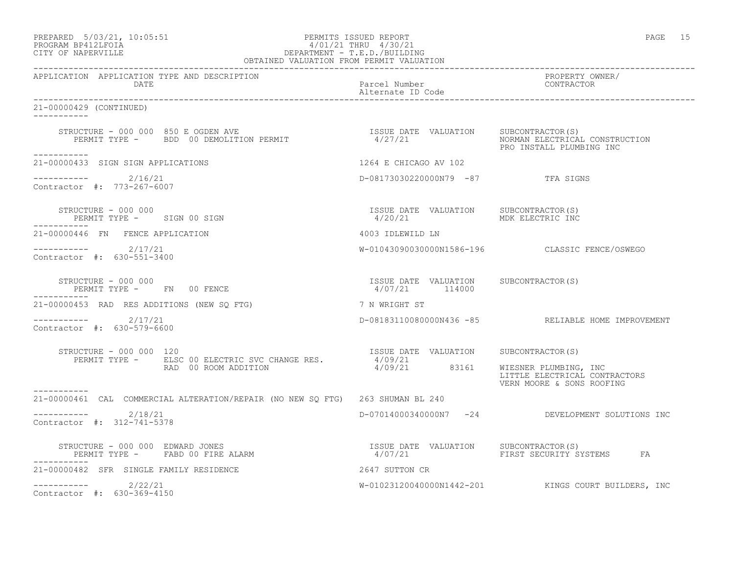## PREPARED 5/03/21, 10:05:51 PERMITS ISSUED REPORT PAGE 15 PROGRAM BP412LFOIA 4/01/21 THRU 4/30/21 CITY OF NAPERVILLE DEPARTMENT - T.E.D./BUILDING

|                                                      | OBTAINED VALUATION FROM PERMIT VALUATION                                                                                                               |                                                                   |                                                            |
|------------------------------------------------------|--------------------------------------------------------------------------------------------------------------------------------------------------------|-------------------------------------------------------------------|------------------------------------------------------------|
| APPLICATION APPLICATION TYPE AND DESCRIPTION<br>DATE |                                                                                                                                                        | Parcel Number<br>Alternate ID Code                                | PROPERTY OWNER/<br>CONTRACTOR                              |
| 21-00000429 (CONTINUED)                              |                                                                                                                                                        |                                                                   |                                                            |
|                                                      | STRUCTURE - 000 000 850 E OGDEN AVE<br>PERMIT TYPE -   BDD 00 DEMOLITION PERMIT                        4/27/21                NORMAN ELECTRICAL CONSTR |                                                                   | NORMAN ELECTRICAL CONSTRUCTION<br>PRO INSTALL PLUMBING INC |
| -----------<br>21-00000433 SIGN SIGN APPLICATIONS    |                                                                                                                                                        | 1264 E CHICAGO AV 102                                             |                                                            |
| $--------- 2/16/21$<br>Contractor #: 773-267-6007    |                                                                                                                                                        | D-08173030220000N79 -87 TFA SIGNS                                 |                                                            |
| STRUCTURE - 000 000<br>PERMIT TYPE - SIGN 00 SIGN    |                                                                                                                                                        | ISSUE DATE VALUATION SUBCONTRACTOR(S)<br>4/20/21 MDK ELECTRIC INC |                                                            |
| 21-00000446 FN FENCE APPLICATION                     |                                                                                                                                                        | 4003 IDLEWILD LN                                                  |                                                            |
| $--------- 2/17/21$<br>Contractor #: 630-551-3400    |                                                                                                                                                        |                                                                   | W-01043090030000N1586-196 CLASSIC FENCE/OSWEGO             |
| STRUCTURE - 000 000<br>PERMIT TYPE - FN 00 FENCE     |                                                                                                                                                        | ISSUE DATE VALUATION SUBCONTRACTOR(S)<br>4/07/21 114000           |                                                            |
| 21-00000453 RAD RES ADDITIONS (NEW SQ FTG)           |                                                                                                                                                        | 7 N WRIGHT ST                                                     |                                                            |
| $--------- 2/17/21$<br>Contractor #: 630-579-6600    |                                                                                                                                                        |                                                                   | D-08183110080000N436 -85 RELIABLE HOME IMPROVEMENT         |
| STRUCTURE - 000 000 120                              |                                                                                                                                                        |                                                                   |                                                            |
|                                                      | RUCTURE - 000 000 120<br>PERMIT TYPE - ELSC 00 ELECTRIC SVC CHANGE RES. 4/09/21 83161 WIESNER PLUMBING, INC                                            |                                                                   | LITTLE ELECTRICAL CONTRACTORS<br>VERN MOORE & SONS ROOFING |
|                                                      | 21-00000461 CAL COMMERCIAL ALTERATION/REPAIR (NO NEW SO FTG) 263 SHUMAN BL 240                                                                         |                                                                   |                                                            |
| $--------$ 2/18/21<br>Contractor #: 312-741-5378     |                                                                                                                                                        |                                                                   | D-07014000340000N7 -24 DEVELOPMENT SOLUTIONS INC           |
|                                                      |                                                                                                                                                        |                                                                   |                                                            |
| 21-00000482 SFR SINGLE FAMILY RESIDENCE              |                                                                                                                                                        | 2647 SUTTON CR                                                    |                                                            |
| $--------- 2/22/21$<br>Contractor #: 630-369-4150    |                                                                                                                                                        |                                                                   | W-01023120040000N1442-201 KINGS COURT BUILDERS, INC        |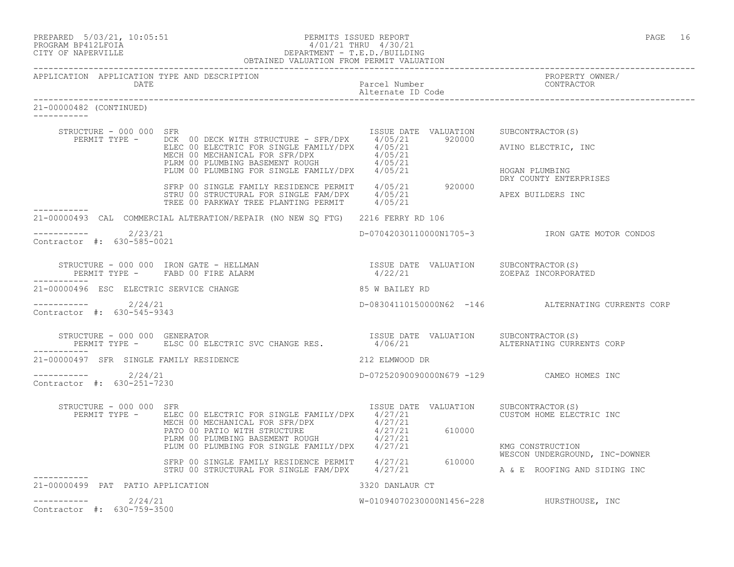| PREPARED 5/03/21, 10:05:51 | PERMITS ISSUED REPORT | PAGE |  |
|----------------------------|-----------------------|------|--|
|                            |                       |      |  |

APPLICATION APPLICATION TYPE AND DESCRIPTION

# PROGRAM BP412LFOIA 4/01/21 THRU 4/30/21 CITY OF NAPERVILLE DEPARTMENT - T.E.D./BUILDING OBTAINED VALUATION FROM PERMIT VALUATION ------------------------------------------------------------------------------------------------------------------------------------

|                                                   |                                                                                                                                                                                                                                      | Parcel Number CONTRACTOR<br>Alternate ID Code |                                                                |
|---------------------------------------------------|--------------------------------------------------------------------------------------------------------------------------------------------------------------------------------------------------------------------------------------|-----------------------------------------------|----------------------------------------------------------------|
| 21-00000482 (CONTINUED)                           |                                                                                                                                                                                                                                      |                                               |                                                                |
| STRUCTURE - 000 000 SFR                           |                                                                                                                                                                                                                                      |                                               |                                                                |
|                                                   |                                                                                                                                                                                                                                      |                                               | AVINO ELECTRIC, INC                                            |
|                                                   | PLUM 00 PLUMBING FOR SINGLE FAMILY/DPX 4/05/21                                                                                                                                                                                       |                                               | HOGAN PLUMBING<br>DRY COUNTY ENTERPRISES                       |
| -----------                                       | SFRP 00 SINGLE FAMILY RESIDENCE PERMIT 4/05/21 920000<br>STRU 00 STRUCTURAL FOR SINGLE FAM/DPX 4/05/21<br>TREE 00 PARKWAY TREE PLANTING PERMIT 4/05/21                                                                               |                                               | APEX BUILDERS INC                                              |
|                                                   | 21-00000493 CAL COMMERCIAL ALTERATION/REPAIR (NO NEW SO FTG) 2216 FERRY RD 106                                                                                                                                                       |                                               |                                                                |
| $---------2/23/21$<br>Contractor #: 630-585-0021  |                                                                                                                                                                                                                                      |                                               |                                                                |
| -----------                                       | STRUCTURE – 000 000 IRON GATE – HELLMAN                               ISSUE DATE VALUATION    SUBCONTRACTOR(S)<br>PERMIT TYPE –      FABD 00 FIRE ALARM                               4/22/21                                        |                                               | ZOEPAZ INCORPORATED                                            |
| 21-00000496 ESC ELECTRIC SERVICE CHANGE           |                                                                                                                                                                                                                                      | 85 W BAILEY RD                                |                                                                |
| $--------- 2/24/21$<br>Contractor #: 630-545-9343 |                                                                                                                                                                                                                                      |                                               | D-08304110150000N62 -146 ALTERNATING CURRENTS CORP             |
| -----------                                       | STRUCTURE - 000 000 GENERATOR<br>PERMIT TYPE - ELSC 00 ELECTRIC SVC CHANGE RES.             4/06/21                       ALTERNATING CURRENTS COR                                                                                   |                                               | ALTERNATING CURRENTS CORP                                      |
| 21-00000497 SFR SINGLE FAMILY RESIDENCE           | 212 ELMWOOD DR                                                                                                                                                                                                                       |                                               |                                                                |
| ----------- 2/24/21<br>Contractor #: 630-251-7230 |                                                                                                                                                                                                                                      | D-07252090090000N679 -129 CAMEO HOMES INC     |                                                                |
| STRUCTURE - 000 000 SFR                           | PERMIT TYPE - ELEC 00 ELECTRIC FOR SINGLE FAMILY/DPX 4/27/21                                                                                                                                                                         | ISSUE DATE VALUATION SUBCONTRACTOR(S)         | CUSTOM HOME ELECTRIC INC                                       |
|                                                   | ELEC 00 ELECTRIC FOR SINGLE FATILITY PEAN AT ATT AT A MECHANICAL FOR SFR/DPX 4/27/21<br>PATO 00 PATIO WITH STRUCTURE 4/27/21 610000<br>PLRM 00 PLUMBING BASEMENT ROUGH 4/27/21 610000<br>PLUM 00 PLUMBING FOR SINGLE FAMILY/DPX 4/27 |                                               | KMG CONSTRUCTION                                               |
|                                                   | SFRP 00 SINGLE FAMILY RESIDENCE PERMIT 4/27/21 610000<br>STRU 00 STRUCTURAL FOR SINGLE FAM/DPX 4/27/21                                                                                                                               |                                               | WESCON UNDERGROUND, INC-DOWNER<br>A & E ROOFING AND SIDING INC |
| -----------<br>21-00000499 PAT PATIO APPLICATION  |                                                                                                                                                                                                                                      | 3320 DANLAUR CT                               |                                                                |
| $--------- 2/24/21$<br>Contractor #: 630-759-3500 |                                                                                                                                                                                                                                      | W-01094070230000N1456-228 HURSTHOUSE, INC     |                                                                |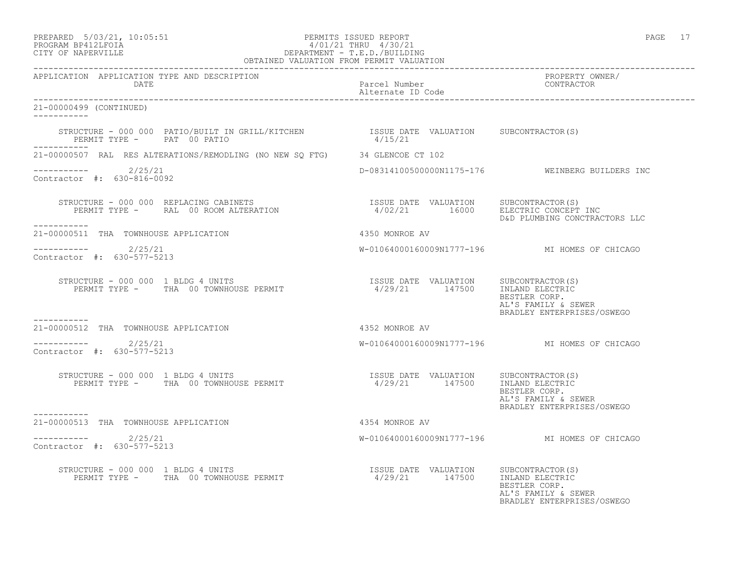## PREPARED 5/03/21, 10:05:51 PERMITS ISSUED REPORT PAGE 17 PROGRAM BP412LFOIA 4/01/21 THRU 4/30/21 CITY OF NAPERVILLE DEPARTMENT - T.E.D./BUILDING OBTAINED VALUATION FROM PERMIT VALUATION

------------------------------------------------------------------------------------------------------------------------------------

| APPLICATION APPLICATION TYPE AND DESCRIPTION<br><b>DATE</b>                                                                                                                                                                                      | Parcel Number<br>Alternate ID Code                                      | PROPERTY OWNER/<br>CONTRACTOR                                                         |
|--------------------------------------------------------------------------------------------------------------------------------------------------------------------------------------------------------------------------------------------------|-------------------------------------------------------------------------|---------------------------------------------------------------------------------------|
| 21-00000499 (CONTINUED)<br>-----------                                                                                                                                                                                                           |                                                                         |                                                                                       |
| STRUCTURE - 000 000 PATIO/BUILT IN GRILL/KITCHEN 1SSUE DATE VALUATION SUBCONTRACTOR(S)<br>PERMIT TYPE - PAT 00 PATIO                                                                                                                             | 4/15/21                                                                 |                                                                                       |
| 21-00000507 RAL RES ALTERATIONS/REMODLING (NO NEW SQ FTG) 34 GLENCOE CT 102                                                                                                                                                                      |                                                                         |                                                                                       |
| $--------- 2/25/21$<br>Contractor #: 630-816-0092                                                                                                                                                                                                |                                                                         | D-08314100500000N1175-176 WEINBERG BUILDERS INC                                       |
| STRUCTURE – 000 000 REPLACING CABINETS                                ISSUE DATE VALUATION     SUBCONTRACTOR(S)<br>PERMIT TYPE –     RAL  00 ROOM ALTERATION                          4/02/21        16000     ELECTRIC CONCEPT I<br>----------- |                                                                         | D&D PLUMBING CONCTRACTORS LLC                                                         |
| 21-00000511 THA TOWNHOUSE APPLICATION                                                                                                                                                                                                            | 4350 MONROE AV                                                          |                                                                                       |
| -----------    2/25/21<br>Contractor #: 630-577-5213                                                                                                                                                                                             |                                                                         | W-01064000160009N1777-196 MI HOMES OF CHICAGO                                         |
| STRUCTURE - 000 000 1 BLDG 4 UNITS<br>PERMIT TYPE - THA 00 TOWNHOUSE PERMIT                                                                                                                                                                      | ISSUE DATE VALUATION SUBCONTRACTOR(S)<br>4/29/21 147500 INLAND ELECTRIC | BESTLER CORP.<br>AL'S FAMILY & SEWER<br>BRADLEY ENTERPRISES/OSWEGO                    |
| -----------<br>21-00000512 THA TOWNHOUSE APPLICATION                                                                                                                                                                                             |                                                                         |                                                                                       |
| -----------    2/25/21<br>Contractor #: 630-577-5213                                                                                                                                                                                             |                                                                         | W-01064000160009N1777-196 MI HOMES OF CHICAGO                                         |
| STRUCTURE - 000 000 1 BLDG 4 UNITS                                                                                                                                                                                                               |                                                                         | AL'S FAMILY & SEWER<br>BRADLEY ENTERPRISES/OSWEGO                                     |
| 21-00000513 THA TOWNHOUSE APPLICATION                                                                                                                                                                                                            | 4354 MONROE AV                                                          |                                                                                       |
| $---------2/25/21$<br>Contractor #: 630-577-5213                                                                                                                                                                                                 |                                                                         | W-01064000160009N1777-196 MI HOMES OF CHICAGO                                         |
|                                                                                                                                                                                                                                                  | ISSUE DATE VALUATION SUBCONTRACTOR(S)                                   | INLAND ELECTRIC<br>BESTLER CORP.<br>AL'S FAMILY & SEWER<br>BRADLEY ENTERPRISES/OSWEGO |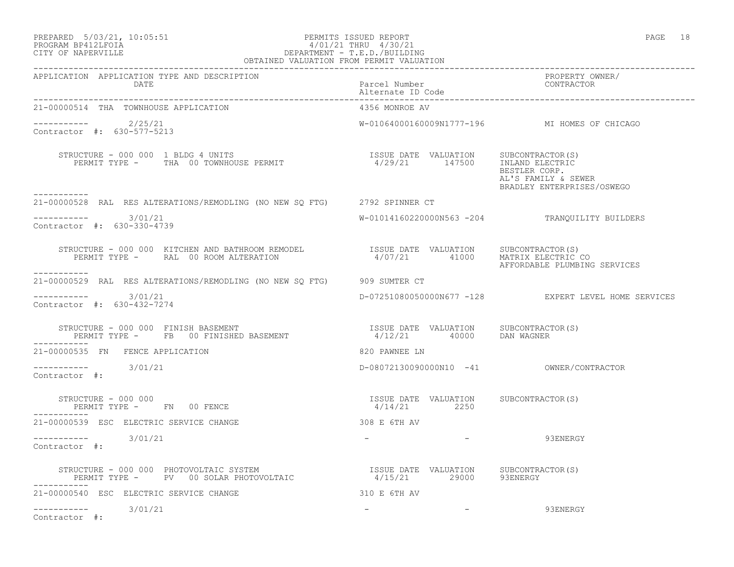## PREPARED 5/03/21, 10:05:51 PERMITS ISSUED REPORT PAGE 18 PROGRAM BP412LFOIA 4/01/21 THRU 4/30/21 CITY OF NAPERVILLE DEPARTMENT - T.E.D./BUILDING OBTAINED VALUATION FROM PERMIT VALUATION

| APPLICATION APPLICATION TYPE AND DESCRIPTION                                                                                                                                                                                                                                                                                                                                                                  |                                                       | PROPERTY OWNER/<br>CONTRACTOR                                      |
|---------------------------------------------------------------------------------------------------------------------------------------------------------------------------------------------------------------------------------------------------------------------------------------------------------------------------------------------------------------------------------------------------------------|-------------------------------------------------------|--------------------------------------------------------------------|
| DATE                                                                                                                                                                                                                                                                                                                                                                                                          | Parcel Number<br>Alternate ID Code                    |                                                                    |
| 21-00000514 THA TOWNHOUSE APPLICATION                                                                                                                                                                                                                                                                                                                                                                         | 4356 MONROE AV                                        |                                                                    |
| $--------- 2/25/21$<br>Contractor #: 630-577-5213                                                                                                                                                                                                                                                                                                                                                             |                                                       | W-01064000160009N1777-196 MI HOMES OF CHICAGO                      |
|                                                                                                                                                                                                                                                                                                                                                                                                               |                                                       | BESTLER CORP.<br>AL'S FAMILY & SEWER<br>BRADLEY ENTERPRISES/OSWEGO |
| 21-00000528 RAL RES ALTERATIONS/REMODLING (NO NEW SQ FTG) 2792 SPINNER CT                                                                                                                                                                                                                                                                                                                                     |                                                       |                                                                    |
| $--------- 3/01/21$<br>Contractor #: 630-330-4739                                                                                                                                                                                                                                                                                                                                                             |                                                       | W-01014160220000N563 -204 TRANQUILITY BUILDERS                     |
| STRUCTURE - 000 000 KITCHEN AND BATHROOM REMODEL TSSUE DATE VALUATION SUBCONTRACTOR(S)<br>PERMIT TYPE - RAL 00 ROOM ALTERATION 100 FOR 2000 2000 2000 AFFORDABLE PLUMBING SERVICES<br>-----------                                                                                                                                                                                                             |                                                       |                                                                    |
| 21-00000529 RAL RES ALTERATIONS/REMODLING (NO NEW SQ FTG) 909 SUMTER CT                                                                                                                                                                                                                                                                                                                                       |                                                       |                                                                    |
| $--------- 3/01/21$<br>Contractor #: 630-432-7274                                                                                                                                                                                                                                                                                                                                                             |                                                       | D-07251080050000N677 -128 EXPERT LEVEL HOME SERVICES               |
| $\begin{array}{cccccc} \texttt{STRUCTURE} & - & 000 & 000 & \texttt{FINISH BASEMENT} & & & & \\ \texttt{PERMIT TYPE} & - & \texttt{FB} & 00 \texttt{ FINISHED BASEMENT} & & & & & \\ \end{array} \qquad \begin{array}{cccccc} \texttt{ISSUE} & \texttt{DATE} & \texttt{VALUATION} & \texttt{SUBCONTRACTOR(S)}\\ & 4/12/21 & & 40000 & \texttt{DAN WAGNER} \end{array}$<br>STRUCTURE - 000 000 FINISH BASEMENT |                                                       |                                                                    |
| 21-00000535 FN FENCE APPLICATION                                                                                                                                                                                                                                                                                                                                                                              | 820 PAWNEE LN                                         |                                                                    |
| $--------- 3/01/21$<br>Contractor #:                                                                                                                                                                                                                                                                                                                                                                          |                                                       |                                                                    |
| $\texttt{STRUCTURE} = 000 000$<br>PERMIT TYPE - FN 00 FENCE                                                                                                                                                                                                                                                                                                                                                   | ISSUE DATE VALUATION SUBCONTRACTOR(S)<br>4/14/21 2250 |                                                                    |
| 21-00000539 ESC ELECTRIC SERVICE CHANGE                                                                                                                                                                                                                                                                                                                                                                       | 308 E 6TH AV                                          |                                                                    |
| $--------$ 3/01/21<br>Contractor #:                                                                                                                                                                                                                                                                                                                                                                           |                                                       | – 93ENERGY                                                         |
| STRUCTURE – 000 000 PHOTOVOLTAIC SYSTEM                            ISSUE DATE VALUATION     SUBCONTRACTOR(S)<br>PERMIT TYPE –     PV   00 SOLAR PHOTOVOLTAIC                     4/15/21       29000     93ENERGY                                                                                                                                                                                             |                                                       |                                                                    |
| 21-00000540 ESC ELECTRIC SERVICE CHANGE                                                                                                                                                                                                                                                                                                                                                                       | 310 E 6TH AV                                          |                                                                    |
| $--------- 3/01/21$<br>Contractor #:                                                                                                                                                                                                                                                                                                                                                                          |                                                       | 93ENERGY                                                           |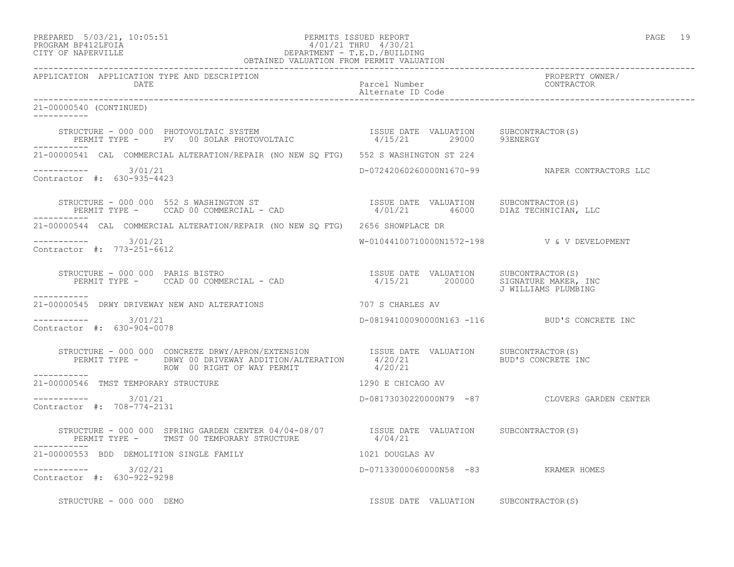# PREPARED 5/03/21, 10:05:51 PERMITS ISSUED REPORT<br>PROGRAM BP412LFOIA PAGE 19<br>
9/01/21 THRU 4/30/21 PROGRAM BP412LFOIA 4/01/21 THRU 4/30/21 CITY OF NAPERVILLE DEPARTMENT - T.E.D./BUILDING

|                                                                                                                                                                                                                    | OBTAINED VALUATION FROM PERMIT VALUATION |                                       |                                                |
|--------------------------------------------------------------------------------------------------------------------------------------------------------------------------------------------------------------------|------------------------------------------|---------------------------------------|------------------------------------------------|
| APPLICATION APPLICATION TYPE AND DESCRIPTION<br>DATE                                                                                                                                                               |                                          | Parcel Number<br>Alternate ID Code    | PROPERTY OWNER/<br>CONTRACTOR                  |
| 21-00000540 (CONTINUED)<br>___________                                                                                                                                                                             |                                          |                                       |                                                |
| STRUCTURE – 000 000 PHOTOVOLTAIC SYSTEM                             ISSUE DATE VALUATION     SUBCONTRACTOR(S)<br>PERMIT TYPE –     PV   00 SOLAR PHOTOVOLTAIC                      4/15/21       29000    93ENERGY |                                          |                                       |                                                |
| 21-00000541 CAL COMMERCIAL ALTERATION/REPAIR (NO NEW SO FTG) 552 S WASHINGTON ST 224                                                                                                                               |                                          |                                       |                                                |
| $--------- 3/01/21$<br>Contractor #: 630-935-4423                                                                                                                                                                  |                                          |                                       | D-07242060260000N1670-99 NAPER CONTRACTORS LLC |
| STRUCTURE – 000 000 552 S WASHINGTON ST<br>PERMIT TYPE – CCAD 00 COMMERCIAL – CAD 1/01/21 46000 DIAZ TECHNICIAN, LLC<br>-----------                                                                                |                                          |                                       |                                                |
| 21-00000544 CAL COMMERCIAL ALTERATION/REPAIR (NO NEW SO FTG) 2656 SHOWPLACE DR                                                                                                                                     |                                          |                                       |                                                |
| $--------- 3/01/21$<br>Contractor #: 773-251-6612                                                                                                                                                                  |                                          |                                       | W-01044100710000N1572-198  V & V DEVELOPMENT   |
| ___________                                                                                                                                                                                                        |                                          |                                       | J WILLIAMS PLUMBING                            |
| 21-00000545 DRWY DRIVEWAY NEW AND ALTERATIONS 707 S CHARLES AV                                                                                                                                                     |                                          |                                       |                                                |
| ----------- 3/01/21<br>Contractor #: 630-904-0078                                                                                                                                                                  |                                          |                                       | D-08194100090000N163 -116 BUD'S CONCRETE INC   |
| STRUCTURE - 000 000 CONCRETE DRWY/APRON/EXTENSION ISSUE DATE VALUATION SUBCONTRACTOR(S)<br>PERMIT TYPE - DRWY 00 DRIVEWAY ADDITION/ALTERATION 4/20/21 BUD'S CONCRETE INC<br>------                                 |                                          |                                       |                                                |
| ------------<br>21-00000546 TMST TEMPORARY STRUCTURE                                                                                                                                                               |                                          | 1290 E CHICAGO AV                     |                                                |
| Contractor #: 708-774-2131                                                                                                                                                                                         |                                          |                                       | D-08173030220000N79 -87 CLOVERS GARDEN CENTER  |
| STRUCTURE - 000 000 SPRING GARDEN CENTER 04/04-08/07         ISSUE DATE VALUATION     SUBCONTRACTOR(S)<br>PERMIT TYPE -    TMST 00 TEMPORARY STRUCTURE                    4/04/21                                  |                                          |                                       |                                                |
| 21-00000553 BDD DEMOLITION SINGLE FAMILY                                                                                                                                                                           |                                          | 1021 DOUGLAS AV                       |                                                |
| $--------- 3/02/21$<br>Contractor #: 630-922-9298                                                                                                                                                                  |                                          | D-07133000060000N58 -83 KRAMER HOMES  |                                                |
| STRUCTURE - 000 000 DEMO                                                                                                                                                                                           |                                          | ISSUE DATE VALUATION SUBCONTRACTOR(S) |                                                |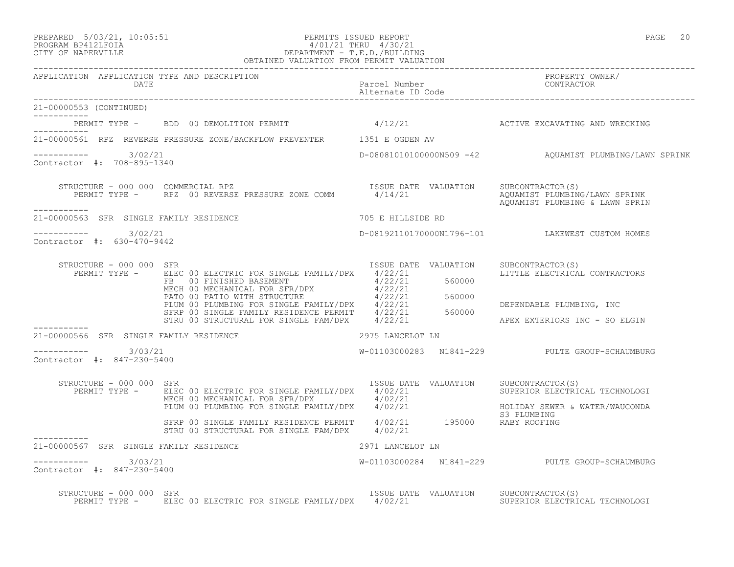## PREPARED 5/03/21, 10:05:51 PERMITS ISSUED REPORT PAGE 20 PROGRAM BP412LFOIA 4/01/21 THRU 4/30/21 CITY OF NAPERVILLE DEPARTMENT - T.E.D./BUILDING OBTAINED VALUATION FROM PERMIT VALUATION

|                                                        |                                                                                                                                                                                                                                          |                      | APPLICATION APPLICATION TYPE AND DESCRIPTION PACKERTY PURE PACE PACKER PURE PACK PACKER POSSERTY OWNER PACK PA<br>DATE Parcel Number packers of CONTRACTOR Alternate ID Code Patternate ID Code |
|--------------------------------------------------------|------------------------------------------------------------------------------------------------------------------------------------------------------------------------------------------------------------------------------------------|----------------------|-------------------------------------------------------------------------------------------------------------------------------------------------------------------------------------------------|
| 21-00000553 (CONTINUED)<br>___________                 |                                                                                                                                                                                                                                          |                      |                                                                                                                                                                                                 |
|                                                        | PERMIT TYPE - BDD 00 DEMOLITION PERMIT 4/12/21 ACTIVE EXCAVATING AND WRECKING                                                                                                                                                            |                      |                                                                                                                                                                                                 |
|                                                        | 21-00000561 RPZ REVERSE PRESSURE ZONE/BACKFLOW PREVENTER 1351 E OGDEN AV                                                                                                                                                                 |                      |                                                                                                                                                                                                 |
| $--------- 3/02/21$<br>Contractor #: 708-895-1340      |                                                                                                                                                                                                                                          |                      | D-08081010100000N509 -42 AQUAMIST PLUMBING/LAWN SPRINK                                                                                                                                          |
| -----------                                            |                                                                                                                                                                                                                                          |                      | AQUAMIST PLUMBING & LAWN SPRIN                                                                                                                                                                  |
| 21-00000563 SFR SINGLE FAMILY RESIDENCE                |                                                                                                                                                                                                                                          | 705 E HILLSIDE RD    |                                                                                                                                                                                                 |
| $--------- 3/02/21$<br>Contractor #: 630-470-9442      |                                                                                                                                                                                                                                          |                      | D-08192110170000N1796-101 LAKEWEST CUSTOM HOMES                                                                                                                                                 |
| STRUCTURE - 000 000 SFR                                | FERMIT TYPE - ELEC 00 ELECTRIC FOR SINGLE FAMILY/DPX 4/22/21<br>FB 00 FINISHED BASEMENT 4/22/21<br>FB 00 FINISHED BASEMENT 4/22/21<br>MECH 00 MECHANICAL FOR SFR/DPX 4/22/21<br>PATO 00 PATIO WITH STRUCTURE 4/22/21<br>PLUM 00 PLUMBING | ISSUE DATE VALUATION | SUBCONTRACTOR(S)<br>LITTLE ELECTRICAL CONTRACTORS                                                                                                                                               |
|                                                        |                                                                                                                                                                                                                                          |                      | DEPENDABLE PLUMBING, INC<br>APEX EXTERIORS INC - SO ELGIN                                                                                                                                       |
| ___________<br>21-00000566 SFR SINGLE FAMILY RESIDENCE | 2975 LANCELOT LN                                                                                                                                                                                                                         |                      |                                                                                                                                                                                                 |
| $--------- 3/03/21$<br>Contractor #: 847-230-5400      |                                                                                                                                                                                                                                          |                      | W-01103000283 N1841-229 PULTE GROUP-SCHAUMBURG                                                                                                                                                  |
| STRUCTURE - 000 000 SFR                                | RUCTURE - 000 000 SFR<br>PERMIT TYPE - ELEC 00 ELECTRIC FOR SINGLE FAMILY/DPX 4/02/21<br>MECH 00 MECHANICAL FOR SFR/DPX 4/02/21<br>PLUM 00 PLUMBING FOR SINGLE FAMILY/DPX 4/02/21 HOLIDAY SEWER & WATER/WAUCONDA<br>SIPLUMBING<br>CILDAY |                      |                                                                                                                                                                                                 |
|                                                        | SFRP 00 SINGLE FAMILY RESIDENCE PERMIT 4/02/21 195000 RABY ROOFING<br>STRU 00 STRUCTURAL FOR SINGLE FAM/DPX 4/02/21                                                                                                                      |                      |                                                                                                                                                                                                 |
| 21-00000567 SFR SINGLE FAMILY RESIDENCE                |                                                                                                                                                                                                                                          | 2971 LANCELOT LN     |                                                                                                                                                                                                 |
| ----------- 3/03/21<br>Contractor #: 847-230-5400      |                                                                                                                                                                                                                                          |                      |                                                                                                                                                                                                 |
| STRUCTURE - 000 000 SFR                                | PERMIT TYPE - ELEC 00 ELECTRIC FOR SINGLE FAMILY/DPX 4/02/21 SUPERIOR ELECTRICAL TECHNOLOGI                                                                                                                                              |                      | ISSUE DATE VALUATION SUBCONTRACTOR(S)                                                                                                                                                           |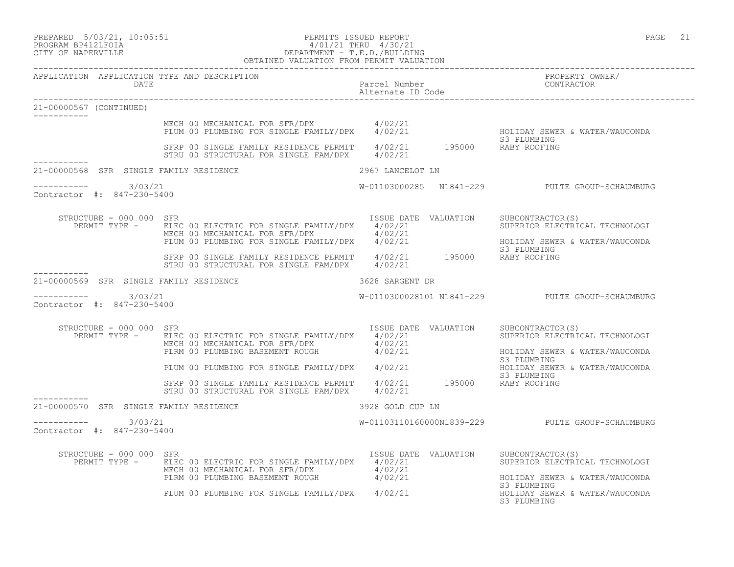| PREPARED |  | $5/03/21$ , 10:05:5 |
|----------|--|---------------------|
|          |  |                     |

APPLICATION APPLICATION TYPE AND DESCRIPTION<br>DATE

Alternate ID Code

## PREPARED 5/03/21, 10:05:51 PERMITS ISSUED REPORT PAGE 21 PROGRAM BP412LFOIA 4/01/21 THRU 4/30/21 CITY OF NAPERVILLE DEPARTMENT - T.E.D./BUILDING OBTAINED VALUATION FROM PERMIT VALUATION

------------------------------------------------------------------------------------------------------------------------------------ DATE Parcel Number CONTRACTOR ------------------------------------------------------------------------------------------------------------------------------------

| 21-00000567 (CONTINUED)                                 |                                                                                                                                                                               |                                            |                                                                                                                                       |
|---------------------------------------------------------|-------------------------------------------------------------------------------------------------------------------------------------------------------------------------------|--------------------------------------------|---------------------------------------------------------------------------------------------------------------------------------------|
|                                                         | MECH 00 MECHANICAL FOR SFR/DPX 4/02/21<br>PLUM 00 PLUMBING FOR SINGLE FAMILY/DPX                                                                                              | 4/02/21                                    | HOLIDAY SEWER & WATER/WAUCONDA<br>S3 PLUMBING                                                                                         |
|                                                         | SFRP 00 SINGLE FAMILY RESIDENCE PERMIT<br>STRU 00 STRUCTURAL FOR SINGLE FAM/DPX                                                                                               | 4/02/21 195000 RABY ROOFING<br>4/02/21     |                                                                                                                                       |
| ------------<br>21-00000568 SFR SINGLE FAMILY RESIDENCE |                                                                                                                                                                               | 2967 LANCELOT LN                           |                                                                                                                                       |
| $--------$ 3/03/21<br>Contractor #: 847-230-5400        |                                                                                                                                                                               |                                            | W-01103000285 N1841-229 PULTE GROUP-SCHAUMBURG                                                                                        |
| STRUCTURE - 000 000 SFR<br>PERMIT TYPE -                | ELEC 00 ELECTRIC FOR SINGLE FAMILY/DPX 4/02/21<br>MECH 00 MECHANICAL FOR SFR/DPX 4/02/21<br>PLUM 00 PLUMBING FOR SINGLE FAMILY/DPX                                            | ISSUE DATE VALUATION<br>4/02/21            | SUBCONTRACTOR(S)<br>SUPERIOR ELECTRICAL TECHNOLOGI<br>HOLIDAY SEWER & WATER/WAUCONDA<br>S3 PLUMBING                                   |
|                                                         | SFRP 00 SINGLE FAMILY RESIDENCE PERMIT 4/02/21 195000<br>STRU 00 STRUCTURAL FOR SINGLE FAM/DPX                                                                                | 4/02/21                                    | RABY ROOFING                                                                                                                          |
| 21-00000569 SFR SINGLE FAMILY RESIDENCE                 |                                                                                                                                                                               | 3628 SARGENT DR                            |                                                                                                                                       |
| 3/03/21<br>-----------<br>Contractor #: 847-230-5400    |                                                                                                                                                                               |                                            | W-0110300028101 N1841-229 PULTE GROUP-SCHAUMBURG                                                                                      |
| STRUCTURE - 000 000 SFR<br>PERMIT TYPE -                | ELEC 00 ELECTRIC FOR SINGLE FAMILY/DPX<br>MECH 00 MECHANICAL FOR SFR/DPX 4/02/21<br>PLRM 00 PLUMBING BASEMENT ROUGH                                                           | ISSUE DATE VALUATION<br>4/02/21<br>4/02/21 | SUBCONTRACTOR(S)<br>SUPERIOR ELECTRICAL TECHNOLOGI<br>HOLIDAY SEWER & WATER/WAUCONDA                                                  |
|                                                         | PLUM 00 PLUMBING FOR SINGLE FAMILY/DPX                                                                                                                                        | 4/02/21                                    | S3 PLUMBING<br>HOLIDAY SEWER & WATER/WAUCONDA                                                                                         |
|                                                         | SFRP 00 SINGLE FAMILY RESIDENCE PERMIT<br>STRU 00 STRUCTURAL FOR SINGLE FAM/DPX                                                                                               | 4/02/21 195000 RABY ROOFING<br>4/02/21     | S3 PLUMBING                                                                                                                           |
| 21-00000570 SFR SINGLE FAMILY RESIDENCE                 |                                                                                                                                                                               | 3928 GOLD CUP LN                           |                                                                                                                                       |
| 3/03/21<br>------------<br>Contractor #: 847-230-5400   |                                                                                                                                                                               |                                            | W-01103110160000N1839-229 PULTE GROUP-SCHAUMBURG                                                                                      |
| STRUCTURE - 000 000 SFR<br>PERMIT TYPE -                | ELEC 00 ELECTRIC FOR SINGLE FAMILY/DPX 4/02/21<br>MECH 00 MECHANICAL FOR SFR/DPX 4/02/21<br>PLRM 00 PLUMBING BASEMENT ROUGH 4/02/21<br>PLUM 00 PLUMBING FOR SINGLE FAMILY/DPX | ISSUE DATE VALUATION<br>4/02/21            | SUBCONTRACTOR(S)<br>SUPERIOR ELECTRICAL TECHNOLOGI<br>HOLIDAY SEWER & WATER/WAUCONDA<br>S3 PLUMBING<br>HOLIDAY SEWER & WATER/WAUCONDA |
|                                                         |                                                                                                                                                                               |                                            | S3 PLUMBING                                                                                                                           |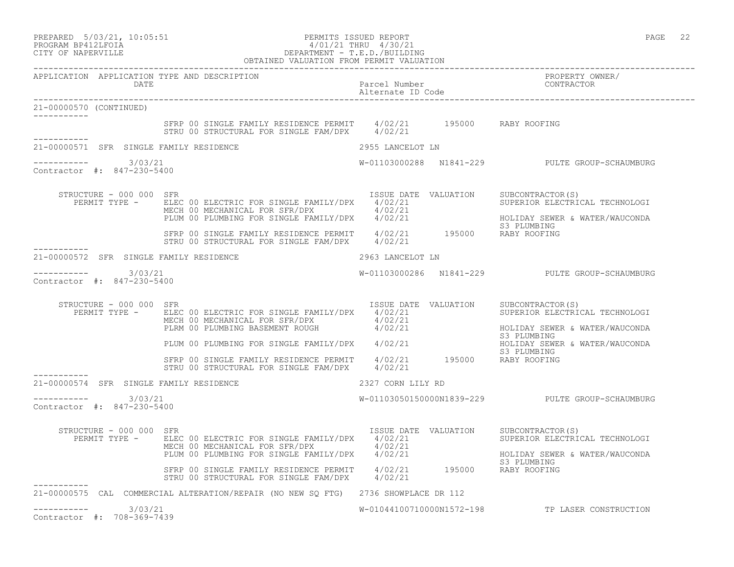| PREPARED | $5/03/21$ , $10:05:51$ |
|----------|------------------------|
|          |                        |

## PREPARED 5/03/21, 10:05:51 PERMITS ISSUED REPORT PAGE 22 PROGRAM BP412LFOIA 4/01/21 THRU 4/30/21 CITY OF NAPERVILLE DEPARTMENT - T.E.D./BUILDING

|                                                      | OBTAINED VALUATION FROM PERMIT VALUATION                                                                                                                                                                                               |                                       |                                                                                                                       |
|------------------------------------------------------|----------------------------------------------------------------------------------------------------------------------------------------------------------------------------------------------------------------------------------------|---------------------------------------|-----------------------------------------------------------------------------------------------------------------------|
|                                                      | APPLICATION APPLICATION TYPE AND DESCRIPTION<br>DATE                                                                                                                                                                                   | Parcel Number<br>Alternate ID Code    | PROPERTY OWNER/<br>CONTRACTOR                                                                                         |
| 21-00000570 (CONTINUED)                              |                                                                                                                                                                                                                                        |                                       |                                                                                                                       |
|                                                      | SFRP 00 SINGLE FAMILY RESIDENCE PERMIT $4/02/21$ 195000 RABY ROOFING<br>STRU 00 STRUCTURAL FOR SINGLE FAM/DPX 4/02/21                                                                                                                  |                                       |                                                                                                                       |
|                                                      | 21-00000571 SFR SINGLE FAMILY RESIDENCE                                                                                                                                                                                                | 2955 LANCELOT LN                      |                                                                                                                       |
| ---------- 3/03/21<br>Contractor #: 847-230-5400     |                                                                                                                                                                                                                                        |                                       | W-01103000288 N1841-229 PULTE GROUP-SCHAUMBURG                                                                        |
| STRUCTURE - 000 000 SFR                              | RUCTURE - 000 000 SFR<br>PERMIT TYPE - ELEC 00 ELECTRIC FOR SINGLE FAMILY/DPX 4/02/21<br>MECH 00 MECHANICAL FOR SFR/DPX 4/02/21<br>PLUM 00 PLUMBING FOR SINGLE FAMILY/DPX 4/02/21                                                      |                                       | ISSUE DATE VALUATION SUBCONTRACTOR(S)<br>4/02/21     SUPERIOR ELECTRICAL TECHNOLOGI<br>HOLIDAY SEWER & WATER/WAUCONDA |
|                                                      | SFRP 00 SINGLE FAMILY RESIDENCE PERMIT 4/02/21 195000 RABY ROOFING<br>STRU 00 STRUCTURAL FOR SINGLE FAM/DPX 4/02/21                                                                                                                    |                                       | S3 PLUMBING                                                                                                           |
|                                                      | 21-00000572 SFR SINGLE FAMILY RESIDENCE                                                                                                                                                                                                | 2963 LANCELOT LN                      |                                                                                                                       |
| -----------    3/03/21<br>Contractor #: 847-230-5400 |                                                                                                                                                                                                                                        |                                       | W-01103000286 N1841-229 PULTE GROUP-SCHAUMBURG                                                                        |
| STRUCTURE - 000 000 SFR                              | PERMIT TYPE - ELEC 00 ELECTRIC FOR SINGLE FAMILY/DPX 4/02/21<br>MECH 00 MECHANICAL FOR SFR/DPX 4/02/21<br>PLAM 00 PLUMBING BASEMENT ROUGH 4/02/21<br>PLUM 00 PLUMBING FOR SINGLE FAMILY/DPX 4/02/21<br>PLUM 00 PLUMBING FOR SINGLE FAM | ISSUE DATE VALUATION SUBCONTRACTOR(S) |                                                                                                                       |
|                                                      |                                                                                                                                                                                                                                        |                                       |                                                                                                                       |
|                                                      |                                                                                                                                                                                                                                        |                                       | S3 PLUMBING                                                                                                           |
|                                                      | STRP 00 SINGLE FAMILY RESIDENCE PERMIT 4/02/21 195000 RABY ROOFING<br>STRU 00 STRUCTURAL FOR SINGLE FAM/DPX 4/02/21 195000 RABY ROOFING                                                                                                |                                       |                                                                                                                       |
|                                                      | 21-00000574 SFR SINGLE FAMILY RESIDENCE                                                                                                                                                                                                | 2327 CORN LILY RD                     |                                                                                                                       |
| -----------    3/03/21<br>Contractor #: 847-230-5400 |                                                                                                                                                                                                                                        |                                       | W-01103050150000N1839-229 PULTE GROUP-SCHAUMBURG                                                                      |
| STRUCTURE - 000 000 SFR                              | PERMIT TYPE - ELEC 00 ELECTRIC FOR SINGLE FAMILY/DPX 4/02/21<br>ELEC 00 ELECTRIC FOR SINGLE FAMILY/DPX 4/02/21<br>MECH 00 MECHANICAL FOR SFR/DPX 4/02/21<br>PLUM 00 PLUMBING FOR SINGLE FAMILY/DPX 4/02/21                             | ISSUE DATE VALUATION SUBCONTRACTOR(S) | SUPERIOR ELECTRICAL TECHNOLOGI<br>HOLIDAY SEWER & WATER/WAUCONDA                                                      |
|                                                      | SFRP 00 SINGLE FAMILY RESIDENCE PERMIT 4/02/21 195000 RABY ROOFING<br>STRU 00 STRUCTURAL FOR SINGLE FAM/DPX 4/02/21                                                                                                                    |                                       | S3 PLUMBING                                                                                                           |
|                                                      | 21-00000575 CAL COMMERCIAL ALTERATION/REPAIR (NO NEW SQ FTG) 2736 SHOWPLACE DR 112                                                                                                                                                     |                                       |                                                                                                                       |
| ___________<br>Contractor #: 708-369-7439            | 3/03/21                                                                                                                                                                                                                                |                                       | W-01044100710000N1572-198 TP LASER CONSTRUCTION                                                                       |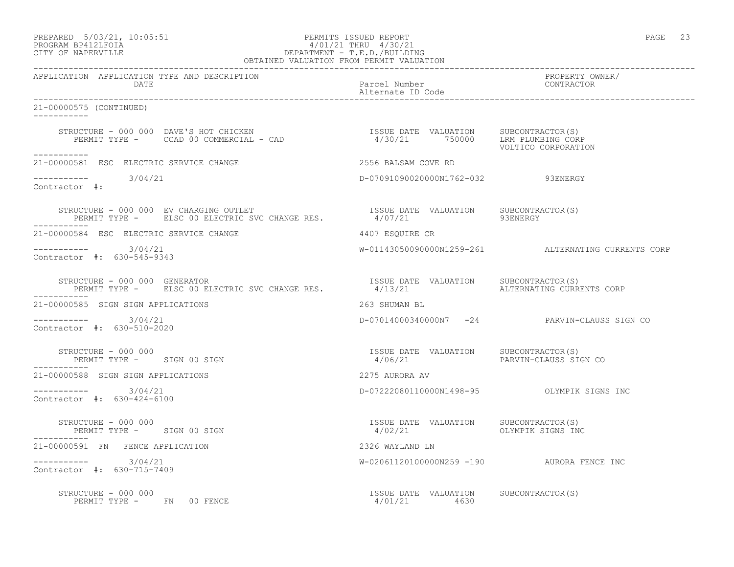# PREPARED 5/03/21, 10:05:51 PERMITS ISSUED REPORT<br>PROGRAM BP412LFOIA PAGE 23<br>
9/01/21 THRU 4/30/21 PROGRAM BP412LFOIA 4/01/21 THRU 4/30/21 CITY OF NAPERVILLE DEPARTMENT - T.E.D./BUILDING

|                                                                                                                                                                                                                                                                                                                                                                                                                                                             | OBTAINED VALUATION FROM PERMIT VALUATION              |                                                     |
|-------------------------------------------------------------------------------------------------------------------------------------------------------------------------------------------------------------------------------------------------------------------------------------------------------------------------------------------------------------------------------------------------------------------------------------------------------------|-------------------------------------------------------|-----------------------------------------------------|
| APPLICATION APPLICATION TYPE AND DESCRIPTION<br>DATE                                                                                                                                                                                                                                                                                                                                                                                                        | Parcel Number<br>Alternate ID Code                    | PROPERTY OWNER/<br>CONTRACTOR                       |
| 21-00000575 (CONTINUED)<br>___________                                                                                                                                                                                                                                                                                                                                                                                                                      |                                                       |                                                     |
|                                                                                                                                                                                                                                                                                                                                                                                                                                                             |                                                       | VOLTICO CORPORATION                                 |
| -----------<br>21-00000581 ESC ELECTRIC SERVICE CHANGE                                                                                                                                                                                                                                                                                                                                                                                                      | 2556 BALSAM COVE RD                                   |                                                     |
| $--------- 3/04/21$<br>Contractor #:                                                                                                                                                                                                                                                                                                                                                                                                                        | D-07091090020000N1762-032 93ENERGY                    |                                                     |
| $\begin{tabular}{lllllllll} \multicolumn{2}{c}{\textbf{STRUCTURE}}&-000 000&\textbf{EV} \textbf{CHARGING OUTLET} &\textbf{SUC} \textbf{CHANGE} \textbf{RES} & \textbf{ISSUE} \textbf{DATE} & \textbf{VALUATION} & \textbf{SUBCONTRACTOR(S)} \\ \multicolumn{2}{c}{\textbf{PERMIT TYPE}}&-& & \textbf{ELSC} \textbf{00 ELECTRIC SVC CHANGE RES} & & & & 4/07/21 & & & 93ENERGY \\ \multicolumn{2}{c}{\textbf{DATE}}&-& & \textbf{SUERGT} & & & \textbf{SUER$ |                                                       |                                                     |
| 21-00000584 ESC ELECTRIC SERVICE CHANGE                                                                                                                                                                                                                                                                                                                                                                                                                     | 4407 ESOUIRE CR                                       |                                                     |
| $--------- 3/04/21$<br>Contractor #: 630-545-9343                                                                                                                                                                                                                                                                                                                                                                                                           |                                                       | W-01143050090000N1259-261 ALTERNATING CURRENTS CORP |
| STRUCTURE - 000 000 GENERATOR<br>STRUCTURE – 000 000 GENERATOR<br>PERMIT TYPE – ELSC 00 ELECTRIC SVC CHANGE RES.              4/13/21                     ALTERNATING CURRENTS CORP                                                                                                                                                                                                                                                                         |                                                       |                                                     |
| 21-00000585 SIGN SIGN APPLICATIONS                                                                                                                                                                                                                                                                                                                                                                                                                          | 263 SHUMAN BL                                         |                                                     |
| ----------- 3/04/21<br>Contractor #: 630-510-2020                                                                                                                                                                                                                                                                                                                                                                                                           |                                                       | D-07014000340000N7 -24 PARVIN-CLAUSS SIGN CO        |
| STRUCTURE - 000 000<br>PERMIT TYPE - SIGN 00 SIGN                                                                                                                                                                                                                                                                                                                                                                                                           | ISSUE DATE VALUATION SUBCONTRACTOR(S)<br>4/06/21      | PARVIN-CLAUSS SIGN CO                               |
| 21-00000588 SIGN SIGN APPLICATIONS                                                                                                                                                                                                                                                                                                                                                                                                                          | 2275 AURORA AV                                        |                                                     |
| $--------- 3/04/21$<br>Contractor #: 630-424-6100                                                                                                                                                                                                                                                                                                                                                                                                           |                                                       |                                                     |
| STRUCTURE - 000 000<br>PERMIT TYPE - SIGN 00 SIGN                                                                                                                                                                                                                                                                                                                                                                                                           | ISSUE DATE VALUATION SUBCONTRACTOR(S)                 |                                                     |
| 21-00000591 FN FENCE APPLICATION                                                                                                                                                                                                                                                                                                                                                                                                                            | 2326 WAYLAND LN                                       |                                                     |
| $--------- 3/04/21$<br>Contractor #: 630-715-7409                                                                                                                                                                                                                                                                                                                                                                                                           | W-02061120100000N259 -190 AURORA FENCE INC            |                                                     |
| STRUCTURE - 000 000<br>PERMIT TYPE - FN 00 FENCE                                                                                                                                                                                                                                                                                                                                                                                                            | ISSUE DATE VALUATION SUBCONTRACTOR(S)<br>4/01/21 4630 |                                                     |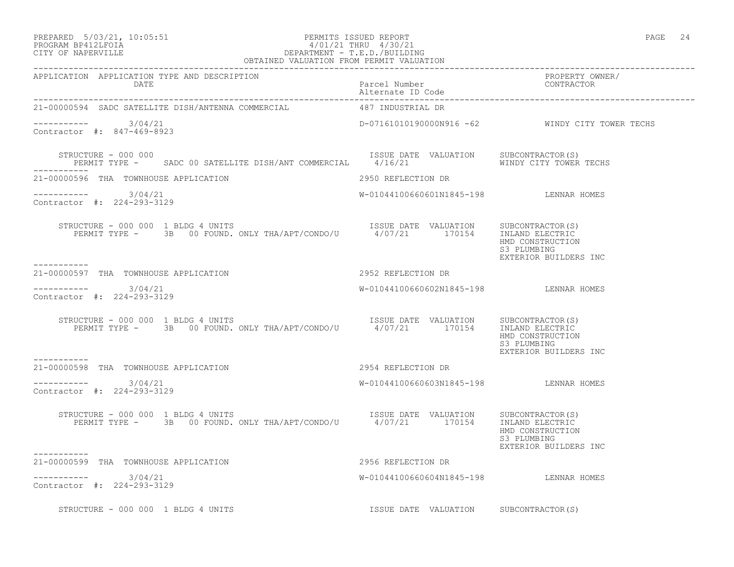## PREPARED 5/03/21, 10:05:51 PERMITS ISSUED REPORT PAGE 24 PROGRAM BP412LFOIA 4/01/21 THRU 4/30/21 CITY OF NAPERVILLE DEPARTMENT - T.E.D./BUILDING OBTAINED VALUATION FROM PERMIT VALUATION

|                                                                                                                                                            |                                        | PROPERTY OWNER/<br>CONTRACTOR                            |
|------------------------------------------------------------------------------------------------------------------------------------------------------------|----------------------------------------|----------------------------------------------------------|
| 21-00000594 SADC SATELLITE DISH/ANTENNA COMMERCIAL 487 INDUSTRIAL DR                                                                                       |                                        |                                                          |
| $--------- 3/04/21$<br>Contractor #: 847-469-8923                                                                                                          |                                        | D-07161010190000N916 -62 WINDY CITY TOWER TECHS          |
| STRUCTURE - 000 000<br>PERMIT TYPE - SADC 00 SATELLITE DISH/ANT COMMERCIAL 4/16/21 WINDY CITY TOWER TECHS                                                  | ISSUE DATE VALUATION SUBCONTRACTOR(S)  |                                                          |
| 21-00000596 THA TOWNHOUSE APPLICATION<br>2950 REFLECTION DR                                                                                                |                                        |                                                          |
| $--------- 3/04/21$<br>Contractor #: 224-293-3129                                                                                                          | W-01044100660601N1845-198 LENNAR HOMES |                                                          |
| RUCTURE – 000 000 1 BLDG 4 UNITS<br>PERMIT TYPE – 3B 00 FOUND. ONLY THA/APT/CONDO/U 1/07/21 170154 INLAND ELECTRIC<br>STRUCTURE - 000 000 1 BLDG 4 UNITS   |                                        | HMD CONSTRUCTION<br>S3 PLUMBING<br>EXTERIOR BUILDERS INC |
| 21-00000597 THA TOWNHOUSE APPLICATION                                                                                                                      | 2952 REFLECTION DR                     |                                                          |
| $--------- 3/04/21$<br>Contractor #: 224-293-3129                                                                                                          | W-01044100660602N1845-198 LENNAR HOMES |                                                          |
| TRUCTURE - 000 000 1 BLDG 4 UNITS<br>PERMIT TYPE - 3B 00 FOUND. ONLY THA/APT/CONDO/U 4/07/21 170154 INLAND ELECTRIC<br>STRUCTURE - 000 000 1 BLDG 4 UNITS  |                                        | HMD CONSTRUCTION<br>S3 PLUMBING<br>EXTERIOR BUILDERS INC |
| 21-00000598 THA TOWNHOUSE APPLICATION                                                                                                                      | 2954 REFLECTION DR                     |                                                          |
| $--------- 3/04/21$<br>Contractor #: 224-293-3129                                                                                                          | W-01044100660603N1845-198 LENNAR HOMES |                                                          |
| STRUCTURE - 000 000 1 BLDG 4 UNITS<br>PERMIT TYPE - 3B 00 FOUND. ONLY THA/APT/CONDO/U 4/07/21 170154 INLAND ELECTRIC<br>STRUCTURE - 000 000 1 BLDG 4 UNITS |                                        | HMD CONSTRUCTION<br>S3 PLUMBING<br>EXTERIOR BUILDERS INC |
| 21-00000599 THA TOWNHOUSE APPLICATION                                                                                                                      | 2956 REFLECTION DR                     |                                                          |
| $--------- 3/04/21$<br>Contractor #: 224-293-3129                                                                                                          | W-01044100660604N1845-198 LENNAR HOMES |                                                          |
| STRUCTURE - 000 000 1 BLDG 4 UNITS                                                                                                                         | ISSUE DATE VALUATION SUBCONTRACTOR(S)  |                                                          |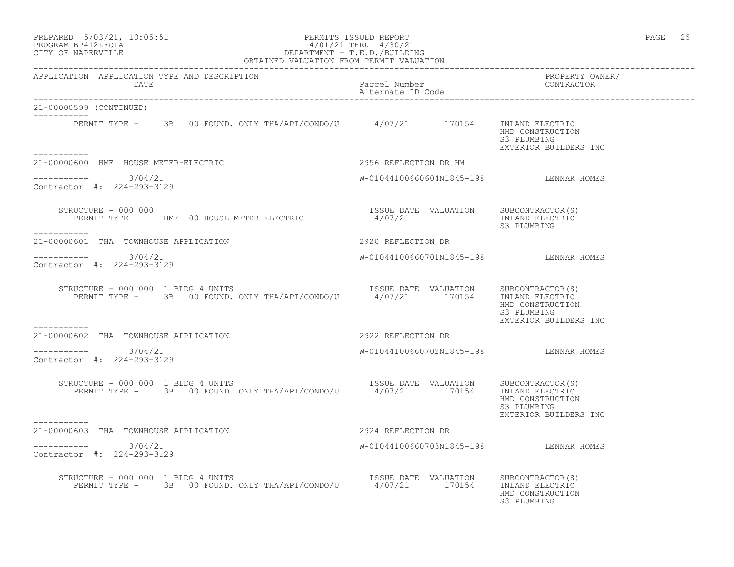## PREPARED 5/03/21, 10:05:51 PERMITS ISSUED REPORT PAGE 25 PROGRAM BP412LFOIA 4/01/21 THRU 4/30/21 CITY OF NAPERVILLE DEPARTMENT - T.E.D./BUILDING OBTAINED VALUATION FROM PERMIT VALUATION

| APPLICATION APPLICATION TYPE AND DESCRIPTION                                                                                                                                                                                                                                                                                                                                                                                                        |                                                                                         | PROPERTY OWNER/<br>CONTRACTOR                            |
|-----------------------------------------------------------------------------------------------------------------------------------------------------------------------------------------------------------------------------------------------------------------------------------------------------------------------------------------------------------------------------------------------------------------------------------------------------|-----------------------------------------------------------------------------------------|----------------------------------------------------------|
| 21-00000599 (CONTINUED)                                                                                                                                                                                                                                                                                                                                                                                                                             |                                                                                         |                                                          |
| PERMIT TYPE - 3B 00 FOUND. ONLY THA/APT/CONDO/U 4/07/21 170154 INLAND ELECTRIC                                                                                                                                                                                                                                                                                                                                                                      |                                                                                         | HMD CONSTRUCTION<br>S3 PLUMBING<br>EXTERIOR BUILDERS INC |
| 21-00000600 HME HOUSE METER-ELECTRIC                                                                                                                                                                                                                                                                                                                                                                                                                | 2956 REFLECTION DR HM                                                                   |                                                          |
| $--------- 3/04/21$<br>Contractor #: 224-293-3129                                                                                                                                                                                                                                                                                                                                                                                                   | W-01044100660604N1845-198 LENNAR HOMES                                                  |                                                          |
| STRUCTURE - 000 000<br>PERMIT TYPE - HME 00 HOUSE METER-ELECTRIC<br>-----------                                                                                                                                                                                                                                                                                                                                                                     | ISSUE DATE VALUATION SUBCONTRACTOR(S)<br>4/07/21                        INLAND ELECTRIC | S3 PLUMBING                                              |
| 21-00000601 THA TOWNHOUSE APPLICATION                                                                                                                                                                                                                                                                                                                                                                                                               | 2920 REFLECTION DR                                                                      |                                                          |
| $--------- 3/04/21$<br>Contractor #: 224-293-3129                                                                                                                                                                                                                                                                                                                                                                                                   | W-01044100660701N1845-198 LENNAR HOMES                                                  |                                                          |
| $\begin{array}{cccc} \texttt{STRUCTURE} & - & 000 & 000 & 1 & \texttt{BLDG} & \texttt{UNITS} \\ \texttt{PERMIT TYPE} & - & 3B & 00 & \texttt{FOUND. \quad ONLY \quad THA/APT/CONDO/U} & \texttt{0000} & 4/07/21 & 170154 & \texttt{INLAND ELECTRIC} \\ \end{array}$                                                                                                                                                                                 |                                                                                         | HMD CONSTRUCTION<br>S3 PLUMBING<br>EXTERIOR BUILDERS INC |
| 21-00000602 THA TOWNHOUSE APPLICATION                                                                                                                                                                                                                                                                                                                                                                                                               | 2922 REFLECTION DR                                                                      |                                                          |
| $--------- 3/04/21$<br>Contractor #: 224-293-3129                                                                                                                                                                                                                                                                                                                                                                                                   | W-01044100660702N1845-198 LENNAR HOMES                                                  |                                                          |
| $\begin{tabular}{lcccccc} \texttt{STRUCTURE} & - & 000 & 000 & 1 & \texttt{BLDG} & \texttt{UNITS} & \\ & & & & & & & \texttt{ISSUE} & \texttt{DATE} & \texttt{VALUATION} & & \texttt{SUBCONTRACTOR(S)} \\ & & & & & \texttt{PERMIT TYPE} & - & 3B & 00 & \texttt{FOUND.} & \texttt{ONLY THA/APT/CONDO/U} & & & & & 4/07/21 & & & 170154 & \\ \end{tabular}$                                                                                         |                                                                                         | HMD CONSTRUCTION<br>S3 PLUMBING<br>EXTERIOR BUILDERS INC |
| 21-00000603 THA TOWNHOUSE APPLICATION                                                                                                                                                                                                                                                                                                                                                                                                               | 2924 REFLECTION DR                                                                      |                                                          |
| $--------- 3/04/21$<br>Contractor #: 224-293-3129                                                                                                                                                                                                                                                                                                                                                                                                   | W-01044100660703N1845-198 LENNAR HOMES                                                  |                                                          |
| $\begin{tabular}{lcccccc} \texttt{STRUCTURE} & = & 000 & 000 & 1 & \texttt{BLDG} & \texttt{UNITS} & & & & & & & & & \\ & & & & & & & & & & & & & & \\ \texttt{PERMIT TYPE} & = & & 3B & 00 & \texttt{FOUND. ONLY THA/APT/CONDO/U} & & & & & 4/07/21 & & & 170154 & & & & & \\ \end{tabular} \vspace{0.03cm} \begin{tabular}{lcccccc} \texttt{SUE} & \texttt{DATE} & \texttt{VALUATION} & & & & & & & & \\ & & & & & & & & & \\ \texttt{PERMIT TYPE$ |                                                                                         | HMD CONSTRUCTION<br>S3 PLUMBING                          |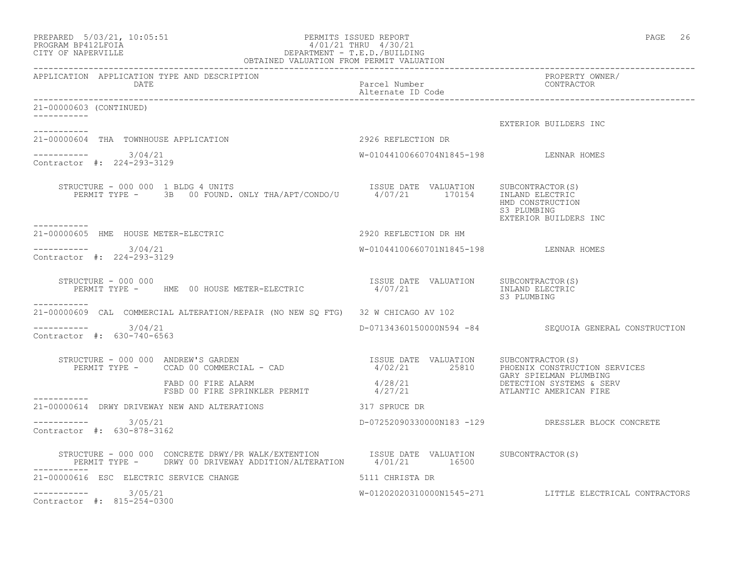| PREPARED $5/03/21$ , $10:03:31$<br>PROGRAM BP412LFOIA<br>PROGRAM BP412LFOIA<br>PERARTMENT - T.E.D./BUILDING<br>OBTAINED VALUATION FROM PERMIT VALUATION<br>PERARTMENT - T.E.D./BUILDING<br>PERARTMENT - T.E.D./BUILDING                                                                                                                                                                           |                                        | PAGE 26                                                  |
|---------------------------------------------------------------------------------------------------------------------------------------------------------------------------------------------------------------------------------------------------------------------------------------------------------------------------------------------------------------------------------------------------|----------------------------------------|----------------------------------------------------------|
| <b>DATE</b>                                                                                                                                                                                                                                                                                                                                                                                       | Parcel Number<br>Alternate ID Code     | PROPERTY OWNER/<br>CONTRACTOR                            |
| 21-00000603 (CONTINUED)                                                                                                                                                                                                                                                                                                                                                                           |                                        |                                                          |
| ------------                                                                                                                                                                                                                                                                                                                                                                                      |                                        | EXTERIOR BUILDERS INC                                    |
| 21-00000604 THA TOWNHOUSE APPLICATION                                                                                                                                                                                                                                                                                                                                                             | 2926 REFLECTION DR                     |                                                          |
| $--------- 3/04/21$<br>Contractor #: 224-293-3129                                                                                                                                                                                                                                                                                                                                                 | W-01044100660704N1845-198 LENNAR HOMES |                                                          |
| RUCTURE – 000 000 1 BLDG 4 UNITS<br>PERMIT TYPE – 3B 00 FOUND. ONLY THA/APT/CONDO/U 1/07/21 170154 INLAND ELECTRIC<br>STRUCTURE - 000 000 1 BLDG 4 UNITS<br>-----------                                                                                                                                                                                                                           |                                        | HMD CONSTRUCTION<br>S3 PLUMBING<br>EXTERIOR BUILDERS INC |
| 21-00000605 HME HOUSE METER-ELECTRIC                                                                                                                                                                                                                                                                                                                                                              | 2920 REFLECTION DR HM                  |                                                          |
| $--------- 3/04/21$<br>Contractor #: 224-293-3129                                                                                                                                                                                                                                                                                                                                                 | W-01044100660701N1845-198 LENNAR HOMES |                                                          |
| STRUCTURE - 000 000<br>PERMIT TYPE - HME 00 HOUSE METER-ELECTRIC                                                                                                                                                                                                                                                                                                                                  | ISSUE DATE VALUATION<br>4/07/21        | SUBCONTRACTOR(S)<br>INLAND ELECTRIC<br>S3 PLUMBING       |
| 21-00000609 CAL COMMERCIAL ALTERATION/REPAIR (NO NEW SQ FTG) 32 W CHICAGO AV 102                                                                                                                                                                                                                                                                                                                  |                                        |                                                          |
| 3/04/21<br>Contractor #: 630-740-6563                                                                                                                                                                                                                                                                                                                                                             |                                        | D-07134360150000N594 -84 SEQUOIA GENERAL CONSTRUCTION    |
| STRUCTURE - 000 000 ANDREW'S GARDEN<br>PERMIT TYPE - CCAD 00 COMMERCIAL - CAD (2000) PERMIT TYPE - CCAD 00 COMMERCIAL - CAD (2000) PERMIT TYPE - CCAD (00 COMMERCIAL - CAD                                                                                                                                                                                                                        |                                        | PHOENIX CONSTRUCTION SERVICES<br>GARY SPIELMAN PLUMBING  |
| $\begin{array}{lll} \texttt{1111} & \texttt{1112} & \texttt{1113} \\ \texttt{FSED 00 FIRE SPRINKLER PERMIT} & & & & 4/28/21 \\ \texttt{111} & \texttt{112} & \texttt{112} & \texttt{112} \\ \texttt{112} & \texttt{112} & \texttt{112} & \texttt{112} \\ \texttt{113} & \texttt{113} & \texttt{113} & \texttt{113} & \texttt{113} \\ \texttt{114} & \texttt{113} & \texttt{113} & \texttt{113} &$ |                                        | DETECTION SYSTEMS & SERV<br>ATLANTIC AMERICAN FIRE       |
| 21-00000614 DRWY DRIVEWAY NEW AND ALTERATIONS                                                                                                                                                                                                                                                                                                                                                     | 317 SPRUCE DR                          |                                                          |
| 3/05/21<br>Contractor #: 630-878-3162                                                                                                                                                                                                                                                                                                                                                             |                                        | D-07252090330000N183 -129 DRESSLER BLOCK CONCRETE        |
| STRUCTURE - 000 000 CONCRETE DRWY/PR WALK/EXTENTION         ISSUE DATE VALUATION<br>PERMIT TYPE -     DRWY 00 DRIVEWAY ADDITION/ALTERATION       4/01/21         16500                                                                                                                                                                                                                            |                                        | SUBCONTRACTOR(S)                                         |
| 21-00000616 ESC ELECTRIC SERVICE CHANGE                                                                                                                                                                                                                                                                                                                                                           | 5111 CHRISTA DR                        |                                                          |
| ----------- 3/05/21<br>Contractor #: 815-254-0300                                                                                                                                                                                                                                                                                                                                                 |                                        | W-01202020310000N1545-271 LITTLE ELECTRICAL CONTRACTORS  |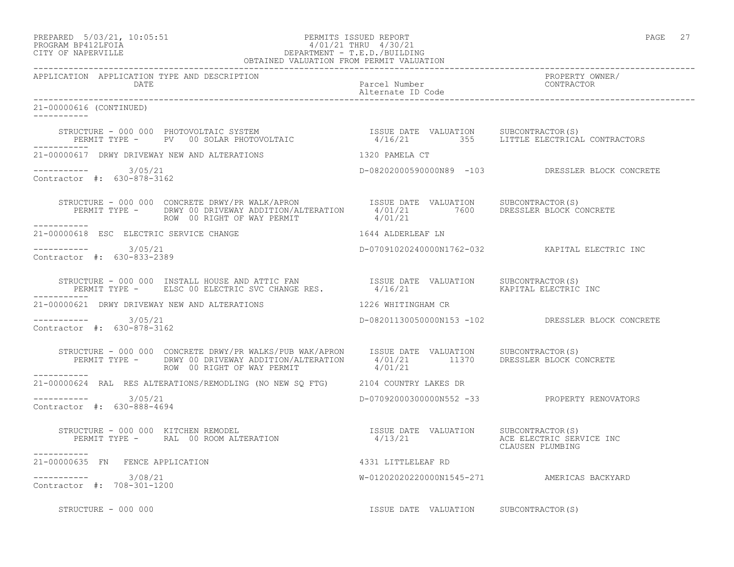# PREPARED 5/03/21, 10:05:51 PERMITS ISSUED REPORT PAGE 27 PROGRAM BP412LFOIA 4/01/21 THRU 4/30/21 CITY OF NAPERVILLE **DEPARTMENT - T.E.D./BUILDING**

|                                                      | OBTAINED VALUATION FROM PERMIT VALUATION                                                                                                                                                                                          |                                       |                                                   |
|------------------------------------------------------|-----------------------------------------------------------------------------------------------------------------------------------------------------------------------------------------------------------------------------------|---------------------------------------|---------------------------------------------------|
| APPLICATION APPLICATION TYPE AND DESCRIPTION<br>DATE |                                                                                                                                                                                                                                   | Parcel Number<br>Alternate ID Code    | PROPERTY OWNER/<br>CONTRACTOR                     |
| 21-00000616 (CONTINUED)<br>------------              |                                                                                                                                                                                                                                   |                                       |                                                   |
| ____________                                         | STRUCTURE – 000 000 PHOTOVOLTAIC SYSTEM                           ISSUE DATE VALUATION     SUBCONTRACTOR(S)<br>PERMIT TYPE –     PV   00 SOLAR PHOTOVOLTAIC                   4/16/21         355     LITTLE ELECTRICAL CONTRACTO |                                       |                                                   |
|                                                      | 21-00000617 DRWY DRIVEWAY NEW AND ALTERATIONS 4320 PAMELA CT                                                                                                                                                                      |                                       |                                                   |
| $--------- 3/05/21$<br>Contractor #: 630-878-3162    |                                                                                                                                                                                                                                   |                                       | D-08202000590000N89 -103 DRESSLER BLOCK CONCRETE  |
|                                                      | STRUCTURE - 000 000 CONCRETE DRWY/PR WALK/APRON       ISSUE DATE VALUATION     SUBCONTRACTOR(S)<br>PERMIT TYPE -      DRWY 00 DRIVEWAY ADDITION/ALTERATION      4/01/21        7600      DRESSLER BLOCK CONCRETE                  |                                       |                                                   |
| 21-00000618 ESC ELECTRIC SERVICE CHANGE              | 1644 ALDERLEAF LN                                                                                                                                                                                                                 |                                       |                                                   |
| $--------$ 3/05/21<br>Contractor #: 630-833-2389     |                                                                                                                                                                                                                                   |                                       | D-07091020240000N1762-032 KAPITAL ELECTRIC INC    |
|                                                      |                                                                                                                                                                                                                                   |                                       |                                                   |
|                                                      | 21-00000621 DRWY DRIVEWAY NEW AND ALTERATIONS                                                                                                                                                                                     | 1226 WHITINGHAM CR                    |                                                   |
| $--------$ 3/05/21<br>Contractor #: 630-878-3162     |                                                                                                                                                                                                                                   |                                       | D-08201130050000N153 -102 DRESSLER BLOCK CONCRETE |
| ------------                                         |                                                                                                                                                                                                                                   |                                       |                                                   |
|                                                      | 21-00000624 RAL RES ALTERATIONS/REMODLING (NO NEW SQ FTG) 2104 COUNTRY LAKES DR                                                                                                                                                   |                                       |                                                   |
| $--------- 3/05/21$<br>Contractor #: 630-888-4694    |                                                                                                                                                                                                                                   |                                       | D-07092000300000N552 -33 PROPERTY RENOVATORS      |
| -----------                                          |                                                                                                                                                                                                                                   |                                       | CLAUSEN PLUMBING                                  |
| 21-00000635 FN FENCE APPLICATION                     |                                                                                                                                                                                                                                   | 4331 LITTLELEAF RD                    |                                                   |
| $--------- 3/08/21$<br>Contractor #: 708-301-1200    |                                                                                                                                                                                                                                   |                                       | W-01202020220000N1545-271 AMERICAS BACKYARD       |
| STRUCTURE - 000 000                                  |                                                                                                                                                                                                                                   | ISSUE DATE VALUATION SUBCONTRACTOR(S) |                                                   |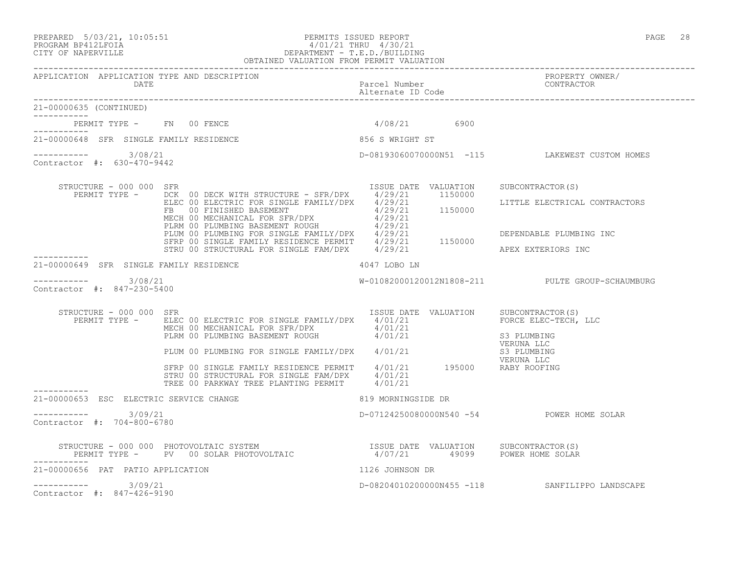### PREPARED 5/03/21, 10:05:51 PERMITS ISSUED REPORT PAGE 28 PROGRAM BP412LFOIA 4/01/21 THRU 4/30/21 CITY OF NAPERVILLE DEPARTMENT - T.E.D./BUILDING OBTAINED VALUATION FROM PERMIT VALUATION

------------------------------------------------------------------------------------------------------------------------------------ APPLICATION APPLICATION TYPE AND DESCRIPTION PROPERTY OWNER/ DATE **Parcel Number** Parcel Number Alternate ID Code ------------------------------------------------------------------------------------------------------------------------------------ 21-00000635 (CONTINUED) ----------- PERMIT TYPE - FN 00 FENCE 4/08/21 6900 ----------- 21-00000648 SFR SINGLE FAMILY RESIDENCE 856 S WRIGHT ST ----------- 3/08/21 ----------- 3/08/21 D-08193060070000N51 -115 LAKEWEST CUSTOM HOMES Contractor #: 630-470-9442 STRUCTURE - 000 000 SFR ISSUE DATE VALUATION SUBCONTRACTOR(S) PERMIT TYPE - DCK 00 DECK WITH STRUCTURE - SFR/DPX 4/29/21 1150000 ELEC 00 ELECTRIC FOR SINGLE FAMILY/DPX 4/29/21 LITTLE ELECTRICAL CONTRACTORS FB 00 FINISHED BASEMENT 4/29/21 1150000 MECH 00 MECHANICAL FOR SFR/DPX 4/29/21 PLRM 00 PLUMBING BASEMENT ROUGH  $4/29/21$ PLUM 00 PLUMBING FOR SINGLE FAMILY/DPX 4/29/21 DEPENDABLE PLUMBING INC SFRP 00 SINGLE FAMILY RESIDENCE PERMIT  $4/29/21$  1150000 STRU 00 STRUCTURAL FOR SINGLE FAM/DPX  $4/29/21$  APEX EXTERIORS INC ----------- 21-00000649 SFR SINGLE FAMILY RESIDENCE  $4047$  LOBO LN ---------------------- 3/08/21 W-01082000120012N1808-211 PULTE GROUP-SCHAUMBURG Contractor #: 847-230-5400 STRUCTURE - 000 000 SFR ISSUE DATE VALUATION SUBCONTRACTOR(S) PERMIT TYPE - ELEC 00 ELECTRIC FOR SINGLE FAMILY/DPX 4/01/21 FORCE ELEC-TECH, LLC MECH 00 MECHANICAL FOR SFR/DPX  $4/01/21$ PLRM 00 PLUMBING BASEMENT ROUGH  $4/01/21$  S3 PLUMBING VERUNA LLC PLUM 00 PLUMBING FOR SINGLE FAMILY/DPX 4/01/21 S3 PLUMBING SALUMBING SALUMBING VERUNA LLC SFRP 00 SINGLE FAMILY RESIDENCE PERMIT 4/01/21 195000 RABY ROOFING STRU 00 STRUCTURAL FOR SINGLE FAM/DPX 4/01/21 TREE 00 PARKWAY TREE PLANTING PERMIT 4/01/21 ----------- 21-00000653 ESC ELECTRIC SERVICE CHANGE 819 MORNINGSIDE DR \_\_\_\_\_\_\_\_\_\_\_ ----------- 3/09/21 D-07124250080000N540 -54 POWER HOME SOLAR Contractor #: 704-800-6780 STRUCTURE - 000 000 PHOTOVOLTAIC SYSTEM ISSUE DATE VALUATION SUBCONTRACTOR(S) PERMIT TYPE - PV 00 SOLAR PHOTOVOLTAIC  $4/07/21$  49099 POWER HOME SOLAR ----------- 21-00000656 PAT PATIO APPLICATION 1126 JOHNSON DR ----------- 3/09/21 D-08204010200000N455 -118 SANFILIPPO LANDSCAPE Contractor #: 847-426-9190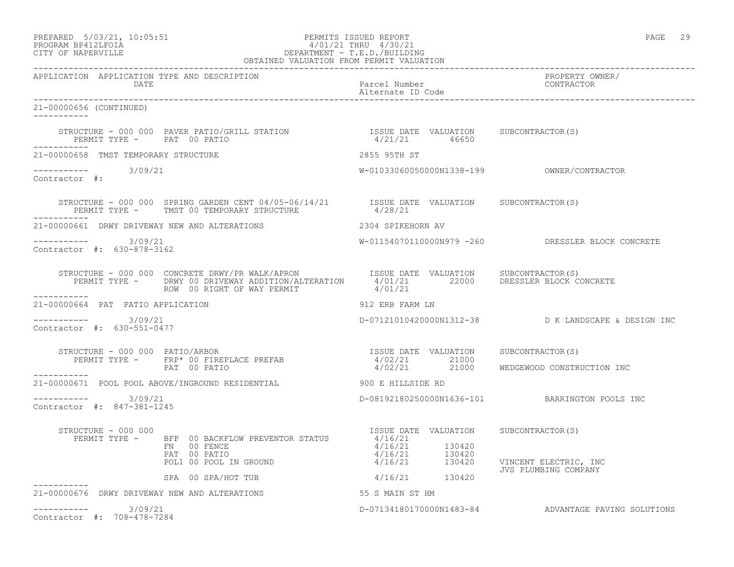# PREPARED 5/03/21, 10:05:51 PERMITS ISSUED REPORT PAGE 29 PROGRAM BP412LFOIA 4/01/21 THRU 4/30/21 CITY OF NAPERVILLE DEPARTMENT - T.E.D./BUILDING

|                                                      | OBTAINED VALUATION FROM PERMIT VALUATION                                                                                                                                                                                                                                                                                                                                                               |                                       |                                                     |
|------------------------------------------------------|--------------------------------------------------------------------------------------------------------------------------------------------------------------------------------------------------------------------------------------------------------------------------------------------------------------------------------------------------------------------------------------------------------|---------------------------------------|-----------------------------------------------------|
| APPLICATION APPLICATION TYPE AND DESCRIPTION<br>DATE |                                                                                                                                                                                                                                                                                                                                                                                                        | Parcel Number<br>Alternate ID Code    | PROPERTY OWNER/<br>CONTRACTOR                       |
| 21-00000656 (CONTINUED)<br>___________               |                                                                                                                                                                                                                                                                                                                                                                                                        |                                       |                                                     |
| ------------                                         | $\begin{array}{cccccccccc} \texttt{STRUCTURE} & - & 000 & 000 & \texttt{PAVER} & \texttt{PATIO/GRILL} & \texttt{STATION} & & & & & & & \\ \texttt{PERMIT TYPE} & - & \texttt{PAT} & 00 & \texttt{PATIO} & & & & & \\ \end{array} \hspace{1cm} \begin{array}{cccccccccc} \texttt{ITSUE} & \texttt{DATE} & \texttt{VALUATION} & & \texttt{SUBCONTRACTOR(S)} \\ & & 4/21/21 & & 46650 & & \\ \end{array}$ |                                       |                                                     |
| 21-00000658 TMST TEMPORARY STRUCTURE                 |                                                                                                                                                                                                                                                                                                                                                                                                        | 2855 95TH ST                          |                                                     |
| ----------- 3/09/21<br>Contractor #:                 |                                                                                                                                                                                                                                                                                                                                                                                                        |                                       |                                                     |
|                                                      | STRUCTURE - 000 000 SPRING GARDEN CENT 04/05-06/14/21 ISSUE DATE VALUATION SUBCONTRACTOR(S)<br>PERMIT TYPE - TMST 00 TEMPORARY STRUCTURE                                                                                                                                                                                                                                                               | 4/28/21                               |                                                     |
| 21-00000661 DRWY DRIVEWAY NEW AND ALTERATIONS        |                                                                                                                                                                                                                                                                                                                                                                                                        | 2304 SPIKEHORN AV                     |                                                     |
| -----------    3/09/21<br>Contractor #: 630-878-3162 |                                                                                                                                                                                                                                                                                                                                                                                                        |                                       | W-01154070110000N979 -260 DRESSLER BLOCK CONCRETE   |
| ___________                                          |                                                                                                                                                                                                                                                                                                                                                                                                        |                                       |                                                     |
| 21-00000664 PAT PATIO APPLICATION                    |                                                                                                                                                                                                                                                                                                                                                                                                        | 912 ERB FARM LN                       |                                                     |
| $--------- 3/09/21$<br>Contractor #: 630-551-0477    |                                                                                                                                                                                                                                                                                                                                                                                                        |                                       | D-07121010420000N1312-38 D K LANDSCAPE & DESIGN INC |
|                                                      | STRUCTURE - 000 000 PATIO/ARBOR                                                                                                                                                                                                                                                                                                                                                                        | ISSUE DATE VALUATION SUBCONTRACTOR(S) |                                                     |
|                                                      | PERMIT TYPE - FRP* 00 FIREPLACE PREFAB<br>PERMIT TYPE - FRP* 00 FIREPLACE PREFAB<br>PAT 00 PATIO                                                                                                                                                                                                                                                                                                       | 4/02/21 21000                         | 4/02/21 21000 WEDGEWOOD CONSTRUCTION INC            |
|                                                      | 21-00000671 POOL POOL ABOVE/INGROUND RESIDENTIAL 6000 PM ALLESIDE RD                                                                                                                                                                                                                                                                                                                                   |                                       |                                                     |
| $--------- 3/09/21$<br>Contractor #: 847-381-1245    |                                                                                                                                                                                                                                                                                                                                                                                                        |                                       | D-08192180250000N1636-101 BARRINGTON POOLS INC      |
| STRUCTURE - 000 000                                  | NOCIONE - 000 000<br>PERMIT TYPE - BFP 00 BACKFLOW PREVENTOR STATUS 4/16/21<br>FN 00 FENCE<br>PAT 00 PATIO<br>POLI 00 POOL IN GROUND<br>POLI 00 POOL IN GROUND<br>POLI 00 POOL IN GROUND<br>POLI 00 POOL IN GROUND<br>POLI 00 POOL IN GROUND<br>POLI 00 POOL IN GROUND                                                                                                                                 | ISSUE DATE VALUATION SUBCONTRACTOR(S) | VINCENT ELECTRIC, INC                               |
|                                                      | SPA 00 SPA/HOT TUB                                                                                                                                                                                                                                                                                                                                                                                     | 4/16/21 130420                        | JVS PLUMBING COMPANY                                |
| 21-00000676 DRWY DRIVEWAY NEW AND ALTERATIONS        |                                                                                                                                                                                                                                                                                                                                                                                                        | 55 S MAIN ST HM                       |                                                     |
| $--------- 3/09/21$<br>Contractor #: 708-478-7284    |                                                                                                                                                                                                                                                                                                                                                                                                        |                                       | D-07134180170000N1483-84 ADVANTAGE PAVING SOLUTIONS |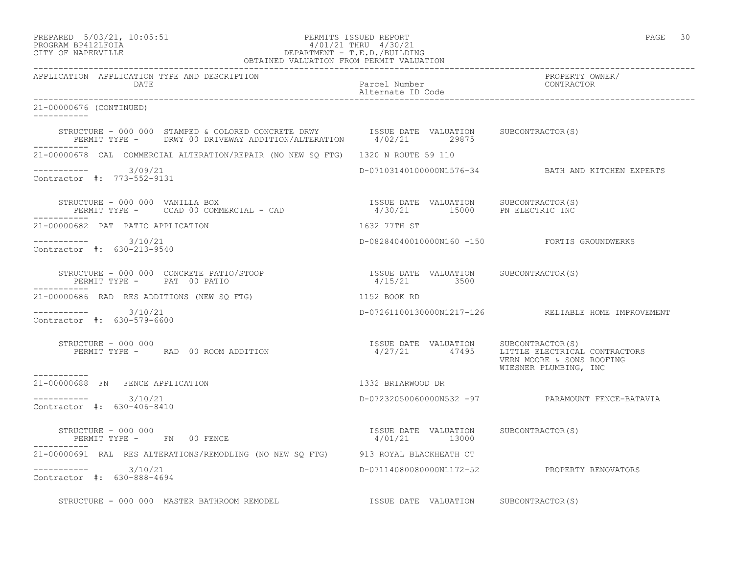-----------

-----------

-----------

-----------

-----------

-----------

## PREPARED 5/03/21, 10:05:51 PERMITS ISSUED REPORT PAGE 30 PROGRAM BP412LFOIA 4/01/21 THRU 4/30/21 CITY OF NAPERVILLE DEPARTMENT - T.E.D./BUILDING OBTAINED VALUATION FROM PERMIT VALUATION

------------------------------------------------------------------------------------------------------------------------------------ APPLICATION APPLICATION TYPE AND DESCRIPTION PROPERTY OWNER/ DATE CONTRACTOR CONTRACTOR DESCRIPTION OF PARTICULAR PARTICULAR PARTICULAR POLICIAL AND CONTRACTOR OF PARTICULAR POLICIAL AND THE PARTICULAR POLICIAL AND THE PARTICULAR POLICIAL PARTICULAR POLICIAL PARTICULAR POLICIAL PART Alternate ID Code ------------------------------------------------------------------------------------------------------------------------------------ 21-00000676 (CONTINUED) STRUCTURE - 000 000 STAMPED & COLORED CONCRETE DRWY ISSUE DATE VALUATION SUBCONTRACTOR(S) PERMIT TYPE - DRWY 00 DRIVEWAY ADDITION/ALTERATION 4/02/21 29875 21-00000678 CAL COMMERCIAL ALTERATION/REPAIR (NO NEW SQ FTG) 1320 N ROUTE 59 110 ----------- 3/09/21 D-07103140100000N1576-34 BATH AND KITCHEN EXPERTS Contractor #: 773-552-9131 STRUCTURE - 000 000 VANILLA BOX ISSUE DATE VALUATION SUBCONTRACTOR(S) PERMIT TYPE - CCAD 00 COMMERCIAL - CAD 4/30/21 15000 PN ELECTRIC INC 21-00000682 PAT PATIO APPLICATION 1632 77TH ST ----------- 3/10/21 D-08284040010000N160 -150 FORTIS GROUNDWERKS Contractor #: 630-213-9540 STRUCTURE - 000 000 CONCRETE PATIO/STOOP ISSUE DATE VALUATION SUBCONTRACTOR(S) PERMIT TYPE - PAT 00 PATIO 4/15/21 3500 21-00000686 RAD RES ADDITIONS (NEW SQ FTG) 1152 BOOK RD ----------- 3/10/21 D-07261100130000N1217-126 RELIABLE HOME IMPROVEMENT Contractor #: 630-579-6600 STRUCTURE - 000 000 ISSUE DATE VALUATION SUBCONTRACTOR(S) PERMIT TYPE - RAD 00 ROOM ADDITION 4/27/21 47495 LITTLE ELECTRICAL CONTRACTORS VERN MOORE & SONS ROOFING WIESNER PLUMBING, INC 21-00000688 FN FENCE APPLICATION 1332 BRIARWOOD DR  $--------- 3/10/21$ ----------- 3/10/21 D-07232050060000N532 -97 PARAMOUNT FENCE-BATAVIA Contractor #: 630-406-8410 STRUCTURE - 000 000 ISSUE DATE VALUATION SUBCONTRACTOR(S) PERMIT TYPE - FN 00 FENCE 1999 1999 1999 1999 12000 21-00000691 RAL RES ALTERATIONS/REMODLING (NO NEW SQ FTG) 913 ROYAL BLACKHEATH CT ----------- 3/10/21 D-07114080080000N1172-52 PROPERTY RENOVATORS

Contractor #: 630-888-4694

STRUCTURE - 000 000 MASTER BATHROOM REMODEL ISSUE DATE VALUATION SUBCONTRACTOR(S)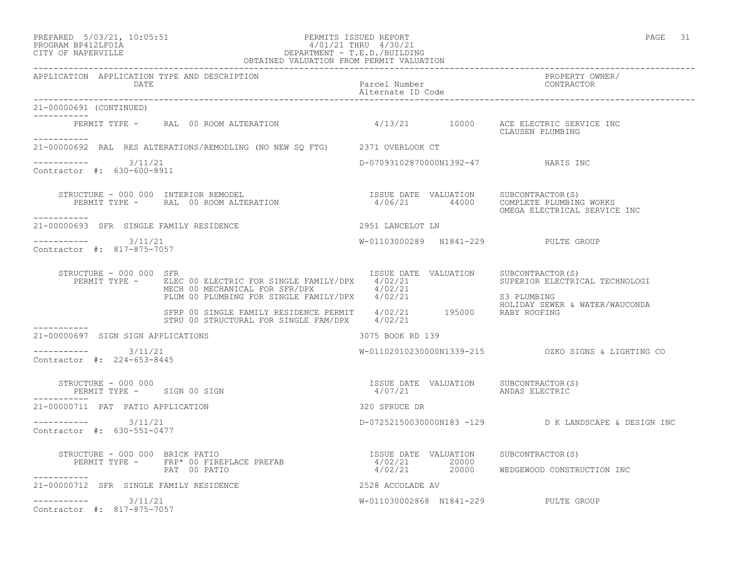## PREPARED 5/03/21, 10:05:51 PERMITS ISSUED REPORT PAGE 31 PROGRAM BP412LFOIA 4/01/21 THRU 4/30/21 CITY OF NAPERVILLE DEPARTMENT - T.E.D./BUILDING

|                                                             | OBTAINED VALUATION FROM PERMIT VALUATION                                                                                                                                                                         |                                    |                                                                                        |
|-------------------------------------------------------------|------------------------------------------------------------------------------------------------------------------------------------------------------------------------------------------------------------------|------------------------------------|----------------------------------------------------------------------------------------|
| APPLICATION APPLICATION TYPE AND DESCRIPTION<br><b>DATE</b> |                                                                                                                                                                                                                  | Parcel Number<br>Alternate ID Code | PROPERTY OWNER/<br>CONTRACTOR                                                          |
| 21-00000691 (CONTINUED)<br>------------                     |                                                                                                                                                                                                                  |                                    |                                                                                        |
| -----------                                                 | PERMIT TYPE - RAL 00 ROOM ALTERATION 4/13/21 10000 ACE ELECTRIC SERVICE INC                                                                                                                                      |                                    | CLAUSEN PLUMBING                                                                       |
|                                                             | 21-00000692 RAL RES ALTERATIONS/REMODLING (NO NEW SQ FTG) 2371 OVERLOOK CT                                                                                                                                       |                                    |                                                                                        |
| $--------$ 3/11/21<br>Contractor #: 630-600-8911            |                                                                                                                                                                                                                  |                                    | D-07093102870000N1392-47 HARIS INC                                                     |
| ----------                                                  |                                                                                                                                                                                                                  |                                    | OMEGA ELECTRICAL SERVICE INC                                                           |
| 21-00000693 SFR SINGLE FAMILY RESIDENCE                     |                                                                                                                                                                                                                  | 2951 LANCELOT LN                   |                                                                                        |
| $--------- 3/11/21$<br>Contractor #: 817-875-7057           |                                                                                                                                                                                                                  |                                    | W-01103000289 N1841-229 PULTE GROUP                                                    |
| STRUCTURE - 000 000 SFR                                     | PERMIT TYPE - ELEC 00 ELECTRIC FOR SINGLE FAMILY/DPX 4/02/21<br>ELEC 00 ELECTRIC FOR SINGLE FAMILIC FOR ACTOR (1997)<br>MECH 00 MECHANICAL FOR SFR/DPX 4/02/21<br>PLUM 00 PLUMBING FOR SINGLE FAMILY/DPX 4/02/21 |                                    | ISSUE DATE VALUATION SUBCONTRACTOR(S)<br>SUPERIOR ELECTRICAL TECHNOLOGI<br>S3 PLUMBING |
|                                                             | SFRP 00 SINGLE FAMILY RESIDENCE PERMIT 4/02/21 195000 RABY ROOFING<br>STRU 00 STRUCTURAL FOR SINGLE FAM/DPX 4/02/21                                                                                              |                                    | HOLIDAY SEWER & WATER/WAUCONDA                                                         |
| 21-00000697 SIGN SIGN APPLICATIONS                          |                                                                                                                                                                                                                  | 3075 BOOK RD 139                   |                                                                                        |
| $--------$ 3/11/21<br>Contractor #: 224-653-8445            |                                                                                                                                                                                                                  |                                    | W-01102010230000N1339-215 OZKO SIGNS & LIGHTING CO                                     |
| STRUCTURE - 000 000                                         | PERMIT TYPE - SIGN 00 SIGN<br>PERMIT TYPE - SIGN 00 SIGN                                                                                                                                                         | 4/07/21                            | ISSUE DATE VALUATION SUBCONTRACTOR(S)<br>ANDAS ELECTRIC                                |
| 21-00000711 PAT PATIO APPLICATION                           |                                                                                                                                                                                                                  | 320 SPRUCE DR                      |                                                                                        |
| -----------    3/11/21<br>Contractor #: 630-551-0477        |                                                                                                                                                                                                                  |                                    | D-07252150030000N183 -129 D K LANDSCAPE & DESIGN INC                                   |
| STRUCTURE - 000 000 BRICK PATIO                             | RUCTURE – 000 000 BRICK PATIO<br>PERMIT TYPE – FRP* 00 FIREPLACE PREFAB (1/02/21 20000                                                                                                                           |                                    | SUBCONTRACTOR(S)                                                                       |
| ----------                                                  | PAT 00 PATIO                                                                                                                                                                                                     |                                    | 4/02/21 20000 WEDGEWOOD CONSTRUCTION INC                                               |
| 21-00000712 SFR SINGLE FAMILY RESIDENCE                     |                                                                                                                                                                                                                  | 2528 ACCOLADE AV                   |                                                                                        |
| $--------$ 3/11/21<br>Contractor #: 817-875-7057            |                                                                                                                                                                                                                  |                                    | W-011030002868 N1841-229 PULTE GROUP                                                   |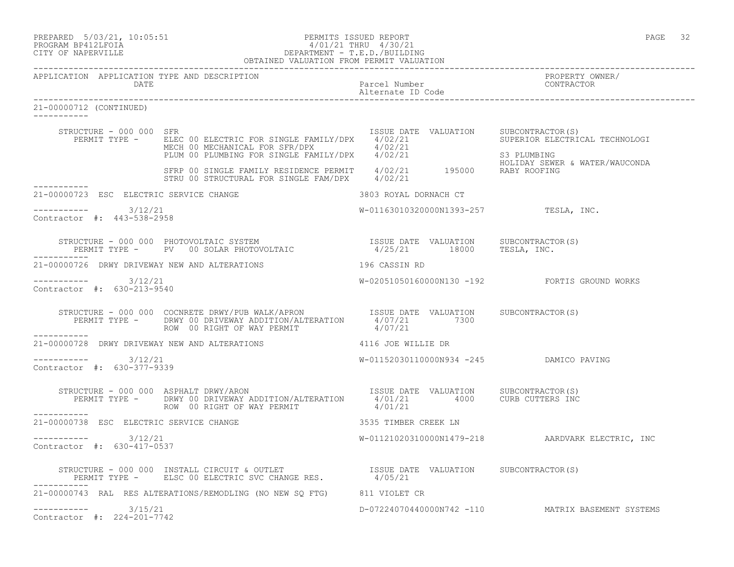# PREPARED 5/03/21, 10:05:51 PERMITS ISSUED REPORT<br>PROGRAM BP412LFOIA PAGE 32<br>
9/01/21 THRU 4/30/21 PROGRAM BP412LFOIA 4/01/21 THRU 4/30/21 CITY OF NAPERVILLE DEPARTMENT - T.E.D./BUILDING

|                                                              | OBTAINED VALUATION FROM PERMIT VALUATION                                                                                                                                                                                                |                                                                     |                                                                         |
|--------------------------------------------------------------|-----------------------------------------------------------------------------------------------------------------------------------------------------------------------------------------------------------------------------------------|---------------------------------------------------------------------|-------------------------------------------------------------------------|
| APPLICATION APPLICATION TYPE AND DESCRIPTION<br>DATE         |                                                                                                                                                                                                                                         | Parcel Number<br>Alternate ID Code<br>----------------------------- | PROPERTY OWNER/<br>CONTRACTOR                                           |
| 21-00000712 (CONTINUED)<br>-----------                       |                                                                                                                                                                                                                                         |                                                                     |                                                                         |
| STRUCTURE - 000 000 SFR                                      | PERMIT TYPE - ELEC 00 ELECTRIC FOR SINGLE FAMILY/DPX 4/02/21 SUPERIOR ELECTRICAL TECHNOLOGI<br>MECH 00 MECHANICAL FOR SFR/DPX 4/02/21 33 PLUMBING<br>PLUM 00 PLUMBING FOR SINGLE FAMILY/DPX 4/02/21 33 PLUMBING<br>HOLIDAY SEWER & WATE |                                                                     | ISSUE DATE VALUATION SUBCONTRACTOR(S)<br>HOLIDAY SEWER & WATER/WAUCONDA |
| . _ _ _ _ _ _ _ _ _ _                                        | SFRP 00 SINGLE FAMILY RESIDENCE PERMIT 4/02/21 195000 RABY ROOFING<br>STRU 00 STRUCTURAL FOR SINGLE FAM/DPX 4/02/21                                                                                                                     |                                                                     |                                                                         |
| 21-00000723 ESC ELECTRIC SERVICE CHANGE                      | 3803 ROYAL DORNACH CT                                                                                                                                                                                                                   |                                                                     |                                                                         |
| $--------$ 3/12/21<br>Contractor #: 443-538-2958             |                                                                                                                                                                                                                                         |                                                                     | W-01163010320000N1393-257 TESLA, INC.                                   |
| ------------                                                 | STRUCTURE - 000 000 PHOTOVOLTAIC SYSTEM                              ISSUE DATE VALUATION     SUBCONTRACTOR(S)<br>PERMIT TYPE -      PV   00 SOLAR PHOTOVOLTAIC                      4/25/21       18000     TESLA, INC.                |                                                                     |                                                                         |
|                                                              | 21-00000726 DRWY DRIVEWAY NEW AND ALTERATIONS 40 196 CASSIN RD                                                                                                                                                                          |                                                                     |                                                                         |
| $--------- 3/12/21$<br>Contractor #: 630-213-9540            |                                                                                                                                                                                                                                         |                                                                     | W-02051050160000N130 -192 FORTIS GROUND WORKS                           |
|                                                              | ROW 00 RIGHT OF WAY PERMIT                                                                                                                                                                                                              | 4/07/21                                                             |                                                                         |
| ___________<br>21-00000728 DRWY DRIVEWAY NEW AND ALTERATIONS | 4116 JOE WILLIE DR                                                                                                                                                                                                                      |                                                                     |                                                                         |
| $--------$ 3/12/21<br>Contractor #: 630-377-9339             |                                                                                                                                                                                                                                         |                                                                     | W-01152030110000N934 -245 DAMICO PAVING                                 |
| ___________                                                  | STRUCTURE - 000 000 ASPHALT DRWY/ARON STRUCTURE TO THE VALUATION SUBCONTRACTOR(S)<br>PERMIT TYPE - DRWY 00 DRIVEWAY ADDITION/ALTERATION 4/01/21 4000 CURB CUTTERS INC<br>ROW 00 RIGHT OF WAY PERMIT 4/01/21                             |                                                                     |                                                                         |
| 21-00000738 ESC ELECTRIC SERVICE CHANGE                      | 3535 TIMBER CREEK LN                                                                                                                                                                                                                    |                                                                     |                                                                         |
| $--------$ 3/12/21<br>Contractor #: 630-417-0537             |                                                                                                                                                                                                                                         |                                                                     | W-01121020310000N1479-218 AARDVARK ELECTRIC, INC                        |
|                                                              | STRUCTURE - 000 000 INSTALL CIRCUIT & OUTLET                 ISSUE DATE VALUATION     SUBCONTRACTOR(S)<br>PERMIT TYPE -     ELSC 00 ELECTRIC SVC CHANGE RES.             4/05/21                                                        |                                                                     |                                                                         |
|                                                              | 21-00000743 RAL RES ALTERATIONS/REMODLING (NO NEW SQ FTG) 811 VIOLET CR                                                                                                                                                                 |                                                                     |                                                                         |
| $--------- 3/15/21$<br>Contractor #: 224-201-7742            |                                                                                                                                                                                                                                         |                                                                     | D-07224070440000N742 -110 MATRIX BASEMENT SYSTEMS                       |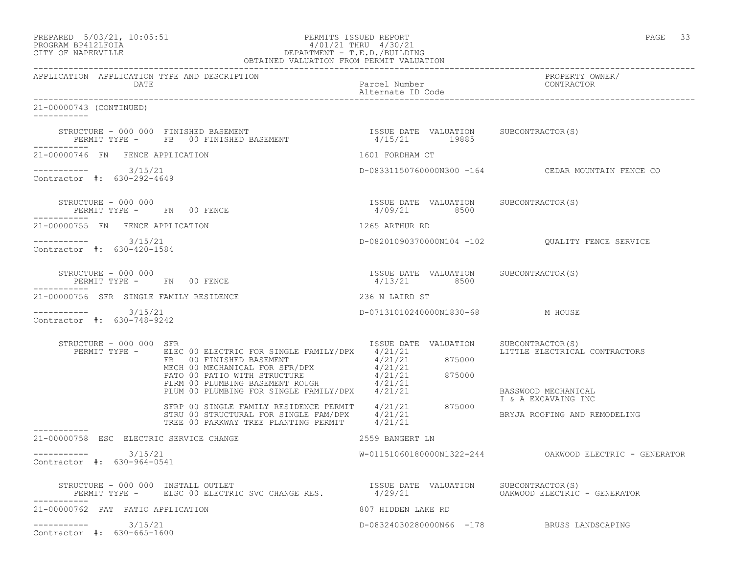| PREPARED            |  | $5/03/21$ , $10:05:51$ |
|---------------------|--|------------------------|
| גד∩ם זר11מם וגמר∩מם |  |                        |

## PREPARED 5/03/21, 10:05:51 PERMITS ISSUED REPORT PAGE 33 PROGRAM BP412LFOIA 4/01/21 THRU 4/30/21 CITY OF NAPERVILLE DEPARTMENT - T.E.D./BUILDING

|                                                                 | OBTAINED VALUATION FROM PERMIT VALUATION                                                                                                                                                                                                                                                                                                                                                                                          |                                                        |                                                                            |
|-----------------------------------------------------------------|-----------------------------------------------------------------------------------------------------------------------------------------------------------------------------------------------------------------------------------------------------------------------------------------------------------------------------------------------------------------------------------------------------------------------------------|--------------------------------------------------------|----------------------------------------------------------------------------|
| APPLICATION APPLICATION TYPE AND DESCRIPTION<br>DATE            |                                                                                                                                                                                                                                                                                                                                                                                                                                   | Parcel Number<br>Alternate ID Code                     | PROPERTY OWNER/<br>CONTRACTOR                                              |
| 21-00000743 (CONTINUED)<br>-----------                          |                                                                                                                                                                                                                                                                                                                                                                                                                                   |                                                        |                                                                            |
| STRUCTURE - 000 000 FINISHED BASEMENT                           | PERMIT TYPE - FB 00 FINISHED BASEMENT                                                                                                                                                                                                                                                                                                                                                                                             | ISSUE DATE VALUATION SUBCONTRACTOR(S)<br>4/15/21 19885 |                                                                            |
| 21-00000746 FN FENCE APPLICATION                                |                                                                                                                                                                                                                                                                                                                                                                                                                                   | 1601 FORDHAM CT                                        |                                                                            |
| $--------- 3/15/21$<br>Contractor #: 630-292-4649               |                                                                                                                                                                                                                                                                                                                                                                                                                                   |                                                        | D-08331150760000N300 -164 CEDAR MOUNTAIN FENCE CO                          |
| STRUCTURE - 000 000<br>PERMIT TYPE - FN 00 FENCE<br>----------- |                                                                                                                                                                                                                                                                                                                                                                                                                                   | ISSUE DATE VALUATION SUBCONTRACTOR(S)<br>4/09/21 8500  |                                                                            |
| 21-00000755 FN FENCE APPLICATION                                |                                                                                                                                                                                                                                                                                                                                                                                                                                   | 1265 ARTHUR RD                                         |                                                                            |
| $--------$ 3/15/21<br>Contractor #: 630-420-1584                |                                                                                                                                                                                                                                                                                                                                                                                                                                   |                                                        |                                                                            |
| STRUCTURE - 000 000<br>PERMIT TYPE - FN 00 FENCE<br>----------- |                                                                                                                                                                                                                                                                                                                                                                                                                                   | ISSUE DATE VALUATION SUBCONTRACTOR(S)<br>4/13/21 8500  |                                                                            |
| 21-00000756 SFR SINGLE FAMILY RESIDENCE                         |                                                                                                                                                                                                                                                                                                                                                                                                                                   | 236 N LAIRD ST                                         |                                                                            |
| $--------$ 3/15/21<br>Contractor #: 630-748-9242                |                                                                                                                                                                                                                                                                                                                                                                                                                                   | D-07131010240000N1830-68 M HOUSE                       |                                                                            |
| STRUCTURE - 000 000 SFR<br>PERMIT TYPE -                        | ELEC 00 ELECTRIC FOR SINGLE FAMILY/DPX 4/21/21<br>FB 00 FINISHED BASEMENT 4/21/21 875000<br>$\begin{tabular}{lllllllllllll} $\textsc{FB}$&00 FINISHED BASEMENT$&$\textsc{--00}$\\ \texttt{MECH} &00 MECHANICAL FOR SFR/DPX$&4/21/21\\ \texttt{PATO 00 PATIO WITH STRUCTURE}&4/21/21&875000\\ \texttt{PLIM} &00 PLUMBING BASEMENT ROUGH&4/21/21&875000\\ \texttt{PLUM 00 PLUMBING FOR SINGLE FAMILY/DPX}&4/21/21&\\ \end{tabular}$ | ISSUE DATE VALUATION                                   | SUBCONTRACTOR(S)<br>LITTLE ELECTRICAL CONTRACTORS                          |
|                                                                 | SFRP 00 SINGLE FAMILY RESIDENCE PERMIT 4/21/21<br>STRU 00 STRUCTURAL FOR SINGLE FAM/DPX 4/21/21<br>TREE 00 PARKWAY TREE PLANTING PERMIT 4/21/21                                                                                                                                                                                                                                                                                   | 875000                                                 | BASSWOOD MECHANICAL<br>I & A EXCAVAING INC<br>BRYJA ROOFING AND REMODELING |
| ----------<br>21-00000758 ESC ELECTRIC SERVICE CHANGE           |                                                                                                                                                                                                                                                                                                                                                                                                                                   | 2559 BANGERT LN                                        |                                                                            |
| ---------- 3/15/21<br>Contractor #: 630-964-0541                |                                                                                                                                                                                                                                                                                                                                                                                                                                   |                                                        |                                                                            |
|                                                                 | STRUCTURE - 000 000 INSTALL OUTLET<br>PERMIT TYPE - ELSC 00 ELECTRIC SVC CHANGE RES. 4/29/21 0ALUATION OAKWOOD ELECTRIC                                                                                                                                                                                                                                                                                                           |                                                        | OAKWOOD ELECTRIC - GENERATOR                                               |
| 21-00000762 PAT PATIO APPLICATION                               |                                                                                                                                                                                                                                                                                                                                                                                                                                   | 807 HIDDEN LAKE RD                                     |                                                                            |
| 3/15/21<br>___________<br>Contractor #: 630-665-1600            |                                                                                                                                                                                                                                                                                                                                                                                                                                   |                                                        | D-08324030280000N66 -178 BRUSS LANDSCAPING                                 |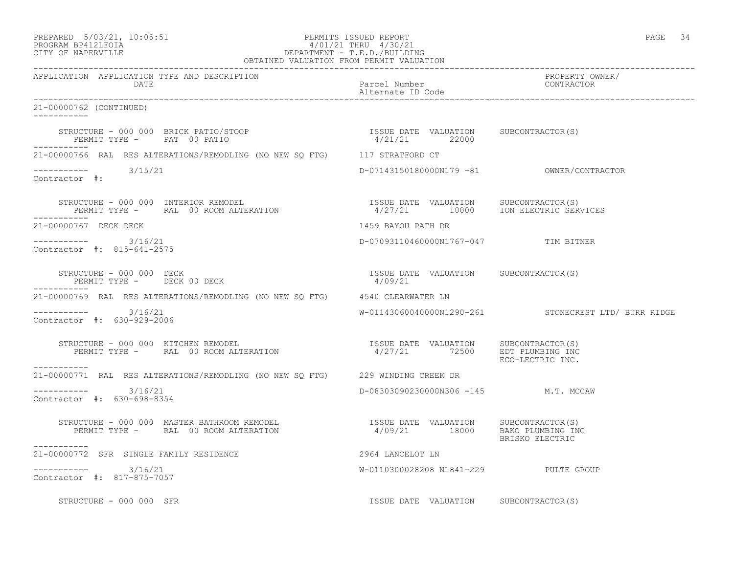## PREPARED 5/03/21, 10:05:51 PERMITS ISSUED REPORT PAGE 34 PROGRAM BP412LFOIA 4/01/21 THRU 4/30/21 CITY OF NAPERVILLE DEPARTMENT - T.E.D./BUILDING OBTAINED VALUATION FROM PERMIT VALUATION

------------------------------------------------------------------------------------------------------------------------------------

APPLICATION APPLICATION TYPE AND DESCRIPTION PROPERTY OWNER/ DATE Parcel Number CONTRACTOR Alternate ID Code ------------------------------------------------------------------------------------------------------------------------------------ 21-00000762 (CONTINUED) ----------- STRUCTURE - 000 000 BRICK PATIO/STOOP ISSUE DATE VALUATION SUBCONTRACTOR(S) PERMIT TYPE - PAT 00 PATIO 10 10 10 10 12 22000 ----------- 21-00000766 RAL RES ALTERATIONS/REMODLING (NO NEW SQ FTG) 117 STRATFORD CT ----------- 3/15/21 D-07143150180000N179 -81 OWNER/CONTRACTOR Contractor #: STRUCTURE - 000 000 INTERIOR REMODEL ISSUE DATE VALUATION SUBCONTRACTOR(S) PERMIT TYPE - RAL 00 ROOM ALTERATION 1027/21 10000 ION ELECTRIC SERVICES -----------<br>21-00000767 DECK DECK 1459 BAYOU PATH DR ----------- 3/16/21 D-07093110460000N1767-047 TIM BITNER Contractor #: 815-641-2575 STRUCTURE – 000 000 DECK ISSUE DATE VALUATION SUBCONTRACTOR(S)<br>PERMIT TYPE – DECK 00 DECK 10 ON SECK 200 21 PERMIT TYPE - DECK 00 DECK ----------- 21-00000769 RAL RES ALTERATIONS/REMODLING (NO NEW SQ FTG) 4540 CLEARWATER LN ----------- 3/16/21 W-01143060040000N1290-261 STONECREST LTD/ BURR RIDGE Contractor #: 630-929-2006 STRUCTURE - 000 000 KITCHEN REMODEL ISSUE DATE VALUATION SUBCONTRACTOR(S) PERMIT TYPE - RAL 00 ROOM ALTERATION 4/27/21 72500 EDT PLUMBING INC ISSUE DATE VALUATION SUBCONTRACTOR(S)<br>4/27/21 72500 EDT PLUMBING INC. ----------- 21-00000771 RAL RES ALTERATIONS/REMODLING (NO NEW SQ FTG) 229 WINDING CREEK DR  $--------- 3/16/21$ D-08303090230000N306 -145 M.T. MCCAW Contractor #: 630-698-8354 STRUCTURE - 000 000 MASTER BATHROOM REMODEL ISSUE DATE VALUATION SUBCONTRACTOR(S) PERMIT TYPE - RAL 00 ROOM ALTERATION 4/09/21 18000 BAKO PLUMBING INC BRISKO ELECTRIC ----------- 21-00000772 SFR SINGLE FAMILY RESIDENCE 2964 LANCELOT LN  $--------- 3/16/21$ W-0110300028208 N1841-229 PULTE GROUP Contractor #: 817-875-7057 STRUCTURE - 000 000 SFR STRUCTURE - 000 OOD SFR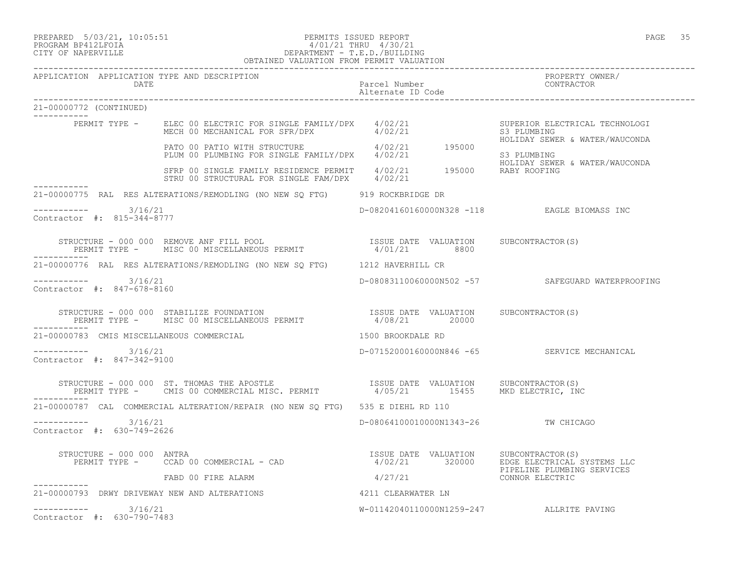## PREPARED 5/03/21, 10:05:51 PERMITS ISSUED REPORT<br>PROGRAM BP412LFOIA PAGE 35 PROGRAM BP412LFOIA  $4/01/21$  THRU  $4/30/21$ <br>CITY OF NAPERVILLE DEPARTMENT - T.E.D./BUILDII DEPARTMENT - T.E.D./BUILDING OBTAINED VALUATION FROM PERMIT VALUATION

------------------------------------------------------------------------------------------------------------------------------------

|                         | DATE                                                 | APPLICATION APPLICATION TYPE AND DESCRIPTION                                                                                                                                                       | Parcel Number<br>Alternate ID Code | PROPERTY OWNER/<br>CONTRACTOR                                                                            |
|-------------------------|------------------------------------------------------|----------------------------------------------------------------------------------------------------------------------------------------------------------------------------------------------------|------------------------------------|----------------------------------------------------------------------------------------------------------|
| 21-00000772 (CONTINUED) |                                                      |                                                                                                                                                                                                    |                                    |                                                                                                          |
|                         |                                                      | ----<br>PERMIT TYPE - ELEC 00 ELECTRIC FOR SINGLE FAMILY/DPX 4/02/21<br>MECH 00 MECHANICAL FOR SFR/DPX 4/02/21                                                                                     |                                    | SUPERIOR ELECTRICAL TECHNOLOGI<br>S3 PLUMBING<br>HOLIDAY SEWER & WATER/WAUCONDA                          |
|                         |                                                      | PATO 00 PATIO WITH STRUCTURE 4/02/21 195000<br>PLUM 00 PLUMBING FOR SINGLE FAMILY/DPX 4/02/21                                                                                                      |                                    | S3 PLUMBING<br>HOLIDAY SEWER & WATER/WAUCONDA                                                            |
| ------------            |                                                      | SFRP 00 SINGLE FAMILY RESIDENCE PERMIT 4/02/21 195000 RABY ROOFING<br>STRU 00 STRUCTURAL FOR SINGLE FAM/DPX 4/02/21                                                                                |                                    |                                                                                                          |
|                         |                                                      | 21-00000775 RAL RES ALTERATIONS/REMODLING (NO NEW SQ FTG) 919 ROCKBRIDGE DR                                                                                                                        |                                    |                                                                                                          |
|                         | -----------    3/16/21<br>Contractor #: 815-344-8777 |                                                                                                                                                                                                    |                                    | D-08204160160000N328 -118 EAGLE BIOMASS INC                                                              |
|                         |                                                      |                                                                                                                                                                                                    |                                    |                                                                                                          |
|                         |                                                      | 21-00000776 RAL RES ALTERATIONS/REMODLING (NO NEW SO FTG) 1212 HAVERHILL CR                                                                                                                        |                                    |                                                                                                          |
|                         | $--------- 3/16/21$<br>Contractor #: 847-678-8160    |                                                                                                                                                                                                    |                                    | D-08083110060000N502 -57 SAFEGUARD WATERPROOFING                                                         |
| -----------             |                                                      | STRUCTURE - 000 000 STABILIZE FOUNDATION                           ISSUE DATE VALUATION     SUBCONTRACTOR(S)<br>PERMIT TYPE -     MISC 00 MISCELLANEOUS PERMIT                  4/08/21      20000 |                                    |                                                                                                          |
|                         |                                                      | 21-00000783 CMIS MISCELLANEOUS COMMERCIAL                                                                                                                                                          | 1500 BROOKDALE RD                  |                                                                                                          |
|                         | $--------$ 3/16/21<br>Contractor #: 847-342-9100     |                                                                                                                                                                                                    |                                    | D-07152000160000N846 -65 SERVICE MECHANICAL                                                              |
| -----------             |                                                      | STRUCTURE - 000 000 ST. THOMAS THE APOSTLE (ISSUE DATE VALUATION SUBCONTRACTOR (S)<br>PERMIT TYPE - CMIS 00 COMMERCIAL MISC. PERMIT (2/05/21 15455 MKD ELECTRIC, INC                               |                                    |                                                                                                          |
|                         |                                                      | 21-00000787 CAL COMMERCIAL ALTERATION/REPAIR (NO NEW SO FTG) 535 E DIEHL RD 110                                                                                                                    |                                    |                                                                                                          |
|                         | $--------- 3/16/21$<br>Contractor #: 630-749-2626    |                                                                                                                                                                                                    |                                    | D-08064100010000N1343-26 TW CHICAGO                                                                      |
|                         | STRUCTURE - 000 000 ANTRA                            | PERMIT TYPE - CCAD 00 COMMERCIAL - CAD                                                                                                                                                             |                                    | ISSUE DATE VALUATION SUBCONTRACTOR(S)<br>4/02/21 320000 EDGE ELECTRICAL S<br>EDGE ELECTRICAL SYSTEMS LLC |
| -----------             |                                                      | FABD 00 FIRE ALARM                                                                                                                                                                                 | 4/27/21                            | PIPELINE PLUMBING SERVICES<br>CONNOR ELECTRIC                                                            |
|                         |                                                      | 21-00000793 DRWY DRIVEWAY NEW AND ALTERATIONS<br>4211 CLEARWATER LN                                                                                                                                |                                    |                                                                                                          |
|                         | $--------- 3/16/21$<br>Contractor #: 630-790-7483    |                                                                                                                                                                                                    |                                    | W-01142040110000N1259-247 ALLRITE PAVING                                                                 |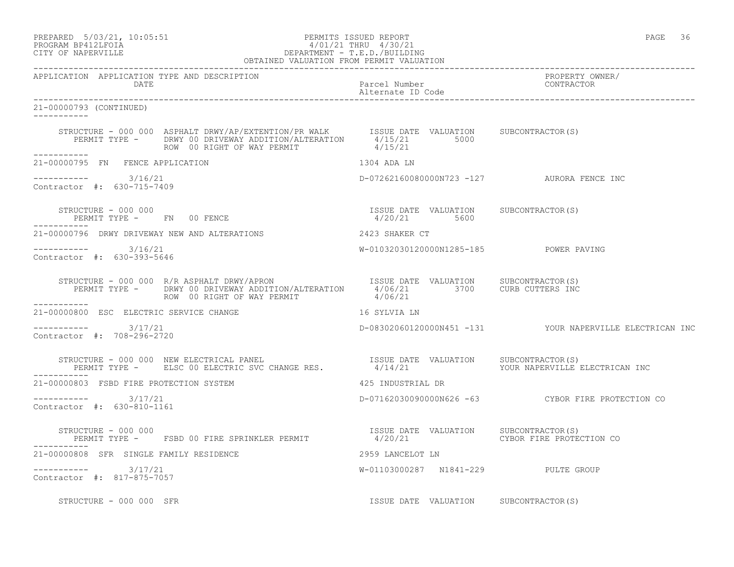## PREPARED 5/03/21, 10:05:51 PERMITS ISSUED REPORT<br>PROGRAM BP412LFOIA PAGE 36 PROGRAM PROGRAM PAGE 36 PROGRAM BP412LFOIA  $4/01/21$  THRU  $4/30/21$ <br>CITY OF NAPERVILLE DEPARTMENT - T.E.D./BUILDII CITY OF NAPERVILLE DEPARTMENT - T.E.D./BUILDING

| OBTAINED VALUATION FROM PERMIT VALUATION                                                                                                                                                                                                              |                                                       |                                                          |
|-------------------------------------------------------------------------------------------------------------------------------------------------------------------------------------------------------------------------------------------------------|-------------------------------------------------------|----------------------------------------------------------|
| APPLICATION APPLICATION TYPE AND DESCRIPTION<br>DATE                                                                                                                                                                                                  | Parcel Number<br>Alternate ID Code                    | PROPERTY OWNER/<br>CONTRACTOR                            |
| 21-00000793 (CONTINUED)<br>-----------                                                                                                                                                                                                                |                                                       |                                                          |
| STRUCTURE - 000 000 ASPHALT DRWY/AP/EXTENTION/PR WALK ISSUE DATE VALUATION SUBCONTRACTOR(S)<br>PERMIT TYPE - DRWY 00 DRIVEWAY ADDITION/ALTERATION 4/15/21 5000<br>2 to bitteral applifical Addition and 4/15/21<br>ROW 00 RIGHT OF WAY PERMIT 4/15/21 |                                                       |                                                          |
| 21-00000795 FN FENCE APPLICATION                                                                                                                                                                                                                      | 1304 ADA LN                                           |                                                          |
| $--------- 3/16/21$<br>Contractor #: 630-715-7409                                                                                                                                                                                                     | D-07262160080000N723 -127 AURORA FENCE INC            |                                                          |
| STRUCTURE - 000 000<br>PERMIT TYPE - FN 00 FENCE                                                                                                                                                                                                      | ISSUE DATE VALUATION SUBCONTRACTOR(S)<br>4/20/21 5600 |                                                          |
| 21-00000796 DRWY DRIVEWAY NEW AND ALTERATIONS 40 2423 SHAKER CT                                                                                                                                                                                       |                                                       |                                                          |
| Contractor #: 630-393-5646                                                                                                                                                                                                                            | W-01032030120000N1285-185 POWER PAVING                |                                                          |
| STRUCTURE - 000 000 R/R ASPHALT DRWY/APRON TSSUE DATE VALUATION SUBCONTRACTOR(S)<br>PERMIT TYPE - DRWY 00 DRIVEWAY ADDITION/ALTERATION 4/06/21 3700 CURB CUTTERS INC<br>------------                                                                  |                                                       |                                                          |
| 16 SYLVIA LN<br>21-00000800 ESC ELECTRIC SERVICE CHANGE                                                                                                                                                                                               |                                                       |                                                          |
| $--------- 3/17/21$<br>Contractor #: 708-296-2720                                                                                                                                                                                                     |                                                       | D-08302060120000N451 -131 YOUR NAPERVILLE ELECTRICAN INC |
| STRUCTURE - 000 000 NEW ELECTRICAL PANEL (ISSUE DATE VALUATION SUBCONTRACTOR(S)<br>PERMIT TYPE - ELSC 00 ELECTRIC SVC CHANGE RES. 4/14/21 (ISSUE DATE VOUR NAPERVILLE ELECTRICAN INC                                                                  |                                                       |                                                          |
| 21-00000803 FSBD FIRE PROTECTION SYSTEM                                                                                                                                                                                                               | 425 INDUSTRIAL DR                                     |                                                          |
| $--------$ 3/17/21<br>Contractor #: 630-810-1161                                                                                                                                                                                                      |                                                       | D-07162030090000N626 -63 CYBOR FIRE PROTECTION CO        |
| STRUCTURE - 000 000<br>PERMIT TYPE -    FSBD 00 FIRE SPRINKLER PERMIT                           4/20/21               CYBOR FIRE PROTECTION CO                                                                                                        |                                                       |                                                          |
| 21-00000808 SFR SINGLE FAMILY RESIDENCE<br>2959 LANCELOT LN                                                                                                                                                                                           |                                                       |                                                          |
| $--------- 3/17/21$<br>Contractor #: 817-875-7057                                                                                                                                                                                                     | W-01103000287 N1841-229 PULTE GROUP                   |                                                          |
| STRUCTURE - 000 000 SFR                                                                                                                                                                                                                               | ISSUE DATE VALUATION SUBCONTRACTOR(S)                 |                                                          |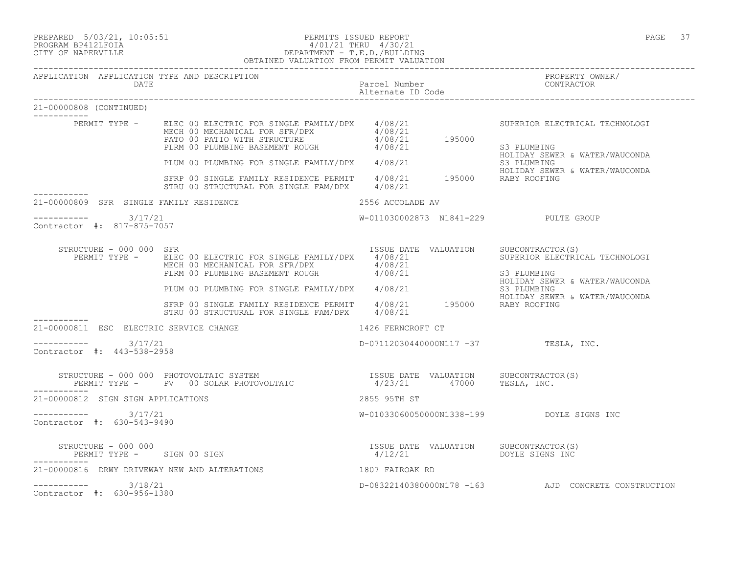PREPARED 5/03/21, 10:05:51 PERMITS ISSUED REPORT PAGE 37

#### PROGRAM BP412LFOIA 4/01/21 THRU 4/30/21 CITY OF NAPERVILLE DEPARTMENT - T.E.D./BUILDING OBTAINED VALUATION FROM PERMIT VALUATION

| APPLICATION APPLICATION TYPE AND DESCRIPTION<br>DATE |                                                                                                                                                                                                                            | Parcel Number                                                      | PROPERTY OWNER/<br>CONTRACTOR                                                   |
|------------------------------------------------------|----------------------------------------------------------------------------------------------------------------------------------------------------------------------------------------------------------------------------|--------------------------------------------------------------------|---------------------------------------------------------------------------------|
| 21-00000808 (CONTINUED)                              |                                                                                                                                                                                                                            |                                                                    |                                                                                 |
|                                                      | ---<br>PERMIT TYPE - ELEC 00 ELECTRIC FOR SINGLE FAMILY/DPX 4/08/21<br>MECH 00 MECHANICAL FOR SFR/DPX 4/08/21<br>PATO 00 PATIO WITH STRUCTURE 4/08/21 195000<br>PLRM 00 PLUMBING BASEMENT ROUGH 4/08/21 195000             |                                                                    | SUPERIOR ELECTRICAL TECHNOLOGI<br>S3 PLUMBING                                   |
|                                                      | -<br>PLUM 00 PLUMBING FOR SINGLE FAMILY/DPX 4/08/21                                                                                                                                                                        |                                                                    | HOLIDAY SEWER & WATER/WAUCONDA<br>S3 PLUMBING                                   |
|                                                      | SFRP 00 SINGLE FAMILY RESIDENCE PERMIT 4/08/21 195000 RABY ROOFING<br>STRU 00 STRUCTURAL FOR SINGLE FAM/DPX 4/08/21                                                                                                        |                                                                    | HOLIDAY SEWER & WATER/WAUCONDA                                                  |
| 21-00000809 SFR SINGLE FAMILY RESIDENCE              |                                                                                                                                                                                                                            | 2556 ACCOLADE AV                                                   |                                                                                 |
| $--------- 3/17/21$<br>Contractor #: 817-875-7057    |                                                                                                                                                                                                                            | W-011030002873 N1841-229 PULTE GROUP                               |                                                                                 |
| STRUCTURE - 000 000 SFR                              | PERMIT TYPE - ELEC 00 ELECTRIC FOR SINGLE FAMILY/DPX 4/08/21<br>MECH 00 MECHANICAL FOR SFR/DPX $4/08/21$<br>PLRM 00 PLUMBING BASEMENT ROUGH $4/08/21$                                                                      | ISSUE DATE VALUATION SUBCONTRACTOR(S)                              | SUPERIOR ELECTRICAL TECHNOLOGI<br>S3 PLUMBING<br>HOLIDAY SEWER & WATER/WAUCONDA |
|                                                      | PLUM 00 PLUMBING FOR SINGLE FAMILY/DPX $4/08/21$ S3 PLUMBING<br>SFRP 00 SINGLE FAMILY RESIDENCE PERMIT $4/08/21$ 195000 RABY ROOFING                                                                                       |                                                                    | HOLIDAY SEWER & WATER/WAUCONDA                                                  |
|                                                      | STRU 00 STRUCTURAL FOR SINGLE FAM/DPX 4/08/21                                                                                                                                                                              |                                                                    |                                                                                 |
| 21-00000811 ESC ELECTRIC SERVICE CHANGE              |                                                                                                                                                                                                                            | 1426 FERNCROFT CT                                                  |                                                                                 |
| ----------- 3/17/21<br>Contractor #: 443-538-2958    |                                                                                                                                                                                                                            | $D-07112030440000N117 -37$ TESLA, INC.                             |                                                                                 |
|                                                      | STRUCTURE - 000 000 PHOTOVOLTAIC SYSTEM                               ISSUE DATE VALUATION      SUBCONTRACTOR(S)<br>PERMIT TYPE -      PV   00 SOLAR PHOTOVOLTAIC                       4/23/21     47000      TESLA, INC. |                                                                    |                                                                                 |
| 21-00000812 SIGN SIGN APPLICATIONS                   |                                                                                                                                                                                                                            | 2855 95TH ST                                                       |                                                                                 |
| $--------- 3/17/21$<br>Contractor #: 630-543-9490    |                                                                                                                                                                                                                            | W-01033060050000N1338-199 DOYLE SIGNS INC                          |                                                                                 |
| STRUCTURE - 000 000<br>PERMIT TYPE - SIGN 00 SIGN    |                                                                                                                                                                                                                            | ISSUE DATE VALUATION SUBCONTRACTOR(S)<br>$4/12/21$ DOYLE SIGNS INC |                                                                                 |
| 21-00000816 DRWY DRIVEWAY NEW AND ALTERATIONS        |                                                                                                                                                                                                                            | 1807 FAIROAK RD                                                    |                                                                                 |
| $--------- 3/18/21$<br>Contractor #: 630-956-1380    |                                                                                                                                                                                                                            |                                                                    | D-08322140380000N178 -163 AJD CONCRETE CONSTRUCTION                             |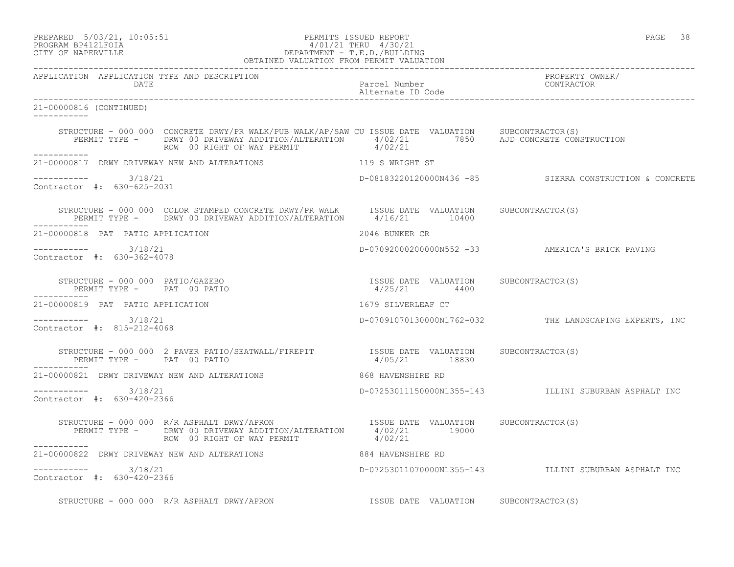| PREPARED            | $5/03/21$ , $10:05:51$ |
|---------------------|------------------------|
| DDACDAM RDA19T FATA |                        |

## of the set of the set of the set of the set of the set of the set of the set of the set of the set of the set of the set of the set of the set of the set of the set of the set of the set of the set of the set of the set of PROGRAM BP412LFOIA  $4/01/21$  THRU  $4/30/21$ <br>CITY OF NAPERVILLE DEPARTMENT - T.E.D./BUILDIN CITY OF NAPERVILLE DEPARTMENT - T.E.D./BUILDING

|                                                                | OBTAINED VALUATION FROM PERMIT VALUATION                                                                                                                                                                                              |                                                         |                                                         |
|----------------------------------------------------------------|---------------------------------------------------------------------------------------------------------------------------------------------------------------------------------------------------------------------------------------|---------------------------------------------------------|---------------------------------------------------------|
| APPLICATION APPLICATION TYPE AND DESCRIPTION<br>DATE           |                                                                                                                                                                                                                                       | Parcel Number<br>Alternate ID Code                      | PROPERTY OWNER/<br>CONTRACTOR                           |
| 21-00000816 (CONTINUED)<br>___________                         |                                                                                                                                                                                                                                       |                                                         |                                                         |
|                                                                | STRUCTURE - 000 000 CONCRETE DRWY/PR WALK/PUB WALK/AP/SAW CU ISSUE DATE VALUATION SUBCONTRACTOR(S)<br>PERMIT TYPE - DRWY 00 DRIVEWAY ADDITION/ALTERATION 4/02/21 7850 AJD CONCRETE CONSTRUCTION<br>ROW 00 RIGHT OF WAY PERMIT 4/02/21 |                                                         |                                                         |
| ------------                                                   | 21-00000817 DRWY DRIVEWAY NEW AND ALTERATIONS TERM NEW 119 S WRIGHT ST                                                                                                                                                                |                                                         |                                                         |
| $--------$ 3/18/21<br>Contractor #: 630-625-2031               |                                                                                                                                                                                                                                       |                                                         | D-08183220120000N436 -85 SIERRA CONSTRUCTION & CONCRETE |
|                                                                | STRUCTURE - 000 000 COLOR STAMPED CONCRETE DRWY/PR WALK ISSUE DATE VALUATION SUBCONTRACTOR(S)<br>PERMIT TYPE - DRWY 00 DRIVEWAY ADDITION/ALTERATION 4/16/21 10400                                                                     |                                                         |                                                         |
| 21-00000818 PAT PATIO APPLICATION                              |                                                                                                                                                                                                                                       | 2046 BUNKER CR                                          |                                                         |
| ----------- 3/18/21<br>Contractor #: 630-362-4078              |                                                                                                                                                                                                                                       |                                                         | D-0709200020000000552 -33 AMERICA'S BRICK PAVING        |
| STRUCTURE - 000 000 PATIO/GAZEBO<br>PERMIT TYPE - PAT 00 PATIO |                                                                                                                                                                                                                                       | ISSUE DATE VALUATION SUBCONTRACTOR(S)<br>$4/25/21$ 4400 |                                                         |
| 21-00000819 PAT PATIO APPLICATION                              |                                                                                                                                                                                                                                       | 1679 SILVERLEAF CT                                      |                                                         |
| ----------- 3/18/21<br>Contractor #: 815-212-4068              |                                                                                                                                                                                                                                       |                                                         | D-07091070130000N1762-032 THE LANDSCAPING EXPERTS, INC  |
| PERMIT TYPE - PAT 00 PATIO<br>___________                      | STRUCTURE - 000 000 2 PAVER PATIO/SEATWALL/FIREPIT TSSUE DATE VALUATION SUBCONTRACTOR(S)                                                                                                                                              | 4/05/21 18830                                           |                                                         |
|                                                                | 21-00000821 DRWY DRIVEWAY NEW AND ALTERATIONS 668 HAVENSHIRE RD                                                                                                                                                                       |                                                         |                                                         |
| $--------- 3/18/21$<br>Contractor #: 630-420-2366              |                                                                                                                                                                                                                                       |                                                         | D-07253011150000N1355-143 ILLINI SUBURBAN ASPHALT INC   |
|                                                                | STRUCTURE - 000 000 R/R ASPHALT DRWY/APRON TESSUE DATE VALUATION SUBCONTRACTOR(S)<br>PERMIT TYPE - DRWY 00 DRIVEWAY ADDITION/ALTERATION 4/02/21 19000<br>ROW 00 RIGHT OF WAY PERMIT                                                   | 4/02/21                                                 |                                                         |
| ___________<br>21-00000822 DRWY DRIVEWAY NEW AND ALTERATIONS   |                                                                                                                                                                                                                                       | 884 HAVENSHIRE RD                                       |                                                         |
| ----------- 3/18/21<br>Contractor #: 630-420-2366              |                                                                                                                                                                                                                                       |                                                         | D-07253011070000N1355-143 ILLINI SUBURBAN ASPHALT INC   |
|                                                                | STRUCTURE - 000 000 R/R ASPHALT DRWY/APRON                                                                                                                                                                                            | ISSUE DATE VALUATION SUBCONTRACTOR(S)                   |                                                         |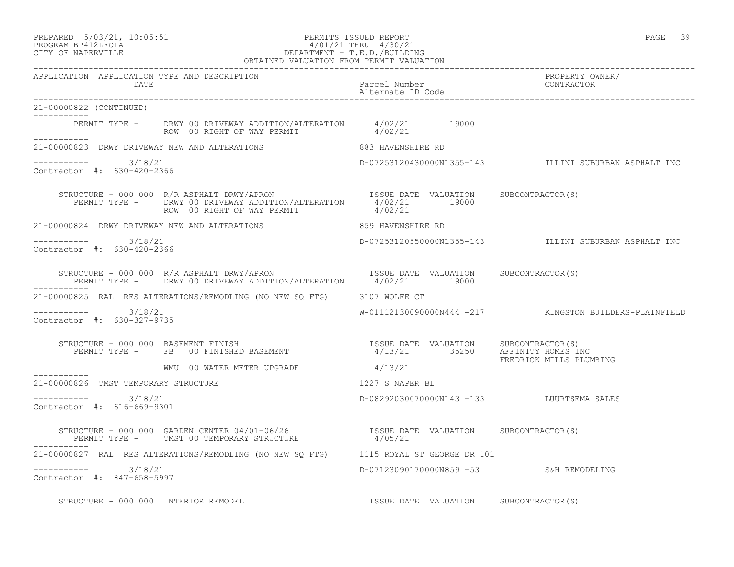### PREPARED 5/03/21, 10:05:51 PERMITS ISSUED REPORT PAGE 39 PROGRAM BP412LFOIA 4/01/21 THRU 4/30/21 CITY OF NAPERVILLE DEPARTMENT - T.E.D./BUILDING

|                                                      | OBTAINED VALUATION FROM PERMIT VALUATION                                                                                                                                |                                           |                                                        |
|------------------------------------------------------|-------------------------------------------------------------------------------------------------------------------------------------------------------------------------|-------------------------------------------|--------------------------------------------------------|
| APPLICATION APPLICATION TYPE AND DESCRIPTION<br>DATE |                                                                                                                                                                         | Parcel Number<br>Alternate ID Code        | PROPERTY OWNER/<br>CONTRACTOR                          |
| 21-00000822 (CONTINUED)<br>-----------               |                                                                                                                                                                         |                                           |                                                        |
| ___________                                          | PERMIT TYPE - DRWY 00 DRIVEWAY ADDITION/ALTERATION 4/02/21 19000<br>ROW 00 RIGHT OF WAY PERMIT 4/02/21                                                                  |                                           |                                                        |
|                                                      | 21-00000823 DRWY DRIVEWAY NEW AND ALTERATIONS 883 HAVENSHIRE RD                                                                                                         |                                           |                                                        |
| $--------$ 3/18/21<br>Contractor #: 630-420-2366     |                                                                                                                                                                         |                                           | D-07253120430000N1355-143 ILLINI SUBURBAN ASPHALT INC  |
| ------------                                         | STRUCTURE - 000 000 R/R ASPHALT DRWY/APRON TSSUE DATE VALUATION SUBCONTRACTOR(S)<br>PERMIT TYPE - DRWY 00 DRIVEWAY ADDITION/ALTERATION 4/02/21 19000<br>------- 4/02/21 |                                           |                                                        |
|                                                      | 21-00000824 DRWY DRIVEWAY NEW AND ALTERATIONS 859 HAVENSHIRE RD                                                                                                         |                                           |                                                        |
| $--------- 3/18/21$<br>Contractor #: 630-420-2366    |                                                                                                                                                                         |                                           | D-07253120550000N1355-143 ILLINI SUBURBAN ASPHALT INC  |
|                                                      | STRUCTURE - 000 000 R/R ASPHALT DRWY/APRON ISSUE DATE VALUATION SUBCONTRACTOR(S) PERMIT TYPE - DRWY 00 DRIVEWAY ADDITION/ALTERATION $4/02/21$ 19000                     |                                           |                                                        |
|                                                      | 21-00000825 RAL RES ALTERATIONS/REMODLING (NO NEW SQ FTG) 3107 WOLFE CT                                                                                                 |                                           |                                                        |
| $--------$ 3/18/21<br>Contractor #: 630-327-9735     |                                                                                                                                                                         |                                           | W-01112130090000N444 -217 KINGSTON BUILDERS-PLAINFIELD |
|                                                      |                                                                                                                                                                         |                                           | FREDRICK MILLS PLUMBING                                |
| ------------                                         | WMU 00 WATER METER UPGRADE 4/13/21                                                                                                                                      |                                           |                                                        |
| 21-00000826 TMST TEMPORARY STRUCTURE                 |                                                                                                                                                                         | 1227 S NAPER BL                           |                                                        |
| $--------- 3/18/21$<br>Contractor #: 616-669-9301    |                                                                                                                                                                         | D-08292030070000N143 -133 LUURTSEMA SALES |                                                        |
|                                                      |                                                                                                                                                                         |                                           |                                                        |
|                                                      | 21-00000827 RAL RES ALTERATIONS/REMODLING (NO NEW SQ FTG) 1115 ROYAL ST GEORGE DR 101                                                                                   |                                           |                                                        |
| $--------- 3/18/21$<br>Contractor #: 847-658-5997    |                                                                                                                                                                         | D-07123090170000N859 -53 S&H REMODELING   |                                                        |
| STRUCTURE - 000 000 INTERIOR REMODEL                 |                                                                                                                                                                         | ISSUE DATE VALUATION SUBCONTRACTOR(S)     |                                                        |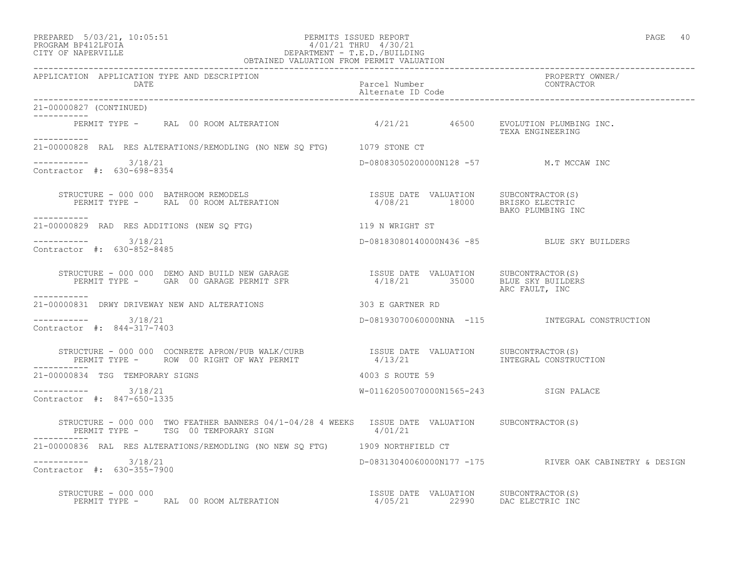#### PREPARED 5/03/21, 10:05:51 PERMITS ISSUED REPORT PAGE 40 PROGRAM BP412LFOIA 4/01/21 THRU 4/30/21 CITY OF NAPERVILLE DEPARTMENT - T.E.D./BUILDING OBTAINED VALUATION FROM PERMIT VALUATION

------------------------------------------------------------------------------------------------------------------------------------ APPLICATION APPLICATION TYPE AND DESCRIPTION<br>DATE bated parcel Number property own Parcel Number<br>Alternate ID Code Alternate ID Code ------------------------------------------------------------------------------------------------------------------------------------ 21-00000827 (CONTINUED) ----------- PERMIT TYPE - RAL 00 ROOM ALTERATION  $4/21/21$  46500 EVOLUTION PLUMBING INC. TEXA ENGINEERING ----------- 21-00000828 RAL RES ALTERATIONS/REMODLING (NO NEW SQ FTG) 1079 STONE CT  $--------- 3/18/21$ D-08083050200000N128 -57 M.T MCCAW INC Contractor #: 630-698-8354 STRUCTURE - 000 000 BATHROOM REMODELS ISSUE DATE VALUATION SUBCONTRACTOR(S) PERMIT TYPE - RAL 00 ROOM ALTERATION 4/08/21 18000 BRISKO ELECTRIC BAKO PLUMBING INC ----------- 21-00000829 RAD RES ADDITIONS (NEW SQ FTG) 119 N WRIGHT ST \_\_\_\_\_\_\_\_\_\_\_ ----------- 3/18/21 D-08183080140000N436 -85 BLUE SKY BUILDERS Contractor #: 630-852-8485 STRUCTURE - 000 000 DEMO AND BUILD NEW GARAGE ISSUE DATE VALUATION SUBCONTRACTOR(S) PERMIT TYPE - GAR 00 GARAGE PERMIT SFR 4/18/21 35000 BLUE SKY BUILDERS ARC FAULT, INC ----------- 21-00000831 DRWY DRIVEWAY NEW AND ALTERATIONS 303 E GARTNER RD  $--------- 3/18/21$ ----------- 3/18/21 D-08193070060000NNA -115 INTEGRAL CONSTRUCTION Contractor #: 844-317-7403 STRUCTURE - 000 000 COCNRETE APRON/PUB WALK/CURB ISSUE DATE VALUATION SUBCONTRACTOR(S) PERMIT TYPE - ROW 00 RIGHT OF WAY PERMIT 4/13/21 INTEGRAL CONSTRUCTION ----------- 21-00000834 TSG TEMPORARY SIGNS 4003 S ROUTE 59 ----------- 3/18/21 W-01162050070000N1565-243 SIGN PALACE Contractor #: 847-650-1335 STRUCTURE - 000 000 TWO FEATHER BANNERS 04/1-04/28 4 WEEKS ISSUE DATE VALUATION SUBCONTRACTOR(S)<br>PERMIT TYPE - TSG 00 TEMPORARY SIGN 4/01/21 PERMIT TYPE - TSG 00 TEMPORARY SIGN ----------- 21-00000836 RAL RES ALTERATIONS/REMODLING (NO NEW SQ FTG) 1909 NORTHFIELD CT ----------- 3/18/21 D-08313040060000N177 -175 RIVER OAK CABINETRY & DESIGN Contractor #: 630-355-7900 STRUCTURE - 000 000 ISSUE DATE VALUATION SUBCONTRACTOR(S) PERMIT TYPE - RAL 00 ROOM ALTERATION 4/05/21 22990 DAC ELECTRIC INC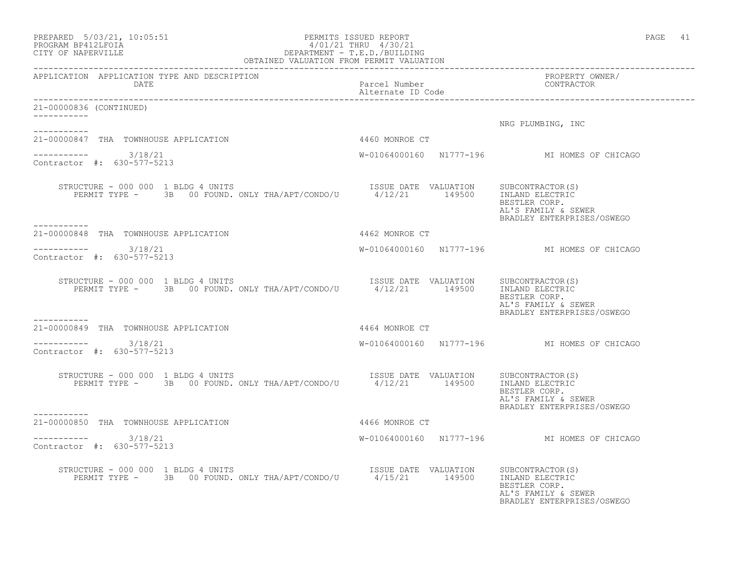| $\begin{tabular}{lllllll} \bf {PREPARED} & 5/03/21, 10:05:51 & & & & & & & & & & & & \\ \bf {PROGRAM} & \tt{BP412LFOIA} & & & & & & & & & & & \\ \hline \texttt{T} \tt{T} \tt{S} & \tt{S} \tt{P} \tt{R} & \tt{S} \tt{P} \tt{R} & \tt{S} \tt{P} \tt{R} & \tt{S} \tt{P} \tt{R} & \tt{S} \tt{P} \tt{R} & \tt{S} \tt{P} \tt{R} & \tt{S} \tt{P} \tt{R} & \tt{S} \$ |                                                                         | PAGE 41                                                                                                   |
|---------------------------------------------------------------------------------------------------------------------------------------------------------------------------------------------------------------------------------------------------------------------------------------------------------------------------------------------------------------|-------------------------------------------------------------------------|-----------------------------------------------------------------------------------------------------------|
| DATE                                                                                                                                                                                                                                                                                                                                                          | Parcel Number<br>Alternate ID Code                                      | PROPERTY OWNER/<br>CONTRACTOR                                                                             |
| 21-00000836 (CONTINUED)<br>-----------                                                                                                                                                                                                                                                                                                                        |                                                                         |                                                                                                           |
| -----------                                                                                                                                                                                                                                                                                                                                                   |                                                                         | NRG PLUMBING, INC                                                                                         |
| 21-00000847 THA TOWNHOUSE APPLICATION                                                                                                                                                                                                                                                                                                                         | 4460 MONROE CT                                                          |                                                                                                           |
| $--------- 3/18/21$<br>Contractor #: 630-577-5213                                                                                                                                                                                                                                                                                                             |                                                                         | W-01064000160 N1777-196 MI HOMES OF CHICAGO                                                               |
| XUCTURE – 000 000 1 BLDG 4 UNITS<br>PERMIT TYPE – 3B 00 FOUND. ONLY THA/APT/CONDO/U 1/12/21 149500 INLAND ELECTRIC<br>STRUCTURE - 000 000 1 BLDG 4 UNITS<br>-----------                                                                                                                                                                                       |                                                                         | BESTLER CORP.<br>AL'S FAMILY & SEWER<br>BRADLEY ENTERPRISES/OSWEGO                                        |
| 21-00000848 THA TOWNHOUSE APPLICATION                                                                                                                                                                                                                                                                                                                         | 4462 MONROE CT                                                          |                                                                                                           |
| $--------$ 3/18/21<br>Contractor #: 630-577-5213                                                                                                                                                                                                                                                                                                              |                                                                         | W-01064000160 N1777-196 MI HOMES OF CHICAGO                                                               |
| VUCTURE - 000 000 1 BLDG 4 UNITS<br>PERMIT TYPE - 3B 00 FOUND. ONLY THA/APT/CONDO/U 4/12/21 149500<br>STRUCTURE - 000 000 1 BLDG 4 UNITS                                                                                                                                                                                                                      | ISSUE DATE VALUATION SUBCONTRACTOR(S)<br>4/12/21 149500 INLAND ELECTRIC | BESTLER CORP.<br>AL'S FAMILY & SEWER<br>BRADLEY ENTERPRISES/OSWEGO                                        |
| -----------<br>21-00000849 THA TOWNHOUSE APPLICATION                                                                                                                                                                                                                                                                                                          | 4464 MONROE CT                                                          |                                                                                                           |
| ----------- 3/18/21<br>Contractor #: 630-577-5213                                                                                                                                                                                                                                                                                                             |                                                                         | W-01064000160 N1777-196 MI HOMES OF CHICAGO                                                               |
| RUCTURE – 000 000 1 BLDG 4 UNITS<br>PERMIT TYPE – 3B 00 FOUND. ONLY THA/APT/CONDO/U 1/12/21 149500 INLAND ELECTRIC<br>STRUCTURE - 000 000 1 BLDG 4 UNITS                                                                                                                                                                                                      |                                                                         | BESTLER CORP.<br>AL'S FAMILY & SEWER<br>BRADLEY ENTERPRISES/OSWEGO                                        |
| ----------<br>21-00000850 THA TOWNHOUSE APPLICATION                                                                                                                                                                                                                                                                                                           | 4466 MONROE CT                                                          |                                                                                                           |
| ----------- 3/18/21<br>Contractor #: 630-577-5213                                                                                                                                                                                                                                                                                                             |                                                                         | W-01064000160 N1777-196 MI HOMES OF CHICAGO                                                               |
| STRUCTURE - 000 000 1 BLDG 4 UNITS<br>XUCTURE - 000 000 1 BLDG 4 UNITS<br>PERMIT TYPE - 3B 00 FOUND. ONLY THA/APT/CONDO/U 4/15/21 149500                                                                                                                                                                                                                      |                                                                         | SUBCONTRACTOR(S)<br>INLAND ELECTRIC<br>BESTLER CORP.<br>AL'S FAMILY & SEWER<br>BRADLEY ENTERPRISES/OSWEGO |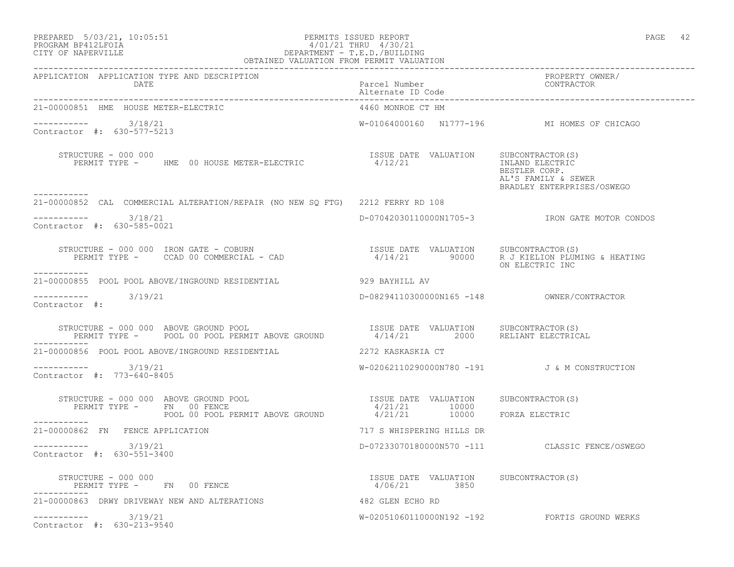#### PREPARED 5/03/21, 10:05:51 PERMITS ISSUED REPORT PAGE 42 PROGRAM BP412LFOIA 4/01/21 THRU 4/30/21 CITY OF NAPERVILLE DEPARTMENT - T.E.D./BUILDING OBTAINED VALUATION FROM PERMIT VALUATION

| APPLICATION APPLICATION TYPE AND DESCRIPTION<br>DATE                                                                                                                                                                                                                                                                                                                                                                                    | Parcel Number<br>Alternate ID Code                     | PROPERTY OWNER/<br>CONTRACTOR                                                         |
|-----------------------------------------------------------------------------------------------------------------------------------------------------------------------------------------------------------------------------------------------------------------------------------------------------------------------------------------------------------------------------------------------------------------------------------------|--------------------------------------------------------|---------------------------------------------------------------------------------------|
| 21-00000851 HME HOUSE METER-ELECTRIC                                                                                                                                                                                                                                                                                                                                                                                                    | 4460 MONROE CT HM                                      |                                                                                       |
| $--------- 3/18/21$<br>Contractor #: 630-577-5213                                                                                                                                                                                                                                                                                                                                                                                       |                                                        | W-01064000160 N1777-196 MI HOMES OF CHICAGO                                           |
| STRUCTURE - 000 000<br>PERMIT TYPE - HME 00 HOUSE METER-ELECTRIC                                                                                                                                                                                                                                                                                                                                                                        | ISSUE DATE VALUATION SUBCONTRACTOR(S)<br>4/12/21       | INLAND ELECTRIC<br>BESTLER CORP.<br>AL'S FAMILY & SEWER<br>BRADLEY ENTERPRISES/OSWEGO |
| 21-00000852 CAL COMMERCIAL ALTERATION/REPAIR (NO NEW SO FTG) 2212 FERRY RD 108                                                                                                                                                                                                                                                                                                                                                          |                                                        |                                                                                       |
| $--------- 3/18/21$<br>Contractor #: 630-585-0021                                                                                                                                                                                                                                                                                                                                                                                       |                                                        | D-07042030110000N1705-3 IRON GATE MOTOR CONDOS                                        |
| $\begin{array}{cccc} \texttt{STRUCTURE} - 000 000 & \texttt{IRON} & \texttt{GATE} - \texttt{COBURN} & \\ \texttt{PERMIT TYPE} - & \texttt{CCAD} 00 & \texttt{COMMERCIAL} - \texttt{CAD} & \\ \end{array} \qquad \begin{array}{cccc} \texttt{ISSUE} & \texttt{DATE} & \texttt{VALUATION} & \texttt{SUBCONTRACTOR(S)} \\ \texttt{4/14/21} & \texttt{90000} & \texttt{R J KIELION PLUMING} & \texttt{HEATING} \end{array}$<br>------------ |                                                        | ON ELECTRIC INC                                                                       |
| 21-00000855 POOL POOL ABOVE/INGROUND RESIDENTIAL                                                                                                                                                                                                                                                                                                                                                                                        | 929 BAYHILL AV                                         |                                                                                       |
| $--------- 3/19/21$<br>Contractor #:                                                                                                                                                                                                                                                                                                                                                                                                    | D-08294110300000N165 -148 OWNER/CONTRACTOR             |                                                                                       |
|                                                                                                                                                                                                                                                                                                                                                                                                                                         |                                                        |                                                                                       |
| 21-00000856 POOL POOL ABOVE/INGROUND RESIDENTIAL <b>2272 KASKASKIA CT</b>                                                                                                                                                                                                                                                                                                                                                               |                                                        |                                                                                       |
| $--------- 3/19/21$<br>Contractor #: 773-640-8405                                                                                                                                                                                                                                                                                                                                                                                       |                                                        | W-02062110290000N780 -191 J&M CONSTRUCTION                                            |
| STRUCTURE - 000 000 ABOVE GROUND POOL                                                                                                                                                                                                                                                                                                                                                                                                   | ISSUE DATE VALUATION SUBCONTRACTOR(S)                  |                                                                                       |
| $\begin{array}{ccccccccc} \texttt{PERMIT TYPE} & - & \texttt{FN} & 00 & \texttt{FENCE} & & & & 4/21/21 & & & 10000 \\ & \texttt{POOL OO POOL PERMIT ABOVE GROUND} & & & & 4/21/21 & & & 10000 & & \texttt{FORZA ELECTRIC} \end{array}$                                                                                                                                                                                                  |                                                        |                                                                                       |
| ___________<br>21-00000862 FN FENCE APPLICATION                                                                                                                                                                                                                                                                                                                                                                                         | 717 S WHISPERING HILLS DR                              |                                                                                       |
| $--------- 3/19/21$<br>Contractor #: 630-551-3400                                                                                                                                                                                                                                                                                                                                                                                       |                                                        | D-07233070180000N570 -111 CLASSIC FENCE/OSWEGO                                        |
| STRUCTURE - 000 000<br>PERMIT TYPE - FN 00 FENCE                                                                                                                                                                                                                                                                                                                                                                                        | ISSUE DATE VALUATION SUBCONTRACTOR (S)<br>4/06/21 3850 |                                                                                       |
| 21-00000863 DRWY DRIVEWAY NEW AND ALTERATIONS                                                                                                                                                                                                                                                                                                                                                                                           | 482 GLEN ECHO RD                                       |                                                                                       |
| $--------- 3/19/21$<br>Contractor #: 630-213-9540                                                                                                                                                                                                                                                                                                                                                                                       |                                                        | W-02051060110000N192 -192 FORTIS GROUND WERKS                                         |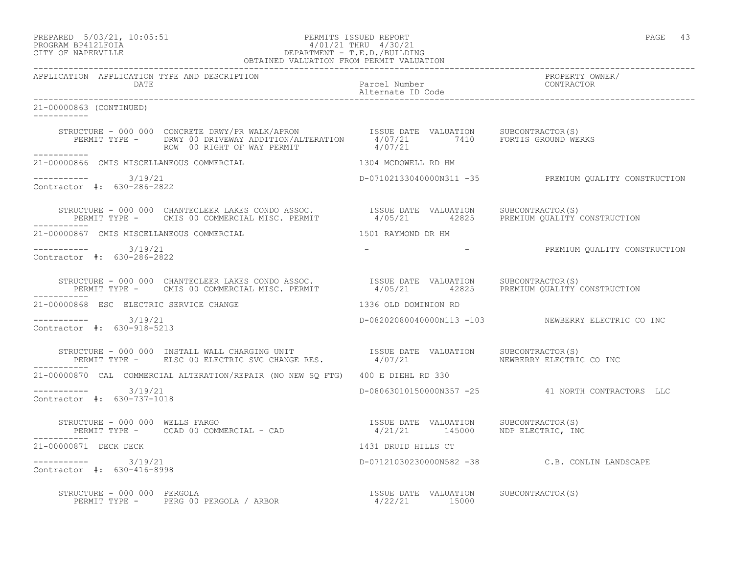#### PREPARED 5/03/21, 10:05:51 PERMITS ISSUED REPORT PAGE 43 PROGRAM BP412LFOIA 4/01/21 THRU 4/30/21 CITY OF NAPERVILLE DEPARTMENT - T.E.D./BUILDING OBTAINED VALUATION FROM PERMIT VALUATION

------------------------------------------------------------------------------------------------------------------------------------ APPLICATION APPLICATION TYPE AND DESCRIPTION PROPERTY OWNER/ Parcel Number<br>Alternate ID Code Alternate ID Code ------------------------------------------------------------------------------------------------------------------------------------ 21-00000863 (CONTINUED) ----------- STRUCTURE - 000 000 CONCRETE DRWY/PR WALK/APRON ISSUE DATE VALUATION SUBCONTRACTOR(S) PERMIT TYPE - DRWY 00 DRIVEWAY ADDITION/ALTERATION 4/07/21 7410 FORTIS GROUND WERKS ROW 00 RIGHT OF WAY PERMIT  $4/07/21$ ----------- 21-00000866 CMIS MISCELLANEOUS COMMERCIAL 1304 MCDOWELL RD HM  $--------- 3/19/21$ D-07102133040000N311 -35 PREMIUM OUALITY CONSTRUCTION Contractor #: 630-286-2822 STRUCTURE - 000 000 CHANTECLEER LAKES CONDO ASSOC. ISSUE DATE VALUATION SUBCONTRACTOR(S) PERMIT TYPE - CMIS 00 COMMERCIAL MISC. PERMIT 4/05/21 42825 PREMIUM QUALITY CONSTRUCTION ----------- 21-00000867 CMIS MISCELLANEOUS COMMERCIAL 1501 RAYMOND DR HM ----------- 3/19/21 - - PREMIUM QUALITY CONSTRUCTION Contractor #: 630-286-2822 STRUCTURE - 000 000 CHANTECLEER LAKES CONDO ASSOC. ISSUE DATE VALUATION SUBCONTRACTOR(S) PERMIT TYPE - CMIS 00 COMMERCIAL MISC. PERMIT 4/05/21 42825 PREMIUM QUALITY CONSTRUCTION ----------- 21-00000868 ESC ELECTRIC SERVICE CHANGE 1336 OLD DOMINION RD ----------- 3/19/21 D-08202080040000N113 -103 NEWBERRY ELECTRIC CO INC Contractor #: 630-918-5213 STRUCTURE - 000 000 INSTALL WALL CHARGING UNIT ISSUE DATE VALUATION SUBCONTRACTOR(S) PERMIT TYPE - ELSC 00 ELECTRIC SVC CHANGE RES.  $4/07/21$  NEWBERRY ELECTRIC CO INC ----------- 21-00000870 CAL COMMERCIAL ALTERATION/REPAIR (NO NEW SQ FTG) 400 E DIEHL RD 330 ----------- 3/19/21 D-08063010150000N357 -25 41 NORTH CONTRACTORS LLC Contractor #: 630-737-1018 STRUCTURE - 000 000 WELLS FARGO **ISSUE DATE VALUATION** SUBCONTRACTOR(S) PERMIT TYPE - CCAD 00 COMMERCIAL - CAD 4/21/21 145000 NDP ELECTRIC, INC ----------- 21-00000871 DECK DECK 1431 DRUID HILLS CT ----------- 3/19/21 D-07121030230000N582 -38 C.B. CONLIN LANDSCAPE Contractor #: 630-416-8998 STRUCTURE - 000 000 PERGOLA ISSUE DATE VALUATION SUBCONTRACTOR(S) PERMIT TYPE - PERG 00 PERGOLA / ARBOR 1999 1999 15000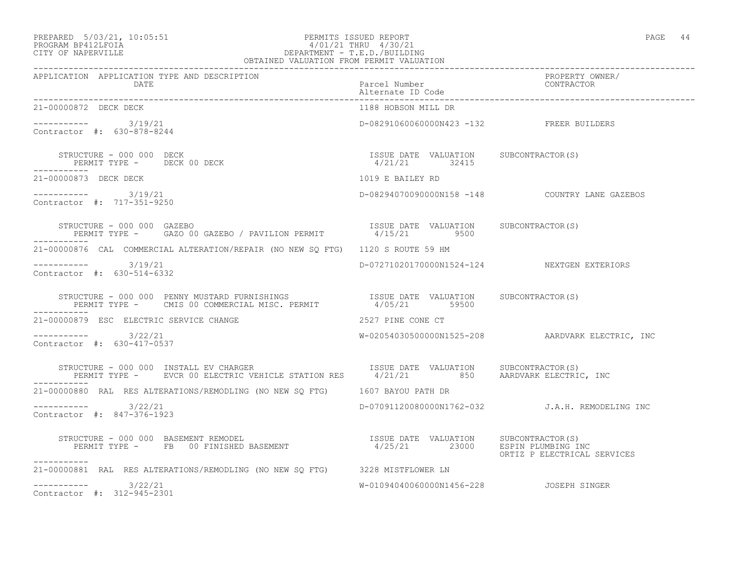## PREPARED 5/03/21, 10:05:51 PERMITS ISSUED REPORT<br>PROGRAM BP412LFOIA PAGE 44 PROGRAM BP412LFOIA 4/01/21 THRU 4/30/21 CITY OF NAPERVILLE DEPARTMENT - T.E.D./BUILDING

| OBTAINED VALUATION FROM PERMIT VALUATION                                                                                                                                                                    |                                             |                                                  |  |
|-------------------------------------------------------------------------------------------------------------------------------------------------------------------------------------------------------------|---------------------------------------------|--------------------------------------------------|--|
| APPLICATION APPLICATION TYPE AND DESCRIPTION<br>DATE                                                                                                                                                        | Parcel Number<br>Alternate ID Code          | PROPERTY OWNER/<br>CONTRACTOR                    |  |
| 21-00000872 DECK DECK                                                                                                                                                                                       | 1188 HOBSON MILL DR                         |                                                  |  |
| $--------- 3/19/21$<br>Contractor #: 630-878-8244                                                                                                                                                           | D-08291060060000N423 -132 FREER BUILDERS    |                                                  |  |
| $\begin{array}{cccccccccc} \texttt{STRUCTURE} & - & 000 & 000 & \texttt{DECK} & & & & & & & & \\ \texttt{PERMIT TYPE} & - & & & & & & & & & & \\ \texttt{PERMIT TYPE} & - & & & & & & & & & \\ \end{array}$ | $4/21/21$ 32415                             |                                                  |  |
| 21-00000873 DECK DECK                                                                                                                                                                                       | 1019 E BAILEY RD                            |                                                  |  |
| $--------- 3/19/21$<br>Contractor #: 717-351-9250                                                                                                                                                           |                                             | D-08294070090000N158 -148 COUNTRY LANE GAZEBOS   |  |
|                                                                                                                                                                                                             |                                             |                                                  |  |
| 21-00000876 CAL COMMERCIAL ALTERATION/REPAIR (NO NEW SQ FTG) 1120 S ROUTE 59 HM                                                                                                                             |                                             |                                                  |  |
| $--------$ 3/19/21<br>Contractor #: 630-514-6332                                                                                                                                                            | D-07271020170000N1524-124 NEXTGEN EXTERIORS |                                                  |  |
| STRUCTURE - 000 000 PENNY MUSTARD FURNISHINGS                   ISSUE DATE VALUATION     SUBCONTRACTOR(S)<br>PERMIT TYPE -     CMIS 00 COMMERCIAL MISC. PERMIT             4/05/21       59500              |                                             |                                                  |  |
| 21-00000879 ESC ELECTRIC SERVICE CHANGE                                                                                                                                                                     | 2527 PINE CONE CT                           |                                                  |  |
| $--------- 3/22/21$<br>Contractor #: 630-417-0537                                                                                                                                                           |                                             | W-02054030500000N1525-208 AARDVARK ELECTRIC, INC |  |
| STRUCTURE - 000 000 INSTALL EV CHARGER<br>PERMIT TYPE -     EVCR 00 ELECTRIC VEHICLE STATION RES     4/21/21      850     AARDVARK ELECTRIC, INC<br>STRUCTURE - 000 000 INSTALL EV CHARGER                  |                                             |                                                  |  |
| 21-00000880 RAL RES ALTERATIONS/REMODLING (NO NEW SQ FTG) 1607 BAYOU PATH DR                                                                                                                                |                                             |                                                  |  |
| $--------- 3/22/21$<br>Contractor #: 847-376-1923                                                                                                                                                           |                                             | D-07091120080000N1762-032 J.A.H. REMODELING INC  |  |
| STRUCTURE - 000 000 BASEMENT REMODEL<br>PERMIT TYPE - FB 00 FINISHED BASEMENT - 1/25/21 23000 ESPIN PLUMBING INC                                                                                            |                                             | ORTIZ P ELECTRICAL SERVICES                      |  |
| 21-00000881 RAL RES ALTERATIONS/REMODLING (NO NEW SQ FTG) 3228 MISTFLOWER LN                                                                                                                                |                                             |                                                  |  |
| $--------- 3/22/21$<br>Contractor #: 312-945-2301                                                                                                                                                           | W-01094040060000N1456-228    JOSEPH SINGER  |                                                  |  |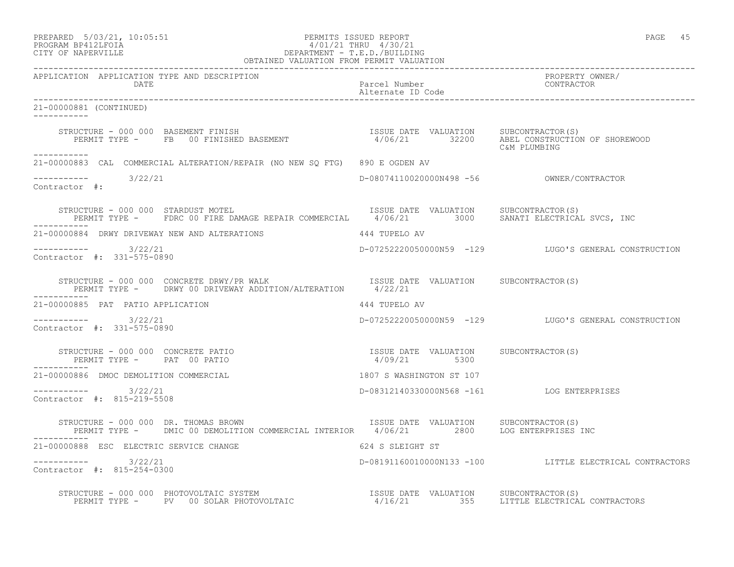| PREPARED            | $5/03/21$ , $10:05:51$ |  |
|---------------------|------------------------|--|
| גד∩ם זר11מם וגמר∩מם |                        |  |

## PREPARED 5/03/21, 10:05:51 PERMITS ISSUED REPORT<br>PROGRAM BP412LFOIA PAGE 45 PROGRAM BP412LFOIA  $4/01/21$  THRU  $4/30/21$ <br>CITY OF NAPERVILLE DEPARTMENT - T.E.D./BUILDI CITY OF NAPERVILLE DEPARTMENT - T.E.D./BUILDING

|                                                      | OBTAINED VALUATION FROM PERMIT VALUATION                                                                                                                                                                                                                                                                                                    |                                    |                                                         |
|------------------------------------------------------|---------------------------------------------------------------------------------------------------------------------------------------------------------------------------------------------------------------------------------------------------------------------------------------------------------------------------------------------|------------------------------------|---------------------------------------------------------|
| APPLICATION APPLICATION TYPE AND DESCRIPTION<br>DATE |                                                                                                                                                                                                                                                                                                                                             | Parcel Number<br>Alternate ID Code | PROPERTY OWNER/<br>CONTRACTOR                           |
| 21-00000881 (CONTINUED)                              |                                                                                                                                                                                                                                                                                                                                             |                                    |                                                         |
|                                                      | STRUCTURE - 000 000 BASEMENT FINISH<br>PERMIT TYPE -    FB  00 FINISHED BASEMENT                      4/06/21        32200    ABEL CONSTRUCTION OF SHOREWOOD                                                                                                                                                                                |                                    | C&M PLUMBING                                            |
| -----------                                          | 21-00000883 CAL COMMERCIAL ALTERATION/REPAIR (NO NEW SQ FTG) 890 E OGDEN AV                                                                                                                                                                                                                                                                 |                                    |                                                         |
| Contractor #:                                        |                                                                                                                                                                                                                                                                                                                                             |                                    |                                                         |
|                                                      | STRUCTURE - 000 000 STARDUST MOTEL<br>PERMIT TYPE - FDRC 00 FIRE DAMAGE REPAIR COMMERCIAL 4/06/21 3000 SANATI ELECTRICAL SVCS, INC                                                                                                                                                                                                          |                                    | ISSUE DATE VALUATION SUBCONTRACTOR(S)                   |
|                                                      | 21-00000884 DRWY DRIVEWAY NEW AND ALTERATIONS THE SAME MANUSCRY AVE                                                                                                                                                                                                                                                                         |                                    |                                                         |
| $--------- 3/22/21$<br>Contractor #: 331-575-0890    |                                                                                                                                                                                                                                                                                                                                             |                                    | D-07252220050000N59 -129 LUGO'S GENERAL CONSTRUCTION    |
|                                                      | STRUCTURE - 000 000 CONCRETE DRWY/PR WALK [SSUE DATE VALUATION SUBCONTRACTOR(S)<br>PERMIT TYPE - DRWY 00 DRIVEWAY ADDITION/ALTERATION 4/22/21<br>STRUCTURE - 000 000 CONCRETE DRWY/PR WALK                                                                                                                                                  |                                    |                                                         |
| 21-00000885 PAT PATIO APPLICATION                    |                                                                                                                                                                                                                                                                                                                                             | 444 TUPELO AV                      |                                                         |
| $--------- 3/22/21$<br>Contractor #: 331-575-0890    |                                                                                                                                                                                                                                                                                                                                             |                                    | D-072522200500000N59 -129 LUGO'S GENERAL CONSTRUCTION   |
|                                                      | $\begin{array}{cccc} \texttt{STRUCTURE} & - & 000 & 000 & \texttt{CONCRETE} & \texttt{PATIO} \\ \texttt{PERMIT TYPE} & - & \texttt{PAT} & 00 & \texttt{PATIO} \\ \end{array} \qquad \begin{array}{cccc} \texttt{TSSUE} & \texttt{DATE} & \texttt{VALUATION} & \texttt{SUBCONTRACTOR(S)} \\ \texttt{4/09/21} & \texttt{5300} \\ \end{array}$ |                                    |                                                         |
| 21-00000886 DMOC DEMOLITION COMMERCIAL               |                                                                                                                                                                                                                                                                                                                                             | 1807 S WASHINGTON ST 107           |                                                         |
| $--------$ 3/22/21<br>Contractor #: 815-219-5508     |                                                                                                                                                                                                                                                                                                                                             |                                    | D-08312140330000N568 -161 LOG ENTERPRISES               |
| STRUCTURE - 000 000 DR. THOMAS BROWN                 | PERMIT TYPE - DMIC 00 DEMOLITION COMMERCIAL INTERIOR 4/06/21 2800 LOG ENTERPRISES INC                                                                                                                                                                                                                                                       |                                    | ISSUE DATE VALUATION SUBCONTRACTOR(S)                   |
| 21-00000888 ESC ELECTRIC SERVICE CHANGE              |                                                                                                                                                                                                                                                                                                                                             | 624 S SLEIGHT ST                   |                                                         |
| $--------- 3/22/21$<br>Contractor #: 815-254-0300    |                                                                                                                                                                                                                                                                                                                                             |                                    | D-08191160010000N133 -100 LITTLE ELECTRICAL CONTRACTORS |
|                                                      | STRUCTURE - 000 000 PHOTOVOLTAIC SYSTEM<br>PERMIT TYPE - PV 00 SOLAR PHOTOVOLTAIC - 1900 - 116/21 255 LITTLE ELECTRICAL CONTRACTORS                                                                                                                                                                                                         |                                    |                                                         |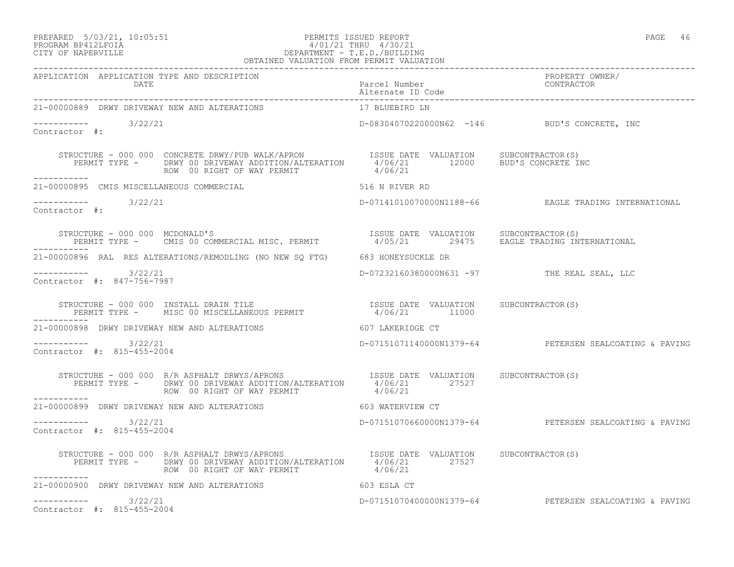#### PREPARED 5/03/21, 10:05:51 PERMITS ISSUED REPORT PAGE 46 PROGRAM BP412LFOIA 4/01/21 THRU 4/30/21 CITY OF NAPERVILLE DEPARTMENT - T.E.D./BUILDING

| г<br>.<br>$\sqrt{2}$<br>н.<br>۰<br>×<br>۰. |  |
|--------------------------------------------|--|
|                                            |  |

|                                                      | OBTAINED VALUATION FROM PERMIT VALUATION                                                                                                                                                                             |                                    |                                                        |
|------------------------------------------------------|----------------------------------------------------------------------------------------------------------------------------------------------------------------------------------------------------------------------|------------------------------------|--------------------------------------------------------|
| APPLICATION APPLICATION TYPE AND DESCRIPTION<br>DATE |                                                                                                                                                                                                                      | Parcel Number<br>Alternate ID Code | PROPERTY OWNER/<br>CONTRACTOR                          |
| 21-00000889 DRWY DRIVEWAY NEW AND ALTERATIONS        |                                                                                                                                                                                                                      | 17 BLUEBIRD LN                     |                                                        |
| ----------- 3/22/21<br>Contractor #:                 |                                                                                                                                                                                                                      |                                    | D-08304070220000N62 -146 BUD'S CONCRETE, INC           |
|                                                      | STRUCTURE - 000 000 CONCRETE DRWY/PUB WALK/APRON TSSUE DATE VALUATION SUBCONTRACTOR(S)<br>PERMIT TYPE - DRWY 00 DRIVEWAY ADDITION/ALTERATION 4/06/21 12000 BUD'S CONCRETE INC<br>ROW 00 RIGHT OF WAY PERMIT          | 4/06/21                            |                                                        |
| 21-00000895 CMIS MISCELLANEOUS COMMERCIAL            | 516 N RIVER RD                                                                                                                                                                                                       |                                    |                                                        |
| $--------- 3/22/21$<br>Contractor #:                 |                                                                                                                                                                                                                      |                                    | D-07141010070000N1188-66 EAGLE TRADING INTERNATIONAL   |
|                                                      | STRUCTURE - 000 000 MCDONALD'S<br>PERMIT TYPE - CMIS 00 COMMERCIAL MISC. PERMIT - 1/05/21 29475 EAGLE TRADING INTERNATIONAL                                                                                          |                                    |                                                        |
|                                                      | 21-00000896 RAL RES ALTERATIONS/REMODLING (NO NEW SQ FTG) 683 HONEYSUCKLE DR                                                                                                                                         |                                    |                                                        |
| $--------- 3/22/21$<br>Contractor #: 847-756-7987    |                                                                                                                                                                                                                      |                                    | D-07232160380000N631 -97 THE REAL SEAL, LLC            |
|                                                      | STRUCTURE – 000 000 INSTALL DRAIN TILE                               ISSUE DATE VALUATION     SUBCONTRACTOR(S)<br>PERMIT TYPE –     MISC 00 MISCELLANEOUS PERMIT                   4/06/21         11000             |                                    |                                                        |
|                                                      | 21-00000898 DRWY DRIVEWAY NEW AND ALTERATIONS 607 LAKERIDGE CT                                                                                                                                                       |                                    |                                                        |
| $--------- 3/22/21$<br>Contractor #: 815-455-2004    |                                                                                                                                                                                                                      |                                    | D-07151071140000N1379-64 PETERSEN SEALCOATING & PAVING |
|                                                      | STRUCTURE - 000 000 R/R ASPHALT DRWYS/APRONS TSSUE DATE VALUATION SUBCONTRACTOR(S)<br>PERMIT TYPE - DRWY 00 DRIVEWAY ADDITION/ALTERATION 4/06/21 27527<br>ROW 00 RIGHT OF WAY PERMIT                                 | 4/06/21                            |                                                        |
| -----------                                          | 21-00000899 DRWY DRIVEWAY NEW AND ALTERATIONS 603 WATERVIEW CT                                                                                                                                                       |                                    |                                                        |
| ----------- 3/22/21<br>Contractor #: 815-455-2004    |                                                                                                                                                                                                                      |                                    | D-07151070660000N1379-64 PETERSEN SEALCOATING & PAVING |
|                                                      | STRUCTURE - 000 000 R/R ASPHALT DRWYS/APRONS<br>PERMIT TYPE - DRWY 00 DRIVEWAY ADDITION/ALTERATION 4/06/21 27527<br>27527 - PERMIT TYPE - DRWY 00 DRIVEWAY ADDITION/ALTERATION 4/06/21<br>ROW 00 RIGHT OF WAY PERMIT | 4/06/21                            |                                                        |
| ------------                                         | 21-00000900 DRWY DRIVEWAY NEW AND ALTERATIONS 603 ESLA CT                                                                                                                                                            |                                    |                                                        |
| $--------- 3/22/21$<br>Contractor #: 815-455-2004    |                                                                                                                                                                                                                      |                                    | D-07151070400000N1379-64 PETERSEN SEALCOATING & PAVING |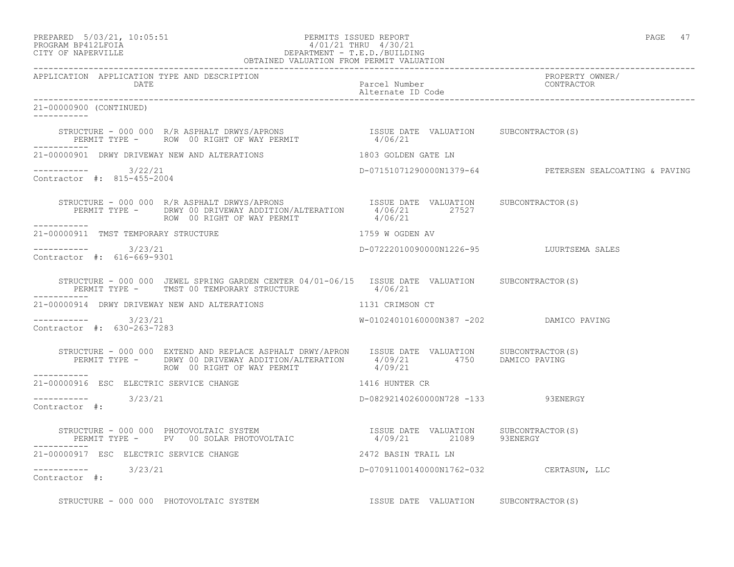## PREPARED 5/03/21, 10:05:51 PERMITS ISSUED REPORT PAGE 47 PROGRAM BP412LFOIA 4/01/21 THRU 4/30/21 CITY OF NAPERVILLE DEPARTMENT - T.E.D./BUILDING

|                                                      | OBTAINED VALUATION FROM PERMIT VALUATION                                                                                                                                                                               |                                         |                                                        |
|------------------------------------------------------|------------------------------------------------------------------------------------------------------------------------------------------------------------------------------------------------------------------------|-----------------------------------------|--------------------------------------------------------|
| APPLICATION APPLICATION TYPE AND DESCRIPTION<br>DATE |                                                                                                                                                                                                                        | Parcel Number<br>Alternate ID Code      | PROPERTY OWNER/<br>CONTRACTOR                          |
| 21-00000900 (CONTINUED)<br>___________               |                                                                                                                                                                                                                        |                                         |                                                        |
|                                                      | STRUCTURE - 000 000 R/R ASPHALT DRWYS/APRONS                     ISSUE DATE VALUATION    SUBCONTRACTOR(S)<br>PERMIT TYPE -    ROW 00 RIGHT OF WAY PERMIT                   4/06/21                                     |                                         |                                                        |
|                                                      | 21-00000901 DRWY DRIVEWAY NEW AND ALTERATIONS THE RESIST OF REAL PROPERTY AND ALTERATIONS                                                                                                                              |                                         |                                                        |
| $--------- 3/22/21$<br>Contractor #: 815-455-2004    |                                                                                                                                                                                                                        |                                         | D-07151071290000N1379-64 PETERSEN SEALCOATING & PAVING |
|                                                      | STRUCTURE – 000 000 R/R ASPHALT DRWYS/APRONS TSSUE DATE VALUATION SUBCONTRACTOR(S)<br>PERMIT TYPE – DRWY 00 DRIVEWAY ADDITION/ALTERATION 4/06/21 27527<br>ROW 00 RIGHT OF WAY PERMIT                                   | 4/06/21                                 |                                                        |
| 21-00000911 TMST TEMPORARY STRUCTURE                 |                                                                                                                                                                                                                        | 1759 W OGDEN AV                         |                                                        |
| ----------- 3/23/21<br>Contractor #: 616-669-9301    |                                                                                                                                                                                                                        |                                         | D-07222010090000N1226-95 LUURTSEMA SALES               |
|                                                      | STRUCTURE - 000 000 JEWEL SPRING GARDEN CENTER 04/01-06/15 ISSUE DATE VALUATION SUBCONTRACTOR(S)<br>PERMIT TYPE - TMST 00 TEMPORARY STRUCTURE                                                                          | 4/06/21                                 |                                                        |
|                                                      | 21-00000914 DRWY DRIVEWAY NEW AND ALTERATIONS 1131 CRIMSON CT                                                                                                                                                          |                                         |                                                        |
| ----------- 3/23/21<br>Contractor #: 630-263-7283    |                                                                                                                                                                                                                        | W-01024010160000N387 -202 DAMICO PAVING |                                                        |
|                                                      | STRUCTURE - 000 000 EXTEND AND REPLACE ASPHALT DRWY/APRON ISSUE DATE VALUATION SUBCONTRACTOR(S)<br>PERMIT TYPE - DRWY 00 DRIVEWAY ADDITION/ALTERATION 4/09/21 4750 DAMICO PAVING<br>ROW 00 RIGHT OF WAY PERMIT 4/09/21 |                                         |                                                        |
| ------------                                         | 21-00000916 ESC ELECTRIC SERVICE CHANGE NAMES AND THE 1416 HUNTER CR                                                                                                                                                   |                                         |                                                        |
| $--------$ 3/23/21<br>Contractor #:                  |                                                                                                                                                                                                                        | D-08292140260000N728 -133 93ENERGY      |                                                        |
|                                                      | STRUCTURE - 000 000 PHOTOVOLTAIC SYSTEM                               ISSUE DATE VALUATION     SUBCONTRACTOR(S)<br>PERMIT TYPE -      PV   00 SOLAR PHOTOVOLTAIC                    4/09/21        21089      93ENERGY |                                         |                                                        |
| 21-00000917 ESC ELECTRIC SERVICE CHANGE              | 2472 BASIN TRAIL LN                                                                                                                                                                                                    |                                         |                                                        |
| $--------$ 3/23/21<br>Contractor #:                  |                                                                                                                                                                                                                        | D-07091100140000N1762-032 CERTASUN, LLC |                                                        |
|                                                      | STRUCTURE - 000 000 PHOTOVOLTAIC SYSTEM                                                                                                                                                                                | ISSUE DATE VALUATION SUBCONTRACTOR(S)   |                                                        |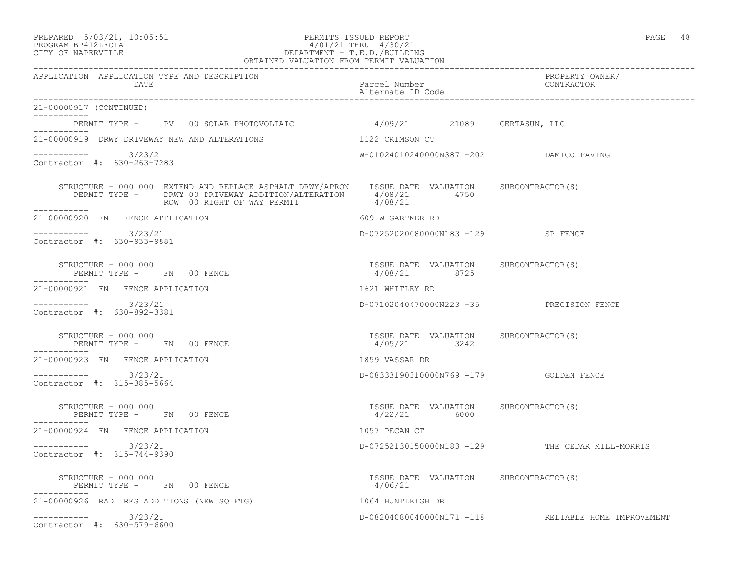#### PREPARED 5/03/21, 10:05:51 PERMITS ISSUED REPORT PAGE 48 PROGRAM BP412LFOIA 4/01/21 THRU 4/30/21 CITY OF NAPERVILLE DEPARTMENT - T.E.D./BUILDING OBTAINED VALUATION FROM PERMIT VALUATION

| APPLICATION APPLICATION TYPE AND DESCRIPTION<br>DATE                                                                                                                                                                                                                                                                                                                                                                                                                                                        | Parcel Number<br>Alternate ID Code                      | PROPERTY OWNER/<br>CONTRACTOR                       |
|-------------------------------------------------------------------------------------------------------------------------------------------------------------------------------------------------------------------------------------------------------------------------------------------------------------------------------------------------------------------------------------------------------------------------------------------------------------------------------------------------------------|---------------------------------------------------------|-----------------------------------------------------|
| 21-00000917 (CONTINUED)                                                                                                                                                                                                                                                                                                                                                                                                                                                                                     |                                                         |                                                     |
| PERMIT TYPE - PV 00 SOLAR PHOTOVOLTAIC 4/09/21 21089 CERTASUN, LLC                                                                                                                                                                                                                                                                                                                                                                                                                                          |                                                         |                                                     |
| . _ _ _ _ _ _ _ _ _ _<br>21-00000919 DRWY DRIVEWAY NEW AND ALTERATIONS                                                                                                                                                                                                                                                                                                                                                                                                                                      | 1122 CRIMSON CT                                         |                                                     |
| $--------$ 3/23/21<br>Contractor #: 630-263-7283                                                                                                                                                                                                                                                                                                                                                                                                                                                            | W-01024010240000N387 -202 DAMICO PAVING                 |                                                     |
| $\begin{array}{cccc} \texttt{STRUCTURE} & - & 000 & 000 & \texttt{EXTEND} \texttt{AND} \texttt{REPLACE} \texttt{ASPHALT} \texttt{DRWY} / \texttt{APRON} & \texttt{ISSUE} \texttt{DATE} \texttt{VALUATION} & \texttt{SUBCONTRACTOR(S)} \\ \texttt{PERMIT} \texttt{TYPE} & - & \texttt{DRWY} \texttt{00} \texttt{DRIVEWAY} \texttt{ADDITION} / \texttt{ALTERATION} & 4/08/21 & 4750 \\ \texttt{ROW} \texttt{100} & 00 \texttt{RIGHT} \texttt{OF} \texttt{WAY} \$<br>ROW 00 RIGHT OF WAY PERMIT<br>___________ |                                                         |                                                     |
| 21-00000920 FN FENCE APPLICATION                                                                                                                                                                                                                                                                                                                                                                                                                                                                            | 609 W GARTNER RD                                        |                                                     |
| $--------$ 3/23/21<br>Contractor #: 630-933-9881                                                                                                                                                                                                                                                                                                                                                                                                                                                            | D-07252020080000N183 -129 SP FENCE                      |                                                     |
| STRUCTURE - 000 000<br>PERMIT TYPE -     FN    00 FENCE                                                                                                                                                                                                                                                                                                                                                                                                                                                     | ISSUE DATE VALUATION SUBCONTRACTOR(S)<br>4/08/21 8725   |                                                     |
| 21-00000921 FN FENCE APPLICATION                                                                                                                                                                                                                                                                                                                                                                                                                                                                            | 1621 WHITLEY RD                                         |                                                     |
| $--------- 3/23/21$<br>Contractor #: 630-892-3381                                                                                                                                                                                                                                                                                                                                                                                                                                                           | D-07102040470000N223 -35 PRECISION FENCE                |                                                     |
| STRUCTURE - 000 000<br>PERMIT TYPE - FN 00 FENCE                                                                                                                                                                                                                                                                                                                                                                                                                                                            | ISSUE DATE VALUATION SUBCONTRACTOR(S)<br>4/05/21 3242   |                                                     |
| ----------<br>21-00000923 FN FENCE APPLICATION                                                                                                                                                                                                                                                                                                                                                                                                                                                              | 1859 VASSAR DR                                          |                                                     |
| $--------- 3/23/21$<br>Contractor #: 815-385-5664                                                                                                                                                                                                                                                                                                                                                                                                                                                           |                                                         |                                                     |
| STRUCTURE - 000 000<br>PERMIT TYPE - FN 00 FENCE                                                                                                                                                                                                                                                                                                                                                                                                                                                            | ISSUE DATE VALUATION SUBCONTRACTOR(S)<br>$4/22/21$ 6000 |                                                     |
| 21-00000924 FN FENCE APPLICATION                                                                                                                                                                                                                                                                                                                                                                                                                                                                            | 1057 PECAN CT                                           |                                                     |
| $--------$ 3/23/21<br>Contractor #: 815-744-9390                                                                                                                                                                                                                                                                                                                                                                                                                                                            |                                                         | D-07252130150000N183 -129 THE CEDAR MILL-MORRIS     |
| STRUCTURE - 000 000<br>PERMIT TYPE - FN 00 FENCE                                                                                                                                                                                                                                                                                                                                                                                                                                                            | ISSUE DATE VALUATION SUBCONTRACTOR (S)<br>4/06/21       |                                                     |
| 21-00000926 RAD RES ADDITIONS (NEW SQ FTG)                                                                                                                                                                                                                                                                                                                                                                                                                                                                  | 1064 HUNTLEIGH DR                                       |                                                     |
| $--------$ 3/23/21<br>Contractor #: 630-579-6600                                                                                                                                                                                                                                                                                                                                                                                                                                                            |                                                         | D-08204080040000N171 -118 RELIABLE HOME IMPROVEMENT |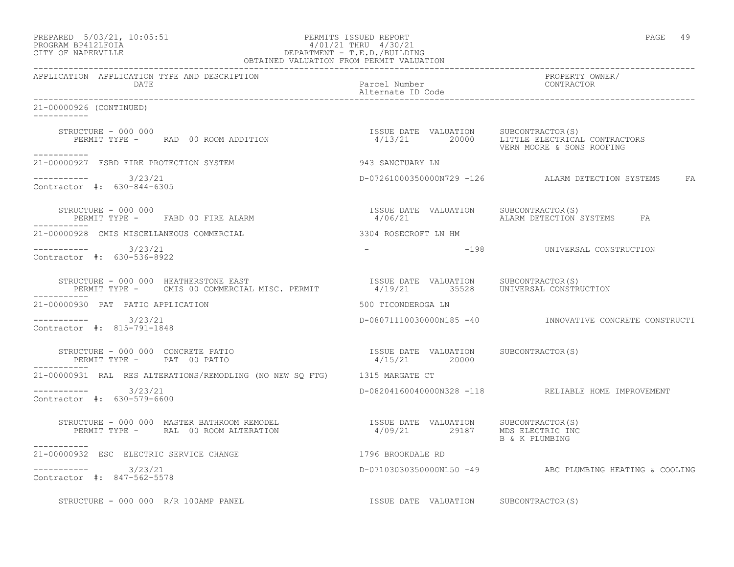| PREPARED            | $5/03/21$ , $10:05:51$ |  |
|---------------------|------------------------|--|
| DDOCDAM DD410T DOTA |                        |  |

## PREPARED 5/03/21, 10:05:51 PERMITS ISSUED REPORT PAGE 49 PROGRAM BP412LFOIA 4/01/21 THRU 4/30/21 CITY OF NAPERVILLE DEPARTMENT - T.E.D./BUILDING

|                                                                                                                                                                                                                             | OBTAINED VALUATION FROM PERMIT VALUATION               |                                                         |
|-----------------------------------------------------------------------------------------------------------------------------------------------------------------------------------------------------------------------------|--------------------------------------------------------|---------------------------------------------------------|
| APPLICATION APPLICATION TYPE AND DESCRIPTION<br>DATE                                                                                                                                                                        | Parcel Number<br>Alternate ID Code                     | PROPERTY OWNER/<br>CONTRACTOR                           |
| 21-00000926 (CONTINUED)                                                                                                                                                                                                     |                                                        |                                                         |
| STRUCTURE - 000 000                                                                                                                                                                                                         |                                                        | VERN MOORE & SONS ROOFING                               |
| -----------<br>21-00000927 FSBD FIRE PROTECTION SYSTEM                                                                                                                                                                      | 943 SANCTUARY LN                                       |                                                         |
| $--------$ 3/23/21<br>Contractor #: 630-844-6305                                                                                                                                                                            |                                                        | D-07261000350000N729 -126  ALARM DETECTION SYSTEMS  FA  |
| STRUCTURE - 000 000                                                                                                                                                                                                         | ISSUE DATE VALUATION SUBCONTRACTOR(S)<br>4/06/21       | ALARM DETECTION SYSTEMS FA                              |
| 21-00000928 CMIS MISCELLANEOUS COMMERCIAL                                                                                                                                                                                   | 3304 ROSECROFT LN HM                                   |                                                         |
| $--------- 3/23/21$<br>Contractor #: 630-536-8922                                                                                                                                                                           |                                                        | -198 UNIVERSAL CONSTRUCTION                             |
| STRUCTURE - 000 000 HEATHERSTONE EAST<br>PERMIT TYPE - CMIS 00 COMMERCIAL MISC. PERMIT                4/19/21        35528    UNIVERSAL CONSTRUCTION<br>STRUCTURE - 000 000 HEATHERSTONE EAST                               |                                                        |                                                         |
| 21-00000930 PAT PATIO APPLICATION                                                                                                                                                                                           | 500 TICONDEROGA LN                                     |                                                         |
| $--------- 3/23/21$<br>Contractor #: 815-791-1848                                                                                                                                                                           |                                                        | D-08071110030000N185 -40 INNOVATIVE CONCRETE CONSTRUCTI |
| STRUCTURE - 000 000 CONCRETE PATIO<br>PERMIT TYPE - PAT 00 PATIO                                                                                                                                                            | ISSUE DATE VALUATION SUBCONTRACTOR(S)<br>4/15/21 20000 |                                                         |
| 21-00000931 RAL RES ALTERATIONS/REMODLING (NO NEW SQ FTG) 1315 MARGATE CT                                                                                                                                                   |                                                        |                                                         |
| $--------- 3/23/21$<br>Contractor #: 630-579-6600                                                                                                                                                                           |                                                        | D-08204160040000N328 -118 RELIABLE HOME IMPROVEMENT     |
| STRUCTURE – 000 000 MASTER BATHROOM REMODEL                         ISSUE DATE VALUATION     SUBCONTRACTOR(S)<br>PERMIT TYPE –      RAL 00 ROOM ALTERATION                        4/09/21        29187     MDS ELECTRIC INC | 4/09/21 29187 MDS ELECTRIC INC                         | B & K PLUMBING                                          |
| ----------<br>21-00000932 ESC ELECTRIC SERVICE CHANGE                                                                                                                                                                       | 1796 BROOKDALE RD                                      |                                                         |
| $--------- 3/23/21$<br>Contractor #: 847-562-5578                                                                                                                                                                           |                                                        | D-07103030350000N150 -49 ABC PLUMBING HEATING & COOLING |
| STRUCTURE - 000 000 R/R 100AMP PANEL                                                                                                                                                                                        | ISSUE DATE VALUATION SUBCONTRACTOR(S)                  |                                                         |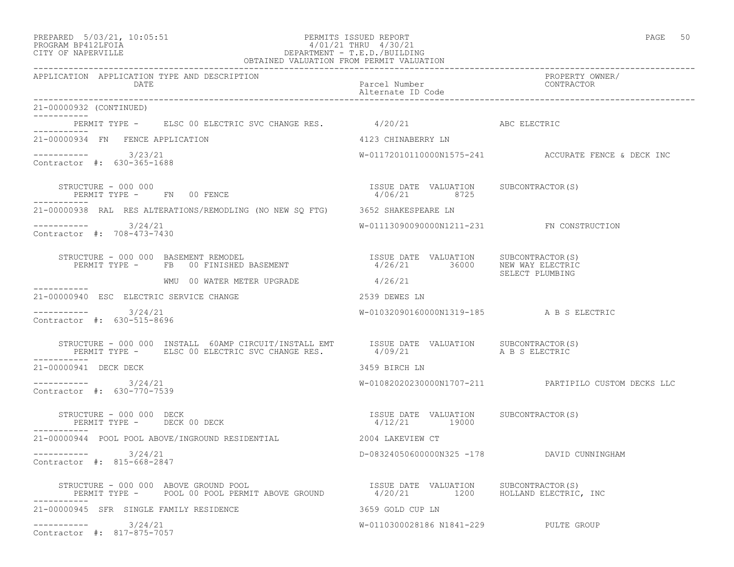## PREPARED 5/03/21, 10:05:51 PERMITS ISSUED REPORT<br>PROGRAM BP412LFOIA PAGE 50 PROGRAM PROGRAM BP412LFOIA PROGRAM BP412LFOIA 4/01/21 THRU 4/30/21 CITY OF NAPERVILLE DEPARTMENT - T.E.D./BUILDING

| OBTAINED VALUATION FROM PERMIT VALUATION                                                                                                                                                                                          |                                                                                            |                                                      |  |
|-----------------------------------------------------------------------------------------------------------------------------------------------------------------------------------------------------------------------------------|--------------------------------------------------------------------------------------------|------------------------------------------------------|--|
| APPLICATION APPLICATION TYPE AND DESCRIPTION<br>DATE                                                                                                                                                                              | Parcel Number<br>Alternate ID Code                                                         | PROPERTY OWNER/<br>CONTRACTOR                        |  |
| 21-00000932 (CONTINUED)<br>___________                                                                                                                                                                                            |                                                                                            |                                                      |  |
| PERMIT TYPE - ELSC 00 ELECTRIC SVC CHANGE RES. 4/20/21 ASC ELECTRIC                                                                                                                                                               |                                                                                            |                                                      |  |
| ------------<br>21-00000934 FN FENCE APPLICATION                                                                                                                                                                                  | 4123 CHINABERRY LN                                                                         |                                                      |  |
| ----------- 3/23/21<br>Contractor #: 630-365-1688                                                                                                                                                                                 |                                                                                            | W-01172010110000N1575-241 ACCURATE FENCE & DECK INC  |  |
| STRUCTURE - 000 000<br>PERMIT TYPE - FN 00 FENCE                                                                                                                                                                                  | ISSUE DATE VALUATION SUBCONTRACTOR(S)<br>4/06/21 8725                                      |                                                      |  |
| 21-00000938 RAL RES ALTERATIONS/REMODLING (NO NEW SQ FTG) 3652 SHAKESPEARE LN                                                                                                                                                     |                                                                                            |                                                      |  |
| $--------- 3/24/21$<br>Contractor #: 708-473-7430                                                                                                                                                                                 | W-01113090090000N1211-231 FN CONSTRUCTION                                                  |                                                      |  |
| STRUCTURE - 000 000 BASEMENT REMODEL<br>PERMIT TYPE - FB 00 FINISHED BASEMENT                                                                                                                                                     | ISSUE DATE VALUATION SUBCONTRACTOR(S)<br>4/26/21 36000 NEW WAY ELECTRIC<br>SELECT PLUMBING |                                                      |  |
| WMU 00 WATER METER UPGRADE                                                                                                                                                                                                        | 4/26/21                                                                                    |                                                      |  |
| ----------<br>21-00000940 ESC ELECTRIC SERVICE CHANGE                                                                                                                                                                             | 2539 DEWES LN                                                                              |                                                      |  |
| ---------- 3/24/21<br>Contractor #: 630-515-8696                                                                                                                                                                                  | W-01032090160000N1319-185 A B S ELECTRIC                                                   |                                                      |  |
|                                                                                                                                                                                                                                   |                                                                                            |                                                      |  |
| 21-00000941 DECK DECK                                                                                                                                                                                                             | 3459 BIRCH LN                                                                              |                                                      |  |
| $--------- 3/24/21$<br>Contractor #: 630-770-7539                                                                                                                                                                                 |                                                                                            | W-01082020230000N1707-211 PARTIPILO CUSTOM DECKS LLC |  |
| STRUCTURE - 000 000 DECK<br>PERMIT TYPE - DECK 00 DECK                                                                                                                                                                            | ISSUE DATE VALUATION SUBCONTRACTOR(S)<br>4/12/21 19000                                     |                                                      |  |
| 21-00000944 POOL POOL ABOVE/INGROUND RESIDENTIAL 2004 LAKEVIEW CT                                                                                                                                                                 |                                                                                            |                                                      |  |
| $--------- 3/24/21$<br>Contractor #: 815-668-2847                                                                                                                                                                                 |                                                                                            | D-08324050600000N325 -178 DAVID CUNNINGHAM           |  |
| STRUCTURE - 000 000 ABOVE GROUND POOL                                 ISSUE DATE VALUATION     SUBCONTRACTOR(S)<br>PERMIT TYPE -       POOL 00 POOL PERMIT ABOVE GROUND             4/20/21         1200     HOLLAND ELECTRIC, IN |                                                                                            |                                                      |  |
| 21-00000945 SFR SINGLE FAMILY RESIDENCE                                                                                                                                                                                           | 3659 GOLD CUP LN                                                                           |                                                      |  |
| $--------- 3/24/21$<br>Contractor #: 817-875-7057                                                                                                                                                                                 | W-0110300028186 N1841-229 PULTE GROUP                                                      |                                                      |  |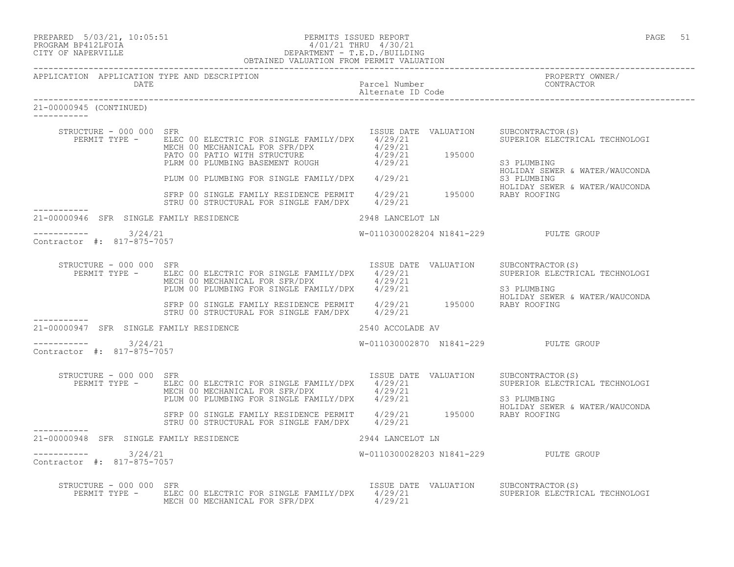| PREPARED |  | $5/03/21$ , 10:05:5 |
|----------|--|---------------------|
|          |  |                     |

#### PREPARED 5/03/21, 10:05:51 PERMITS ISSUED REPORT<br>PROGRAM BP412LFOIA PAGE 51 9/01/21 THRU 4/30/21 PROGRAM BP412LFOIA 4/01/21 THRU 4/30/21 CITY OF NAPERVILLE (1999) 2012 CITY OF NAPERVILLE DEPARTMENT - T.E.D./BUILDING OBTAINED VALUATION FROM PERMIT VALUATION

| APPLICATION APPLICATION TYPE AND DESCRIPTION<br>DATE   |                                                                                                                                                                                                                                                                                   | Parcel Number                          | PROPERTY OWNER/<br>CONTRACTOR                                                                                      |
|--------------------------------------------------------|-----------------------------------------------------------------------------------------------------------------------------------------------------------------------------------------------------------------------------------------------------------------------------------|----------------------------------------|--------------------------------------------------------------------------------------------------------------------|
| 21-00000945 (CONTINUED)                                |                                                                                                                                                                                                                                                                                   |                                        |                                                                                                                    |
| STRUCTURE - 000 000 SFR                                | PERMIT TYPE - ELEC 00 ELECTRIC FOR SINGLE FAMILY/DPX 4/29/21<br>ELEC 00 ELECIRIC FOR SINGLE FATILICIA (29/21<br>MECH 00 MECHANICAL FOR SFR/DPX 4/29/21<br>PATO 00 PATIO WITH STRUCTURE 4/29/21 195000<br>PLRM 00 PLUMBING BASEMENT ROUGH 4/29/21                                  | ISSUE DATE VALUATION                   | SUBCONTRACTOR(S)<br>SUPERIOR ELECTRICAL TECHNOLOGI<br>S3 PLUMBING<br>HOLIDAY SEWER & WATER/WAUCONDA<br>S3 PLUMBING |
|                                                        | PLUM 00 PLUMBING FOR SINGLE FAMILY/DPX 4/29/21<br>SFRP 00 SINGLE FAMILY RESIDENCE PERMIT 4/29/21 195000 RABY ROOFING<br>STRU 00 STRUCTURAL FOR SINGLE FAM/DPX 4/29/21                                                                                                             |                                        | HOLIDAY SEWER & WATER/WAUCONDA                                                                                     |
| 21-00000946 SFR SINGLE FAMILY RESIDENCE                |                                                                                                                                                                                                                                                                                   | 2948 LANCELOT LN                       |                                                                                                                    |
| $--------- 3/24/21$<br>Contractor #: 817-875-7057      |                                                                                                                                                                                                                                                                                   | W-0110300028204 N1841-229 PULTE GROUP  |                                                                                                                    |
| STRUCTURE - 000 000 SFR                                | PERMIT TYPE - ELEC 00 ELECTRIC FOR SINGLE FAMILY/DPX 4/29/21<br>MECH 00 MECHANICAL FOR SFR/DPX $4/29/21$<br>PLUM 00 PLUMBING FOR SINGLE FAMILY/DPX $4/29/21$<br>SFRP 00 SINGLE FAMILY RESIDENCE PERMIT 4/29/21 195000 RABY ROOFING                                                | ISSUE DATE VALUATION SUBCONTRACTOR (S) | SUPERIOR ELECTRICAL TECHNOLOGI<br>S3 PLUMBING<br>HOLIDAY SEWER & WATER/WAUCONDA                                    |
| ___________<br>21-00000947 SFR SINGLE FAMILY RESIDENCE | STRU 00 STRUCTURAL FOR SINGLE FAM/DPX 4/29/21                                                                                                                                                                                                                                     | 2540 ACCOLADE AV                       |                                                                                                                    |
| $--------- 3/24/21$<br>Contractor #: 817-875-7057      |                                                                                                                                                                                                                                                                                   | W-011030002870 N1841-229 PULTE GROUP   |                                                                                                                    |
| STRUCTURE - 000 000 SFR                                | PERMIT TYPE - ELEC 00 ELECTRIC FOR SINGLE FAMILY/DPX 4/29/21<br>MECH 00 MECHANICAL FOR SFR/DPX 4/29/21<br>MECH UU MECHANICAL FOR SINGLE FAMILY/DPX 4/29/21<br>SFRP 00 SINGLE FAMILY RESIDENCE PERMIT 4/29/21 195000 RABY ROOFING<br>STRU 00 STRUCTURAL FOR SINGLE FAM/DPX 4/29/21 | ISSUE DATE VALUATION SUBCONTRACTOR (S) | SUPERIOR ELECTRICAL TECHNOLOGI<br>S3 PLUMBING<br>HOLIDAY SEWER & WATER/WAUCONDA                                    |
| 21-00000948 SFR SINGLE FAMILY RESIDENCE                |                                                                                                                                                                                                                                                                                   | 2944 LANCELOT LN                       |                                                                                                                    |
| $--------- 3/24/21$<br>Contractor #: 817-875-7057      |                                                                                                                                                                                                                                                                                   | W-0110300028203 N1841-229 PULTE GROUP  |                                                                                                                    |
| STRUCTURE - 000 000 SFR                                | PERMIT TYPE - ELEC 00 ELECTRIC FOR SINGLE FAMILY/DPX 4/29/21<br>MECH 00 MECHANICAL FOR SFR/DPX 4/29/21                                                                                                                                                                            | ISSUE DATE VALUATION SUBCONTRACTOR(S)  | SUPERIOR ELECTRICAL TECHNOLOGI                                                                                     |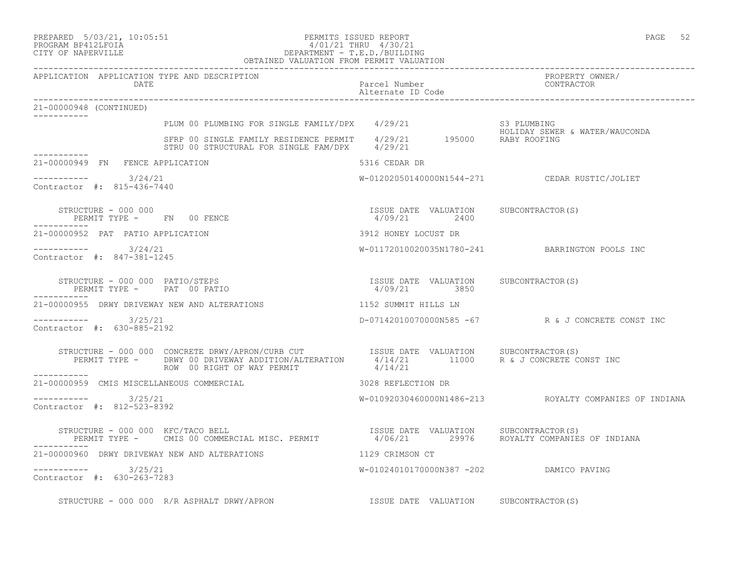| PREPARED |  | $5/03/21$ , $10:05:51$ |
|----------|--|------------------------|
|          |  |                        |

#### PREPARED 5/03/21, 10:05:51 PERMITS ISSUED REPORT PAGE 52 PROGRAM BP412LFOIA 4/01/21 THRU 4/30/21 CITY OF NAPERVILLE DEPARTMENT - T.E.D./BUILDING OBTAINED VALUATION FROM PERMIT VALUATION

| APPLICATION APPLICATION TYPE AND DESCRIPTION<br>DATE                                                                                                                                                                                                | Parcel Number<br>Alternate ID Code                    | PROPERTY OWNER/<br>CONTRACTOR                          |
|-----------------------------------------------------------------------------------------------------------------------------------------------------------------------------------------------------------------------------------------------------|-------------------------------------------------------|--------------------------------------------------------|
| 21-00000948 (CONTINUED)<br>------------                                                                                                                                                                                                             |                                                       |                                                        |
|                                                                                                                                                                                                                                                     |                                                       |                                                        |
| PLUM 00 PLUMBING FOR SINGLE FAMILY/DPX 4/29/21 S3 PLUMBING<br>SFRP 00 SINGLE FAMILY RESIDENCE PERMIT 4/29/21 195000 RABY ROOFING<br>STRU 00 STRUCTURAL FOR SINGLE FAM/DPX 4/29/21                                                                   |                                                       |                                                        |
| 21-00000949 FN FENCE APPLICATION                                                                                                                                                                                                                    | 5316 CEDAR DR                                         |                                                        |
| $--------- 3/24/21$<br>Contractor #: 815-436-7440                                                                                                                                                                                                   |                                                       | W-01202050140000N1544-271 CEDAR RUSTIC/JOLIET          |
| STRUCTURE - 000 000<br>PERMIT TYPE - FN 00 FENCE                                                                                                                                                                                                    | ISSUE DATE VALUATION SUBCONTRACTOR(S)<br>4/09/21 2400 |                                                        |
| 21-00000952 PAT PATIO APPLICATION                                                                                                                                                                                                                   | 3912 HONEY LOCUST DR                                  |                                                        |
| $--------- 3/24/21$<br>Contractor #: 847-381-1245                                                                                                                                                                                                   |                                                       | W-01172010020035N1780-241 BARRINGTON POOLS INC         |
| STRUCTURE - 000 000 PATIO/STEPS<br>PERMIT TYPE - PAT 00 PATIO                                                                                                                                                                                       | ISSUE DATE VALUATION SUBCONTRACTOR(S)<br>4/09/21 3850 |                                                        |
| 21-00000955 DRWY DRIVEWAY NEW AND ALTERATIONS                                                                                                                                                                                                       | 1152 SUMMIT HILLS LN                                  |                                                        |
| $--------- 3/25/21$<br>Contractor #: 630-885-2192                                                                                                                                                                                                   |                                                       | D-07142010070000N585 -67 R & J CONCRETE CONST INC      |
| STRUCTURE - 000 000 CONCRETE DRWY/APRON/CURB CUT             ISSUE DATE VALUATION      SUBCONTRACTOR(S)<br>PERMIT TYPE -     DRWY 00 DRIVEWAY ADDITION/ALTERATION      4/14/21         11000     R & J CONCRETE CONST INC<br>-------<br>___________ |                                                       |                                                        |
| 21-00000959 CMIS MISCELLANEOUS COMMERCIAL                                                                                                                                                                                                           | 3028 REFLECTION DR                                    |                                                        |
| $--------- 3/25/21$<br>Contractor #: 812-523-8392                                                                                                                                                                                                   |                                                       | W-01092030460000N1486-213 ROYALTY COMPANIES OF INDIANA |
| -----------                                                                                                                                                                                                                                         |                                                       |                                                        |
| 21-00000960 DRWY DRIVEWAY NEW AND ALTERATIONS THE RESERVENT RESERVENT OF THE RESERVENT OF THE RESERVENT OF TH                                                                                                                                       |                                                       |                                                        |
| $--------- 3/25/21$<br>Contractor #: 630-263-7283                                                                                                                                                                                                   | W-01024010170000N387 -202 DAMICO PAVING               |                                                        |
| STRUCTURE - 000 000 R/R ASPHALT DRWY/APRON                                                                                                                                                                                                          | ISSUE DATE VALUATION SUBCONTRACTOR(S)                 |                                                        |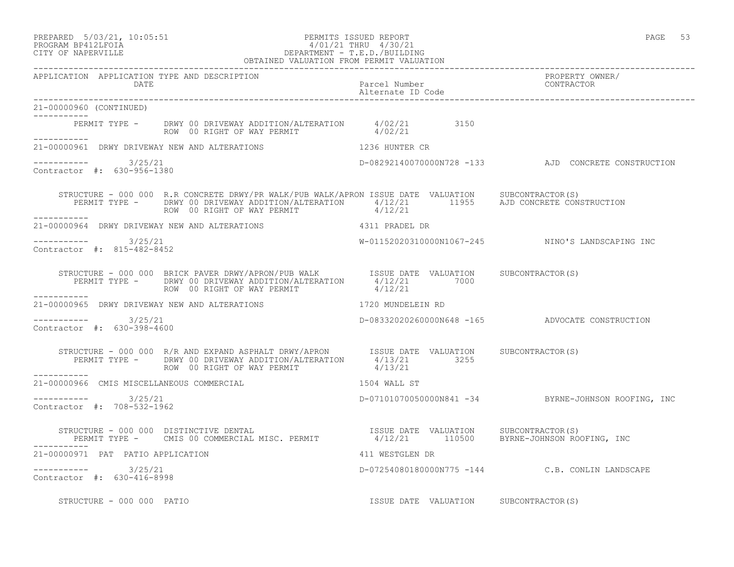PREPARED 5/03/21, 10:05:51 PERMITS ISSUED REPORT PAGE 53

# PROGRAM BP412LFOIA 4/01/21 THRU 4/30/21 CITY OF NAPERVILLE DEPARTMENT - T.E.D./BUILDING

 OBTAINED VALUATION FROM PERMIT VALUATION ------------------------------------------------------------------------------------------------------------------------------------ APPLICATION APPLICATION TYPE AND DESCRIPTION PROPERTY OWNER/ DATE Parcel Number CONTRACTOR Alternate ID Code ------------------------------------------------------------------------------------------------------------------------------------ 21-00000960 (CONTINUED) ----------- PERMIT TYPE - DRWY 00 DRIVEWAY ADDITION/ALTERATION 4/02/21 3150 ROW 00 RIGHT OF WAY PERMIT  $4/02/21$ ----------- 21-00000961 DRWY DRIVEWAY NEW AND ALTERATIONS 1236 HUNTER CR  $--------- 3/25/21$ D-08292140070000N728 -133 AJD CONCRETE CONSTRUCTION Contractor #: 630-956-1380 STRUCTURE - 000 000 R.R CONCRETE DRWY/PR WALK/PUB WALK/APRON ISSUE DATE VALUATION SUBCONTRACTOR(S) PERMIT TYPE - DRWY 00 DRIVEWAY ADDITION/ALTERATION 4/12/21 11955 AJD CONCRETE CONSTRUCTION ROW 00 RIGHT OF WAY PERMIT  $4/12/21$ ----------- 21-00000964 DRWY DRIVEWAY NEW AND ALTERATIONS 4311 PRADEL DR \_\_\_\_\_\_\_\_\_\_\_ ----------- 3/25/21 W-01152020310000N1067-245 NINO'S LANDSCAPING INC Contractor #: 815-482-8452 STRUCTURE - 000 000 BRICK PAVER DRWY/APRON/PUB WALK ISSUE DATE VALUATION SUBCONTRACTOR(S) PERMIT TYPE - DRWY 00 DRIVEWAY ADDITION/ALTERATION 4/12/21 7000 ROW 00 RIGHT OF WAY PERMIT  $4/12/21$ ----------- 21-00000965 DRWY DRIVEWAY NEW AND ALTERATIONS 1720 MUNDELEIN RD  $--------- 3/25/21$ D-08332020260000N648 -165 ADVOCATE CONSTRUCTION Contractor #: 630-398-4600 STRUCTURE - 000 000 R/R AND EXPAND ASPHALT DRWY/APRON ISSUE DATE VALUATION SUBCONTRACTOR(S) PERMIT TYPE - DRWY 00 DRIVEWAY ADDITION/ALTERATION 4/13/21 3255 ROW 00 RIGHT OF WAY PERMIT  $4/13/21$ ----------- 21-00000966 CMIS MISCELLANEOUS COMMERCIAL 1504 WALL ST  $--------- 3/25/21$ ----------- 3/25/21 D-07101070050000N841 -34 BYRNE-JOHNSON ROOFING, INC Contractor #: 708-532-1962 STRUCTURE - 000 000 DISTINCTIVE DENTAL ISSUE DATE VALUATION SUBCONTRACTOR(S) PERMIT TYPE - CMIS 00 COMMERCIAL MISC. PERMIT 4/12/21 110500 BYRNE-JOHNSON ROOFING, INC ----------- 21-00000971 PAT PATIO APPLICATION 411 WESTGLEN DR ----------- 3/25/21 D-07254080180000N775 -144 C.B. CONLIN LANDSCAPE Contractor #: 630-416-8998 STRUCTURE - 000 000 PATIO ISSUE DATE VALUATION SUBCONTRACTOR(S)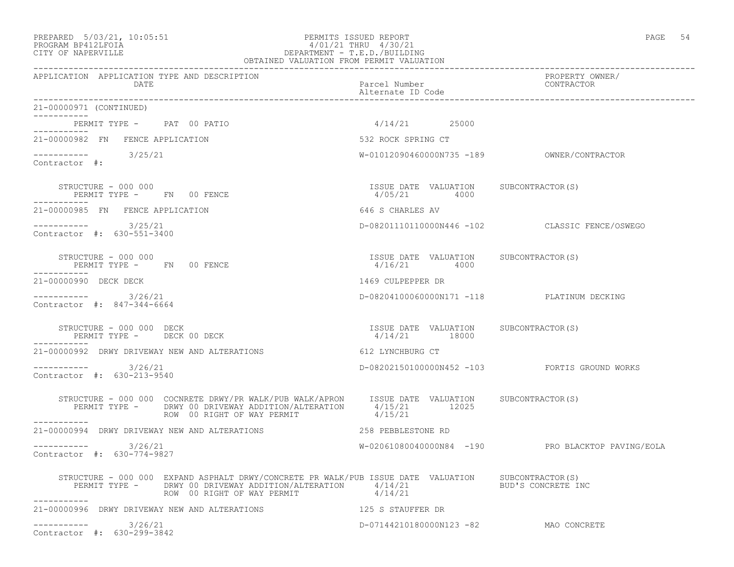### PREPARED 5/03/21, 10:05:51 PERMITS ISSUED REPORT PAGE 54 PROGRAM BP412LFOIA 4/01/21 THRU 4/30/21 CITY OF NAPERVILLE DEPARTMENT - T.E.D./BUILDING

| OBTAINED VALUATION FROM PERMIT VALUATION                                                                                                                                                                                                                                                                                                                                                                                             |                                                          |                                                   |
|--------------------------------------------------------------------------------------------------------------------------------------------------------------------------------------------------------------------------------------------------------------------------------------------------------------------------------------------------------------------------------------------------------------------------------------|----------------------------------------------------------|---------------------------------------------------|
| APPLICATION APPLICATION TYPE AND DESCRIPTION<br>DATE                                                                                                                                                                                                                                                                                                                                                                                 | Parcel Number<br>Alternate ID Code                       | PROPERTY OWNER/<br>CONTRACTOR                     |
| 21-00000971 (CONTINUED)<br>------------                                                                                                                                                                                                                                                                                                                                                                                              |                                                          |                                                   |
| PERMIT TYPE - PAT 00 PATIO<br>-----------                                                                                                                                                                                                                                                                                                                                                                                            | $4/14/21$ 25000                                          |                                                   |
| 21-00000982 FN FENCE APPLICATION                                                                                                                                                                                                                                                                                                                                                                                                     | 532 ROCK SPRING CT                                       |                                                   |
| $--------$ 3/25/21<br>Contractor #:                                                                                                                                                                                                                                                                                                                                                                                                  |                                                          |                                                   |
| STRUCTURE - 000 000<br>PERMIT TYPE - FN 00 FENCE                                                                                                                                                                                                                                                                                                                                                                                     | ISSUE DATE VALUATION SUBCONTRACTOR(S)<br>4/05/21 4000    |                                                   |
| 21-00000985 FN FENCE APPLICATION                                                                                                                                                                                                                                                                                                                                                                                                     | 646 S CHARLES AV                                         |                                                   |
| ----------- 3/25/21<br>Contractor #: 630-551-3400                                                                                                                                                                                                                                                                                                                                                                                    |                                                          | D-08201110110000N446 -102 CLASSIC FENCE/OSWEGO    |
| STRUCTURE - 000 000<br>PERMIT TYPE - FN 00 FENCE                                                                                                                                                                                                                                                                                                                                                                                     | ISSUE DATE VALUATION SUBCONTRACTOR(S)<br>4/16/21 4000    |                                                   |
| 21-00000990 DECK DECK                                                                                                                                                                                                                                                                                                                                                                                                                | 1469 CULPEPPER DR                                        |                                                   |
| $--------$ 3/26/21<br>Contractor #: 847-344-6664                                                                                                                                                                                                                                                                                                                                                                                     |                                                          | D-08204100060000N171 -118 PLATINUM DECKING        |
| STRUCTURE - 000 000 DECK<br>PERMIT TYPE - DECK 00 DECK                                                                                                                                                                                                                                                                                                                                                                               | ISSUE DATE VALUATION SUBCONTRACTOR(S)<br>$4/14/21$ 18000 |                                                   |
| 21-00000992 DRWY DRIVEWAY NEW AND ALTERATIONS                                                                                                                                                                                                                                                                                                                                                                                        | 612 LYNCHBURG CT                                         |                                                   |
| $--------- 3/26/21$<br>Contractor #: 630-213-9540                                                                                                                                                                                                                                                                                                                                                                                    |                                                          | D-08202150100000N452 -103 FORTIS GROUND WORKS     |
| $\begin{tabular}{lclclclcl} \texttt{STRUCTURE} & - & 000 & 000 & \texttt{CCONREFE} & \texttt{DRWY/PR} & \texttt{WALK/APRON} & & \texttt{ISSUE} & \texttt{DATE} & \texttt{VALUATION} & & \texttt{SUBCONTRACTOR(S)} \\ & & & & & \texttt{DRWY} & 00 & \texttt{DRIVEWAY} & \texttt{ADDITION/ALTERATION} & & 4/15/21 & & 12025 \\ & & & & & \texttt{ROW} & 00 & \texttt{RIGHT} & \texttt{WAY} & \texttt{PERMIT} & & 4/15/21 & & & 12025$ |                                                          |                                                   |
| ------------<br>21-00000994 DRWY DRIVEWAY NEW AND ALTERATIONS                                                                                                                                                                                                                                                                                                                                                                        | 258 PEBBLESTONE RD                                       |                                                   |
| ___________<br>3/26/21<br>Contractor #: 630-774-9827                                                                                                                                                                                                                                                                                                                                                                                 |                                                          | W-02061080040000N84 -190 PRO BLACKTOP PAVING/EOLA |
| STRUCTURE - 000 000 EXPAND ASPHALT DRWY/CONCRETE PR WALK/PUB ISSUE DATE VALUATION SUBCONTRACTOR(S)<br>PERMIT TYPE - DRWY 00 DRIVEWAY ADDITION/ALTERATION 4/14/21<br>ROW 00 RIGHT OF WAY PERMIT                                                                                                                                                                                                                                       | 4/14/21                                                  | BUD'S CONCRETE INC                                |
| 21-00000996 DRWY DRIVEWAY NEW AND ALTERATIONS                                                                                                                                                                                                                                                                                                                                                                                        | 125 S STAUFFER DR                                        |                                                   |
| 3/26/21<br>Contractor #: 630-299-3842                                                                                                                                                                                                                                                                                                                                                                                                | D-07144210180000N123 -82 MAO CONCRETE                    |                                                   |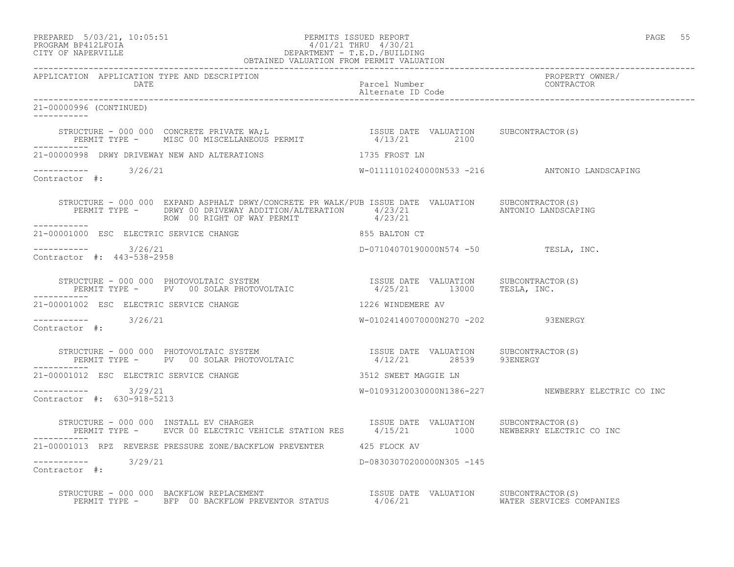## PREPARED 5/03/21, 10:05:51 PERMITS ISSUED REPORT PAGE 55 PROGRAM BP412LFOIA 4/01/21 THRU 4/30/21 CITY OF NAPERVILLE DEPARTMENT - T.E.D./BUILDING

|                                                                                                                                                                                                                                                                         | OBTAINED VALUATION FROM PERMIT VALUATION |                                      |                                                    |
|-------------------------------------------------------------------------------------------------------------------------------------------------------------------------------------------------------------------------------------------------------------------------|------------------------------------------|--------------------------------------|----------------------------------------------------|
| APPLICATION APPLICATION TYPE AND DESCRIPTION<br>DATE                                                                                                                                                                                                                    |                                          | Parcel Number<br>Alternate ID Code   | PROPERTY OWNER/<br>CONTRACTOR                      |
| 21-00000996 (CONTINUED)                                                                                                                                                                                                                                                 |                                          |                                      |                                                    |
| STRUCTURE – 000 000 CONCRETE PRIVATE WA;L                                ISSUE DATE VALUATION      SUBCONTRACTOR(S)<br>PERMIT TYPE –      MISC 00 MISCELLANEOUS PERMIT                     4/13/21         2100                                                         |                                          |                                      |                                                    |
| 21-00000998 DRWY DRIVEWAY NEW AND ALTERATIONS THE RESERVED ON THE SERIES IN                                                                                                                                                                                             |                                          |                                      |                                                    |
| $--------$ 3/26/21<br>Contractor #:                                                                                                                                                                                                                                     |                                          |                                      | W-01111010240000N533 -216 ANTONIO LANDSCAPING      |
| STRUCTURE - 000 000 EXPAND ASPHALT DRWY/CONCRETE PR WALK/PUB ISSUE DATE VALUATION SUBCONTRACTOR(S)<br>PERMIT TYPE - DRWY 00 DRIVEWAY ADDITION/ALTERATION 4/23/21 ANTONIO LANDSCAPING<br>ROW 00 RIGHT OF WAY PERMIT 4/23/21<br>ROW 00 RIGHT OF WAY PERMIT<br>___________ |                                          |                                      |                                                    |
| 21-00001000 ESC ELECTRIC SERVICE CHANGE <b>All ASSESS CONTAINER SERVICE</b> CHANGE                                                                                                                                                                                      |                                          |                                      |                                                    |
| ----------- 3/26/21<br>Contractor #: 443-538-2958                                                                                                                                                                                                                       |                                          | D-07104070190000N574 -50 TESLA, INC. |                                                    |
| STRUCTURE - 000 000 PHOTOVOLTAIC SYSTEM                             ISSUE DATE VALUATION     SUBCONTRACTOR(S)<br>PERMIT TYPE -      PV   00 SOLAR PHOTOVOLTAIC                         4/25/21        13000     TESLA, INC.                                             |                                          |                                      |                                                    |
| 21-00001002 ESC ELECTRIC SERVICE CHANGE                                                                                                                                                                                                                                 |                                          | 1226 WINDEMERE AV                    |                                                    |
| $--------- 3/26/21$<br>Contractor #:                                                                                                                                                                                                                                    |                                          | W-01024140070000N270 -202 93ENERGY   |                                                    |
| STRUCTURE – 000 000 PHOTOVOLTAIC SYSTEM                                ISSUE DATE VALUATION     SUBCONTRACTOR(S)<br>PERMIT TYPE –     PV   00 SOLAR PHOTOVOLTAIC                        4/12/21         28539      93ENERGY                                             |                                          |                                      |                                                    |
| 21-00001012 ESC ELECTRIC SERVICE CHANGE                                                                                                                                                                                                                                 |                                          | 3512 SWEET MAGGIE LN                 |                                                    |
| $--------- 3/29/21$<br>Contractor #: 630-918-5213                                                                                                                                                                                                                       |                                          |                                      | W-01093120030000N1386-227 NEWBERRY ELECTRIC CO INC |
| STRUCTURE - 000 000 INSTALL EV CHARGER<br>PERMIT TYPE -    EVCR 00 ELECTRIC VEHICLE STATION RES     4/15/21     1000    NEWBERRY ELECTRIC CO INC                                                                                                                        |                                          |                                      |                                                    |
| 21-00001013 RPZ REVERSE PRESSURE ZONE/BACKFLOW PREVENTER 425 FLOCK AV                                                                                                                                                                                                   |                                          |                                      |                                                    |
| $--------$ 3/29/21<br>Contractor #:                                                                                                                                                                                                                                     |                                          | D-08303070200000N305 -145            |                                                    |
| STRUCTURE - 000 000 BACKFLOW REPLACEMENT<br>PERMIT TYPE - BFP 00 BACKFLOW PREVENTOR STATUS 4/06/21 WATER SERVICES COMPANIES                                                                                                                                             |                                          |                                      |                                                    |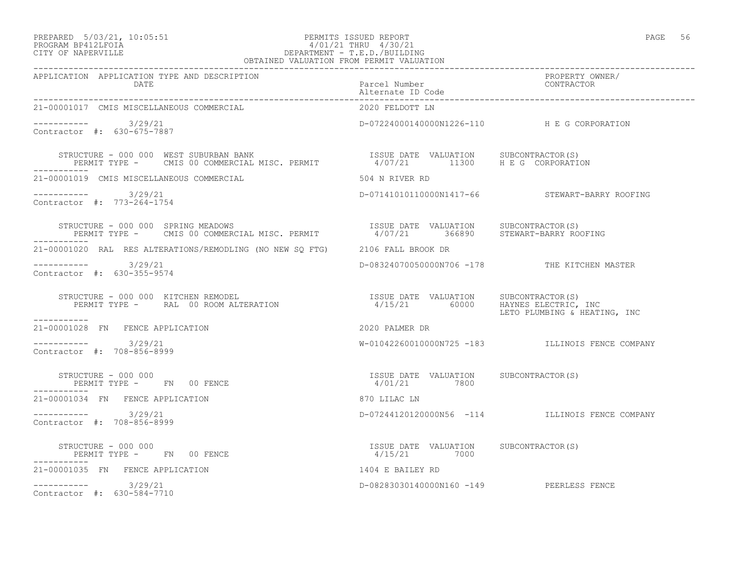### PREPARED 5/03/21, 10:05:51 PERMITS ISSUED REPORT PAGE 56 PROGRAM BP412LFOIA 4/01/21 THRU 4/30/21 CITY OF NAPERVILLE DEPARTMENT - T.E.D./BUILDING

| OBTAINED VALUATION FROM PERMIT VALUATION                                                                                                                                 |                                                       |                                                  |
|--------------------------------------------------------------------------------------------------------------------------------------------------------------------------|-------------------------------------------------------|--------------------------------------------------|
| APPLICATION APPLICATION TYPE AND DESCRIPTION                                                                                                                             |                                                       | PROPERTY OWNER/<br>CONTRACTOR                    |
| 21-00001017 CMIS MISCELLANEOUS COMMERCIAL                                                                                                                                | 2020 FELDOTT LN                                       |                                                  |
| $--------- 3/29/21$<br>Contractor #: 630-675-7887                                                                                                                        | D-07224000140000N1226-110 HE G CORPORATION            |                                                  |
| STRUCTURE - 000 000 WEST SUBURBAN BANK<br>PERMIT TYPE - CMIS 00 COMMERCIAL MISC. PERMIT 14/07/21 11300 H E G CORPORATION<br>-----------                                  |                                                       |                                                  |
| 21-00001019 CMIS MISCELLANEOUS COMMERCIAL                                                                                                                                | 504 N RIVER RD                                        |                                                  |
| $--------- 3/29/21$<br>Contractor #: 773-264-1754                                                                                                                        |                                                       | D-07141010110000N1417-66 STEWART-BARRY ROOFING   |
| STRUCTURE - 000 000 SPRING MEADOWS<br>PERMIT TYPE - CMIS 00 COMMERCIAL MISC. PERMIT                  4/07/21        366890         STEWART-BARRY ROOFING                 |                                                       |                                                  |
| 21-00001020 RAL RES ALTERATIONS/REMODLING (NO NEW SO FTG) 2106 FALL BROOK DR                                                                                             |                                                       |                                                  |
| $--------$ 3/29/21<br>Contractor #: 630-355-9574                                                                                                                         |                                                       | D-08324070050000N706 -178 THE KITCHEN MASTER     |
| STRUCTURE - 000 000 KITCHEN REMODEL<br>PERMIT TYPE -     RAL 00 ROOM ALTERATION                              4/15/21        60000    HAYNES ELECTRIC, INC<br>----------- |                                                       | LETO PLUMBING & HEATING, INC                     |
| 21-00001028 FN FENCE APPLICATION                                                                                                                                         | 2020 PALMER DR                                        |                                                  |
| $--------- 3/29/21$<br>Contractor #: 708-856-8999                                                                                                                        |                                                       | W-01042260010000N725 -183 ILLINOIS FENCE COMPANY |
| STRUCTURE - 000 000<br>PERMIT TYPE - FN 00 FENCE<br>----------<br>-----------                                                                                            | ISSUE DATE VALUATION SUBCONTRACTOR(S)<br>4/01/21 7800 |                                                  |
| 21-00001034 FN FENCE APPLICATION                                                                                                                                         | 870 LILAC LN                                          |                                                  |
| $--------- 3/29/21$<br>Contractor #: 708-856-8999                                                                                                                        |                                                       | D-07244120120000N56 -114 ILLINOIS FENCE COMPANY  |
| -----------                                                                                                                                                              |                                                       |                                                  |
| ----------<br>21-00001035 FN FENCE APPLICATION                                                                                                                           | 1404 E BAILEY RD                                      |                                                  |
| $--------- 3/29/21$<br>Contractor #: 630-584-7710                                                                                                                        | D-08283030140000N160 -149 PEERLESS FENCE              |                                                  |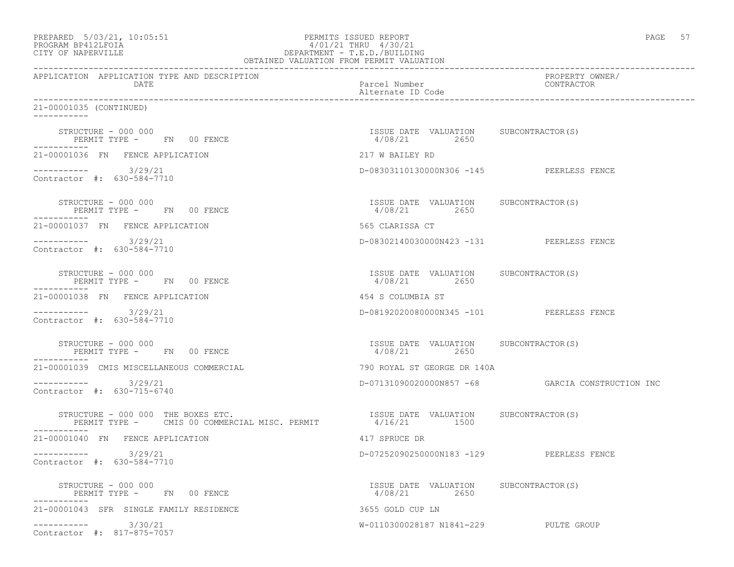| PROGRAM BP412LFOIA<br>CITY OF NAPERVILLE                                                                                                                 | 4/01/21 THRU 4/30/21<br>DEPARTMENT - T.E.D./BUILDING<br>OBTAINED VALUATION FROM PERMIT VALUATION |                                                  |
|----------------------------------------------------------------------------------------------------------------------------------------------------------|--------------------------------------------------------------------------------------------------|--------------------------------------------------|
| APPLICATION APPLICATION TYPE AND DESCRIPTION<br>DATE                                                                                                     | Parcel Number<br>Alternate ID Code                                                               | PROPERTY OWNER/<br>CONTRACTOR                    |
| 21-00001035 (CONTINUED)<br>------------                                                                                                                  |                                                                                                  |                                                  |
| STRUCTURE - 000 000<br>PERMIT TYPE - FN 00 FENCE<br>-----------                                                                                          | ISSUE DATE VALUATION SUBCONTRACTOR(S)<br>4/08/21 2650                                            |                                                  |
| 21-00001036 FN FENCE APPLICATION                                                                                                                         | 217 W BAILEY RD                                                                                  |                                                  |
| $--------- 3/29/21$<br>Contractor #: 630-584-7710                                                                                                        | D-08303110130000N306 -145 PEERLESS FENCE                                                         |                                                  |
| STRUCTURE - 000 000<br>PERMIT TYPE - FN 00 FENCE                                                                                                         | ISSUE DATE VALUATION SUBCONTRACTOR(S)<br>4/08/21 2650                                            |                                                  |
| 21-00001037 FN FENCE APPLICATION                                                                                                                         | 565 CLARISSA CT                                                                                  |                                                  |
| $--------- 3/29/21$<br>Contractor #: 630-584-7710                                                                                                        | D-08302140030000N423 -131 PEERLESS FENCE                                                         |                                                  |
| STRUCTURE - 000 000<br>PERMIT TYPE - FN 00 FENCE<br>-----------                                                                                          | ISSUE DATE VALUATION SUBCONTRACTOR(S)<br>4/08/21 2650                                            |                                                  |
| 21-00001038 FN FENCE APPLICATION                                                                                                                         | 454 S COLUMBIA ST                                                                                |                                                  |
| $--------- 3/29/21$<br>Contractor #: 630-584-7710                                                                                                        | D-08192020080000N345 -101 PEERLESS FENCE                                                         |                                                  |
| STRUCTURE - 000 000<br>PERMIT TYPE - FN 00 FENCE                                                                                                         | ISSUE DATE VALUATION SUBCONTRACTOR(S)<br>4/08/21 2650                                            |                                                  |
| 21-00001039 CMIS MISCELLANEOUS COMMERCIAL                                                                                                                | 790 ROYAL ST GEORGE DR 140A                                                                      |                                                  |
| $--------- 3/29/21$<br>Contractor #: 630-715-6740                                                                                                        |                                                                                                  | D-07131090020000N857 -68 GARCIA CONSTRUCTION INC |
| RUCTURE - 000 000 THE BOXES ETC.<br>PERMIT TYPE - CMIS 00 COMMERCIAL MISC. PERMIT 4/16/21 1500 1500<br>STRUCTURE - 000 000 THE BOXES ETC.<br>----------- |                                                                                                  |                                                  |
| 21-00001040 FN FENCE APPLICATION                                                                                                                         | 417 SPRUCE DR                                                                                    |                                                  |
| 3/29/21<br>------------<br>Contractor #: 630-584-7710                                                                                                    | D-07252090250000N183 -129 PEERLESS FENCE                                                         |                                                  |
| STRUCTURE - 000 000<br>PERMIT TYPE - FN 00 FENCE                                                                                                         | ISSUE DATE VALUATION SUBCONTRACTOR(S)<br>4/08/21<br>2650                                         |                                                  |
| 21-00001043 SFR SINGLE FAMILY RESIDENCE                                                                                                                  | 3655 GOLD CUP LN                                                                                 |                                                  |
| 3/30/21<br>------------<br>Contractor #: 817-875-7057                                                                                                    | W-0110300028187 N1841-229 PULTE GROUP                                                            |                                                  |

PREPARED  $5/03/21$ ,  $10:05:51$  PERMITS ISSUED REPORT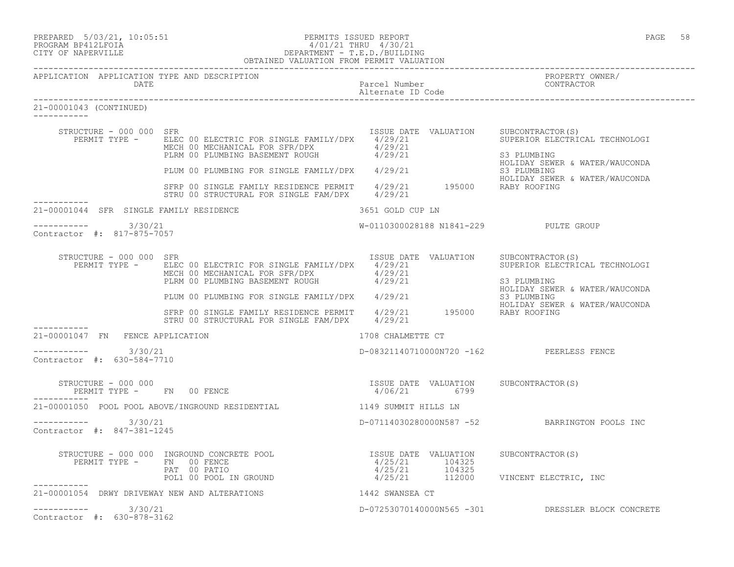| PREPARED |            | $5/03/21$ , $10:05:51$ |
|----------|------------|------------------------|
| -------- | ---------- |                        |

#### PREPARED 5/03/21, 10:05:51 PERMITS ISSUED REPORT<br>PROGRAM BP412LFOIA PAGE 58 PROGRAM PROGRAM PAGE 58 PROGRAM BP412LFOIA 4/01/21 THRU 4/30/21 CITY OF NAPERVILLE DEPARTMENT - T.E.D./BUILDING OBTAINED VALUATION FROM PERMIT VALUATION

| APPLICATION APPLICATION TYPE AND DESCRIPTION<br>DATE          |                                                                                                                                                                                                       | Parcel Number<br>alternato ID Code (CONTRACTOR Alternato ID Code                                                               |                                                                                                |
|---------------------------------------------------------------|-------------------------------------------------------------------------------------------------------------------------------------------------------------------------------------------------------|--------------------------------------------------------------------------------------------------------------------------------|------------------------------------------------------------------------------------------------|
| 21-00001043 (CONTINUED)                                       |                                                                                                                                                                                                       |                                                                                                                                |                                                                                                |
| STRUCTURE - 000 000 SFR                                       | PERMIT TYPE - ELEC 00 ELECTRIC FOR SINGLE FAMILY/DPX 4/29/21<br>MECH 00 MECHANICAL FOR SFR/DPX 4/29/21<br>PLRM 00 PLUMBING BASEMENT ROUGH 4/29/21                                                     | ISSUE DATE VALUATION SUBCONTRACTOR(S)<br>X 4/29/21 SUPERIOR ELECTRI                                                            | SUPERIOR ELECTRICAL TECHNOLOGI<br>S3 PLUMBING<br>HOLIDAY SEWER & WATER/WAUCONDA                |
|                                                               | PLUM 00 PLUMBING FOR SINGLE FAMILY/DPX 4/29/21                                                                                                                                                        |                                                                                                                                | S3 PLUMBING                                                                                    |
|                                                               | SFRP 00 SINGLE FAMILY RESIDENCE PERMIT 4/29/21 195000 RABY ROOFING<br>STRU 00 STRUCTURAL FOR SINGLE FAM/DPX 4/29/21                                                                                   |                                                                                                                                | HOLIDAY SEWER & WATER/WAUCONDA                                                                 |
| 21-00001044 SFR SINGLE FAMILY RESIDENCE                       |                                                                                                                                                                                                       | 3651 GOLD CUP LN                                                                                                               |                                                                                                |
| $--------- 3/30/21$<br>Contractor #: 817-875-7057             |                                                                                                                                                                                                       | W-0110300028188 N1841-229 PULTE GROUP                                                                                          |                                                                                                |
| STRUCTURE - 000 000 SFR                                       | PERMIT TYPE - ELEC 00 ELECTRIC FOR SINGLE FAMILY/DPX 4/29/21<br>ELEC 00 ELECTRIC FOR SINGLE FAMILITURA (1723)<br>MECH 00 MECHANICAL FOR SFR/DPX (1799/21<br>PLRM 00 PLUMBING BASEMENT ROUGH (1799/21) | ISSUE DATE VALUATION SUBCONTRACTOR(S)                                                                                          | SUPERIOR ELECTRICAL TECHNOLOGI<br>S3 PLUMBING<br>HOLIDAY SEWER & WATER/WAUCONDA<br>S3 PLUMBING |
|                                                               | HOLIDAY SEWER<br>STRU 00 STRUCTURAL FOR SINGLE FAM/DPX 4/29/21 195000 RABY ROOFING<br>STRU 00 STRUCTURAL FOR SINGLE FAM/DPX 4/29/21                                                                   |                                                                                                                                | HOLIDAY SEWER & WATER/WAUCONDA                                                                 |
| 21-00001047 FN FENCE APPLICATION                              |                                                                                                                                                                                                       | 1708 CHALMETTE CT                                                                                                              |                                                                                                |
| $--------- 3/30/21$<br>Contractor #: 630-584-7710             |                                                                                                                                                                                                       | D-08321140710000N720 -162 PEERLESS FENCE                                                                                       |                                                                                                |
| STRUCTURE - 000 000                                           | PERMIT TYPE - FN 00 FENCE                                                                                                                                                                             | ISSUE DATE VALUATION SUBCONTRACTOR(S)<br>4/06/21 6799                                                                          |                                                                                                |
|                                                               | 21-00001050 POOL POOL ABOVE/INGROUND RESIDENTIAL 4149 SUMMIT HILLS LN                                                                                                                                 |                                                                                                                                |                                                                                                |
| $--------- 3/30/21$<br>Contractor #: 847-381-1245             |                                                                                                                                                                                                       |                                                                                                                                | D-07114030280000N587 -52 BARRINGTON POOLS INC                                                  |
|                                                               | STRUCTURE - 000 000 INGROUND CONCRETE POOL<br>PERMIT TYPE - FN 00 FENCE<br>PAT 00 PATIO<br>POL1 00 POOL IN GROUND                                                                                     | ISSUE DATE VALUATION SUBCONTRACTOR(S)<br>$-4/25/21$ $104325$<br>$4/25/21$ $104325$<br>$4/25/21$ $112000$ VINCENT ELECTRIC, INC |                                                                                                |
| ------------<br>21-00001054 DRWY DRIVEWAY NEW AND ALTERATIONS |                                                                                                                                                                                                       | 1442 SWANSEA CT                                                                                                                |                                                                                                |
| $--------- 3/30/21$<br>Contractor #: 630-878-3162             |                                                                                                                                                                                                       |                                                                                                                                | D-07253070140000N565 -301 DRESSLER BLOCK CONCRETE                                              |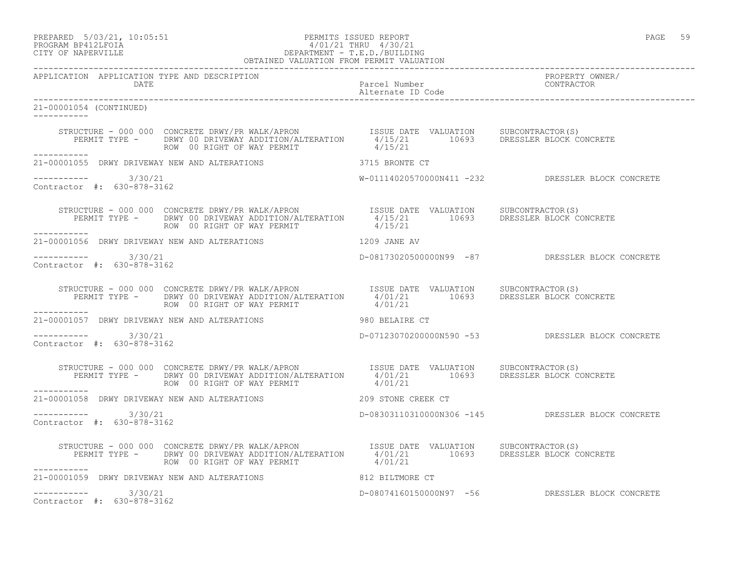## PREPARED 5/03/21, 10:05:51 PERMITS ISSUED REPORT<br>PROGRAM BP412LFOIA PAGE 59 PROGRAM BP412LFOIA PROGRAM BP412LFOIA 4/01/21 THRU 4/30/21 CITY OF NAPERVILLE DEPARTMENT - T.E.D./BUILDING

|                                                   | OBTAINED VALUATION FROM PERMIT VALUATION                                                                                                                                                                                                              |                                                   |
|---------------------------------------------------|-------------------------------------------------------------------------------------------------------------------------------------------------------------------------------------------------------------------------------------------------------|---------------------------------------------------|
| APPLICATION APPLICATION TYPE AND DESCRIPTION      |                                                                                                                                                                                                                                                       | PROPERTY OWNER/                                   |
| 21-00001054 (CONTINUED)                           |                                                                                                                                                                                                                                                       |                                                   |
|                                                   | STRUCTURE - 000 000 CONCRETE DRWY/PR WALK/APRON<br>PERMIT TYPE - DRWY 00 DRIVEWAY ADDITION/ALTERATION 4/15/21 10693 DRESSLER BLOCK CONCRETE<br>ROW 00 RIGHT OF WAY PERMIT 4/15/21                                                                     |                                                   |
|                                                   | 21-00001055 DRWY DRIVEWAY NEW AND ALTERATIONS 3715 BRONTE CT                                                                                                                                                                                          |                                                   |
| ----------- 3/30/21<br>Contractor #: 630-878-3162 |                                                                                                                                                                                                                                                       | W-01114020570000N411 -232 DRESSLER BLOCK CONCRETE |
| -----------                                       | STRUCTURE - 000 000 CONCRETE DRWY/PR WALK/APRON ISSUE DATE VALUATION SUBCONTRACTOR(S)<br>PERMIT TYPE - DRWY 00 DRIVEWAY ADDITION/ALTERATION 4/15/21 10693 DRESSLER BLOCK CONCRETE                                                                     |                                                   |
|                                                   | 21-00001056 DRWY DRIVEWAY NEW AND ALTERATIONS 1209 JANE AV                                                                                                                                                                                            |                                                   |
| $--------- 3/30/21$<br>Contractor #: 630-878-3162 |                                                                                                                                                                                                                                                       | D-08173020500000N99 -87 DRESSLER BLOCK CONCRETE   |
|                                                   | STRUCTURE - 000 000 CONCRETE DRWY/PR WALK/APRON ISSUE DATE VALUATION SUBCONTRACTOR(S)<br>PERMIT TYPE - DRWY 00 DRIVEWAY ADDITION/ALTERATION 4/01/21 10693 DRESSLER BLOCK CONCRETE<br>-----------                                                      |                                                   |
|                                                   | 21-00001057 DRWY DRIVEWAY NEW AND ALTERATIONS 980 BELAIRE CT                                                                                                                                                                                          |                                                   |
| $--------- 3/30/21$<br>Contractor #: 630-878-3162 |                                                                                                                                                                                                                                                       | D-07123070200000N590 -53 DRESSLER BLOCK CONCRETE  |
| ___________                                       | STRUCTURE - 000 000 CONCRETE DRWY/PR WALK/APRON ISSUE DATE VALUATION SUBCONTRACTOR(S)<br>PERMIT TYPE - DRWY 00 DRIVEWAY ADDITION/ALTERATION 4/01/21 10693 DRESSLER BLOCK CONCRETE                                                                     |                                                   |
|                                                   | 21-00001058 DRWY DRIVEWAY NEW AND ALTERATIONS AND MALLARY 209 STONE CREEK CT                                                                                                                                                                          |                                                   |
| $--------$ 3/30/21<br>Contractor #: 630-878-3162  |                                                                                                                                                                                                                                                       | D-08303110310000N306 -145 DRESSLER BLOCK CONCRETE |
| ___________                                       | STRUCTURE - 000 000 CONCRETE DRWY/PR WALK/APRON TSSUE DATE VALUATION SUBCONTRACTOR(S)<br>PERMIT TYPE - DRWY 00 DRIVEWAY ADDITION/ALTERATION 4/01/21 10693 DRESSLER BLOCK CONCRETE<br>ROW 00 RIGHT OF WAY PERMIT 4/01/21 10693 DRESSLER BLOCK CONCRETE |                                                   |
|                                                   | 21-00001059 DRWY DRIVEWAY NEW AND ALTERATIONS 812 BILTMORE CT                                                                                                                                                                                         |                                                   |
| $--------- 3/30/21$<br>Contractor #: 630-878-3162 |                                                                                                                                                                                                                                                       | D-08074160150000N97 -56 DRESSLER BLOCK CONCRETE   |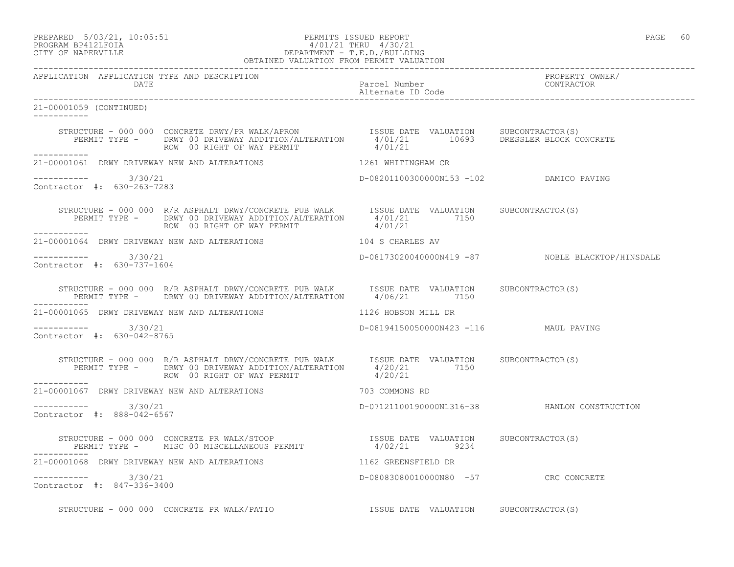## PREPARED 5/03/21, 10:05:51 PERMITS ISSUED REPORT PAGE 60 PROGRAM BP412LFOIA  $4/01/21$  THRU  $4/30/21$ <br>CITY OF NAPERVILLE DEPARTMENT - T.E.D./BUILDII CITY OF NAPERVILLE DEPARTMENT - T.E.D./BUILDING

|                                                      | OBTAINED VALUATION FROM PERMIT VALUATION                                                                                                                                                                                                                                                                                                                |                                         |                                                  |
|------------------------------------------------------|---------------------------------------------------------------------------------------------------------------------------------------------------------------------------------------------------------------------------------------------------------------------------------------------------------------------------------------------------------|-----------------------------------------|--------------------------------------------------|
| APPLICATION APPLICATION TYPE AND DESCRIPTION<br>DATE |                                                                                                                                                                                                                                                                                                                                                         |                                         | PROPERTY OWNER/<br>CONTRACTOR                    |
| 21-00001059 (CONTINUED)<br>------------              |                                                                                                                                                                                                                                                                                                                                                         |                                         |                                                  |
|                                                      | $\begin{array}{cccc} \texttt{STRUCTURE} - 000 0000 \texttt{CONCRETE DRWY/PR WALK/APRON} & \texttt{ISSUE DATE} \texttt{VALUATION} & \texttt{SUBCONTRACTOR(S)} \\ \texttt{PERMIT TYPE -} & \texttt{DRWY 00 DRIVEWAY ADDITION/ALTERATION} & \texttt{4/01/21} & \texttt{10693} & \texttt{DRESSER BLOCK CONCRETE} \end{array}$<br>ROW 00 RIGHT OF WAY PERMIT | 4/01/21                                 |                                                  |
|                                                      | 21-00001061 DRWY DRIVEWAY NEW AND ALTERATIONS 1261 WHITINGHAM CR                                                                                                                                                                                                                                                                                        |                                         |                                                  |
| -----------    3/30/21<br>Contractor #: 630-263-7283 |                                                                                                                                                                                                                                                                                                                                                         | D-08201100300000N153 -102 DAMICO PAVING |                                                  |
|                                                      | STRUCTURE - 000 000 R/R ASPHALT DRWY/CONCRETE PUB WALK<br>PERMIT TYPE - DRWY 00 DRIVEWAY ADDITION/ALTERATION 4/01/21 7150<br>------- ROW 00 RIGHT OF WAY PERMIT 4/01/21                                                                                                                                                                                 |                                         |                                                  |
|                                                      | 21-00001064 DRWY DRIVEWAY NEW AND ALTERATIONS 104 S CHARLES AV                                                                                                                                                                                                                                                                                          |                                         |                                                  |
| ----------- 3/30/21<br>Contractor #: 630-737-1604    |                                                                                                                                                                                                                                                                                                                                                         |                                         | D-08173020040000N419 -87 NOBLE BLACKTOP/HINSDALE |
| __________                                           | STRUCTURE - 000 000 R/R ASPHALT DRWY/CONCRETE PUB WALK ISSUE DATE VALUATION SUBCONTRACTOR(S)<br>PERMIT TYPE - DRWY 00 DRIVEWAY ADDITION/ALTERATION 4/06/21 7150                                                                                                                                                                                         |                                         |                                                  |
|                                                      | 21-00001065 DRWY DRIVEWAY NEW AND ALTERATIONS 1126 HOBSON MILL DR                                                                                                                                                                                                                                                                                       |                                         |                                                  |
| $--------- 3/30/21$<br>Contractor #: 630-042-8765    |                                                                                                                                                                                                                                                                                                                                                         | D-08194150050000N423 -116 MAUL PAVING   |                                                  |
| <u> - - - - - - - - - - - -</u>                      | STRUCTURE - 000 000 R/R ASPHALT DRWY/CONCRETE PUB WALK ISSUE DATE VALUATION SUBCONTRACTOR(S)<br>PERMIT TYPE - DRWY 00 DRIVEWAY ADDITION/ALTERATION 4/20/21 7150<br>ROW 00 RIGHT OF WAY PERMIT 4/20/21                                                                                                                                                   |                                         |                                                  |
|                                                      | 21-00001067 DRWY DRIVEWAY NEW AND ALTERATIONS TO THE MODEL OF THE SOMMONS RD                                                                                                                                                                                                                                                                            |                                         |                                                  |
| $--------- 3/30/21$<br>Contractor #: 888-042-6567    |                                                                                                                                                                                                                                                                                                                                                         |                                         | D-07121100190000N1316-38 HANLON CONSTRUCTION     |
|                                                      | STRUCTURE – 000 000 CONCRETE PR WALK/STOOP                     ISSUE DATE VALUATION   SUBCONTRACTOR(S)<br>PERMIT TYPE –   MISC 00 MISCELLANEOUS PERMIT               4/02/21       9234                                                                                                                                                                 |                                         |                                                  |
|                                                      | 21-00001068 DRWY DRIVEWAY NEW AND ALTERATIONS 40 1162 GREENSFIELD DR                                                                                                                                                                                                                                                                                    |                                         |                                                  |
| $--------- 3/30/21$<br>Contractor #: 847-336-3400    |                                                                                                                                                                                                                                                                                                                                                         | D-08083080010000N80 -57 CRC CONCRETE    |                                                  |
|                                                      |                                                                                                                                                                                                                                                                                                                                                         |                                         |                                                  |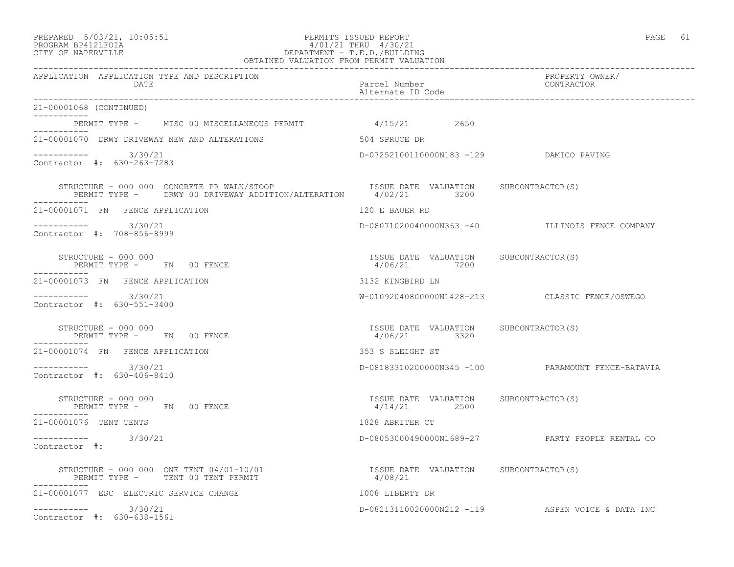#### PREPARED 5/03/21, 10:05:51 PERMITS ISSUED REPORT PAGE 61 PROGRAM BP412LFOIA 4/01/21 THRU 4/30/21 CITY OF NAPERVILLE DEPARTMENT - T.E.D./BUILDING OBTAINED VALUATION FROM PERMIT VALUATION

------------------------------------------------------------------------------------------------------------------------------------ APPLICATION APPLICATION TYPE AND DESCRIPTION PROPERTY OWNER/ DATE PARTICLE IN THE PARTICLE OF THE PARTICLE Number CONTRACTOR OF THE PARTICLE IN THE PARTICLE IN THE PARTICLE Alternate ID Code ------------------------------------------------------------------------------------------------------------------------------------ 21-00001068 (CONTINUED) ----------- PERMIT TYPE - MISC 00 MISCELLANEOUS PERMIT 4/15/21 2650 ----------- 21-00001070 DRWY DRIVEWAY NEW AND ALTERATIONS 504 SPRUCE DR  $--------- 3/30/21$ D-07252100110000N183 -129 DAMICO PAVING Contractor #: 630-263-7283 STRUCTURE - 000 000 CONCRETE PR WALK/STOOP **ISSUE DATE VALUATION** SUBCONTRACTOR(S) PERMIT TYPE - DRWY 00 DRIVEWAY ADDITION/ALTERATION 4/02/21 3200 ----------- 21-00001071 FN FENCE APPLICATION 120 E BAUER RD ----------- 3/30/21 D-08071020040000N363 -40 ILLINOIS FENCE COMPANY Contractor #: 708-856-8999 STRUCTURE - 000 000 ISSUE DATE VALUATION SUBCONTRACTOR(S) PERMIT TYPE - FN 00 FENCE ----------- 21-00001073 FN FENCE APPLICATION 3132 KINGBIRD LN ----------- 3/30/21 W-01092040800000N1428-213 CLASSIC FENCE/OSWEGO Contractor #: 630-551-3400 STRUCTURE - 000 000 ISSUE DATE VALUATION SUBCONTRACTOR(S) PERMIT TYPE - FN 00 FENCE ----------- 21-00001074 FN FENCE APPLICATION 353 S SLEIGHT ST ----------- 3/30/21 D-08183310200000N345 -100 PARAMOUNT FENCE-BATAVIA Contractor #: 630-406-8410 STRUCTURE - 000 000 ISSUE DATE VALUATION SUBCONTRACTOR(S) PERMIT TYPE - FN 00 FENCE ----------- 21-00001076 TENT TENTS 1828 ABRITER CT ----------- 3/30/21 D-08053000490000N1689-27 PARTY PEOPLE RENTAL CO Contractor #: STRUCTURE - 000 000 ONE TENT 04/01-10/01<br>
PERMIT TYPE - TENT 00 TENT PERMIT 4/08/21 PERMIT TYPE - TENT 00 TENT PERMIT ----------- 21-00001077 ESC ELECTRIC SERVICE CHANGE 1008 LIBERTY DR ----------- 3/30/21 D-08213110020000N212 -119 ASPEN VOICE & DATA INC Contractor #: 630-638-1561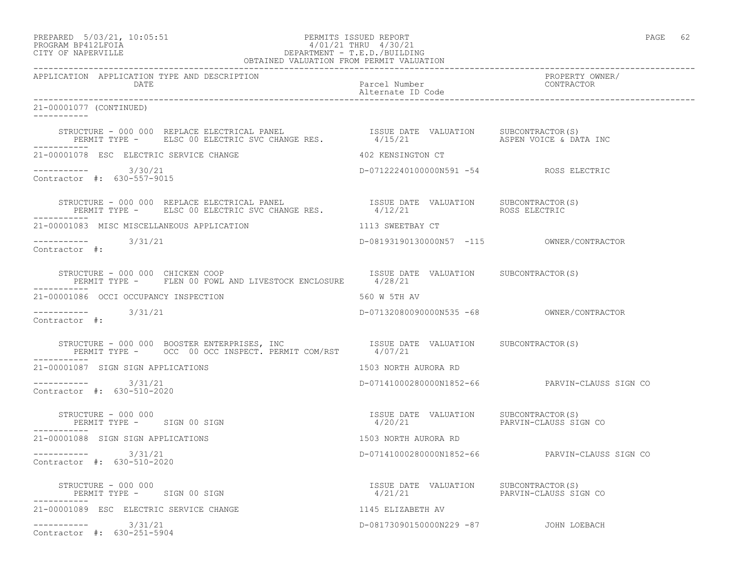## PREPARED 5/03/21, 10:05:51 PERMITS ISSUED REPORT<br>PROGRAM BP412LFOIA PAGE 62<br>
9/01/21 THRU 4/30/21 PROGRAM BP412LFOIA 4/01/21 THRU 4/30/21 CITY OF NAPERVILLE DEPARTMENT - T.E.D./BUILDING

| OBTAINED VALUATION FROM PERMIT VALUATION                                                                                                                                                                          |                                                                        |                                                |  |
|-------------------------------------------------------------------------------------------------------------------------------------------------------------------------------------------------------------------|------------------------------------------------------------------------|------------------------------------------------|--|
| APPLICATION APPLICATION TYPE AND DESCRIPTION<br>DATE                                                                                                                                                              | Parcel Number<br>Alternate ID Code                                     | PROPERTY OWNER/<br>CONTRACTOR                  |  |
| 21-00001077 (CONTINUED)<br>-----------                                                                                                                                                                            |                                                                        |                                                |  |
|                                                                                                                                                                                                                   |                                                                        | ASPEN VOICE & DATA INC                         |  |
| 21-00001078 ESC ELECTRIC SERVICE CHANGE                                                                                                                                                                           | 402 KENSINGTON CT                                                      |                                                |  |
| $--------$ 3/30/21<br>Contractor #: 630-557-9015                                                                                                                                                                  | D-07122240100000N591 -54 ROSS ELECTRIC                                 |                                                |  |
| STRUCTURE – 000 000 REPLACE ELECTRICAL PANEL                    ISSUE DATE VALUATION    SUBCONTRACTOR(S)<br>PERMIT TYPE –     ELSC 00 ELECTRIC SVC CHANGE RES.             4/12/21                  ROSS ELECTRIC |                                                                        |                                                |  |
| 21-00001083 MISC MISCELLANEOUS APPLICATION                                                                                                                                                                        | 1113 SWEETBAY CT                                                       |                                                |  |
| $--------- 3/31/21$<br>Contractor #:                                                                                                                                                                              |                                                                        |                                                |  |
| STRUCTURE - 000 000 CHICKEN COOP<br>PERMIT TYPE - FLEN 00 FOWL AND LIVESTOCK ENCLOSURE 4/28/21                                                                                                                    | ISSUE DATE VALUATION SUBCONTRACTOR(S)                                  |                                                |  |
| 21-00001086 OCCI OCCUPANCY INSPECTION                                                                                                                                                                             | 560 W 5TH AV                                                           |                                                |  |
| $--------$ 3/31/21<br>Contractor #:                                                                                                                                                                               | D-07132080090000N535 -68 OWNER/CONTRACTOR                              |                                                |  |
| STRUCTURE - 000 000 BOOSTER ENTERPRISES, INC                     ISSUE DATE VALUATION     SUBCONTRACTOR(S)<br>PERMIT TYPE -      OCC  00 OCC INSPECT. PERMIT COM/RST       4/07/21                                |                                                                        |                                                |  |
| 21-00001087 SIGN SIGN APPLICATIONS                                                                                                                                                                                | 1503 NORTH AURORA RD                                                   |                                                |  |
| ----------- 3/31/21<br>Contractor #: 630-510-2020                                                                                                                                                                 |                                                                        | D-07141000280000N1852-66 PARVIN-CLAUSS SIGN CO |  |
| PERMIT TYPE - SIGN 00 SIGN<br>-----------                                                                                                                                                                         | ISSUE DATE VALUATION SUBCONTRACTOR(S)                                  |                                                |  |
| 21-00001088 SIGN SIGN APPLICATIONS                                                                                                                                                                                | 1503 NORTH AURORA RD                                                   |                                                |  |
| ----------- 3/31/21<br>Contractor #: 630-510-2020                                                                                                                                                                 |                                                                        | D-07141000280000N1852-66 PARVIN-CLAUSS SIGN CO |  |
| STRUCTURE - 000 000<br>PERMIT TYPE - SIGN 00 SIGN                                                                                                                                                                 | ISSUE DATE VALUATION SUBCONTRACTOR(S)<br>4/21/21 PARVIN-CLAUSS SIGN CO |                                                |  |
| 21-00001089 ESC ELECTRIC SERVICE CHANGE                                                                                                                                                                           | 1145 ELIZABETH AV                                                      |                                                |  |
| $--------- 3/31/21$<br>Contractor #: 630-251-5904                                                                                                                                                                 | D-08173090150000N229 -87 JOHN LOEBACH                                  |                                                |  |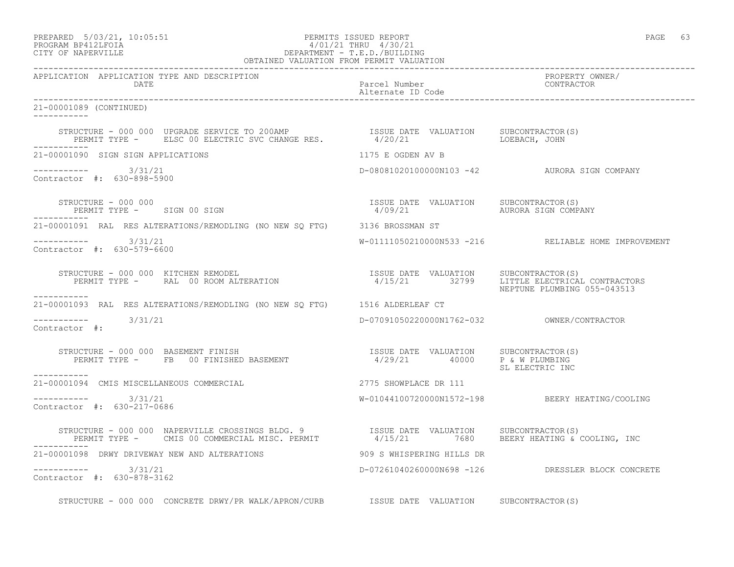### PREPARED 5/03/21, 10:05:51 PERMITS ISSUED REPORT PAGE 63 PROGRAM BP412LFOIA 4/01/21 THRU 4/30/21 CITY OF NAPERVILLE DEPARTMENT - T.E.D./BUILDING

| OBTAINED VALUATION FROM PERMIT VALUATION                                                                                                                                                                                                                                                                                                                                                                                                                            |                                    |                                                     |  |
|---------------------------------------------------------------------------------------------------------------------------------------------------------------------------------------------------------------------------------------------------------------------------------------------------------------------------------------------------------------------------------------------------------------------------------------------------------------------|------------------------------------|-----------------------------------------------------|--|
| APPLICATION APPLICATION TYPE AND DESCRIPTION<br>DATE                                                                                                                                                                                                                                                                                                                                                                                                                | Parcel Number<br>Alternate ID Code | PROPERTY OWNER/<br>CONTRACTOR                       |  |
| 21-00001089 (CONTINUED)<br>------------                                                                                                                                                                                                                                                                                                                                                                                                                             |                                    |                                                     |  |
| STRUCTURE - 000 000 UPGRADE SERVICE TO 200AMP                    ISSUE DATE VALUATION     SUBCONTRACTOR(S)<br>PERMIT TYPE -      ELSC 00 ELECTRIC SVC CHANGE RES.              4/20/21                      LOEBACH, JOHN                                                                                                                                                                                                                                           |                                    |                                                     |  |
| 21-00001090 SIGN SIGN APPLICATIONS                                                                                                                                                                                                                                                                                                                                                                                                                                  | 1175 E OGDEN AV B                  |                                                     |  |
| $--------- 3/31/21$<br>Contractor #: 630-898-5900                                                                                                                                                                                                                                                                                                                                                                                                                   |                                    | D-08081020100000N103 -42 AURORA SIGN COMPANY        |  |
| -----------                                                                                                                                                                                                                                                                                                                                                                                                                                                         | 4/09/21 AURORA SIGN COMPANY        |                                                     |  |
| 21-00001091 RAL RES ALTERATIONS/REMODLING (NO NEW SQ FTG) 3136 BROSSMAN ST                                                                                                                                                                                                                                                                                                                                                                                          |                                    |                                                     |  |
| $--------- 3/31/21$<br>Contractor #: 630-579-6600                                                                                                                                                                                                                                                                                                                                                                                                                   |                                    | W-01111050210000N533 -216 RELIABLE HOME IMPROVEMENT |  |
| $\begin{array}{cccc} \texttt{STRUCTURE} & - & 000 & 000 & \texttt{KITCHEN REMOPEL} \\ \texttt{PERMIT TYPE} & - & \texttt{RAL} & 00\texttt{ ROM ALTERATION} & \texttt{SUSUE} & \texttt{ISTRE} & \texttt{VALUATION} & \texttt{SUBCONTRACTOR(S)} \\ \texttt{PERMIT TYPE} & - & \texttt{RAL} & 00\texttt{ ROOTERATION} & 4/15/21 & 32799 & \texttt{LITTLE ELECTRICAL CONTRACTORS} \end{array}$<br>___________                                                           |                                    | NEPTUNE PLUMBING 055-043513                         |  |
| 21-00001093 RAL RES ALTERATIONS/REMODLING (NO NEW SQ FTG) 1516 ALDERLEAF CT                                                                                                                                                                                                                                                                                                                                                                                         |                                    |                                                     |  |
| ----------- 3/31/21<br>Contractor #:                                                                                                                                                                                                                                                                                                                                                                                                                                |                                    |                                                     |  |
| $\begin{array}{cccccc} \texttt{STRUCTURE} & - & 000 & 000 & \texttt{BASEMENT} & \texttt{FINISH} & \texttt{BASEMENT} & \texttt{SSEMENT} & \texttt{SSE MENT} & \texttt{SSE MENT} & \texttt{SSE MENT} & \texttt{SSE MENT} & \texttt{SSE MENT} & \texttt{SSE MENT} & \texttt{SSE MENT} & \texttt{SSE MENT} & \texttt{SSE MENT} & \texttt{SSE MENT} & \texttt{SSE MENT} & \texttt{SSE MENT} & \texttt{SSE MENT} & \texttt{SSE MENT} & \texttt{SSE MENT} & \texttt{SSE M$ |                                    | SL ELECTRIC INC                                     |  |
| -----------<br>21-00001094 CMIS MISCELLANEOUS COMMERCIAL 2775 SHOWPLACE DR 111                                                                                                                                                                                                                                                                                                                                                                                      |                                    |                                                     |  |
| $--------- 3/31/21$<br>Contractor #: 630-217-0686                                                                                                                                                                                                                                                                                                                                                                                                                   |                                    | W-01044100720000N1572-198 BEERY HEATING/COOLING     |  |
| STRUCTURE - 000 000 NAPERVILLE CROSSINGS BLDG. 9               ISSUE DATE VALUATION     SUBCONTRACTOR(S)<br>PERMIT TYPE -     CMIS 00 COMMERCIAL MISC. PERMIT             4/15/21       7680     BEERY HEATING & COOLING, INC                                                                                                                                                                                                                                       |                                    |                                                     |  |
| 21-00001098 DRWY DRIVEWAY NEW AND ALTERATIONS                                                                                                                                                                                                                                                                                                                                                                                                                       | 909 S WHISPERING HILLS DR          |                                                     |  |
| $--------- 3/31/21$<br>Contractor #: 630-878-3162                                                                                                                                                                                                                                                                                                                                                                                                                   |                                    | D-07261040260000N698 -126 DRESSLER BLOCK CONCRETE   |  |
| STRUCTURE - 000 000 CONCRETE DRWY/PR WALK/APRON/CURB ISSUE DATE VALUATION SUBCONTRACTOR(S)                                                                                                                                                                                                                                                                                                                                                                          |                                    |                                                     |  |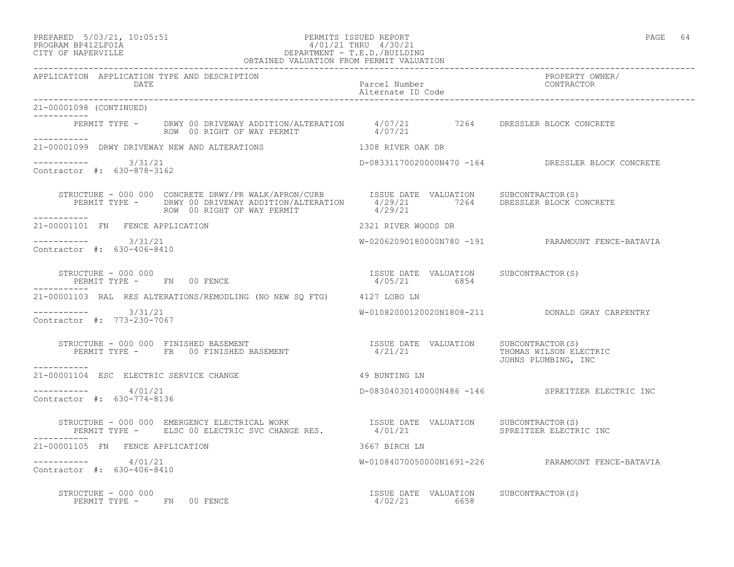#### PREPARED 5/03/21, 10:05:51 PERMITS ISSUED REPORT PAGE 64 PROGRAM BP412LFOIA 4/01/21 THRU 4/30/21 CITY OF NAPERVILLE DEPARTMENT - T.E.D./BUILDING

|                                                      | OBTAINED VALUATION FROM PERMIT VALUATION                                                                                                                                                                                    |                                                                               |                                                     |
|------------------------------------------------------|-----------------------------------------------------------------------------------------------------------------------------------------------------------------------------------------------------------------------------|-------------------------------------------------------------------------------|-----------------------------------------------------|
| APPLICATION APPLICATION TYPE AND DESCRIPTION<br>DATE |                                                                                                                                                                                                                             | Parcel Number<br>Alternate ID Code                                            | PROPERTY OWNER/<br>CONTRACTOR                       |
| 21-00001098 (CONTINUED)<br>. _ _ _ _ _ _ _ _ _ _     |                                                                                                                                                                                                                             |                                                                               |                                                     |
| ___________                                          | PERMIT TYPE - DRWY 00 DRIVEWAY ADDITION/ALTERATION $4/07/21$ 7264 DRESSLER BLOCK CONCRETE<br>ROW 00 RIGHT OF WAY PERMIT 4/07/21                                                                                             |                                                                               |                                                     |
|                                                      | 21-00001099 DRWY DRIVEWAY NEW AND ALTERATIONS THE RESERVED ON THE RESERVED ON A DR                                                                                                                                          |                                                                               |                                                     |
| $--------- 3/31/21$<br>Contractor #: 630-878-3162    |                                                                                                                                                                                                                             |                                                                               | D-08331170020000N470 -164 DRESSLER BLOCK CONCRETE   |
|                                                      |                                                                                                                                                                                                                             |                                                                               |                                                     |
| 21-00001101 FN FENCE APPLICATION                     |                                                                                                                                                                                                                             | 2321 RIVER WOODS DR                                                           |                                                     |
| $--------- 3/31/21$<br>Contractor #: 630-406-8410    |                                                                                                                                                                                                                             |                                                                               | W-02062090180000N780 -191 PARAMOUNT FENCE-BATAVIA   |
| STRUCTURE - 000 000<br>PERMIT TYPE - FN 00 FENCE     |                                                                                                                                                                                                                             | ISSUE DATE VALUATION SUBCONTRACTOR(S)<br>ISSUE DATE VALUATION<br>4/05/21 6854 |                                                     |
|                                                      | 21-00001103 RAL RES ALTERATIONS/REMODLING (NO NEW SO FTG) 4127 LOBO LN                                                                                                                                                      |                                                                               |                                                     |
| $--------- 3/31/21$<br>Contractor #: 773-230-7067    |                                                                                                                                                                                                                             |                                                                               | W-01082000120020N1808-211    QDONALD GRAY CARPENTRY |
| -----------                                          | STRUCTURE - 000 000 FINISHED BASEMENT<br>PERMIT TYPE - FB 00 FINISHED BASEMENT - 1/21/21 4/21/21 THOMAS WILSON CLECTRIC                                                                                                     |                                                                               | JOHNS PLUMBING, INC                                 |
| 21-00001104 ESC ELECTRIC SERVICE CHANGE              |                                                                                                                                                                                                                             | 49 BUNTING LN                                                                 |                                                     |
| $--------$ 4/01/21<br>Contractor #: 630-774-8136     |                                                                                                                                                                                                                             |                                                                               | D-08304030140000N486 -146 SPREITZER ELECTRIC INC    |
|                                                      | STRUCTURE - 000 000 EMERGENCY ELECTRICAL WORK                  ISSUE DATE VALUATION     SUBCONTRACTOR(S)<br>PERMIT TYPE -     ELSC 00 ELECTRIC SVC CHANGE RES.            4/01/21                    SPREITZER ELECTRIC INC |                                                                               |                                                     |
| 21-00001105 FN FENCE APPLICATION                     |                                                                                                                                                                                                                             | 3667 BIRCH LN                                                                 |                                                     |
| $--------- 4/01/21$<br>Contractor #: 630-406-8410    |                                                                                                                                                                                                                             |                                                                               | W-01084070050000N1691-226 PARAMOUNT FENCE-BATAVIA   |
| STRUCTURE - 000 000                                  |                                                                                                                                                                                                                             | ISSUE DATE VALUATION SUBCONTRACTOR(S)                                         |                                                     |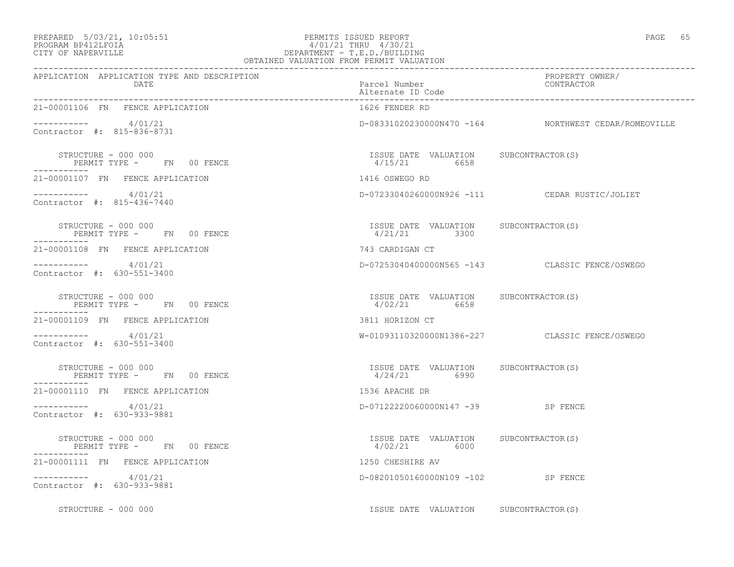#### PREPARED 5/03/21, 10:05:51 PERMITS ISSUED REPORT PAGE 65 PROGRAM BP412LFOIA 4/01/21 THRU 4/30/21 CITY OF NAPERVILLE DEPARTMENT - T.E.D./BUILDING OBTAINED VALUATION FROM PERMIT VALUATION

------------------------------------------------------------------------------------------------------------------------------------

| APPLICATION APPLICATION TYPE AND DESCRIPTION<br>DATE            | Parcel Number<br>Alternate ID Code                      | PROPERTY OWNER/<br>CONTRACTOR                        |
|-----------------------------------------------------------------|---------------------------------------------------------|------------------------------------------------------|
| 21-00001106 FN FENCE APPLICATION                                | 1626 FENDER RD                                          |                                                      |
| $--------- 4/01/21$<br>Contractor #: 815-836-8731               |                                                         | D-08331020230000N470 -164 NORTHWEST CEDAR/ROMEOVILLE |
| STRUCTURE - 000 000<br>PERMIT TYPE - FN 00 FENCE<br>----------- | ISSUE DATE VALUATION SUBCONTRACTOR(S)<br>4/15/21 6658   |                                                      |
| 21-00001107 FN FENCE APPLICATION                                | 1416 OSWEGO RD                                          |                                                      |
| $--------- 4/01/21$<br>Contractor #: 815-436-7440               |                                                         | D-07233040260000N926 -111 CEDAR RUSTIC/JOLIET        |
| STRUCTURE - 000 000<br>PERMIT TYPE - FN 00 FENCE<br>___________ | ISSUE DATE VALUATION SUBCONTRACTOR(S)<br>$4/21/21$ 3300 |                                                      |
| 21-00001108 FN FENCE APPLICATION                                | 743 CARDIGAN CT                                         |                                                      |
| $--------- 4/01/21$<br>Contractor #: 630-551-3400               |                                                         | D-07253040400000N565 -143 CLASSIC FENCE/OSWEGO       |
| STRUCTURE - 000 000<br>PERMIT TYPE - FN 00 FENCE<br>----------- | ISSUE DATE VALUATION SUBCONTRACTOR(S)<br>4/02/21 6658   |                                                      |
| 21-00001109 FN FENCE APPLICATION                                | 3811 HORIZON CT                                         |                                                      |
| $--------- 4/01/21$<br>Contractor #: 630-551-3400               |                                                         | W-01093110320000N1386-227 CLASSIC FENCE/OSWEGO       |
| STRUCTURE - 000 000<br>PERMIT TYPE - FN 00 FENCE                | ISSUE DATE VALUATION SUBCONTRACTOR(S)<br>$4/24/21$ 6990 |                                                      |
| ------------<br>21-00001110 FN FENCE APPLICATION                | 1536 APACHE DR                                          |                                                      |
| $--------- 4/01/21$<br>Contractor #: 630-933-9881               | D-07122220060000N147 -39 SP FENCE                       |                                                      |
| STRUCTURE - 000 000<br>PERMIT TYPE - FN 00 FENCE                | ISSUE DATE VALUATION SUBCONTRACTOR(S)<br>4/02/21 6000   |                                                      |
| 21-00001111 FN FENCE APPLICATION                                | 1250 CHESHIRE AV                                        |                                                      |
| $--------- 4/01/21$<br>Contractor #: 630-933-9881               | D-08201050160000N109 -102 SP FENCE                      |                                                      |
| STRUCTURE - 000 000                                             | ISSUE DATE VALUATION SUBCONTRACTOR(S)                   |                                                      |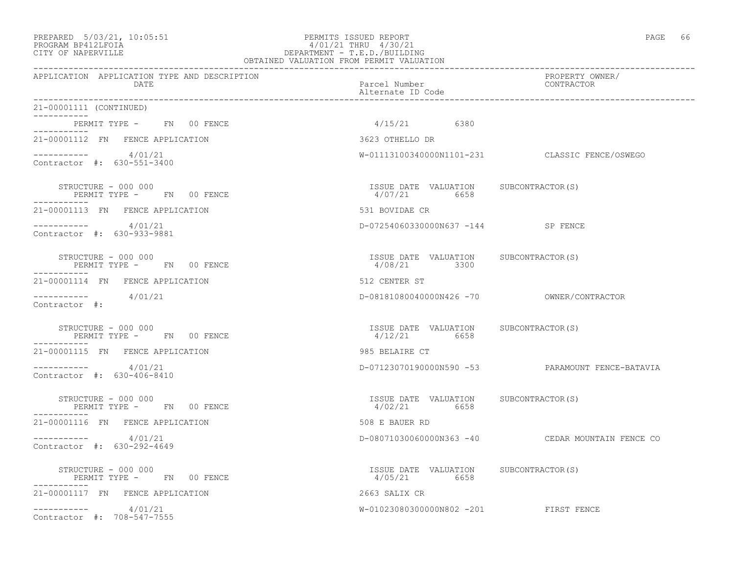## PREPARED 5/03/21, 10:05:51 PERMITS ISSUED REPORT<br>PROGRAM BP412LFOIA PAGE 66 PROGRAM PROGRAM BP412LFOIA PROGRAM BP412LFOIA 4/01/21 THRU 4/30/21 CITY OF NAPERVILLE DEPARTMENT - T.E.D./BUILDING

| OBTAINED VALUATION FROM PERMIT VALUATION                         |                                                         |                                                  |  |
|------------------------------------------------------------------|---------------------------------------------------------|--------------------------------------------------|--|
| APPLICATION APPLICATION TYPE AND DESCRIPTION<br>DATE             | Parcel Number<br>Alternate ID Code                      | PROPERTY OWNER/<br>CONTRACTOR                    |  |
| 21-00001111 (CONTINUED)                                          |                                                         |                                                  |  |
| PERMIT TYPE - FN 00 FENCE<br>-----------                         | $4/15/21$ 6380                                          |                                                  |  |
| 21-00001112 FN FENCE APPLICATION                                 | 3623 OTHELLO DR                                         |                                                  |  |
| $--------- 4/01/21$<br>Contractor #: 630-551-3400                |                                                         | W-01113100340000N1101-231 CLASSIC FENCE/OSWEGO   |  |
| STRUCTURE - 000 000<br>PERMIT TYPE - FN 00 FENCE                 | ISSUE DATE VALUATION SUBCONTRACTOR(S)<br>4/07/21 6658   |                                                  |  |
| 21-00001113 FN FENCE APPLICATION                                 | 531 BOVIDAE CR                                          |                                                  |  |
| $--------- 4/01/21$<br>Contractor #: 630-933-9881                | D-07254060330000N637 -144 SP FENCE                      |                                                  |  |
| STRUCTURE - 000 000<br>PERMIT TYPE - FN 00 FENCE<br>------------ | ISSUE DATE VALUATION SUBCONTRACTOR(S)<br>4/08/21 3300   |                                                  |  |
| 21-00001114 FN FENCE APPLICATION                                 | 512 CENTER ST                                           |                                                  |  |
| $--------- 4/01/21$<br>Contractor #:                             |                                                         |                                                  |  |
| STRUCTURE - 000 000<br>PERMIT TYPE - FN 00 FENCE                 | ISSUE DATE VALUATION SUBCONTRACTOR(S)<br>$4/12/21$ 6658 |                                                  |  |
| 21-00001115 FN FENCE APPLICATION                                 | 985 BELAIRE CT                                          |                                                  |  |
| -----------     4/01/21<br>Contractor #: 630-406-8410            |                                                         | D-07123070190000N590 -53 PARAMOUNT FENCE-BATAVIA |  |
| STRUCTURE - 000 000<br>PERMIT TYPE - FN 00 FENCE                 | ISSUE DATE VALUATION SUBCONTRACTOR(S)<br>4/02/21 6658   |                                                  |  |
| 21-00001116 FN FENCE APPLICATION                                 | 508 E BAUER RD                                          |                                                  |  |
| $--------- 4/01/21$<br>Contractor #: 630-292-4649                |                                                         | D-08071030060000N363 -40 CEDAR MOUNTAIN FENCE CO |  |
| STRUCTURE - 000 000<br>PERMIT TYPE - FN 00 FENCE                 | ISSUE DATE VALUATION SUBCONTRACTOR(S)<br>4/05/21 6658   |                                                  |  |
| 21-00001117 FN FENCE APPLICATION                                 | 2663 SALIX CR                                           |                                                  |  |
| $--------- 4/01/21$<br>Contractor #: 708-547-7555                | W-01023080300000N802 -201 FIRST FENCE                   |                                                  |  |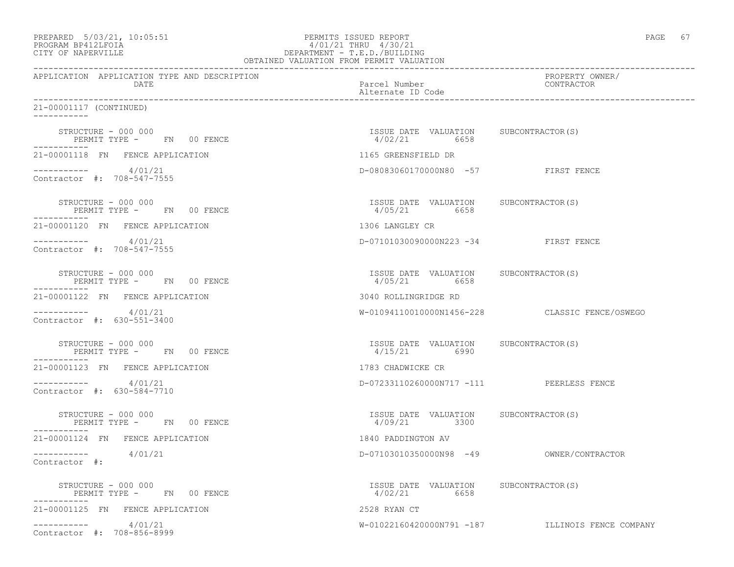|                   | PREPARED 5/03/21, 10:05:51 | PERMITS ISSUED REPORT     | PAGE |  |
|-------------------|----------------------------|---------------------------|------|--|
| PROGRAM PRACTROTA |                            | $1/01/01$ munts $1/00/01$ |      |  |

# PROGRAM BP412LFOIA 4/01/21 THRU 4/30/21 CITY OF NAPERVILLE CITY OF NAPERVILLE

| OBTAINED VALUATION FROM PERMIT VALUATION                        |                                                        |                                                  |  |
|-----------------------------------------------------------------|--------------------------------------------------------|--------------------------------------------------|--|
| APPLICATION APPLICATION TYPE AND DESCRIPTION<br>DATE            | Parcel Number<br>Alternate ID Code                     | PROPERTY OWNER/<br>CONTRACTOR                    |  |
| 21-00001117 (CONTINUED)<br>___________                          |                                                        |                                                  |  |
| STRUCTURE - 000 000<br>PERMIT TYPE - FN 00 FENCE                | ISSUE DATE VALUATION SUBCONTRACTOR(S)<br>4/02/21 6658  |                                                  |  |
| 21-00001118 FN FENCE APPLICATION                                | 1165 GREENSFIELD DR                                    |                                                  |  |
| $--------- 4/01/21$<br>Contractor #: 708-547-7555               | D-08083060170000N80 -57 FIRST FENCE                    |                                                  |  |
| STRUCTURE - 000 000                                             | ISSUE DATE VALUATION SUBCONTRACTOR (S)<br>4/05/21 6658 |                                                  |  |
| 21-00001120 FN FENCE APPLICATION                                | 1306 LANGLEY CR                                        |                                                  |  |
| $--------- 4/01/21$<br>Contractor #: 708-547-7555               | D-07101030090000N223 -34 FIRST FENCE                   |                                                  |  |
| STRUCTURE - 000 000<br>PERMIT TYPE - FN 00 FENCE                | ISSUE DATE VALUATION SUBCONTRACTOR(S)<br>4/05/21 6658  |                                                  |  |
| 21-00001122 FN FENCE APPLICATION                                | 3040 ROLLINGRIDGE RD                                   |                                                  |  |
| $--------- 4/01/21$<br>Contractor #: 630-551-3400               |                                                        | W-01094110010000N1456-228 CLASSIC FENCE/OSWEGO   |  |
| STRUCTURE - 000 000<br>PERMIT TYPE - FN 00 FENCE                | ISSUE DATE VALUATION SUBCONTRACTOR(S)<br>4/15/21 6990  |                                                  |  |
| 21-00001123 FN FENCE APPLICATION                                | 1783 CHADWICKE CR                                      |                                                  |  |
| $--------- 4/01/21$<br>Contractor #: 630-584-7710               | D-07233110260000N717 -111 PEERLESS FENCE               |                                                  |  |
| STRUCTURE - 000 000<br>PERMIT TYPE - FN 00 FENCE<br>----------- | ISSUE DATE VALUATION SUBCONTRACTOR(S)<br>4/09/21 3300  |                                                  |  |
| 21-00001124 FN FENCE APPLICATION                                | 1840 PADDINGTON AV                                     |                                                  |  |
| $--------- 4/01/21$<br>Contractor #:                            |                                                        |                                                  |  |
| STRUCTURE - 000 000<br>PERMIT TYPE - FN 00 FENCE                | ISSUE DATE VALUATION SUBCONTRACTOR(S)<br>4/02/21 6658  |                                                  |  |
| 21-00001125 FN FENCE APPLICATION                                | 2528 RYAN CT                                           |                                                  |  |
| $--------- 4/01/21$<br>Contractor #: 708-856-8999               |                                                        | W-01022160420000N791 -187 ILLINOIS FENCE COMPANY |  |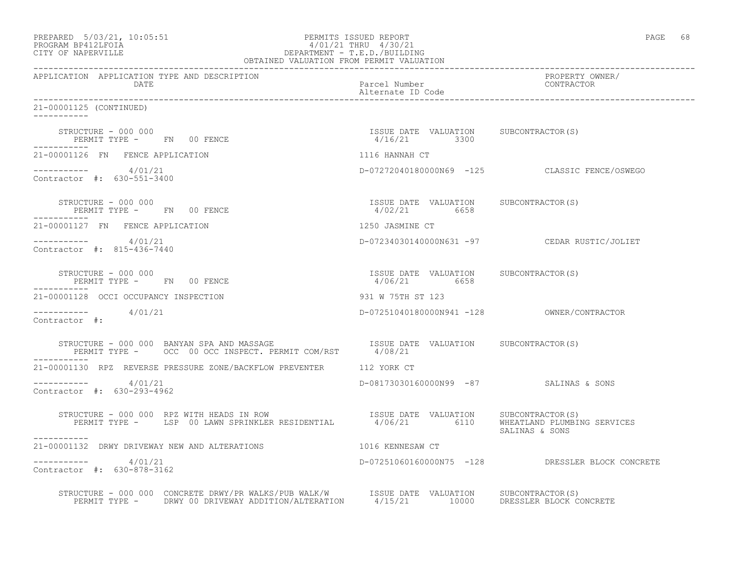| PREPARED 5/03/21, 10:05:51<br>PROGRAM BP412LFOIA 4/01/21 THRU 4/30/21<br>CITY OF NAPERVILLE DEPARTMENT - T.E.D./BUILDING<br>OBTAINED VALUATION FROM PERMIT VALUATION                              |                                                         | PAGE 68                                          |
|---------------------------------------------------------------------------------------------------------------------------------------------------------------------------------------------------|---------------------------------------------------------|--------------------------------------------------|
| APPLICATION APPLICATION TYPE AND DESCRIPTION<br>DATE                                                                                                                                              | Parcel Number<br>Alternate ID Code                      | PROPERTY OWNER/<br>CONTRACTOR                    |
| 21-00001125 (CONTINUED)                                                                                                                                                                           |                                                         |                                                  |
| STRUCTURE - 000 000<br>PERMIT TYPE - FN 00 FENCE                                                                                                                                                  | ISSUE DATE VALUATION SUBCONTRACTOR(S)<br>$4/16/21$ 3300 |                                                  |
| 21-00001126 FN FENCE APPLICATION                                                                                                                                                                  | 1116 HANNAH CT                                          |                                                  |
| $--------- 4/01/21$<br>Contractor #: 630-551-3400                                                                                                                                                 |                                                         | D-07272040180000N69 -125 CLASSIC FENCE/OSWEGO    |
| STRUCTURE - 000 000<br>PERMIT TYPE - FN 00 FENCE                                                                                                                                                  | ISSUE DATE VALUATION SUBCONTRACTOR(S)<br>4/02/21 6658   |                                                  |
| 21-00001127 FN FENCE APPLICATION                                                                                                                                                                  | 1250 JASMINE CT                                         |                                                  |
| $--------- 4/01/21$<br>Contractor #: 815-436-7440                                                                                                                                                 |                                                         | D-07234030140000N631 -97 CEDAR RUSTIC/JOLIET     |
| STRUCTURE - 000 000<br>PERMIT TYPE - FN 00 FENCE<br>------------                                                                                                                                  | ISSUE DATE VALUATION SUBCONTRACTOR(S)<br>4/06/21 6658   |                                                  |
| 21-00001128 OCCI OCCUPANCY INSPECTION                                                                                                                                                             | 931 W 75TH ST 123                                       |                                                  |
| $--------- 4/01/21$<br>Contractor #:                                                                                                                                                              |                                                         |                                                  |
| STRUCTURE – 000 000 BANYAN SPA AND MASSAGE TSSUE DATE VALUATION SUBCONTRACTOR(S)<br>-----------                                                                                                   |                                                         |                                                  |
| 21-00001130 RPZ REVERSE PRESSURE ZONE/BACKFLOW PREVENTER 112 YORK CT                                                                                                                              |                                                         |                                                  |
| $--------- 4/01/21$<br>Contractor #: 630-293-4962                                                                                                                                                 | D-08173030160000N99 -87 SALINAS & SONS                  |                                                  |
| STRUCTURE - 000 000 RPZ WITH HEADS IN ROW<br>PERMIT TYPE - LSP 00 LAWN SPRINKLER RESIDENTIAL 4/06/21 6110 WHEATLAND PLUMBING SERVICES<br>-----------                                              |                                                         | SALINAS & SONS                                   |
| 21-00001132 DRWY DRIVEWAY NEW AND ALTERATIONS                                                                                                                                                     | 1016 KENNESAW CT                                        |                                                  |
| $--------- 4/01/21$<br>Contractor #: 630-878-3162                                                                                                                                                 |                                                         | D-07251060160000N75 -128 DRESSLER BLOCK CONCRETE |
| STRUCTURE - 000 000 CONCRETE DRWY/PR WALKS/PUB WALK/W   ISSUE DATE  VALUATION   SUBCONTRACTOR(S)<br>PERMIT TYPE - DRWY 00 DRIVEWAY ADDITION/ALTERATION   4/15/21   10000  DRESSLER BLOCK CONCRETE |                                                         |                                                  |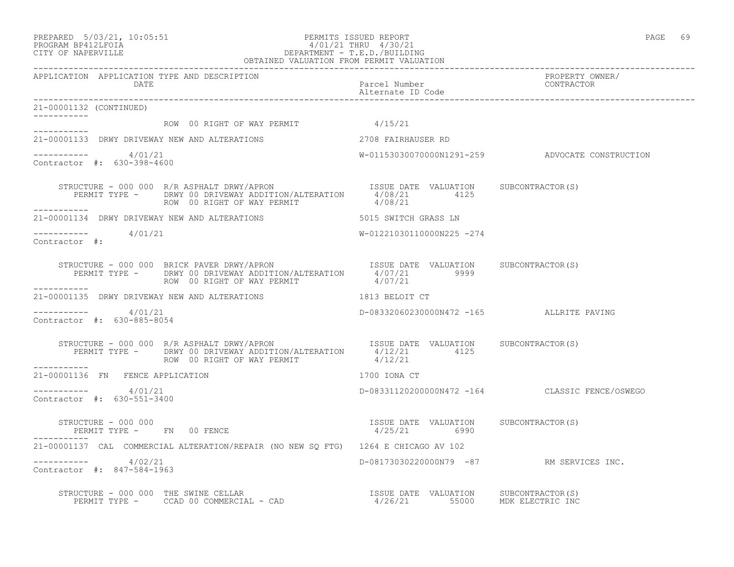#### PREPARED 5/03/21, 10:05:51 PERMITS ISSUED REPORT PAGE 69 PROGRAM BP412LFOIA 4/01/21 THRU 4/30/21 CITY OF NAPERVILLE DEPARTMENT - T.E.D./BUILDING OBTAINED VALUATION FROM PERMIT VALUATION

------------------------------------------------------------------------------------------------------------------------------------ APPLICATION APPLICATION TYPE AND DESCRIPTION PROPERTY OWNER/ DATE Parcel Number CONTRACTOR Alternate ID Code ------------------------------------------------------------------------------------------------------------------------------------ 21-00001132 (CONTINUED) ----------- ROW 00 RIGHT OF WAY PERMIT 4/15/21 ----------- 21-00001133 DRWY DRIVEWAY NEW AND ALTERATIONS 2708 FAIRHAUSER RD  $--------- 4/01/21$ W-01153030070000N1291-259 ADVOCATE CONSTRUCTION Contractor #: 630-398-4600 STRUCTURE - 000 000 R/R ASPHALT DRWY/APRON SISUE ISSUE DATE VALUATION SUBCONTRACTOR(S) PERMIT TYPE - DRWY 00 DRIVEWAY ADDITION/ALTERATION  $4/08/21$  4125<br>ROW 00 RIGHT OF WAY PERMIT 4/08/21 ROW 00 RIGHT OF WAY PERMIT ----------- 21-00001134 DRWY DRIVEWAY NEW AND ALTERATIONS 6015 SWITCH GRASS LN \_\_\_\_\_\_\_\_\_\_\_  $4/01/21$  W-01221030110000N225 -274 Contractor #: STRUCTURE - 000 000 BRICK PAVER DRWY/APRON **ISSUE DATE** VALUATION SUBCONTRACTOR(S) PERMIT TYPE - DRWY 00 DRIVEWAY ADDITION/ALTERATION  $4/07/21$  9999<br>ROW 00 RIGHT OF WAY PERMIT 4/07/21 ROW 00 RIGHT OF WAY PERMIT ----------- 21-00001135 DRWY DRIVEWAY NEW AND ALTERATIONS 1813 BELOIT CT  $--------- 4/01/21$ D-08332060230000N472 -165 ALLRITE PAVING Contractor #: 630-885-8054 STRUCTURE - 000 000 R/R ASPHALT DRWY/APRON ISSUE DATE VALUATION SUBCONTRACTOR(S) PERMIT TYPE - DRWY 00 DRIVEWAY ADDITION/ALTERATION 4/12/21 4125 ROW 00 RIGHT OF WAY PERMIT  $4/12/21$ ----------- 21-00001136 FN FENCE APPLICATION 1700 IONA CT  $--------- 4/01/21$ ----------- 4/01/21 D-08331120200000N472 -164 CLASSIC FENCE/OSWEGO Contractor #: 630-551-3400 STRUCTURE - 000 000 ISSUE DATE VALUATION SUBCONTRACTOR(S) PERMIT TYPE - FN 00 FENCE ----------- 21-00001137 CAL COMMERCIAL ALTERATION/REPAIR (NO NEW SQ FTG) 1264 E CHICAGO AV 102 ----------- 4/02/21 D-08173030220000N79 -87 RM SERVICES INC. Contractor #: 847-584-1963 STRUCTURE - 000 000 THE SWINE CELLAR **ISSUE DATE VALUATION** SUBCONTRACTOR(S) PERMIT TYPE - CCAD 00 COMMERCIAL - CAD 4/26/21 55000 MDK ELECTRIC INC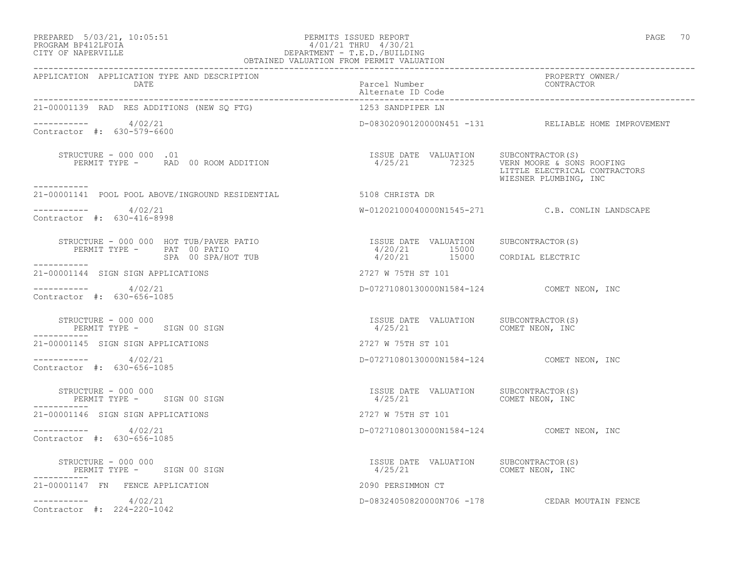#### PREPARED 5/03/21, 10:05:51 PERMITS ISSUED REPORT PAGE 70 PROGRAM BP412LFOIA 4/01/21 THRU 4/30/21 CITY OF NAPERVILLE DEPARTMENT - T.E.D./BUILDING OBTAINED VALUATION FROM PERMIT VALUATION

| APPLICATION APPLICATION TYPE AND DESCRIPTION<br>DATE                            | Parcel Number<br>Alternate ID Code                                                       | PROPERTY OWNER/<br>CONTRACTOR                          |
|---------------------------------------------------------------------------------|------------------------------------------------------------------------------------------|--------------------------------------------------------|
| 21-00001139 RAD RES ADDITIONS (NEW SQ FTG)                                      | 1253 SANDPIPER LN                                                                        |                                                        |
| $--------- 4/02/21$<br>Contractor #: 630-579-6600                               |                                                                                          | D-08302090120000N451 -131 RELIABLE HOME IMPROVEMENT    |
| STRUCTURE - 000 000 .01<br>PERMIT TYPE - RAD 00 ROOM ADDITION                   | ISSUE DATE VALUATION SUBCONTRACTOR(S)<br>4/25/21 72325 VERN MOORE & SONS ROOFING         | LITTLE ELECTRICAL CONTRACTORS<br>WIESNER PLUMBING, INC |
| -----------<br>21-00001141 POOL POOL ABOVE/INGROUND RESIDENTIAL 5108 CHRISTA DR |                                                                                          |                                                        |
| $--------- 4/02/21$<br>Contractor #: 630-416-8998                               |                                                                                          | W-01202100040000N1545-271 C.B. CONLIN LANDSCAPE        |
| PERMIT TYPE - PAT 00 PATIO<br>SPA 00 SPA/HOT TUB                                | ISSUE DATE VALUATION SUBCONTRACTOR(S)<br>4/20/21 15000<br>4/20/21 15000 CORDIAL ELECTRIC |                                                        |
| ------------<br>21-00001144 SIGN SIGN APPLICATIONS                              | 2727 W 75TH ST 101                                                                       |                                                        |
| $--------- 4/02/21$<br>Contractor #: 630-656-1085                               | D-07271080130000N1584-124 COMET NEON, INC                                                |                                                        |
| STRUCTURE - 000 000<br>PERMIT TYPE - SIGN 00 SIGN                               | ISSUE DATE VALUATION SUBCONTRACTOR(S)<br>$4/25/21$ COMET NEON, INC                       |                                                        |
| 21-00001145 SIGN SIGN APPLICATIONS                                              | 2727 W 75TH ST 101                                                                       |                                                        |
| $--------- 4/02/21$<br>Contractor #: 630-656-1085                               | D-07271080130000N1584-124 COMET NEON, INC                                                |                                                        |
| STRUCTURE - 000 000<br>PERMIT TYPE - SIGN 00 SIGN                               | ISSUE DATE VALUATION SUBCONTRACTOR(S)<br>4/25/21                                         | COMET NEON, INC                                        |
| 21-00001146 SIGN SIGN APPLICATIONS                                              | 2727 W 75TH ST 101                                                                       |                                                        |
| $--------- 4/02/21$<br>Contractor #: 630-656-1085                               | D-07271080130000N1584-124 COMET NEON, INC                                                |                                                        |
| STRUCTURE - 000 000<br>PERMIT TYPE - SIGN 00 SIGN                               | ISSUE DATE VALUATION SUBCONTRACTOR(S)<br>$4/25/21$ COMET NEON, INC                       |                                                        |
| 21-00001147 FN FENCE APPLICATION                                                | 2090 PERSIMMON CT                                                                        |                                                        |
| $--------- 4/02/21$<br>Contractor #: 224-220-1042                               |                                                                                          | D-08324050820000N706 -178 CEDAR MOUTAIN FENCE          |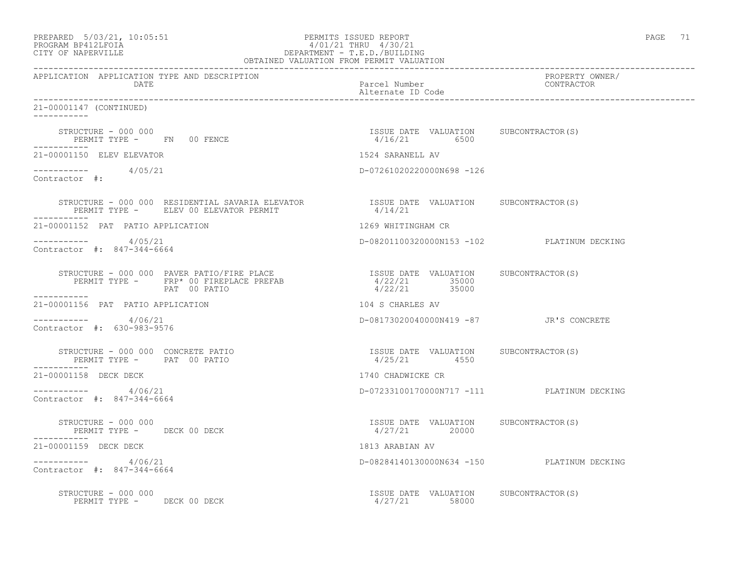| PREPARED |                    | $5/03/21$ , $10:05:51$ |
|----------|--------------------|------------------------|
|          | PROCRAM RP412LFOIA |                        |

#### PREPARED 5/03/21, 10:05:51 PERMITS ISSUED REPORT PAGE 71 PROGRAM BP412LFOIA 4/01/21 THRU 4/30/21 CITY OF NAPERVILLE DEPARTMENT - T.E.D./BUILDING OBTAINED VALUATION FROM PERMIT VALUATION

| APPLICATION APPLICATION TYPE AND DESCRIPTION<br><b>DATE</b>                                                                                                                                                                                                                                                                                    | Parcel Number<br>Alternate ID Code                     | PROPERTY OWNER/<br>CONTRACTOR              |
|------------------------------------------------------------------------------------------------------------------------------------------------------------------------------------------------------------------------------------------------------------------------------------------------------------------------------------------------|--------------------------------------------------------|--------------------------------------------|
| 21-00001147 (CONTINUED)                                                                                                                                                                                                                                                                                                                        |                                                        |                                            |
| STRUCTURE - 000 000<br>PERMIT TYPE - FN 00 FENCE                                                                                                                                                                                                                                                                                               | ISSUE DATE VALUATION SUBCONTRACTOR(S)<br>4/16/21 6500  |                                            |
| 21-00001150 ELEV ELEVATOR                                                                                                                                                                                                                                                                                                                      | 1524 SARANELL AV                                       |                                            |
| $--------- 4/05/21$<br>Contractor #:                                                                                                                                                                                                                                                                                                           | D-07261020220000N698 -126                              |                                            |
|                                                                                                                                                                                                                                                                                                                                                |                                                        |                                            |
| 21-00001152 PAT PATIO APPLICATION                                                                                                                                                                                                                                                                                                              | 1269 WHITINGHAM CR                                     |                                            |
| $--------- 4/05/21$<br>Contractor #: 847-344-6664                                                                                                                                                                                                                                                                                              | D-08201100320000N153 -102 PLATINUM DECKING             |                                            |
| $\begin{tabular}{lcccc} \texttt{STRUCTURE} & - & 000 & 000 & PAVER & \texttt{PATH} & \texttt{PLACE} \\ \texttt{PERMIT} & \texttt{TPE} & - & \texttt{FRP*} & 00 & \texttt{FIREPLACE} & \texttt{PREFAB} \\ \texttt{PERMIT} & \texttt{TPE} & - & \texttt{PAP} & 00 & \texttt{PATHO} \\ & \texttt{PAT} & 00 & \texttt{PATHO} & & \\ \end{tabular}$ |                                                        |                                            |
| 21-00001156 PAT PATIO APPLICATION                                                                                                                                                                                                                                                                                                              | 104 S CHARLES AV                                       |                                            |
| $--------- 4/06/21$<br>Contractor #: 630-983-9576                                                                                                                                                                                                                                                                                              | D-08173020040000N419 -87 JR'S CONCRETE                 |                                            |
| STRUCTURE - 000 000 CONCRETE PATIO<br>PERMIT TYPE - PAT 00 PATIO                                                                                                                                                                                                                                                                               | ISSUE DATE VALUATION SUBCONTRACTOR(S)<br>4/25/21 4550  |                                            |
| 21-00001158 DECK DECK                                                                                                                                                                                                                                                                                                                          | 1740 CHADWICKE CR                                      |                                            |
| $--------- 4/06/21$<br>Contractor #: 847-344-6664                                                                                                                                                                                                                                                                                              |                                                        | D-07233100170000N717 -111 PLATINUM DECKING |
| STRUCTURE - 000 000<br>PERMIT TYPE - DECK 00 DECK                                                                                                                                                                                                                                                                                              | ISSUE DATE VALUATION SUBCONTRACTOR(S)<br>4/27/21 20000 |                                            |
| 21-00001159 DECK DECK                                                                                                                                                                                                                                                                                                                          | 1813 ARABIAN AV                                        |                                            |
| $--------- 4/06/21$<br>Contractor #: 847-344-6664                                                                                                                                                                                                                                                                                              | D-08284140130000N634 -150 PLATINUM DECKING             |                                            |
| STRUCTURE - 000 000<br>PERMIT TYPE - DECK 00 DECK                                                                                                                                                                                                                                                                                              | ISSUE DATE VALUATION SUBCONTRACTOR(S)<br>4/27/21 58000 |                                            |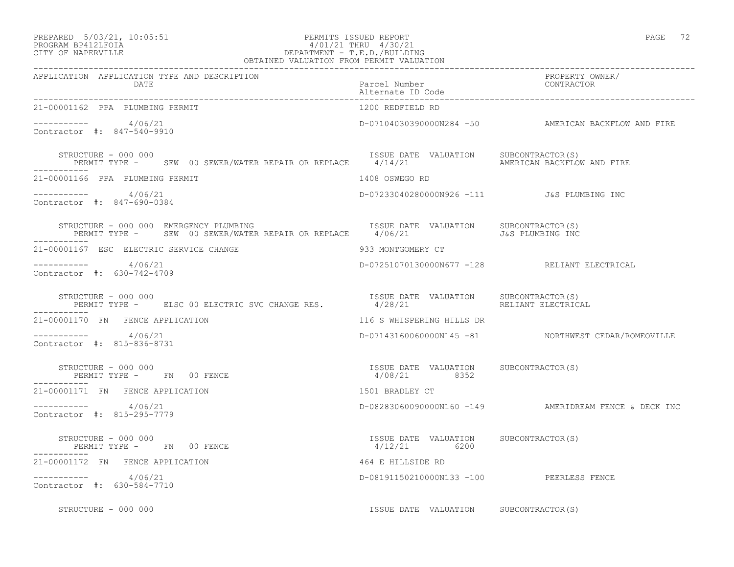### PREPARED 5/03/21, 10:05:51 PERMITS ISSUED REPORT PAGE 72 PROGRAM BP412LFOIA 4/01/21 THRU 4/30/21 CITY OF NAPERVILLE DEPARTMENT - T.E.D./BUILDING

| OBTAINED VALUATION FROM PERMIT VALUATION                                                                                   |                                                          |                                                       |
|----------------------------------------------------------------------------------------------------------------------------|----------------------------------------------------------|-------------------------------------------------------|
| APPLICATION APPLICATION TYPE AND DESCRIPTION<br><b>DATE</b>                                                                | Parcel Number<br>Alternate ID Code                       | PROPERTY OWNER/<br>CONTRACTOR                         |
| 21-00001162 PPA PLUMBING PERMIT                                                                                            | 1200 REDFIELD RD                                         |                                                       |
| $--------$ 4/06/21<br>Contractor #: 847-540-9910                                                                           |                                                          | D-07104030390000N284 -50 AMERICAN BACKFLOW AND FIRE   |
| STRUCTURE - 000 000<br>PERMIT TYPE - SEW 00 SEWER/WATER REPAIR OR REPLACE 4/14/21 AMERICAN BACKFLOW AND FIRE               | ISSUE DATE VALUATION SUBCONTRACTOR(S)                    |                                                       |
| 21-00001166 PPA PLUMBING PERMIT                                                                                            | 1408 OSWEGO RD                                           |                                                       |
| $--------- 4/06/21$<br>Contractor #: 847-690-0384                                                                          | D-07233040280000N926 -111 J&S PLUMBING INC               |                                                       |
| STRUCTURE - 000 000 EMERGENCY PLUMBING<br>PERMIT TYPE - SEW 00 SEWER/WATER REPAIR OR REPLACE 4/06/21 406/21                | ISSUE DATE VALUATION SUBCONTRACTOR(S)                    |                                                       |
| 21-00001167 ESC ELECTRIC SERVICE CHANGE                                                                                    | 933 MONTGOMERY CT                                        |                                                       |
| -----------     4/06/21<br>Contractor #: 630-742-4709                                                                      |                                                          | D-07251070130000N677 -128 RELIANT ELECTRICAL          |
| STRUCTURE - 000 000<br>STRUCTURE - 000 000<br>PERMIT TYPE - ELSC 00 ELECTRIC SVC CHANGE RES. THE 4/28/21 RELIANT ELECTRIC. |                                                          | RELIANT ELECTRICAL                                    |
| 21-00001170 FN FENCE APPLICATION                                                                                           | 116 S WHISPERING HILLS DR                                |                                                       |
| $--------- 4/06/21$<br>Contractor #: 815-836-8731                                                                          |                                                          | D-07143160060000N145 -81 NORTHWEST CEDAR/ROMEOVILLE   |
| STRUCTURE - 000 000<br>PERMIT TYPE - FN 00 FENCE                                                                           | ISSUE DATE VALUATION SUBCONTRACTOR(S)<br>4/08/21 8352    |                                                       |
| 21-00001171 FN FENCE APPLICATION                                                                                           | 1501 BRADLEY CT                                          |                                                       |
| $--------- 4/06/21$<br>Contractor #: 815-295-7779                                                                          |                                                          | D-08283060090000N160 -149 AMERIDREAM FENCE & DECK INC |
| STRUCTURE - 000 000<br>PERMIT TYPE - FN 00 FENCE                                                                           | ISSUE DATE VALUATION SUBCONTRACTOR (S)<br>$4/12/21$ 6200 |                                                       |
| 21-00001172 FN FENCE APPLICATION                                                                                           | 464 E HILLSIDE RD                                        |                                                       |
| ----------- 4/06/21<br>Contractor #: 630-584-7710                                                                          | D-08191150210000N133 -100 PEERLESS FENCE                 |                                                       |
| STRUCTURE - 000 000                                                                                                        | ISSUE DATE VALUATION SUBCONTRACTOR(S)                    |                                                       |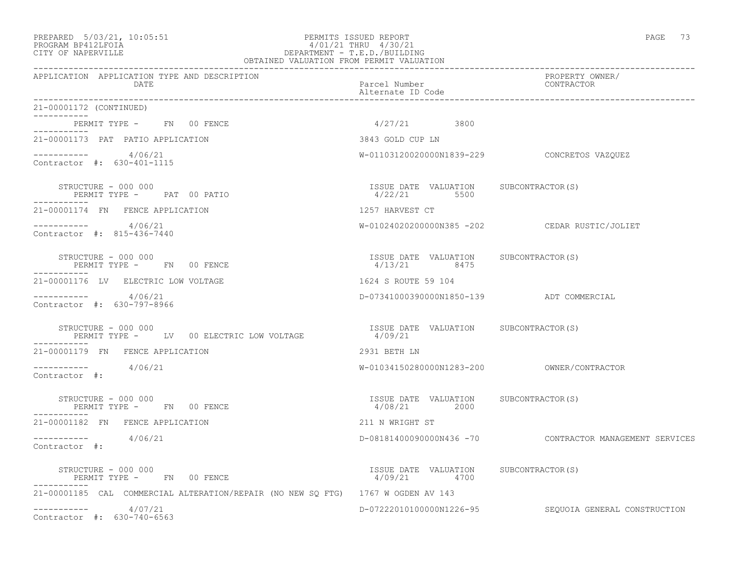### PREPARED 5/03/21, 10:05:51 PERMITS ISSUED REPORT PAGE 73 PROGRAM BP412LFOIA 4/01/21 THRU 4/30/21 CITY OF NAPERVILLE DEPARTMENT - T.E.D./BUILDING OBTAINED VALUATION FROM PERMIT VALUATION

| APPLICATION APPLICATION TYPE AND DESCRIPTION<br>DATE                             | Parcel Number<br>Alternate ID Code                              | PROPERTY OWNER/<br><b>CONTRACTOR</b>                    |
|----------------------------------------------------------------------------------|-----------------------------------------------------------------|---------------------------------------------------------|
| 21-00001172 (CONTINUED)                                                          |                                                                 |                                                         |
| PERMIT TYPE - FN 00 FENCE<br>__________                                          | $4/27/21$ 3800                                                  |                                                         |
| 21-00001173 PAT PATIO APPLICATION                                                | 3843 GOLD CUP LN                                                |                                                         |
| $--------- 4/06/21$<br>Contractor #: 630-401-1115                                |                                                                 | W-01103120020000N1839-229 CONCRETOS VAZQUEZ             |
| STRUCTURE - 000 000<br>PERMIT TYPE - PAT 00 PATIO<br>-----------                 | ISSUE DATE VALUATION SUBCONTRACTOR(S)<br>$\frac{4}{22/21}$ 5500 |                                                         |
| 21-00001174 FN FENCE APPLICATION                                                 | 1257 HARVEST CT                                                 |                                                         |
| $--------- 4/06/21$<br>Contractor #: 815-436-7440                                |                                                                 | W-01024020200000N385 -202 CEDAR RUSTIC/JOLIET           |
| STRUCTURE - 000 000<br>PERMIT TYPE - FN 00 FENCE                                 | ISSUE DATE VALUATION SUBCONTRACTOR(S)<br>4/13/21 8475           |                                                         |
| 21-00001176 LV ELECTRIC LOW VOLTAGE                                              | 1624 S ROUTE 59 104                                             |                                                         |
| $--------- 4/06/21$<br>Contractor #: 630-797-8966                                | D-07341000390000N1850-139 ADT COMMERCIAL                        |                                                         |
| STRUCTURE - 000 000<br>PERMIT TYPE - LV 00 ELECTRIC LOW VOLTAGE                  | ISSUE DATE VALUATION SUBCONTRACTOR(S)<br>4/09/21                |                                                         |
| 21-00001179 FN FENCE APPLICATION                                                 | 2931 BETH LN                                                    |                                                         |
| $--------- 4/06/21$<br>Contractor #:                                             |                                                                 |                                                         |
| STRUCTURE - 000 000<br>PERMIT TYPE - FN 00 FENCE                                 | ISSUE DATE VALUATION SUBCONTRACTOR (S)<br>4/08/21 2000          |                                                         |
| 21-00001182 FN FENCE APPLICATION                                                 | 211 N WRIGHT ST                                                 |                                                         |
| $--------- 4/06/21$<br>Contractor #:                                             |                                                                 | D-08181400090000N436 -70 CONTRACTOR MANAGEMENT SERVICES |
| STRUCTURE - 000 000<br>PERMIT TYPE - FN 00 FENCE                                 | ISSUE DATE VALUATION SUBCONTRACTOR (S)<br>4/09/21 4700          |                                                         |
| 21-00001185 CAL COMMERCIAL ALTERATION/REPAIR (NO NEW SQ FTG) 1767 W OGDEN AV 143 |                                                                 |                                                         |
| $--------- 4/07/21$<br>Contractor #: 630-740-6563                                |                                                                 | D-07222010100000N1226-95 SEQUOIA GENERAL CONSTRUCTION   |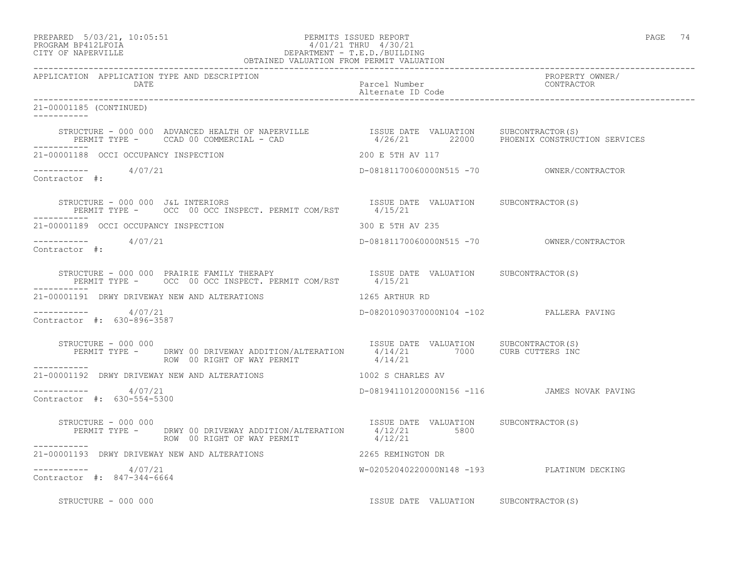### PREPARED 5/03/21, 10:05:51 PERMITS ISSUED REPORT PAGE 74 PROGRAM BP412LFOIA 4/01/21 THRU 4/30/21 CITY OF NAPERVILLE DEPARTMENT - T.E.D./BUILDING OBTAINED VALUATION FROM PERMIT VALUATION

------------------------------------------------------------------------------------------------------------------------------------ APPLICATION APPLICATION TYPE AND DESCRIPTION<br>DATE barcel Number Parcel Number (CONTRACTOR DATE Parcel Number CONTRACTOR Alternate ID Code ------------------------------------------------------------------------------------------------------------------------------------ 21-00001185 (CONTINUED) ----------- STRUCTURE - 000 000 ADVANCED HEALTH OF NAPERVILLE ISSUE DATE VALUATION SUBCONTRACTOR(S) PERMIT TYPE - CCAD 00 COMMERCIAL - CAD 4/26/21 22000 PHOENIX CONSTRUCTION SERVICES ----------- 21-00001188 OCCI OCCUPANCY INSPECTION 200 E 5TH AV 117 ----------- 4/07/21 D-08181170060000N515 -70 OWNER/CONTRACTOR Contractor #: STRUCTURE - 000 000 J&L INTERIORS ISSUE DATE VALUATION SUBCONTRACTOR(S) PERMIT TYPE - OCC 00 OCC INSPECT. PERMIT COM/RST 4/15/21 ----------- 21-00001189 OCCI OCCUPANCY INSPECTION 300 E 5TH AV 235 ----------- 4/07/21 D-08181170060000N515 -70 OWNER/CONTRACTOR Contractor #: STRUCTURE - 000 000 PRAIRIE FAMILY THERAPY ISSUE DATE VALUATION SUBCONTRACTOR(S) PERMIT TYPE - OCC 00 OCC INSPECT. PERMIT COM/RST 4/15/21 ----------- 21-00001191 DRWY DRIVEWAY NEW AND ALTERATIONS 1265 ARTHUR RD ----------- 4/07/21 D-08201090370000N104 -102 PALLERA PAVING Contractor #: 630-896-3587 STRUCTURE - 000 000 ISSUE DATE VALUATION SUBCONTRACTOR(S) PERMIT TYPE - DRWY 00 DRIVEWAY ADDITION/ALTERATION 4/14/21 7000 CURB CUTTERS INC ROW 00 RIGHT OF WAY PERMIT  $4/14/21$ ----------- 21-00001192 DRWY DRIVEWAY NEW AND ALTERATIONS 1002 S CHARLES AV \_\_\_\_\_\_\_\_\_\_\_ ----------- 4/07/21 D-08194110120000N156 -116 JAMES NOVAK PAVING Contractor #: 630-554-5300 STRUCTURE - 000 000 ISSUE DATE VALUATION SUBCONTRACTOR(S) PERMIT TYPE - DRWY 00 DRIVEWAY ADDITION/ALTERATION 4/12/21 5800 ROW 00 RIGHT OF WAY PERMIT  $4/12/21$ ----------- 21-00001193 DRWY DRIVEWAY NEW AND ALTERATIONS 2265 REMINGTON DR  $--------- 4/07/21$ W-02052040220000N148 -193 PLATINUM DECKING Contractor #: 847-344-6664 STRUCTURE - 000 000 ISSUE DATE VALUATION SUBCONTRACTOR(S)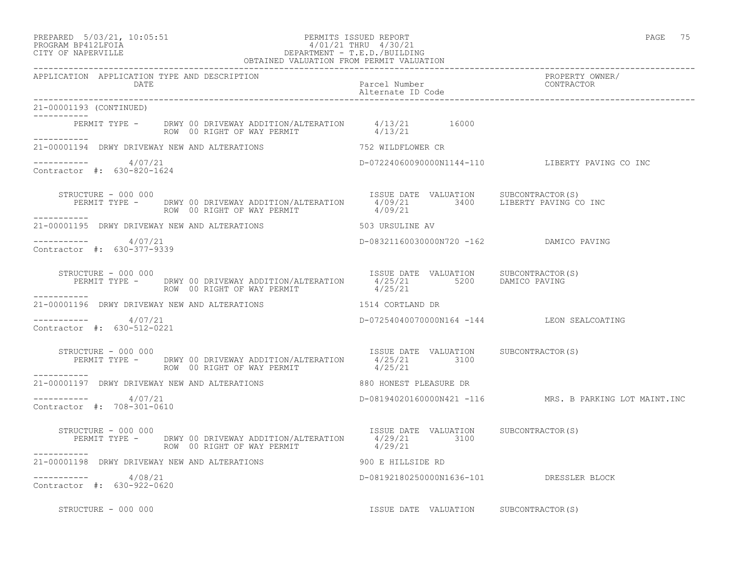### PREPARED 5/03/21, 10:05:51 PERMITS ISSUED REPORT PAGE 75 PROGRAM BP412LFOIA 4/01/21 THRU 4/30/21 CITY OF NAPERVILLE DEPARTMENT - T.E.D./BUILDING OBTAINED VALUATION FROM PERMIT VALUATION

------------------------------------------------------------------------------------------------------------------------------------ APPLICATION APPLICATION TYPE AND DESCRIPTION PROPERTY OWNER/ DATE PARTICLE IN PARTICLE IN THE PARTICLE IN THE PARTICLE IN THE PARTICLE IN THE PARTICLE IN THE PARTICLE IN THE PARTICLE IN THE PARTICLE IN THE PARTICLE IN THE PARTICLE IN THE PARTICLE IN THE PARTICLE IN THE PARTICLE IN T Alternate ID Code ------------------------------------------------------------------------------------------------------------------------------------ 21-00001193 (CONTINUED) ----------- PERMIT TYPE - DRWY 00 DRIVEWAY ADDITION/ALTERATION 4/13/21 16000 ROW 00 RIGHT OF WAY PERMIT  $4/13/21$ ----------- 21-00001194 DRWY DRIVEWAY NEW AND ALTERATIONS 752 WILDFLOWER CR  $--------- 4/07/21$ ----------- 4/07/21 D-07224060090000N1144-110 LIBERTY PAVING CO INC Contractor #: 630-820-1624 STRUCTURE - 000 000 ISSUE DATE VALUATION SUBCONTRACTOR(S) PERMIT TYPE - DRWY 00 DRIVEWAY ADDITION/ALTERATION 4/09/21 3400 LIBERTY PAVING CO INC ROW 00 RIGHT OF WAY PERMIT  $4/09/21$ ----------- 21-00001195 DRWY DRIVEWAY NEW AND ALTERATIONS 503 URSULINE AV \_\_\_\_\_\_\_\_\_\_\_ ----------- 4/07/21 D-08321160030000N720 -162 DAMICO PAVING Contractor #: 630-377-9339 STRUCTURE - 000 000 ISSUE DATE VALUATION SUBCONTRACTOR(S) PERMIT TYPE - DRWY 00 DRIVEWAY ADDITION/ALTERATION  $4/25/21$  5200 DAMICO PAVING ROW 00 RIGHT OF WAY PERMIT  $4/25/21$ ----------- 21-00001196 DRWY DRIVEWAY NEW AND ALTERATIONS 1514 CORTLAND DR  $--------- 4/07/21$ D-07254040070000N164 -144 LEON SEALCOATING Contractor #: 630-512-0221 STRUCTURE - 000 000 **ISSUE DATE VALUATION** SUBCONTRACTOR(S) PERMIT TYPE - DRWY 00 DRIVEWAY ADDITION/ALTERATION 4/25/21 3100<br>ROW 00 RIGHT OF WAY PERMIT 4/25/21 ROW 00 RIGHT OF WAY PERMIT ----------- 21-00001197 DRWY DRIVEWAY NEW AND ALTERATIONS 880 HONEST PLEASURE DR  $--------- 4/07/21$  $D-08194020160000N421 -116$  MRS. B PARKING LOT MAINT.INC Contractor #: 708-301-0610 STRUCTURE - 000 000 ISSUE DATE VALUATION SUBCONTRACTOR(S) PERMIT TYPE - DRWY 00 DRIVEWAY ADDITION/ALTERATION 4/29/21 3100 ROW 00 RIGHT OF WAY PERMIT  $4/29/21$ ----------- 21-00001198 DRWY DRIVEWAY NEW AND ALTERATIONS 900 E HILLSIDE RD ----------- 4/08/21 D-08192180250000N1636-101 DRESSLER BLOCK Contractor #: 630-922-0620

STRUCTURE - 000 000 **ISSUE DATE VALUATION** SUBCONTRACTOR(S)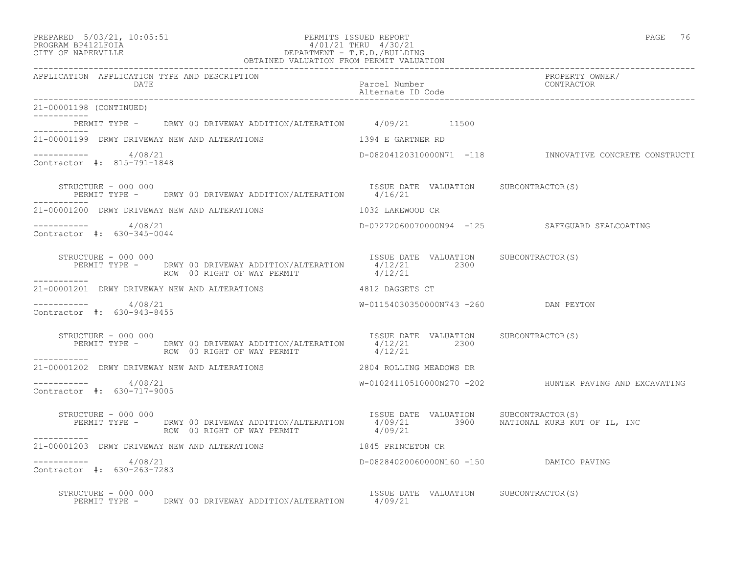| PREPARED            | $5/03/21$ , 10:05:5 |
|---------------------|---------------------|
| DDOCDAM DD410T DOTA |                     |

### PREPARED 5/03/21, 10:05:51 PERMITS ISSUED REPORT PAGE 76 PROGRAM BP412LFOIA  $4/01/21$  THRU  $4/30/21$ <br>CITY OF NAPERVILLE DEPARTMENT - T.E.D./BUILDII CITY OF NAPERVILLE DEPARTMENT - T.E.D./BUILDING

| OBTAINED VALUATION FROM PERMIT VALUATION                                                                                                                     |                                                  |                                                         |
|--------------------------------------------------------------------------------------------------------------------------------------------------------------|--------------------------------------------------|---------------------------------------------------------|
| APPLICATION APPLICATION TYPE AND DESCRIPTION<br>DATE                                                                                                         | Parcel Number<br>Alternate ID Code               | PROPERTY OWNER/<br>CONTRACTOR                           |
| 21-00001198 (CONTINUED)                                                                                                                                      |                                                  |                                                         |
| PERMIT TYPE - DRWY 00 DRIVEWAY ADDITION/ALTERATION 4/09/21 11500<br>. _ _ _ _ _ _ _ _ _ _ _                                                                  |                                                  |                                                         |
| 21-00001199 DRWY DRIVEWAY NEW AND ALTERATIONS                                                                                                                | 1394 E GARTNER RD                                |                                                         |
| -----------     4/08/21<br>Contractor #: 815-791-1848                                                                                                        |                                                  | D-08204120310000N71 -118 INNOVATIVE CONCRETE CONSTRUCTI |
| STRUCTURE - 000 000<br>PERMIT TYPE - DRWY 00 DRIVEWAY ADDITION/ALTERATION 4/16/21                                                                            | ISSUE DATE VALUATION SUBCONTRACTOR(S)            |                                                         |
| 21-00001200 DRWY DRIVEWAY NEW AND ALTERATIONS                                                                                                                | 1032 LAKEWOOD CR                                 |                                                         |
| -----------    4/08/21<br>Contractor #: 630-345-0044                                                                                                         |                                                  | D-07272060070000N94 -125 SAFEGUARD SEALCOATING          |
| STRUCTURE - 000 000<br>PERMIT TYPE - DRWY 00 DRIVEWAY ADDITION/ALTERATION 4/12/21 2300<br>ROW 00 RIGHT OF WAY PERMIT                                         | ISSUE DATE VALUATION SUBCONTRACTOR(S)<br>4/12/21 |                                                         |
| 21-00001201 DRWY DRIVEWAY NEW AND ALTERATIONS 4812 DAGGETS CT                                                                                                |                                                  |                                                         |
| ----------     4/08/21<br>Contractor #: 630-943-8455                                                                                                         | W-01154030350000N743 -260 DAN PEYTON             |                                                         |
| STRUCTURE - 000 000<br>PERMIT TYPE - DRWY 00 DRIVEWAY ADDITION/ALTERATION 1/12/21 2300 SUBCONTRACTOR(S)<br>STRUCTURE - 000 000<br>ROW 00 RIGHT OF WAY PERMIT | 4/12/21                                          |                                                         |
| ------------                                                                                                                                                 |                                                  |                                                         |
| -----------     4/08/21<br>Contractor #: 630-717-9005                                                                                                        |                                                  |                                                         |
| STRUCTURE - 000 000<br>PERMIT TYPE - DRWY 00 DRIVEWAY ADDITION/ALTERATION 4/09/21 3900 NATIONAL KURB KUT OF IL, INC<br>ROW 00 RIGHT OF WAY PERMIT 4/09/21    | ISSUE DATE VALUATION SUBCONTRACTOR(S)            |                                                         |
| 21-00001203 DRWY DRIVEWAY NEW AND ALTERATIONS 1845 PRINCETON CR                                                                                              |                                                  |                                                         |
| -----------     4/08/21<br>Contractor #: 630-263-7283                                                                                                        | D-08284020060000N160 -150 DAMICO PAVING          |                                                         |
| STRUCTURE - 000 000<br>PERMIT TYPE - DRWY 00 DRIVEWAY ADDITION/ALTERATION 4/09/21                                                                            | ISSUE DATE VALUATION SUBCONTRACTOR (S)           |                                                         |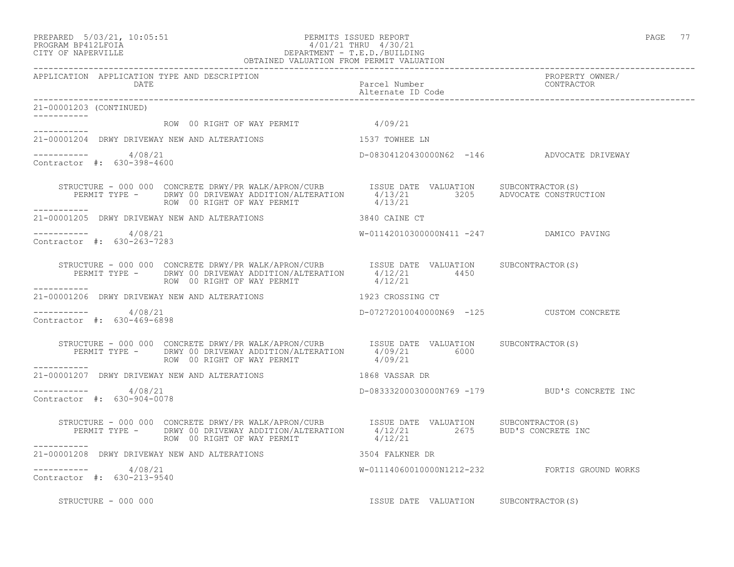### PREPARED 5/03/21, 10:05:51 PERMITS ISSUED REPORT PAGE 77 PROGRAM BP412LFOIA 4/01/21 THRU 4/30/21 CITY OF NAPERVILLE DEPARTMENT - T.E.D./BUILDING OBTAINED VALUATION FROM PERMIT VALUATION ------------------------------------------------------------------------------------------------------------------------------------

APPLICATION APPLICATION TYPE AND DESCRIPTION<br>DATE DATE DATE DATE DATE Parcel Number CONTRACTOR Alternate ID Code ------------------------------------------------------------------------------------------------------------------------------------ 21-00001203 (CONTINUED) ----------- ROW 00 RIGHT OF WAY PERMIT 4/09/21 ----------- 21-00001204 DRWY DRIVEWAY NEW AND ALTERATIONS 1537 TOWHEE LN  $--------- 4/08/21$ D-08304120430000N62 -146 ADVOCATE DRIVEWAY Contractor #: 630-398-4600 STRUCTURE - 000 000 CONCRETE DRWY/PR WALK/APRON/CURB ISSUE DATE VALUATION SUBCONTRACTOR(S) PERMIT TYPE - DRWY 00 DRIVEWAY ADDITION/ALTERATION 4/13/21 3205 ADVOCATE CONSTRUCTION ROW 00 RIGHT OF WAY PERMIT  $4/13/21$ ----------- 21-00001205 DRWY DRIVEWAY NEW AND ALTERATIONS 3840 CAINE CT \_\_\_\_\_\_\_\_\_\_\_ ----------- 4/08/21 W-01142010300000N411 -247 DAMICO PAVING Contractor #: 630-263-7283 STRUCTURE - 000 000 CONCRETE DRWY/PR WALK/APRON/CURB ISSUE DATE VALUATION SUBCONTRACTOR(S) PERMIT TYPE - DRWY 00 DRIVEWAY ADDITION/ALTERATION  $4/12/21$  4450 ROW 00 RIGHT OF WAY PERMIT  $4/12/21$ ----------- 21-00001206 DRWY DRIVEWAY NEW AND ALTERATIONS 1923 CROSSING CT  $--------- 4/08/21$ D-07272010040000N69 -125 CUSTOM CONCRETE Contractor #: 630-469-6898 STRUCTURE - 000 000 CONCRETE DRWY/PR WALK/APRON/CURB ISSUE DATE VALUATION SUBCONTRACTOR(S) PERMIT TYPE - DRWY 00 DRIVEWAY ADDITION/ALTERATION 4/09/21 6000 ROW 00 RIGHT OF WAY PERMIT  $4/09/21$ ----------- 21-00001207 DRWY DRIVEWAY NEW AND ALTERATIONS 1868 VASSAR DR \_\_\_\_\_\_\_\_\_\_\_ ----------- 4/08/21 D-08333200030000N769 -179 BUD'S CONCRETE INC Contractor #: 630-904-0078 STRUCTURE - 000 000 CONCRETE DRWY/PR WALK/APRON/CURB ISSUE DATE VALUATION SUBCONTRACTOR(S) PERMIT TYPE - DRWY 00 DRIVEWAY ADDITION/ALTERATION 4/12/21 2675 BUD'S CONCRETE INC ROW 00 RIGHT OF WAY PERMIT  $4/12/21$ ----------- 21-00001208 DRWY DRIVEWAY NEW AND ALTERATIONS 3504 FALKNER DR  $--------- 4/08/21$ W-01114060010000N1212-232 FORTIS GROUND WORKS Contractor #: 630-213-9540 STRUCTURE - 000 000 **ISSUE DATE VALUATION** SUBCONTRACTOR(S)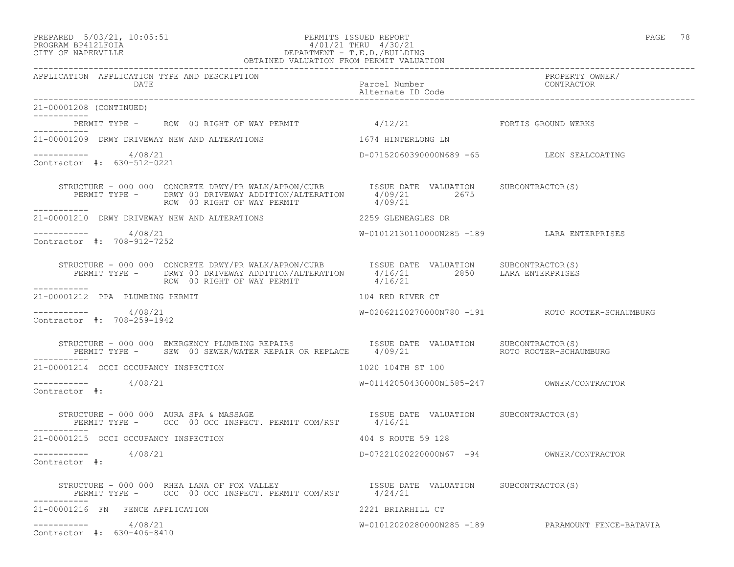#### PREPARED 5/03/21, 10:05:51 PERMITS ISSUED REPORT PAGE 78 PROGRAM BP412LFOIA 4/01/21 THRU 4/30/21 CITY OF NAPERVILLE DEPARTMENT - T.E.D./BUILDING OBTAINED VALUATION FROM PERMIT VALUATION

------------------------------------------------------------------------------------------------------------------------------------ APPLICATION APPLICATION TYPE AND DESCRIPTION PROPERTY OWNER/ DATE PARTICLE IN THE PARTICLE OF THE PARTICLE NUMber CONTRACTOR OF THE PARTICLE IN THE PARTICLE OF THE PARTICLE Alternate ID Code ------------------------------------------------------------------------------------------------------------------------------------ 21-00001208 (CONTINUED) ----------- PERMIT TYPE - ROW 00 RIGHT OF WAY PERMIT 4/12/21 FORTIS GROUND WERKS ----------- 21-00001209 DRWY DRIVEWAY NEW AND ALTERATIONS 1674 HINTERLONG LN  $--------- 4/08/21$ D-07152060390000N689 -65 LEON SEALCOATING Contractor #: 630-512-0221 STRUCTURE - 000 000 CONCRETE DRWY/PR WALK/APRON/CURB ISSUE DATE VALUATION SUBCONTRACTOR(S) PERMIT TYPE - DRWY 00 DRIVEWAY ADDITION/ALTERATION 4/09/21 2675 ROW 00 RIGHT OF WAY PERMIT 4/09/21 ----------- 21-00001210 DRWY DRIVEWAY NEW AND ALTERATIONS 2259 GLENEAGLES DR \_\_\_\_\_\_\_\_\_\_\_ ----------- 4/08/21 W-01012130110000N285 -189 LARA ENTERPRISES Contractor #: 708-912-7252 STRUCTURE - 000 000 CONCRETE DRWY/PR WALK/APRON/CURB ISSUE DATE VALUATION SUBCONTRACTOR(S) PERMIT TYPE - DRWY 00 DRIVEWAY ADDITION/ALTERATION 4/16/21 2850 LARA ENTERPRISES ROW 00 RIGHT OF WAY PERMIT  $4/16/21$ ----------- 21-00001212 PPA PLUMBING PERMIT 104 RED RIVER CT ----------- 4/08/21 W-02062120270000N780 -191 ROTO ROOTER-SCHAUMBURG Contractor #: 708-259-1942 STRUCTURE - 000 000 EMERGENCY PLUMBING REPAIRS ISSUE DATE VALUATION SUBCONTRACTOR(S) PERMIT TYPE - SEW 00 SEWER/WATER REPAIR OR REPLACE  $4/09/21$  ROTO ROOTER-SCHAUMBURG ----------- 21-00001214 OCCI OCCUPANCY INSPECTION 1020 104TH ST 100 ----------- 4/08/21 W-01142050430000N1585-247 OWNER/CONTRACTOR Contractor #: STRUCTURE - 000 000 AURA SPA & MASSAGE ISSUE DATE VALUATION SUBCONTRACTOR(S) PERMIT TYPE - OCC 00 OCC INSPECT. PERMIT COM/RST 4/16/21 ----------- 21-00001215 OCCI OCCUPANCY INSPECTION 404 S ROUTE 59 128 ----------- 4/08/21 D-07221020220000N67 -94 OWNER/CONTRACTOR Contractor #: STRUCTURE - 000 000 RHEA LANA OF FOX VALLEY<br>PERMIT TYPE - OCC 00 OCC INSPECT. PERMIT COM/RST 4/24/21 PERMIT TYPE - 0CC 00 OCC INSPECT. PERMIT COM/RST ----------- 21-00001216 FN FENCE APPLICATION 2221 BRIARHILL CT ----------- 4/08/21 W-01012020280000N285 -189 PARAMOUNT FENCE-BATAVIA Contractor #: 630-406-8410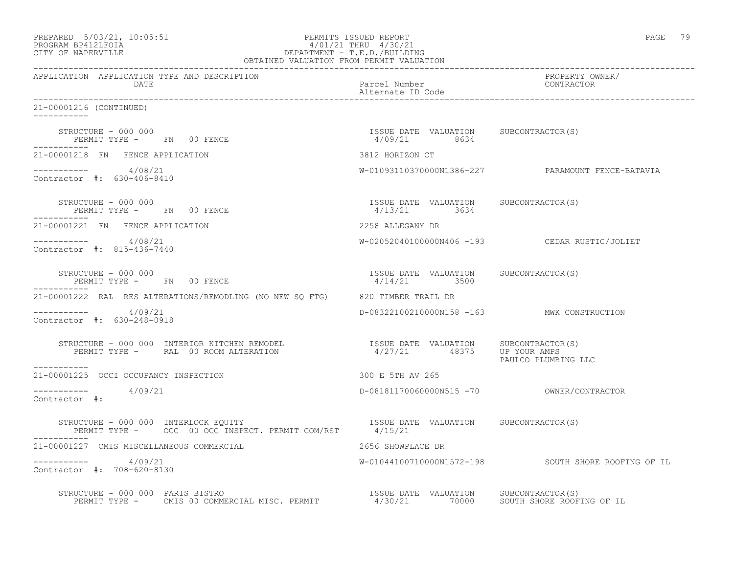| PREPARED 5/03/21, 10:05:51<br>PROGRAM BP412LFOIA<br>CITY OF NAPERVILLE<br>CITY OF NAPERVILLE<br>PROGRAM BPARTMENT - T.E.D./BUILDING<br>OBTAINED VALUATION FROM PERMIT VALUATION |                                                                    | PAGE 79                                             |
|---------------------------------------------------------------------------------------------------------------------------------------------------------------------------------|--------------------------------------------------------------------|-----------------------------------------------------|
| APPLICATION APPLICATION TYPE AND DESCRIPTION<br>DATE                                                                                                                            | Parcel Number<br>Alternate ID Code                                 | PROPERTY OWNER/<br>CONTRACTOR                       |
| 21-00001216 (CONTINUED)                                                                                                                                                         |                                                                    |                                                     |
| STRUCTURE - 000 000<br>PERMIT TYPE - FN 00 FENCE                                                                                                                                | ISSUE DATE VALUATION SUBCONTRACTOR(S)<br>4/09/21 8634              |                                                     |
| 21-00001218 FN FENCE APPLICATION                                                                                                                                                | 3812 HORIZON CT                                                    |                                                     |
| $--------$ 4/08/21<br>Contractor #: 630-406-8410                                                                                                                                |                                                                    | W-01093110370000N1386-227 PARAMOUNT FENCE-BATAVIA   |
| STRUCTURE - 000 000<br>PERMIT TYPE - FN 00 FENCE                                                                                                                                | ISSUE DATE VALUATION SUBCONTRACTOR(S)<br>4/13/21 3634              |                                                     |
| 21-00001221 FN FENCE APPLICATION                                                                                                                                                | 2258 ALLEGANY DR                                                   |                                                     |
| $--------- 4/08/21$<br>Contractor #: 815-436-7440                                                                                                                               |                                                                    | W-02052040100000N406 -193 CEDAR RUSTIC/JOLIET       |
| STRUCTURE - 000 000<br>PERMIT TYPE - FN 00 FENCE<br>-----------                                                                                                                 | ISSUE DATE VALUATION SUBCONTRACTOR(S)<br>$4/14/21$ 3500            |                                                     |
| 21-00001222 RAL RES ALTERATIONS/REMODLING (NO NEW SQ FTG) 820 TIMBER TRAIL DR                                                                                                   |                                                                    |                                                     |
| $--------- 4/09/21$<br>Contractor #: 630-248-0918                                                                                                                               | D-08322100210000N158 -163 MWK CONSTRUCTION                         |                                                     |
| STRUCTURE - 000 000 INTERIOR KITCHEN REMODEL<br>PERMIT TYPE - RAL 00 ROOM ALTERATION<br>___________                                                                             | ISSUE DATE VALUATION SUBCONTRACTOR(S)<br>4/27/21 48375 UP YOURAMPS | PAULCO PLUMBING LLC                                 |
| 21-00001225 OCCI OCCUPANCY INSPECTION                                                                                                                                           | 300 E 5TH AV 265                                                   |                                                     |
| $--------- 4/09/21$<br>Contractor #:                                                                                                                                            |                                                                    |                                                     |
| -----------                                                                                                                                                                     |                                                                    |                                                     |
| 21-00001227 CMIS MISCELLANEOUS COMMERCIAL                                                                                                                                       | 2656 SHOWPLACE DR                                                  |                                                     |
| 4/09/21<br>Contractor #: 708-620-8130                                                                                                                                           |                                                                    | W-01044100710000N1572-198 SOUTH SHORE ROOFING OF IL |
| RUCTURE - 000 000 PARIS BISTRO<br>PERMIT TYPE - CMIS 00 COMMERCIAL MISC. PERMIT - 1/30/21 70000 SOUTH SHORE ROOFING OF IL<br>STRUCTURE - 000 000 PARIS BISTRO                   |                                                                    |                                                     |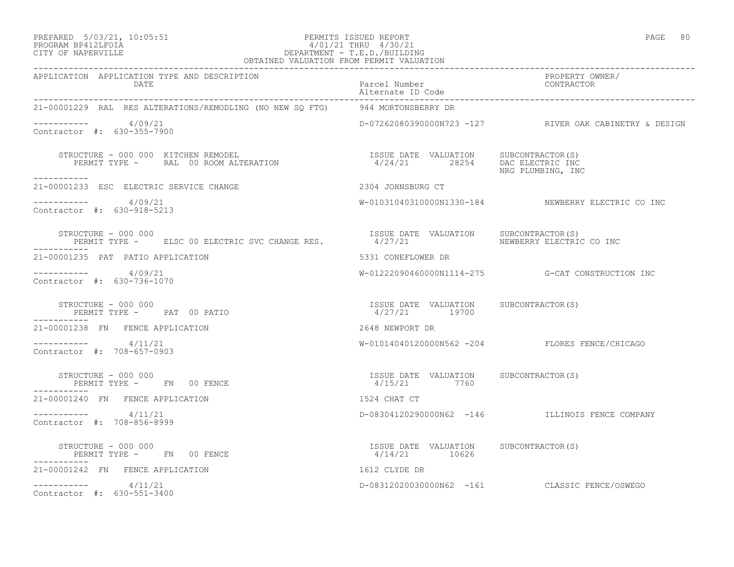### PREPARED 5/03/21, 10:05:51 PERMITS ISSUED REPORT PAGE 80 PROGRAM BP412LFOIA 4/01/21 THRU 4/30/21 CITY OF NAPERVILLE DEPARTMENT - T.E.D./BUILDING

 OBTAINED VALUATION FROM PERMIT VALUATION ------------------------------------------------------------------------------------------------------------------------------------ APPLICATION APPLICATION TYPE AND DESCRIPTION PROPERTY OWNER/ DATE Parcel Number Alternate ID Code ------------------------------------------------------------------------------------------------------------------------------------ 21-00001229 RAL RES ALTERATIONS/REMODLING (NO NEW SQ FTG) 944 MORTONSBERRY DR  $--------- 4/09/21$ D-07262080390000N723 -127 RIVER OAK CABINETRY & DESIGN Contractor #: 630-355-7900 STRUCTURE - 000 000 KITCHEN REMODEL ISSUE DATE VALUATION SUBCONTRACTOR(S) PERMIT TYPE - RAL 00 ROOM ALTERATION 4/24/21 28254 DAC ELECTRIC INC NRG PLUMBING, INC ----------- 21-00001233 ESC ELECTRIC SERVICE CHANGE 2304 JOHNSBURG CT  $--------- 4/09/21$ W-01031040310000N1330-184 NEWBERRY ELECTRIC CO INC Contractor #: 630-918-5213 STRUCTURE - 000 000<br>PERMIT TYPE - ELSC 00 ELECTRIC SVC CHANGE RES. 4/27/21 NEWBERRY ELECTRIC CO INC PERMIT TYPE - ELSC 00 ELECTRIC SVC CHANGE RES. ----------- 21-00001235 PAT PATIO APPLICATION 5331 CONEFLOWER DR ----------- 4/09/21 W-01222090460000N1114-275 G-CAT CONSTRUCTION INC Contractor #: 630-736-1070 STRUCTURE - 000 000 ISSUE DATE VALUATION SUBCONTRACTOR(S) PERMIT TYPE - PAT 00 PATIO 19700 19700 ----------- 21-00001238 FN FENCE APPLICATION 2648 NEWPORT DR ----------- 4/11/21 W-01014040120000N562 -204 FLORES FENCE/CHICAGO Contractor #: 708-657-0903 STRUCTURE - 000 000 ISSUE DATE VALUATION SUBCONTRACTOR(S) PERMIT TYPE - FN 00 FENCE ----------- 21-00001240 FN FENCE APPLICATION 1524 CHAT CT ----------- 4/11/21 D-08304120290000N62 -146 ILLINOIS FENCE COMPANY Contractor #: 708-856-8999 STRUCTURE - 000 000 ISSUE DATE VALUATION SUBCONTRACTOR(S) PERMIT TYPE - FN 00 FENCE ----------- 21-00001242 FN FENCE APPLICATION 1612 CLYDE DR ----------- 4/11/21 D-08312020030000N62 -161 CLASSIC FENCE/OSWEGO Contractor #: 630-551-3400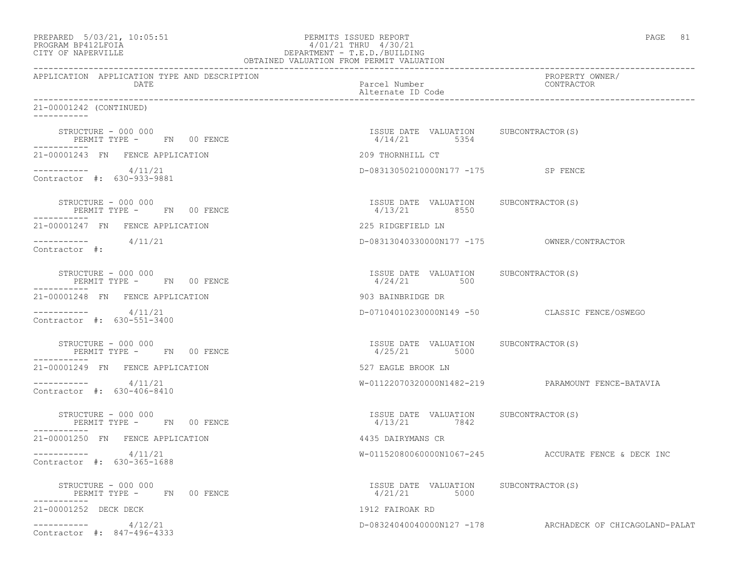| PREPARED    | $5/03/21$ , $10:05:51$ |  |
|-------------|------------------------|--|
| DD O OD 335 | $P^{\text{max}}$       |  |

### PREPARED 5/03/21, 10:05:51 PERMITS ISSUED REPORT<br>PROGRAM BP412LFOIA PAGE 81 PROGRAM BP412LFOIA  $4/01/21$  THRU  $4/30/21$ <br>CITY OF NAPERVILLE DEPARTMENT - T.E.D./BUILDIN CITY OF NAPERVILLE DEPARTMENT - T.E.D./BUILDING

| OBTAINED VALUATION FROM PERMIT VALUATION             |                                                         |                                                          |
|------------------------------------------------------|---------------------------------------------------------|----------------------------------------------------------|
| APPLICATION APPLICATION TYPE AND DESCRIPTION<br>DATE | Parcel Number<br>Alternate ID Code                      | PROPERTY OWNER/<br>CONTRACTOR                            |
| 21-00001242 (CONTINUED)<br>$- - - - - - - - - -$     |                                                         |                                                          |
| STRUCTURE - 000 000<br>PERMIT TYPE - FN 00 FENCE     | ISSUE DATE VALUATION SUBCONTRACTOR(S)<br>$4/14/21$ 5354 |                                                          |
| 21-00001243 FN FENCE APPLICATION                     | 209 THORNHILL CT                                        |                                                          |
| $--------- 4/11/21$<br>Contractor #: 630-933-9881    | D-08313050210000N177 -175 SP FENCE                      |                                                          |
| STRUCTURE - 000 000<br>PERMIT TYPE - FN 00 FENCE     | ISSUE DATE VALUATION SUBCONTRACTOR(S)<br>4/13/21 8550   |                                                          |
| 21-00001247 FN FENCE APPLICATION                     | 225 RIDGEFIELD LN                                       |                                                          |
| $--------- 4/11/21$<br>Contractor #:                 |                                                         |                                                          |
| STRUCTURE - 000 000<br>PERMIT TYPE - FN 00 FENCE     | ISSUE DATE VALUATION SUBCONTRACTOR(S)<br>$4/24/21$ 500  |                                                          |
| 21-00001248 FN FENCE APPLICATION                     | 903 BAINBRIDGE DR                                       |                                                          |
| $--------- 4/11/21$<br>Contractor #: 630-551-3400    |                                                         | D-07104010230000N149 -50 CLASSIC FENCE/OSWEGO            |
| STRUCTURE - 000 000<br>PERMIT TYPE - FN 00 FENCE     | ISSUE DATE VALUATION SUBCONTRACTOR(S)<br>4/25/21 5000   |                                                          |
| 21-00001249 FN FENCE APPLICATION                     | 527 EAGLE BROOK LN                                      |                                                          |
| 4/11/21<br>Contractor #: 630-406-8410                |                                                         | W-01122070320000N1482-219 PARAMOUNT FENCE-BATAVIA        |
| STRUCTURE - 000 000<br>PERMIT TYPE - FN 00 FENCE     | ISSUE DATE VALUATION SUBCONTRACTOR(S)<br>4/13/21 7842   |                                                          |
| 21-00001250 FN FENCE APPLICATION                     | 4435 DAIRYMANS CR                                       |                                                          |
| $--------- 4/11/21$<br>Contractor #: 630-365-1688    |                                                         | W-01152080060000N1067-245 ACCURATE FENCE & DECK INC      |
| STRUCTURE - 000 000<br>PERMIT TYPE - FN 00 FENCE     | ISSUE DATE VALUATION SUBCONTRACTOR(S)<br>4/21/21 5000   |                                                          |
| 21-00001252 DECK DECK                                | 1912 FAIROAK RD                                         |                                                          |
| $--------- 4/12/21$<br>Contractor #: 847-496-4333    |                                                         | D-08324040040000N127 -178 ARCHADECK OF CHICAGOLAND-PALAT |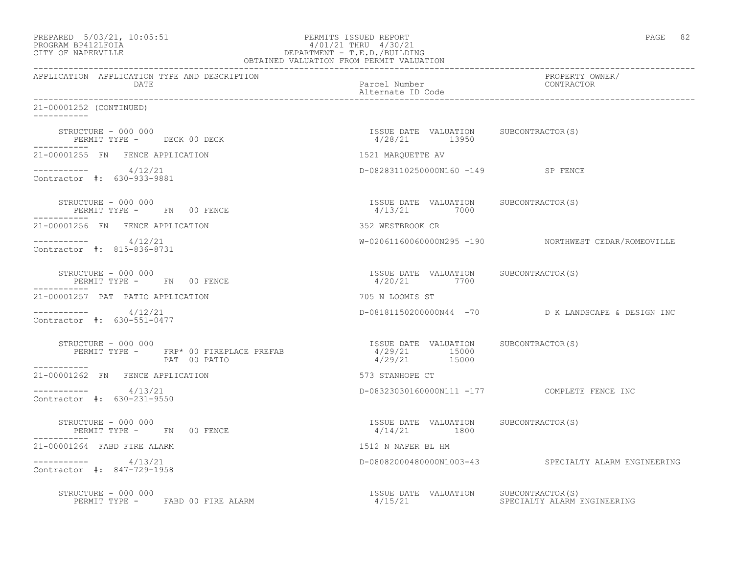| PREPARED 5/03/21, 10:05:51<br>PROGRAM BP412LFOIA<br>CITY OF NAPERVILLE                        | PERMITS ISSUED REPORT<br>$\begin{tabular}{c} $4/01/21$ & $\ldots$\\ & \multicolumn{3}{c}{\small \texttt{DEPARTMENT - T.E.D.}/\texttt{BULIDING}}\\ \multicolumn{3}{c}{\small \texttt{DEPARTMENT - T.E.D.}/\texttt{BULIDING}}\\ \multicolumn{3}{c}{\small \texttt{OBTAINED VALUATION FROM PERMIT VALUATION}}\\ \multicolumn{3}{c}{\small \texttt{CBTALUATION}}\\ \multicolumn{3}{c}{\small \texttt{CBTALUATION}}\\ \multicolumn{3}{c}{\small \texttt{CBTALUATION}}\\ \multicolumn{3}{c}{\small \texttt{CBTALUATION}}\\ \multicolumn{3}{$ | PAGE 82                                              |
|-----------------------------------------------------------------------------------------------|----------------------------------------------------------------------------------------------------------------------------------------------------------------------------------------------------------------------------------------------------------------------------------------------------------------------------------------------------------------------------------------------------------------------------------------------------------------------------------------------------------------------------------------|------------------------------------------------------|
| APPLICATION APPLICATION TYPE AND DESCRIPTION<br>DATE                                          | Parcel Number<br>Alternate ID Code                                                                                                                                                                                                                                                                                                                                                                                                                                                                                                     | PROPERTY OWNER/<br>CONTRACTOR                        |
| 21-00001252 (CONTINUED)<br>-----------                                                        |                                                                                                                                                                                                                                                                                                                                                                                                                                                                                                                                        |                                                      |
| STRUCTURE - 000 000<br>PERMIT TYPE - DECK 00 DECK<br>------------                             | ISSUE DATE VALUATION SUBCONTRACTOR(S)<br>4/28/21 13950                                                                                                                                                                                                                                                                                                                                                                                                                                                                                 |                                                      |
| 21-00001255 FN FENCE APPLICATION                                                              | 1521 MARQUETTE AV                                                                                                                                                                                                                                                                                                                                                                                                                                                                                                                      |                                                      |
| $--------- 4/12/21$<br>Contractor #: 630-933-9881                                             | D-08283110250000N160 -149 SP FENCE                                                                                                                                                                                                                                                                                                                                                                                                                                                                                                     |                                                      |
| STRUCTURE - 000 000<br>PERMIT TYPE - FN 00 FENCE                                              | ISSUE DATE VALUATION SUBCONTRACTOR(S)<br>4/13/21 7000                                                                                                                                                                                                                                                                                                                                                                                                                                                                                  |                                                      |
| 21-00001256 FN FENCE APPLICATION                                                              | 352 WESTBROOK CR                                                                                                                                                                                                                                                                                                                                                                                                                                                                                                                       |                                                      |
| ----------- 4/12/21<br>Contractor #: 815-836-8731                                             |                                                                                                                                                                                                                                                                                                                                                                                                                                                                                                                                        | W-02061160060000N295 -190 NORTHWEST CEDAR/ROMEOVILLE |
| STRUCTURE - 000 000<br>PERMIT TYPE - FN 00 FENCE<br>. _ _ _ _ _ _ _ _ _ _                     | ISSUE DATE VALUATION SUBCONTRACTOR(S)<br>4/20/21 7700                                                                                                                                                                                                                                                                                                                                                                                                                                                                                  |                                                      |
| 21-00001257 PAT PATIO APPLICATION                                                             | 705 N LOOMIS ST                                                                                                                                                                                                                                                                                                                                                                                                                                                                                                                        |                                                      |
| $--------- 4/12/21$<br>Contractor #: 630-551-0477                                             |                                                                                                                                                                                                                                                                                                                                                                                                                                                                                                                                        | D-08181150200000N44 -70 D K LANDSCAPE & DESIGN INC   |
| STRUCTURE - 000 000<br>PERMIT TYPE - FRP* 00 FIREPLACE PREFAB<br>PAT 00 PATIO<br>------------ | ISSUE DATE VALUATION SUBCONTRACTOR(S)<br>4/29/21 15000<br>4/29/21 15000                                                                                                                                                                                                                                                                                                                                                                                                                                                                |                                                      |
| 21-00001262 FN FENCE APPLICATION                                                              | 573 STANHOPE CT                                                                                                                                                                                                                                                                                                                                                                                                                                                                                                                        |                                                      |
| ___________<br>4/13/21<br>Contractor #: 630-231-9550                                          |                                                                                                                                                                                                                                                                                                                                                                                                                                                                                                                                        | D-08323030160000N111 -177 COMPLETE FENCE INC         |
| STRUCTURE - 000 000<br>PERMIT TYPE - FN 00 FENCE<br>-----------                               | ISSUE DATE VALUATION SUBCONTRACTOR(S)<br>$4/14/21$ 1800                                                                                                                                                                                                                                                                                                                                                                                                                                                                                |                                                      |
| 21-00001264 FABD FIRE ALARM                                                                   | 1512 N NAPER BL HM                                                                                                                                                                                                                                                                                                                                                                                                                                                                                                                     |                                                      |
| ----------- 4/13/21<br>Contractor #: 847-729-1958                                             |                                                                                                                                                                                                                                                                                                                                                                                                                                                                                                                                        | D-08082000480000N1003-43 SPECIALTY ALARM ENGINEERING |
| STRUCTURE - 000 000<br>PERMIT TYPE -<br>FABD 00 FIRE ALARM                                    | ISSUE DATE VALUATION<br>4/15/21                                                                                                                                                                                                                                                                                                                                                                                                                                                                                                        | SUBCONTRACTOR(S)<br>SPECIALTY ALARM ENGINEERING      |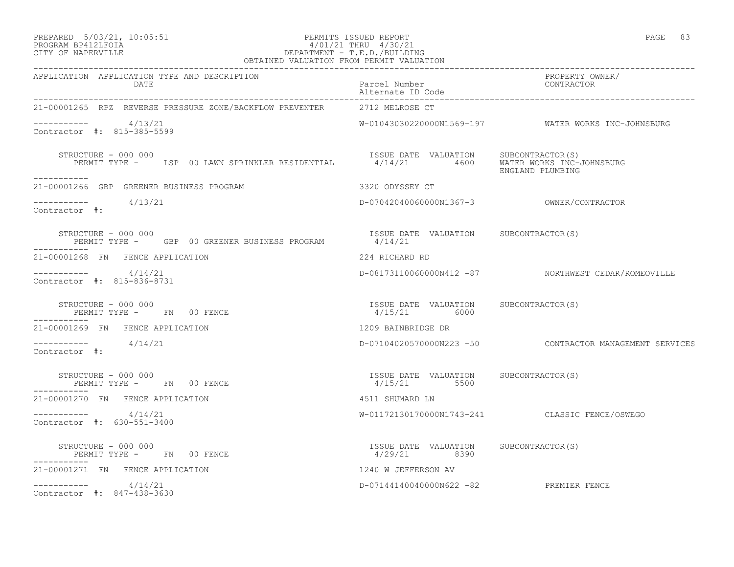### PREPARED 5/03/21, 10:05:51 PERMITS ISSUED REPORT PAGE 83 PROGRAM BP412LFOIA 4/01/21 THRU 4/30/21 CITY OF NAPERVILLE DEPARTMENT - T.E.D./BUILDING

| OBTAINED VALUATION FROM PERMIT VALUATION                                                                                                              |                                                         |                                                         |
|-------------------------------------------------------------------------------------------------------------------------------------------------------|---------------------------------------------------------|---------------------------------------------------------|
| APPLICATION APPLICATION TYPE AND DESCRIPTION<br>DATE                                                                                                  | Parcel Number<br>Alternate ID Code                      | PROPERTY OWNER/<br>CONTRACTOR                           |
| 21-00001265 RPZ REVERSE PRESSURE ZONE/BACKFLOW PREVENTER 2712 MELROSE CT                                                                              |                                                         |                                                         |
| $--------- 4/13/21$<br>Contractor #: 815-385-5599                                                                                                     |                                                         | W-01043030220000N1569-197 WATER WORKS INC-JOHNSBURG     |
| STRUCTURE - 000 000<br>STRUCTURE - 000 000<br>PERMIT TYPE - LSP 00 LAWN SPRINKLER RESIDENTIAL - 1/14/21 4600 WATER WORKS INC-JOHNSBURG<br>----------- |                                                         | ENGLAND PLUMBING                                        |
| 21-00001266 GBP GREENER BUSINESS PROGRAM                                                                                                              | 3320 ODYSSEY CT                                         |                                                         |
| $--------- 4/13/21$<br>Contractor #:                                                                                                                  |                                                         |                                                         |
| STRUCTURE - 000 000<br>PERMIT TYPE - GBP 00 GREENER BUSINESS PROGRAM 4/14/21<br>-----------                                                           | ISSUE DATE VALUATION SUBCONTRACTOR(S)                   |                                                         |
| 21-00001268 FN FENCE APPLICATION                                                                                                                      | 224 RICHARD RD                                          |                                                         |
| $--------- 4/14/21$<br>Contractor #: 815-836-8731                                                                                                     |                                                         | D-08173110060000N412 -87 NORTHWEST CEDAR/ROMEOVILLE     |
| STRUCTURE - 000 000<br>PERMIT TYPE - FN 00 FENCE                                                                                                      | ISSUE DATE VALUATION SUBCONTRACTOR(S)<br>$4/15/21$ 6000 |                                                         |
| -----------<br>21-00001269 FN FENCE APPLICATION                                                                                                       | 1209 BAINBRIDGE DR                                      |                                                         |
| $--------- 4/14/21$<br>Contractor #:                                                                                                                  |                                                         | D-07104020570000N223 -50 CONTRACTOR MANAGEMENT SERVICES |
| STRUCTURE - 000 000<br>STRUCTURE - UUU UUU<br>PERMIT TYPE -     FN   00 FENCE                                                                         | ISSUE DATE VALUATION SUBCONTRACTOR(S)<br>$4/15/21$ 5500 |                                                         |
| 21-00001270 FN FENCE APPLICATION                                                                                                                      | 4511 SHUMARD LN                                         |                                                         |
| $--------- 4/14/21$<br>Contractor #: 630-551-3400                                                                                                     |                                                         | W-01172130170000N1743-241 CLASSIC FENCE/OSWEGO          |
| STRUCTURE - 000 000<br>PERMIT TYPE - FN 00 FENCE                                                                                                      | ISSUE DATE VALUATION SUBCONTRACTOR(S)<br>4/29/21 8390   |                                                         |
| 21-00001271 FN FENCE APPLICATION                                                                                                                      | 1240 W JEFFERSON AV                                     |                                                         |
| $--------- 4/14/21$<br>Contractor #: 847-438-3630                                                                                                     | D-07144140040000N622 -82 PREMIER FENCE                  |                                                         |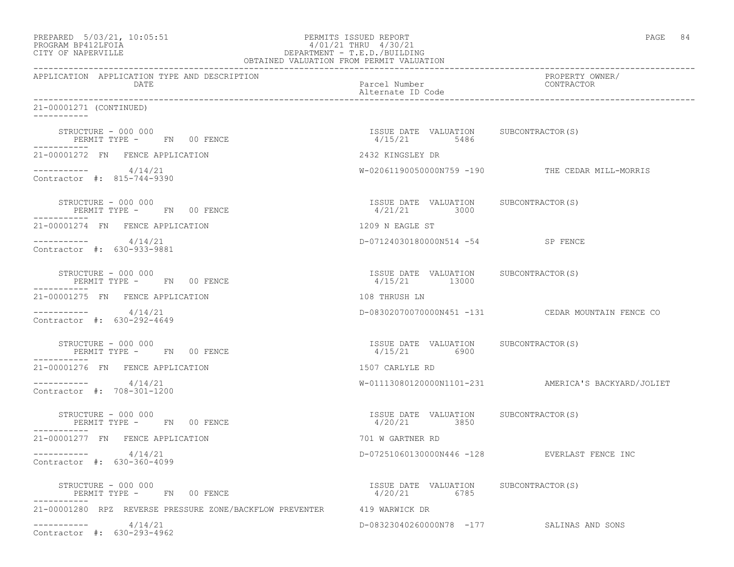| PREPARED 5/03/21, 10:05:51<br>PROGRAM BP412LFOIA<br>CITY OF NAPERVILLE    | PERMITS ISSUED REPORT<br>4/01/21 THRU 4/30/21            | PAGE 84                                             |
|---------------------------------------------------------------------------|----------------------------------------------------------|-----------------------------------------------------|
| APPLICATION APPLICATION TYPE AND DESCRIPTION<br>DATE                      | Parcel Number<br>Alternate ID Code                       | PROPERTY OWNER/<br>CONTRACTOR                       |
| 21-00001271 (CONTINUED)                                                   |                                                          |                                                     |
| STRUCTURE - 000 000<br>PERMIT TYPE - FN 00 FENCE<br>-----------           | ISSUE DATE VALUATION SUBCONTRACTOR(S)<br>$4/15/21$ 5486  |                                                     |
| 21-00001272 FN FENCE APPLICATION                                          | 2432 KINGSLEY DR                                         |                                                     |
| $--------- 4/14/21$<br>Contractor #: 815-744-9390                         |                                                          | W-02061190050000N759 -190 THE CEDAR MILL-MORRIS     |
| STRUCTURE - 000 000<br>PERMIT TYPE - FN 00 FENCE                          | ISSUE DATE VALUATION SUBCONTRACTOR(S)<br>4/21/21 3000    |                                                     |
| 21-00001274 FN FENCE APPLICATION                                          | 1209 N EAGLE ST                                          |                                                     |
| $--------- 4/14/21$<br>Contractor #: 630-933-9881                         | D-07124030180000N514 -54 SP FENCE                        |                                                     |
| STRUCTURE - 000 000<br>PERMIT TYPE - FN 00 FENCE<br>. _ _ _ _ _ _ _ _ _ _ | ISSUE DATE VALUATION SUBCONTRACTOR(S)<br>4/15/21 13000   |                                                     |
| 21-00001275 FN FENCE APPLICATION                                          | 108 THRUSH LN                                            |                                                     |
| $--------- 4/14/21$<br>Contractor #: 630-292-4649                         |                                                          | D-08302070070000N451 -131 CEDAR MOUNTAIN FENCE CO   |
| STRUCTURE - 000 000<br>PERMIT TYPE - FN 00 FENCE<br>-----------           | ISSUE DATE VALUATION SUBCONTRACTOR(S)<br>4/15/21 6900    |                                                     |
| 21-00001276 FN FENCE APPLICATION                                          | 1507 CARLYLE RD                                          |                                                     |
| $--------- 4/14/21$<br>Contractor #: 708-301-1200                         |                                                          | W-01113080120000N1101-231 AMERICA'S BACKYARD/JOLIET |
| STRUCTURE - 000 000<br>PERMIT TYPE - FN 00 FENCE                          | ISSUE DATE VALUATION SUBCONTRACTOR(S)<br>4/20/21 3850    |                                                     |
| 21-00001277 FN FENCE APPLICATION                                          | 701 W GARTNER RD                                         |                                                     |
| 4/14/21<br>-----------<br>Contractor #: 630-360-4099                      | D-07251060130000N446 -128                                | EVERLAST FENCE INC                                  |
| STRUCTURE - 000 000<br>PERMIT TYPE - FN 00 FENCE<br>-----------           | ISSUE DATE VALUATION SUBCONTRACTOR(S)<br>4/20/21<br>6785 |                                                     |
| 21-00001280 RPZ REVERSE PRESSURE ZONE/BACKFLOW PREVENTER 419 WARWICK DR   |                                                          |                                                     |
| 4/14/21<br>___________<br>Contractor #: 630-293-4962                      |                                                          | D-08323040260000N78 -177 SALINAS AND SONS           |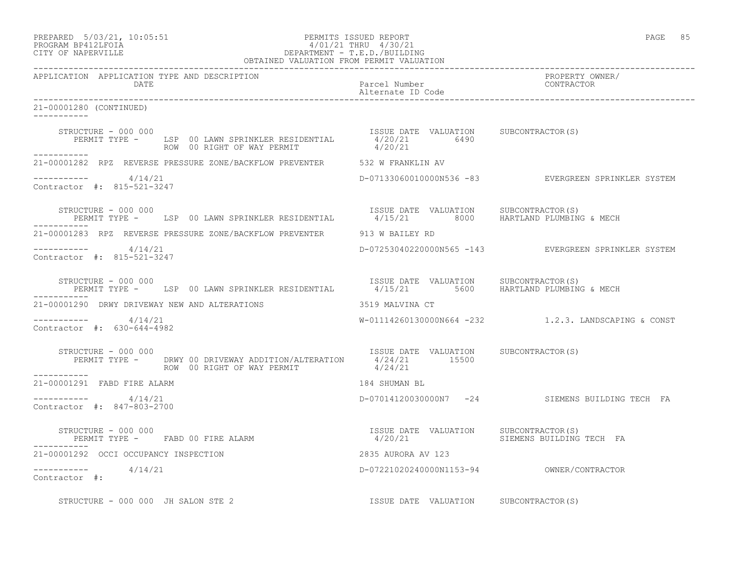### PREPARED 5/03/21, 10:05:51 PERMITS ISSUED REPORT PAGE 85 PROGRAM BP412LFOIA 4/01/21 THRU 4/30/21 CITY OF NAPERVILLE DEPARTMENT - T.E.D./BUILDING OBTAINED VALUATION FROM PERMIT VALUATION

| APPLICATION APPLICATION TYPE AND DESCRIPTION<br>DATE                                                                                                                          | Parcel Number<br>Alternate ID Code    | PROPERTY OWNER/<br>CONTRACTOR                        |
|-------------------------------------------------------------------------------------------------------------------------------------------------------------------------------|---------------------------------------|------------------------------------------------------|
| 21-00001280 (CONTINUED)<br>------------                                                                                                                                       |                                       |                                                      |
| 000 000<br>HE - THE DATE VALUATION SUBCONTRACTOR(S)<br>ROW 00 RIGHT OF WAY PERMIT 20021 6490<br>STRUCTURE - 000 000<br>PERMIT TYPE - LSP 00 LAWN SPRINKLER RESIDENTIAL        |                                       |                                                      |
| ------------<br>21-00001282 RPZ REVERSE PRESSURE ZONE/BACKFLOW PREVENTER 532 W FRANKLIN AV                                                                                    |                                       |                                                      |
| $--------- 4/14/21$<br>Contractor #: 815-521-3247                                                                                                                             |                                       | D-07133060010000N536 -83 EVERGREEN SPRINKLER SYSTEM  |
| STRUCTURE - 000 000<br>PERMIT TYPE - LSP 00 LAWN SPRINKLER RESIDENTIAL 4/15/21 8000 HARTLAND PLUMBING & MECH                                                                  | ISSUE DATE VALUATION SUBCONTRACTOR(S) |                                                      |
| 21-00001283 RPZ REVERSE PRESSURE ZONE/BACKFLOW PREVENTER 913 W BAILEY RD                                                                                                      |                                       |                                                      |
| $--------- 4/14/21$<br>Contractor #: 815-521-3247                                                                                                                             |                                       | D-07253040220000N565 -143 EVERGREEN SPRINKLER SYSTEM |
| STRUCTURE - 000 000<br>PERMIT TYPE - LSP 00 LAWN SPRINKLER RESIDENTIAL 4/15/21 5600 HARTLAND PLUMBING & MECH                                                                  | ISSUE DATE VALUATION SUBCONTRACTOR(S) |                                                      |
| 21-00001290 DRWY DRIVEWAY NEW AND ALTERATIONS                                                                                                                                 | 3519 MALVINA CT                       |                                                      |
| $--------- 4/14/21$<br>Contractor #: 630-644-4982                                                                                                                             |                                       | W-01114260130000N664 -232 1.2.3. LANDSCAPING & CONST |
| STRUCTURE - 000 000<br>PERMIT TYPE - DRWY 00 DRIVEWAY ADDITION/ALTERATION 15SUE DATE VALUATION SUBCONTRACTOR(S)<br>PERMIT TYPE - ROW 00 RIGHT OF WAY PERMIT 4/24/21<br>------ |                                       |                                                      |
| 21-00001291 FABD FIRE ALARM                                                                                                                                                   | 184 SHUMAN BL                         |                                                      |
| $--------- 4/14/21$<br>Contractor #: 847-803-2700                                                                                                                             |                                       | D-07014120030000N7 -24 SIEMENS BUILDING TECH FA      |
| -----------                                                                                                                                                                   |                                       |                                                      |
| 21-00001292 OCCI OCCUPANCY INSPECTION                                                                                                                                         | 2835 AURORA AV 123                    |                                                      |
| $--------- 4/14/21$<br>Contractor #:                                                                                                                                          |                                       |                                                      |
| STRUCTURE - 000 000 JH SALON STE 2                                                                                                                                            | ISSUE DATE VALUATION SUBCONTRACTOR(S) |                                                      |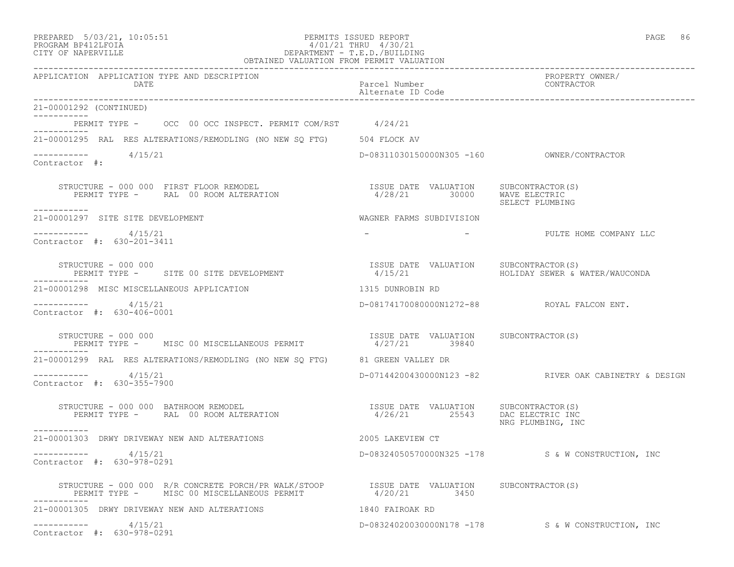-----------

-----------

Contractor #:

-----------

\_\_\_\_\_\_\_\_\_\_\_

-----------

-----------

-----------

#### PREPARED 5/03/21, 10:05:51 PERMITS ISSUED REPORT PAGE 86 PROGRAM BP412LFOIA 4/01/21 THRU 4/30/21 CITY OF NAPERVILLE DEPARTMENT - T.E.D./BUILDING OBTAINED VALUATION FROM PERMIT VALUATION

------------------------------------------------------------------------------------------------------------------------------------

APPLICATION APPLICATION TYPE AND DESCRIPTION PROPERTY OWNER/ DATE PARTICLE IN THE PARTICLE OF THE PARTICLE NUMber CONTRACTOR OF THE PARTICLE IN THE PARTICLE OF THE PARTICLE Alternate ID Code ------------------------------------------------------------------------------------------------------------------------------------ 21-00001292 (CONTINUED) PERMIT TYPE - OCC 00 OCC INSPECT. PERMIT COM/RST 4/24/21 21-00001295 RAL RES ALTERATIONS/REMODLING (NO NEW SQ FTG) 504 FLOCK AV  $--------- 4/15/21$ D-08311030150000N305 -160 OWNER/CONTRACTOR STRUCTURE - 000 000 FIRST FLOOR REMODEL ISSUE DATE VALUATION SUBCONTRACTOR(S) 4/28/21 30000 WAVE ELECTRIC<br>SELECT PLUMBIN SELECT PLUMBING 21-00001297 SITE SITE DEVELOPMENT WAGNER FARMS SUBDIVISION ----------- 4/15/21 - - PULTE HOME COMPANY LLC Contractor #: 630-201-3411 STRUCTURE - 000 000<br>PERMIT TYPE - SITE 00 SITE DEVELOPMENT - 1/15/21 HOLIDAY SEWER & WATER/WAUCONDA PERMIT TYPE - SITE 00 SITE DEVELOPMENT 21-00001298 MISC MISCELLANEOUS APPLICATION 1315 DUNROBIN RD ----------- 4/15/21 D-08174170080000N1272-88 ROYAL FALCON ENT. Contractor #: 630-406-0001 STRUCTURE - 000 000 ISSUE DATE VALUATION SUBCONTRACTOR(S) PERMIT TYPE - MISC 00 MISCELLANEOUS PERMIT 4/27/21 39840 21-00001299 RAL RES ALTERATIONS/REMODLING (NO NEW SQ FTG) 81 GREEN VALLEY DR ----------- 4/15/21 D-07144200430000N123 -82 RIVER OAK CABINETRY & DESIGN Contractor #: 630-355-7900 STRUCTURE - 000 000 BATHROOM REMODEL<br>PERMIT TYPE - RAL 00 ROOM ALTERATION PERMIT TYPE - RAL 00 ROOM ALTERATION 4/26/21 25543 DAC ELECTRIC INC NRG PLUMBING, INC 21-00001303 DRWY DRIVEWAY NEW AND ALTERATIONS 2005 LAKEVIEW CT ----------- 4/15/21 D-08324050570000N325 -178 S & W CONSTRUCTION, INC Contractor #: 630-978-0291

 STRUCTURE - 000 000 R/R CONCRETE PORCH/PR WALK/STOOP ISSUE DATE VALUATION SUBCONTRACTOR(S) PERMIT TYPE - MISC 00 MISCELLANEOUS PERMIT 4/20/21 3450 ----------- 21-00001305 DRWY DRIVEWAY NEW AND ALTERATIONS 1840 FAIROAK RD ----------- 4/15/21 D-08324020030000N178 -178 S & W CONSTRUCTION, INC Contractor #: 630-978-0291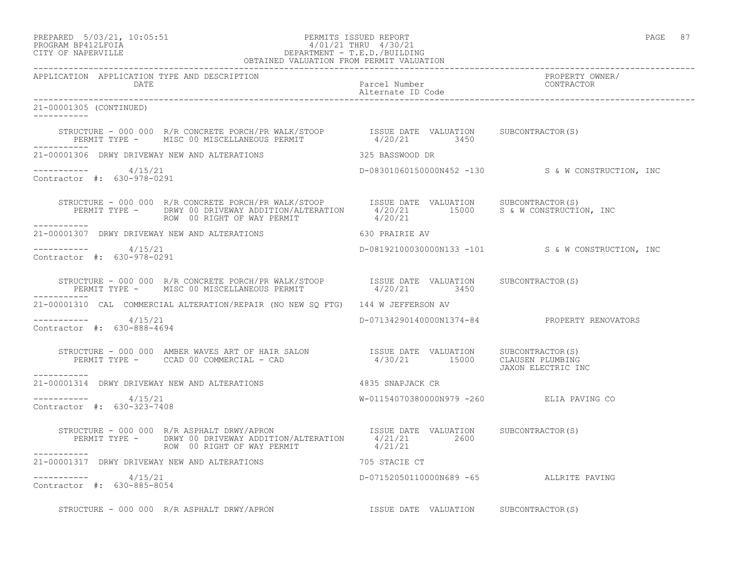#### PREPARED 5/03/21, 10:05:51 PERMITS ISSUED REPORT PAGE 87 PROGRAM BP412LFOIA 4/01/21 THRU 4/30/21 CITY OF NAPERVILLE DEPARTMENT - T.E.D./BUILDING OBTAINED VALUATION FROM PERMIT VALUATION

|                                                                                                                                                                                                                                                                                                                      | OBTAINED VALUATION FROM PERMIT VALUATION     |                                                   |
|----------------------------------------------------------------------------------------------------------------------------------------------------------------------------------------------------------------------------------------------------------------------------------------------------------------------|----------------------------------------------|---------------------------------------------------|
| APPLICATION APPLICATION TYPE AND DESCRIPTION<br>DATE                                                                                                                                                                                                                                                                 | Parcel Number<br>Alternate ID Code           | PROPERTY OWNER/<br>CONTRACTOR                     |
| 21-00001305 (CONTINUED)<br>___________                                                                                                                                                                                                                                                                               |                                              |                                                   |
| ------------                                                                                                                                                                                                                                                                                                         |                                              |                                                   |
|                                                                                                                                                                                                                                                                                                                      |                                              |                                                   |
| $--------- 4/15/21$<br>Contractor #: 630-978-0291                                                                                                                                                                                                                                                                    |                                              | D-08301060150000N452 -130 S& W CONSTRUCTION, INC  |
| STRUCTURE - 000 000 R/R CONCRETE PORCH/PR WALK/STOOP ISSUE DATE VALUATION SUBCONTRACTOR(S)<br>PERMIT TYPE - DRWY 00 DRIVEWAY ADDITION/ALTERATION 4/20/21 15000 S & W CONSTRUCTION, INC<br>-------<br>___________                                                                                                     |                                              |                                                   |
| 21-00001307 DRWY DRIVEWAY NEW AND ALTERATIONS 630 PRAIRIE AV                                                                                                                                                                                                                                                         |                                              |                                                   |
| ----------- 4/15/21<br>Contractor #: 630-978-0291                                                                                                                                                                                                                                                                    |                                              | D-08192100030000N133 -101 S & W CONSTRUCTION, INC |
| $\begin{array}{cccc} \texttt{STRUCTURE} & - & 000 & 000 & R/R & \texttt{CONCRETE} & \texttt{PORCH/PR} & \texttt{NALK/STOOP} & \texttt{ISSUE} & \texttt{DATE} & \texttt{VALUATION} & \texttt{SUBCONTRACTOR(S)} \\ \texttt{PERMIT TYPE} & - & \texttt{MISC 00 MISCELLANEOUS PERMIT} & 4/20/21 & 3450 & \\ \end{array}$ |                                              |                                                   |
| 21-00001310 CAL COMMERCIAL ALTERATION/REPAIR (NO NEW SQ FTG) 144 W JEFFERSON AV                                                                                                                                                                                                                                      |                                              |                                                   |
| $--------- 4/15/21$<br>Contractor #: 630-888-4694                                                                                                                                                                                                                                                                    | D-07134290140000N1374-84 PROPERTY RENOVATORS |                                                   |
| -----------                                                                                                                                                                                                                                                                                                          |                                              | JAXON ELECTRIC INC                                |
| 21-00001314 DRWY DRIVEWAY NEW AND ALTERATIONS 4835 SNAPJACK CR                                                                                                                                                                                                                                                       |                                              |                                                   |
| $--------- 4/15/21$<br>Contractor #: 630-323-7408                                                                                                                                                                                                                                                                    | W-01154070380000N979 -260 ELIA PAVING CO     |                                                   |
| STRUCTURE - 000 000 R/R ASPHALT DRWY/APRON ISSUE DATE VALUATION SUBCONTRACTOR(S)<br>PERMIT TYPE - DRWY 00 DRIVEWAY ADDITION/ALTERATION 4/21/21 2600<br>ROW 00 RIGHT OF WAY PERMIT 4/21/21<br>___________                                                                                                             |                                              |                                                   |
| 21-00001317 DRWY DRIVEWAY NEW AND ALTERATIONS 705 STACIE CT                                                                                                                                                                                                                                                          |                                              |                                                   |
| $--------- 4/15/21$<br>Contractor #: 630-885-8054                                                                                                                                                                                                                                                                    | D-07152050110000N689 -65 ALLRITE PAVING      |                                                   |

STRUCTURE - 000 000 R/R ASPHALT DRWY/APRON **ISSUE DATE VALUATION** SUBCONTRACTOR(S)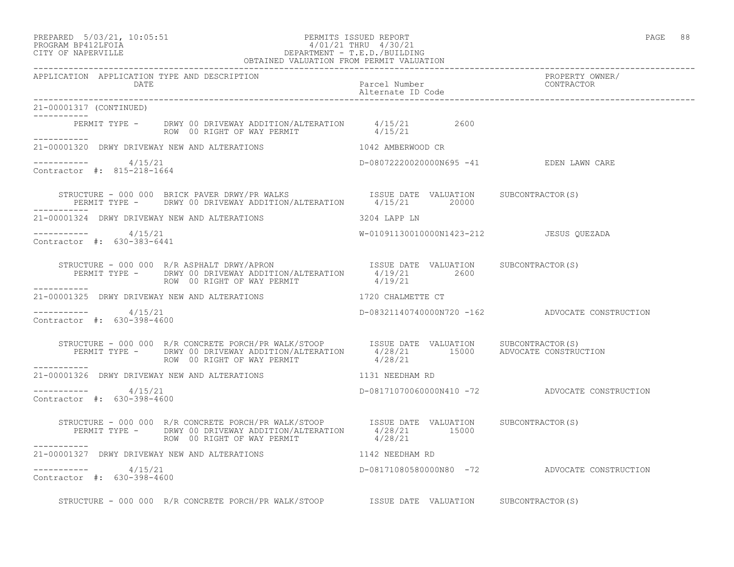21-00001317 (CONTINUED)

 $--------- 4/15/21$ 

Contractor #: 815-218-1664

-----------

-----------

### PREPARED 5/03/21, 10:05:51 PERMITS ISSUED REPORT PAGE 88 PROGRAM BP412LFOIA 4/01/21 THRU 4/30/21 CITY OF NAPERVILLE DEPARTMENT - T.E.D./BUILDING OBTAINED VALUATION FROM PERMIT VALUATION

------------------------------------------------------------------------------------------------------------------------------------ APPLICATION APPLICATION TYPE AND DESCRIPTION<br>DATE barcel Number Parcel Number (CONTRACTOR DATE Parcel Number CONTRACTOR Alternate ID Code ------------------------------------------------------------------------------------------------------------------------------------ PERMIT TYPE - DRWY 00 DRIVEWAY ADDITION/ALTERATION 4/15/21 2600 ROW 00 RIGHT OF WAY PERMIT  $4/15/21$ 21-00001320 DRWY DRIVEWAY NEW AND ALTERATIONS 1042 AMBERWOOD CR D-08072220020000N695 -41 EDEN LAWN CARE STRUCTURE - 000 000 BRICK PAVER DRWY/PR WALKS **ISSUE DATE VALUATION** SUBCONTRACTOR(S)

 PERMIT TYPE - DRWY 00 DRIVEWAY ADDITION/ALTERATION 4/15/21 20000 ----------- 21-00001324 DRWY DRIVEWAY NEW AND ALTERATIONS 3204 LAPP LN ----------- 4/15/21 W-01091130010000N1423-212 JESUS QUEZADA Contractor #: 630-383-6441 STRUCTURE - 000 000 R/R ASPHALT DRWY/APRON **ISSUE DATE VALUATION** SUBCONTRACTOR(S) PERMIT TYPE - DRWY 00 DRIVEWAY ADDITION/ALTERATION 4/19/21 2600<br>ROW 00 RIGHT OF WAY PERMIT 4/19/21 ROW 00 RIGHT OF WAY PERMIT ----------- 21-00001325 DRWY DRIVEWAY NEW AND ALTERATIONS 1720 CHALMETTE CT ----------- 4/15/21 D-08321140740000N720 -162 ADVOCATE CONSTRUCTION Contractor #: 630-398-4600 STRUCTURE - 000 000 R/R CONCRETE PORCH/PR WALK/STOOP ISSUE DATE VALUATION SUBCONTRACTOR(S) PERMIT TYPE - DRWY 00 DRIVEWAY ADDITION/ALTERATION 4/28/21 15000 ADVOCATE CONSTRUCTION ROW 00 RIGHT OF WAY PERMIT  $4/28/21$ ----------- 21-00001326 DRWY DRIVEWAY NEW AND ALTERATIONS 1131 NEEDHAM RD

\_\_\_\_\_\_\_\_\_\_\_ ----------- 4/15/21 D-08171070060000N410 -72 ADVOCATE CONSTRUCTION Contractor #: 630-398-4600

 STRUCTURE - 000 000 R/R CONCRETE PORCH/PR WALK/STOOP ISSUE DATE VALUATION SUBCONTRACTOR(S) PERMIT TYPE - DRWY 00 DRIVEWAY ADDITION/ALTERATION  $4/28/21$  15000 ROW 00 RIGHT OF WAY PERMIT  $4/28/21$ ----------- 21-00001327 DRWY DRIVEWAY NEW AND ALTERATIONS 1142 NEEDHAM RD

 $--------- 4/15/21$ Contractor #: 630-398-4600

STRUCTURE - 000 000 R/R CONCRETE PORCH/PR WALK/STOOP ISSUE DATE VALUATION SUBCONTRACTOR(S)

D-08171080580000N80 -72 ADVOCATE CONSTRUCTION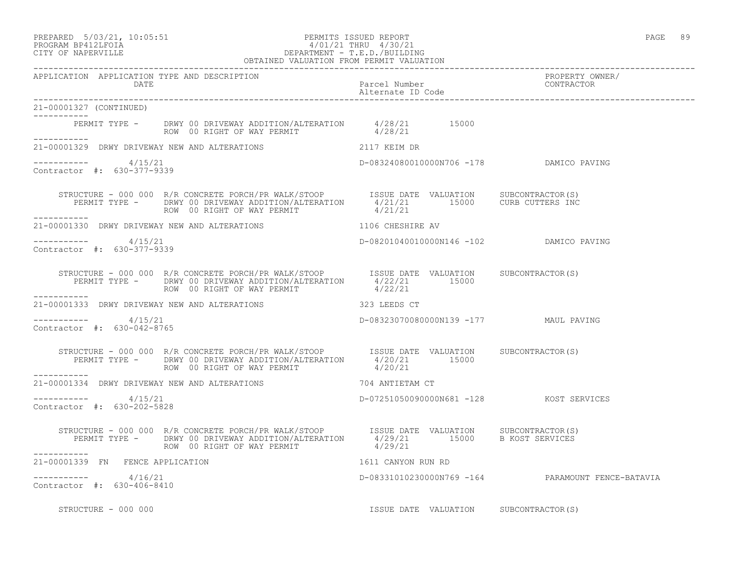### PREPARED 5/03/21, 10:05:51 PERMITS ISSUED REPORT PAGE 89 PROGRAM BP412LFOIA 4/01/21 THRU 4/30/21 CITY OF NAPERVILLE DEPARTMENT - T.E.D./BUILDING

|                                                       | OBTAINED VALUATION FROM PERMIT VALUATION                                                                                                                                                                                                                                                                                                                         |                                         |                                                   |
|-------------------------------------------------------|------------------------------------------------------------------------------------------------------------------------------------------------------------------------------------------------------------------------------------------------------------------------------------------------------------------------------------------------------------------|-----------------------------------------|---------------------------------------------------|
| APPLICATION APPLICATION TYPE AND DESCRIPTION<br>DATE  | Parcel Number<br>Parcel Number<br>Alternate ID Code                                                                                                                                                                                                                                                                                                              |                                         | PROPERTY OWNER/<br>CONTRACTOR                     |
| 21-00001327 (CONTINUED)<br>___________                |                                                                                                                                                                                                                                                                                                                                                                  |                                         |                                                   |
|                                                       | PERMIT TYPE - DRWY 00 DRIVEWAY ADDITION/ALTERATION $4/28/21$ 15000<br>ROW 00 RIGHT OF WAY PERMIT 4/28/21                                                                                                                                                                                                                                                         |                                         |                                                   |
|                                                       | 21-00001329 DRWY DRIVEWAY NEW AND ALTERATIONS 2117 KEIM DR                                                                                                                                                                                                                                                                                                       |                                         |                                                   |
| $--------- 4/15/21$<br>Contractor #: 630-377-9339     |                                                                                                                                                                                                                                                                                                                                                                  | D-08324080010000N706 -178 DAMICO PAVING |                                                   |
| -----------                                           | $\begin{array}{cccc} \texttt{STRUCTURE} - 000 000 & \texttt{R/R CONCRETE PORCH/PR WALK/STOOP} & \texttt{ISSUE DATE} & \texttt{VALUATION} & \texttt{SUBCONTRACTOR(S)} \\ \texttt{PERMIT TYPE} - & \texttt{DRWY 00 DRIVEWAY ADDITION/ALTERATION} & \texttt{4/21/21} & \texttt{15000} & \texttt{CURB CUTERS INC} \end{array}$<br>ROW 00 RIGHT OF WAY PERMIT 4/21/21 |                                         |                                                   |
|                                                       | 21-00001330 DRWY DRIVEWAY NEW AND ALTERATIONS 1106 CHESHIRE AV                                                                                                                                                                                                                                                                                                   |                                         |                                                   |
| -----------     4/15/21<br>Contractor #: 630-377-9339 |                                                                                                                                                                                                                                                                                                                                                                  | D-08201040010000N146 -102 DAMICO PAVING |                                                   |
| ------------                                          | STRUCTURE - 000 000 R/R CONCRETE PORCH/PR WALK/STOOP ISSUE DATE VALUATION SUBCONTRACTOR(S)<br>PERMIT TYPE - DRWY 00 DRIVEWAY ADDITION/ALTERATION 4/22/21 15000<br>------- ROW 00 RIGHT OF WAY PERMIT 4/22/21                                                                                                                                                     |                                         |                                                   |
|                                                       | 21-00001333 DRWY DRIVEWAY NEW AND ALTERATIONS 323 LEEDS CT                                                                                                                                                                                                                                                                                                       |                                         |                                                   |
| ----------- 4/15/21<br>Contractor #: 630-042-8765     |                                                                                                                                                                                                                                                                                                                                                                  | D-08323070080000N139 -177 MAUL PAVING   |                                                   |
| -----------                                           | STRUCTURE – 000 000 R/R CONCRETE PORCH/PR WALK/STOOP ISSUE DATE VALUATION SUBCONTRACTOR(S)<br>PERMIT TYPE – DRWY 00 DRIVEWAY ADDITION/ALTERATION $4/20/21$ 15000<br>ROW 00 RIGHT OF WAY PERMIT                                                                                                                                                                   | 4/20/21                                 |                                                   |
|                                                       | 21-00001334 DRWY DRIVEWAY NEW AND ALTERATIONS 704 ANTIETAM CT                                                                                                                                                                                                                                                                                                    |                                         |                                                   |
| -----------     4/15/21<br>Contractor #: 630-202-5828 |                                                                                                                                                                                                                                                                                                                                                                  | D-07251050090000N681 -128 KOST SERVICES |                                                   |
| ___________                                           | STRUCTURE - 000 000 R/R CONCRETE PORCH/PR WALK/STOOP<br>PERMIT TYPE - DRWY 00 DRIVEWAY ADDITION/ALTERATION 4/29/21 15000 B KOST SERVICES<br>ROW 00 RIGHT OF WAY PERMIT 4/29/21                                                                                                                                                                                   |                                         |                                                   |
| 21-00001339 FN FENCE APPLICATION                      |                                                                                                                                                                                                                                                                                                                                                                  | 1611 CANYON RUN RD                      |                                                   |
| -----------    4/16/21<br>Contractor #: 630-406-8410  |                                                                                                                                                                                                                                                                                                                                                                  |                                         | D-08331010230000N769 -164 PARAMOUNT FENCE-BATAVIA |
| STRUCTURE - 000 000                                   |                                                                                                                                                                                                                                                                                                                                                                  | ISSUE DATE VALUATION SUBCONTRACTOR(S)   |                                                   |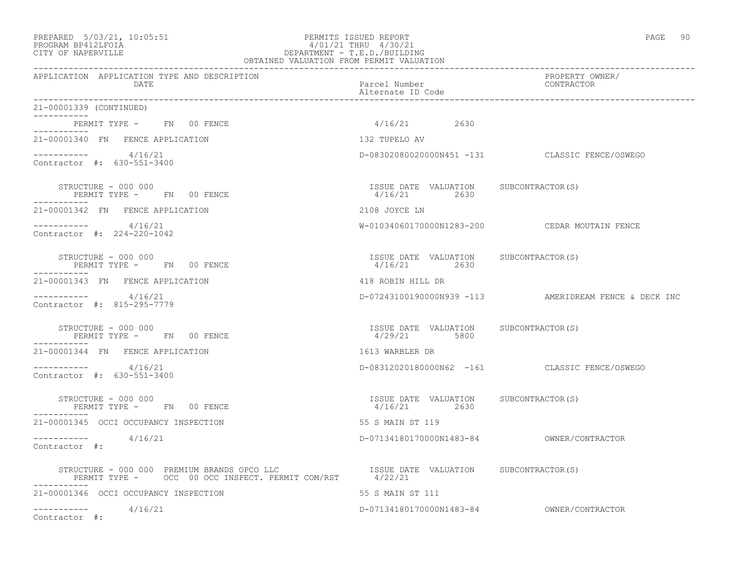### PREPARED 5/03/21, 10:05:51 PERMITS ISSUED REPORT PAGE 90 PROGRAM BP412LFOIA 4/01/21 THRU 4/30/21 CITY OF NAPERVILLE DEPARTMENT - T.E.D./BUILDING OBTAINED VALUATION FROM PERMIT VALUATION

| APPLICATION APPLICATION TYPE AND DESCRIPTION<br>DATE | Parcel Number<br>Alternate ID Code                    | PROPERTY OWNER/<br>CONTRACTOR                         |
|------------------------------------------------------|-------------------------------------------------------|-------------------------------------------------------|
| 21-00001339 (CONTINUED)                              |                                                       |                                                       |
| PERMIT TYPE - FN 00 FENCE<br>.                       | $4/16/21$ 2630                                        |                                                       |
| 21-00001340 FN FENCE APPLICATION                     | 132 TUPELO AV                                         |                                                       |
| $--------- 4/16/21$<br>Contractor #: 630-551-3400    |                                                       | D-08302080020000N451 -131 CLASSIC FENCE/OSWEGO        |
| STRUCTURE - 000 000<br>PERMIT TYPE - FN 00 FENCE     | ISSUE DATE VALUATION SUBCONTRACTOR(S)<br>4/16/21 2630 |                                                       |
| 21-00001342 FN FENCE APPLICATION                     | 2108 JOYCE LN                                         |                                                       |
| ----------- 4/16/21<br>Contractor #: 224-220-1042    |                                                       | W-01034060170000N1283-200 CEDAR MOUTAIN FENCE         |
| STRUCTURE - 000 000<br>PERMIT TYPE - FN 00 FENCE     | ISSUE DATE VALUATION SUBCONTRACTOR(S)<br>4/16/21 2630 |                                                       |
| 21-00001343 FN FENCE APPLICATION                     | 418 ROBIN HILL DR                                     |                                                       |
| $--------- 4/16/21$<br>Contractor #: 815-295-7779    |                                                       | D-07243100190000N939 -113 AMERIDREAM FENCE & DECK INC |
| STRUCTURE - 000 000<br>PERMIT TYPE - FN 00 FENCE     | ISSUE DATE VALUATION SUBCONTRACTOR(S)<br>4/29/21 5800 |                                                       |
| 21-00001344 FN FENCE APPLICATION                     | 1613 WARBLER DR                                       |                                                       |
| $--------- 4/16/21$<br>Contractor #: 630-551-3400    |                                                       | D-08312020180000N62 -161 CLASSIC FENCE/OSWEGO         |
| STRUCTURE - 000 000<br>PERMIT TYPE - FN 00 FENCE     | ISSUE DATE VALUATION SUBCONTRACTOR(S)<br>4/16/21 2630 |                                                       |
| 21-00001345 OCCI OCCUPANCY INSPECTION                | 55 S MAIN ST 119                                      |                                                       |
| $--------- 4/16/21$<br>Contractor #:                 |                                                       |                                                       |
| ------------                                         |                                                       |                                                       |
| 21-00001346 OCCI OCCUPANCY INSPECTION                | 55 S MAIN ST 111                                      |                                                       |
| $--------- 4/16/21$<br>Contractor #:                 |                                                       |                                                       |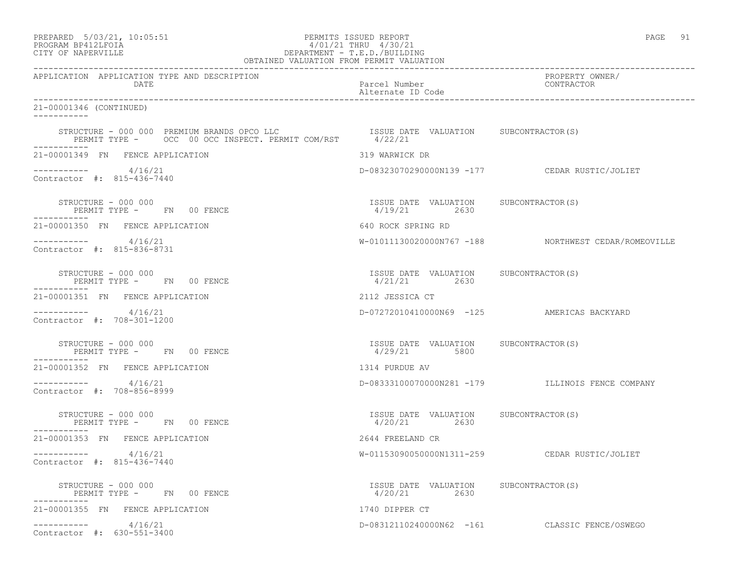PREPARED 5/03/21, 10:05:51 PERMITS ISSUED REPORT PAGE 91

# PROGRAM BP412LFOIA 4/01/21 THRU 4/30/21 CITY OF NAPERVILLE DEPARTMENT - T.E.D./BUILDING

| OBTAINED VALUATION FROM PERMIT VALUATION                                      |                                                         |                                                      |  |  |
|-------------------------------------------------------------------------------|---------------------------------------------------------|------------------------------------------------------|--|--|
| APPLICATION APPLICATION TYPE AND DESCRIPTION<br>DATE                          | Parcel Number<br>Alternate ID Code                      | PROPERTY OWNER/<br>CONTRACTOR                        |  |  |
| 21-00001346 (CONTINUED)<br><u> Liberalis Liberal</u>                          |                                                         |                                                      |  |  |
|                                                                               |                                                         |                                                      |  |  |
| 21-00001349 FN FENCE APPLICATION                                              | 319 WARWICK DR                                          |                                                      |  |  |
| $--------- 4/16/21$<br>Contractor #: 815-436-7440                             |                                                         | D-08323070290000N139 -177 CEDAR RUSTIC/JOLIET        |  |  |
| STRUCTURE - 000 000<br>PERMIT TYPE - FN 00 FENCE<br>PERMIT TYPE - FN 00 FENCE | ISSUE DATE VALUATION SUBCONTRACTOR(S)<br>4/19/21 2630   |                                                      |  |  |
| 21-00001350 FN FENCE APPLICATION                                              | 640 ROCK SPRING RD                                      |                                                      |  |  |
| $--------- 4/16/21$<br>Contractor #: 815-836-8731                             |                                                         | W-01011130020000N767 -188 NORTHWEST CEDAR/ROMEOVILLE |  |  |
| STRUCTURE - 000 000<br>PERMIT TYPE - FN 00 FENCE                              | ISSUE DATE VALUATION SUBCONTRACTOR(S)<br>$4/21/21$ 2630 |                                                      |  |  |
| 21-00001351 FN FENCE APPLICATION                                              | 2112 JESSICA CT                                         |                                                      |  |  |
| $--------- 4/16/21$<br>Contractor #: 708-301-1200                             |                                                         | D-07272010410000N69 -125 AMERICAS BACKYARD           |  |  |
| STRUCTURE - 000 000<br>PERMIT TYPE - FN 00 FENCE                              | ISSUE DATE VALUATION SUBCONTRACTOR(S)<br>4/29/21 5800   |                                                      |  |  |
| 21-00001352 FN FENCE APPLICATION                                              | 1314 PURDUE AV                                          |                                                      |  |  |
| ___________<br>4/16/21<br>Contractor #: 708-856-8999                          |                                                         | D-08333100070000N281 -179 ILLINOIS FENCE COMPANY     |  |  |
| STRUCTURE - 000 000<br>PERMIT TYPE - FN 00 FENCE<br>-----------               | ISSUE DATE VALUATION SUBCONTRACTOR(S)<br>4/20/21 2630   |                                                      |  |  |
| 21-00001353 FN FENCE APPLICATION                                              | 2644 FREELAND CR                                        |                                                      |  |  |
| $--------- 4/16/21$<br>Contractor #: 815-436-7440                             |                                                         | W-01153090050000N1311-259 CEDAR RUSTIC/JOLIET        |  |  |
| STRUCTURE - 000 000<br>PERMIT TYPE - FN 00 FENCE                              | ISSUE DATE VALUATION SUBCONTRACTOR(S)<br>4/20/21 2630   |                                                      |  |  |
| 21-00001355 FN FENCE APPLICATION                                              | 1740 DIPPER CT                                          |                                                      |  |  |
| 4/16/21<br>Contractor #: 630-551-3400                                         |                                                         | D-08312110240000N62 -161 CLASSIC FENCE/OSWEGO        |  |  |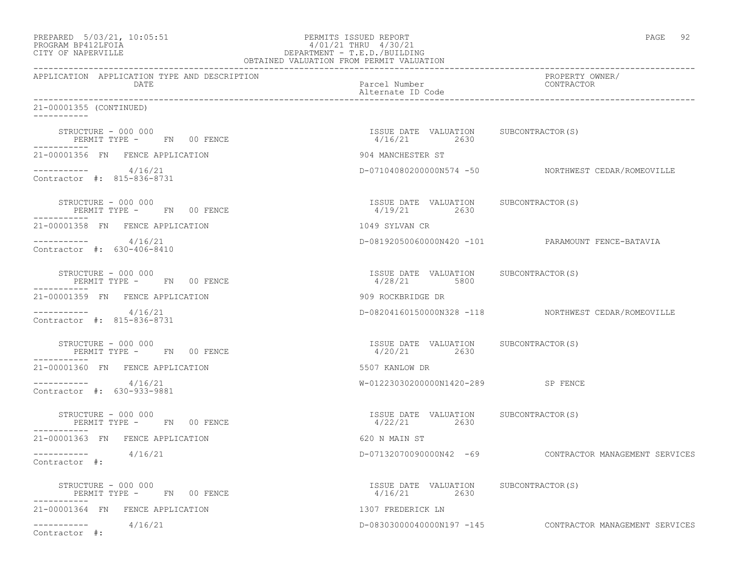| PREPARED 5/03/21, 10:05:51<br>PROGRAM BP412LFOIA<br>CITY OF NAPERVILLE | PERMITS ISSUED REPORT<br>4/01/21 THRU 4/30/21<br>1/01/21 IRKU 4/30/21<br>DEPARTMENT - T.E.D./BUILDING<br>OBTAINED VALUATION FROM PERMIT VALUATION | PAGE 92                                                  |
|------------------------------------------------------------------------|---------------------------------------------------------------------------------------------------------------------------------------------------|----------------------------------------------------------|
| APPLICATION APPLICATION TYPE AND DESCRIPTION<br>DATE                   | Parcel Number<br>Alternate ID Code                                                                                                                | PROPERTY OWNER/<br>CONTRACTOR                            |
| 21-00001355 (CONTINUED)                                                |                                                                                                                                                   |                                                          |
| STRUCTURE - 000 000<br>PERMIT TYPE - FN 00 FENCE<br>-----------        | ISSUE DATE VALUATION SUBCONTRACTOR(S)<br>$4/16/21$ 2630                                                                                           |                                                          |
| 21-00001356 FN FENCE APPLICATION                                       | 904 MANCHESTER ST                                                                                                                                 |                                                          |
| $--------- 4/16/21$<br>Contractor #: 815-836-8731                      |                                                                                                                                                   | D-07104080200000N574 -50 NORTHWEST CEDAR/ROMEOVILLE      |
| STRUCTURE - 000 000<br>PERMIT TYPE - FN 00 FENCE                       | ISSUE DATE VALUATION SUBCONTRACTOR(S)<br>4/19/21 2630                                                                                             |                                                          |
| 21-00001358 FN FENCE APPLICATION                                       | 1049 SYLVAN CR                                                                                                                                    |                                                          |
| $--------- 4/16/21$<br>Contractor #: 630-406-8410                      |                                                                                                                                                   | D-08192050060000N420 -101 PARAMOUNT FENCE-BATAVIA        |
| STRUCTURE - 000 000<br>PERMIT TYPE - FN 00 FENCE<br>-----------        | ISSUE DATE VALUATION SUBCONTRACTOR(S)<br>4/28/21 5800                                                                                             |                                                          |
| 21-00001359 FN FENCE APPLICATION                                       | 909 ROCKBRIDGE DR                                                                                                                                 |                                                          |
| $--------- 4/16/21$<br>Contractor #: 815-836-8731                      |                                                                                                                                                   | D-08204160150000N328 -118 NORTHWEST CEDAR/ROMEOVILLE     |
| STRUCTURE - 000 000<br>PERMIT TYPE - FN 00 FENCE<br>-----------        | ISSUE DATE VALUATION SUBCONTRACTOR (S)<br>4/20/21 2630                                                                                            |                                                          |
| 21-00001360 FN FENCE APPLICATION                                       | 5507 KANLOW DR                                                                                                                                    |                                                          |
| $--------- 4/16/21$<br>Contractor #: 630-933-9881                      | W-01223030200000N1420-289 SP FENCE                                                                                                                |                                                          |
| STRUCTURE - 000 000<br>PERMIT TYPE - FN 00 FENCE<br>----------         | ISSUE DATE VALUATION SUBCONTRACTOR(S)<br>4/22/21 2630                                                                                             |                                                          |
| 21-00001363 FN FENCE APPLICATION                                       | 620 N MAIN ST                                                                                                                                     |                                                          |
| 4/16/21<br>------------<br>Contractor $\#$ :                           | D-07132070090000N42 -69                                                                                                                           | CONTRACTOR MANAGEMENT SERVICES                           |
| STRUCTURE - 000 000<br>PERMIT TYPE - FN 00 FENCE<br>-----------        | ISSUE DATE VALUATION SUBCONTRACTOR(S)<br>4/16/21<br>2630                                                                                          |                                                          |
| 21-00001364 FN FENCE APPLICATION                                       | 1307 FREDERICK LN                                                                                                                                 |                                                          |
| 4/16/21<br>-----------<br>Contractor #:                                |                                                                                                                                                   | D-08303000040000N197 -145 CONTRACTOR MANAGEMENT SERVICES |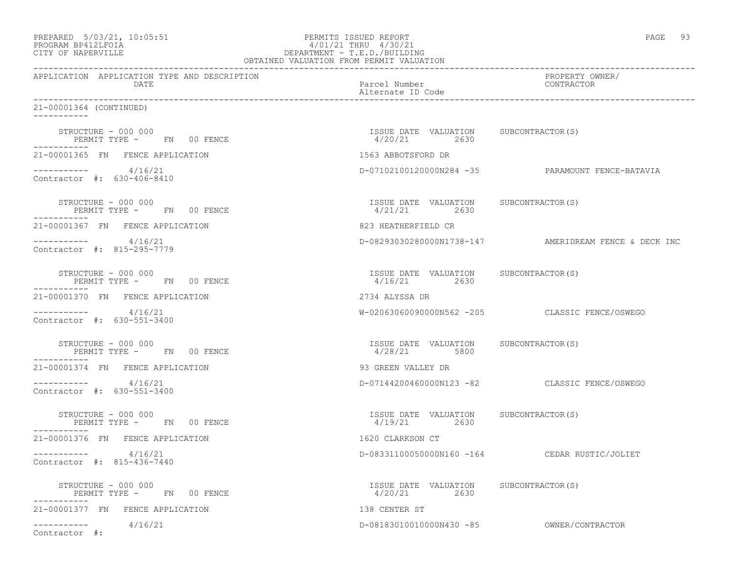| PREPARED 5/03/21, 10:05:51<br>PROGRAM BP412LFOIA<br>CITY OF NAPERVILLE | PERMITS ISSUED REPORT<br>4/01/21 THRU 4/30/21<br>DEPARTMENT - T.E.D./BUILDING<br>DEPARTMENT - T.E.D./BUILDING<br>OBTAINED VALUATION FROM PERMIT VALUATION | PAGE 93                                               |
|------------------------------------------------------------------------|-----------------------------------------------------------------------------------------------------------------------------------------------------------|-------------------------------------------------------|
| APPLICATION APPLICATION TYPE AND DESCRIPTION<br>DATE                   | Parcel Number<br>Alternate ID Code                                                                                                                        | PROPERTY OWNER/<br>CONTRACTOR                         |
| 21-00001364 (CONTINUED)                                                |                                                                                                                                                           |                                                       |
| STRUCTURE - 000 000<br>PERMIT TYPE - FN 00 FENCE<br>-----------        | ISSUE DATE VALUATION SUBCONTRACTOR(S)<br>4/20/21 2630                                                                                                     |                                                       |
| 21-00001365 FN FENCE APPLICATION                                       | 1563 ABBOTSFORD DR                                                                                                                                        |                                                       |
| $--------- 4/16/21$<br>Contractor #: 630-406-8410                      |                                                                                                                                                           | D-07102100120000N284 -35 PARAMOUNT FENCE-BATAVIA      |
| STRUCTURE - 000 000<br>PERMIT TYPE - FN 00 FENCE                       | ISSUE DATE VALUATION SUBCONTRACTOR(S)<br>4/21/21 2630                                                                                                     |                                                       |
| 21-00001367 FN FENCE APPLICATION                                       | 823 HEATHERFIELD CR                                                                                                                                       |                                                       |
| $--------- 4/16/21$<br>Contractor #: 815-295-7779                      |                                                                                                                                                           | D-08293030280000N1738-147 AMERIDREAM FENCE & DECK INC |
| STRUCTURE - 000 000<br>PERMIT TYPE - FN 00 FENCE<br>. <u>.</u>         | ISSUE DATE VALUATION SUBCONTRACTOR(S)<br>$4/16/21$ 2630                                                                                                   |                                                       |
| 21-00001370 FN FENCE APPLICATION                                       | 2734 ALYSSA DR                                                                                                                                            |                                                       |
| $--------- 4/16/21$<br>Contractor #: 630-551-3400                      |                                                                                                                                                           | W-02063060090000N562 -205 CLASSIC FENCE/OSWEGO        |
| STRUCTURE - 000 000<br>PERMIT TYPE - FN 00 FENCE<br>-----------        | ISSUE DATE VALUATION SUBCONTRACTOR(S)<br>4/28/21 5800                                                                                                     |                                                       |
| 21-00001374 FN FENCE APPLICATION                                       | 93 GREEN VALLEY DR                                                                                                                                        |                                                       |
| $--------- 4/16/21$<br>Contractor #: 630-551-3400                      |                                                                                                                                                           | D-07144200460000N123 -82 CLASSIC FENCE/OSWEGO         |
| STRUCTURE - 000 000<br>PERMIT TYPE - FN 00 FENCE                       | ISSUE DATE VALUATION SUBCONTRACTOR(S)<br>4/19/21 2630                                                                                                     |                                                       |
| 21-00001376 FN FENCE APPLICATION                                       | 1620 CLARKSON CT                                                                                                                                          |                                                       |
| 4/16/21<br>Contractor #: 815-436-7440                                  |                                                                                                                                                           | D-08331100050000N160 -164 CEDAR RUSTIC/JOLIET         |
| STRUCTURE - 000 000<br>PERMIT TYPE - FN 00 FENCE                       | ISSUE DATE VALUATION SUBCONTRACTOR(S)<br>4/20/21<br>2630                                                                                                  |                                                       |
| 21-00001377 FN FENCE APPLICATION                                       | 138 CENTER ST                                                                                                                                             |                                                       |
| 4/16/21<br>Contractor #:                                               | D-08183010010000N430 -85                                                                                                                                  | OWNER/CONTRACTOR                                      |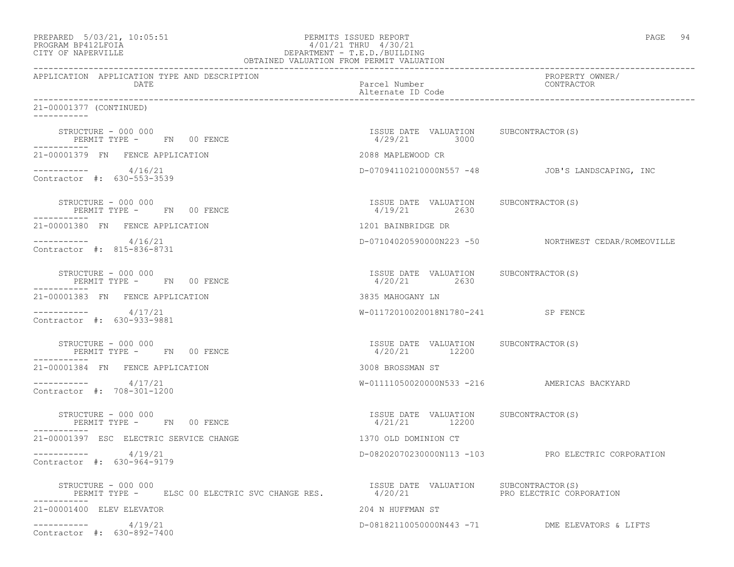| PREPARED            | $5/03/21$ , $10:05:51$ |  |
|---------------------|------------------------|--|
| DDOCD3M DD410T DOT3 |                        |  |

### PREPARED 5/03/21, 10:05:51 PERMITS ISSUED REPORT<br>PROGRAM BP412LFOIA PAGE 94 PROGRAM PROGRAM PAGE 94 PROGRAM BP412LFOIA  $4/01/21$  THRU  $4/30/21$ <br>CITY OF NAPERVILLE DEPARTMENT - T.E.D./BUILDII CITY OF NAPERVILLE DEPARTMENT - T.E.D./BUILDING

| OBTAINED VALUATION FROM PERMIT VALUATION                                                               |                                                        |                                                     |  |  |
|--------------------------------------------------------------------------------------------------------|--------------------------------------------------------|-----------------------------------------------------|--|--|
| APPLICATION APPLICATION TYPE AND DESCRIPTION<br>DATE                                                   | Parcel Number<br>Alternate ID Code                     | PROPERTY OWNER/<br>CONTRACTOR                       |  |  |
| 21-00001377 (CONTINUED)<br>-----------                                                                 |                                                        |                                                     |  |  |
| STRUCTURE - 000 000<br>PERMIT TYPE - FN 00 FENCE                                                       | ISSUE DATE VALUATION SUBCONTRACTOR(S)<br>4/29/21 3000  |                                                     |  |  |
| 21-00001379 FN FENCE APPLICATION                                                                       | 2088 MAPLEWOOD CR                                      |                                                     |  |  |
| $--------- 4/16/21$<br>Contractor #: 630-553-3539                                                      |                                                        | D-07094110210000N557 -48 JOB'S LANDSCAPING, INC     |  |  |
| STRUCTURE - 000 000<br>------- $\overline{m}$ - $\overline{m}$ 00 FENCE                                | ISSUE DATE VALUATION SUBCONTRACTOR(S)<br>4/19/21 2630  |                                                     |  |  |
| 21-00001380 FN FENCE APPLICATION                                                                       | 1201 BAINBRIDGE DR                                     |                                                     |  |  |
| $--------- 4/16/21$<br>Contractor #: 815-836-8731                                                      |                                                        | D-07104020590000N223 -50 NORTHWEST CEDAR/ROMEOVILLE |  |  |
| STRUCTURE - 000 000<br>PERMIT TYPE - FN 00 FENCE                                                       | ISSUE DATE VALUATION SUBCONTRACTOR(S)<br>4/20/21 2630  |                                                     |  |  |
| 21-00001383 FN FENCE APPLICATION                                                                       | 3835 MAHOGANY LN                                       |                                                     |  |  |
| $--------- 4/17/21$<br>Contractor #: 630-933-9881                                                      | W-01172010020018N1780-241 SP FENCE                     |                                                     |  |  |
| STRUCTURE - 000 000<br>PERMIT TYPE - FN 00 FENCE                                                       | ISSUE DATE VALUATION SUBCONTRACTOR(S)<br>4/20/21 12200 |                                                     |  |  |
| 21-00001384 FN FENCE APPLICATION                                                                       | 3008 BROSSMAN ST                                       |                                                     |  |  |
| ___________<br>4/17/21<br>Contractor #: 708-301-1200                                                   |                                                        | W-01111050020000N533 -216 AMERICAS BACKYARD         |  |  |
| STRUCTURE - 000 000<br>PERMIT TYPE - FN 00 FENCE                                                       | ISSUE DATE VALUATION SUBCONTRACTOR(S)<br>4/21/21 12200 |                                                     |  |  |
| 21-00001397 ESC ELECTRIC SERVICE CHANGE                                                                | 1370 OLD DOMINION CT                                   |                                                     |  |  |
| $--------- 4/19/21$<br>Contractor #: 630-964-9179                                                      |                                                        | D-08202070230000N113 -103 PRO ELECTRIC CORPORATION  |  |  |
| STRUCTURE - 000 000<br>PERMIT TYPE - ELSC 00 ELECTRIC SVC CHANGE RES. 4/20/21 PRO ELECTRIC CORPORATION | ISSUE DATE VALUATION SUBCONTRACTOR(S)                  |                                                     |  |  |
| 21-00001400 ELEV ELEVATOR                                                                              | 204 N HUFFMAN ST                                       |                                                     |  |  |
| $--------- 4/19/21$<br>Contractor #: 630-892-7400                                                      |                                                        | D-08182110050000N443 -71 DME ELEVATORS & LIFTS      |  |  |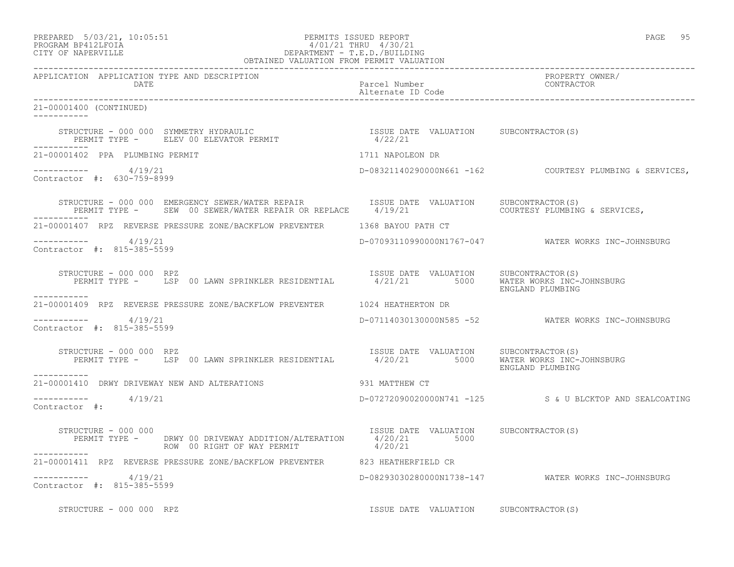### PREPARED 5/03/21, 10:05:51 PERMITS ISSUED REPORT PAGE 95 PROGRAM BP412LFOIA 4/01/21 THRU 4/30/21 PREPARED 5/03/21, 10:05:51 PERMITS ISSUED REPORT<br>PROGRAM BP412LFOIA 4/01/21 THRU 4/30/21<br>CITY OF NAPERVILLE

| OBTAINED VALUATION FROM PERMIT VALUATION                                                                                                                                           |                                       |                                                         |  |  |
|------------------------------------------------------------------------------------------------------------------------------------------------------------------------------------|---------------------------------------|---------------------------------------------------------|--|--|
| APPLICATION APPLICATION TYPE AND DESCRIPTION<br><b>DATE</b>                                                                                                                        | Parcel Number<br>Alternate ID Code    | PROPERTY OWNER/<br>CONTRACTOR                           |  |  |
| 21-00001400 (CONTINUED)<br>------------                                                                                                                                            |                                       |                                                         |  |  |
| ------------                                                                                                                                                                       |                                       |                                                         |  |  |
| 21-00001402 PPA PLUMBING PERMIT                                                                                                                                                    | 1711 NAPOLEON DR                      |                                                         |  |  |
| $--------- 4/19/21$<br>Contractor #: 630-759-8999                                                                                                                                  |                                       | D-08321140290000N661 -162 COURTESY PLUMBING & SERVICES, |  |  |
| STRUCTURE - 000 000 EMERGENCY SEWER/WATER REPAIR TSSUE DATE VALUATION SUBCONTRACTOR(S)<br>PERMIT TYPE - SEW 00 SEWER/WATER REPAIR OR REPLACE 4/19/21 COURTESY PLUMBING & SERVICES, |                                       |                                                         |  |  |
| 21-00001407 RPZ REVERSE PRESSURE ZONE/BACKFLOW PREVENTER 1368 BAYOU PATH CT                                                                                                        |                                       |                                                         |  |  |
| ----------- 4/19/21<br>Contractor #: 815-385-5599                                                                                                                                  |                                       | D-07093110990000N1767-047    WATER WORKS INC-JOHNSBURG  |  |  |
| TRUCTURE - 000 000 RPZ<br>PERMIT TYPE - USP 00 LAWN SPRINKLER RESIDENTIAL - 1/21/21 5000 WATER WORKS INC-JOHNSBURG<br>STRUCTURE - 000 000 RPZ                                      |                                       | ENGLAND PLUMBING                                        |  |  |
| -----------<br>21-00001409 RPZ REVERSE PRESSURE ZONE/BACKFLOW PREVENTER 1024 HEATHERTON DR                                                                                         |                                       |                                                         |  |  |
| ----------- 4/19/21<br>Contractor #: 815-385-5599                                                                                                                                  |                                       | D-07114030130000N585 -52 WATER WORKS INC-JOHNSBURG      |  |  |
| STRUCTURE - 000 000 RPZ<br>PERMIT TYPE - LSP 00 LAWN SPRINKLER RESIDENTIAL - 1/20/21 5000 WATER WORKS INC-JOHNSBURG<br>STRUCTURE - 000 000 RPZ<br>-----------                      |                                       | ENGLAND PLUMBING                                        |  |  |
| 931 MATTHEW CT<br>21-00001410 DRWY DRIVEWAY NEW AND ALTERATIONS                                                                                                                    |                                       |                                                         |  |  |
| 4/19/21<br>Contractor #:                                                                                                                                                           |                                       | D-07272090020000N741 -125 S & U BLCKTOP AND SEALCOATING |  |  |
| STRUCTURE - 000 000<br>PERMIT TYPE - DRWY 00 DRIVEWAY ADDITION/ALTERATION 4/20/21 5000<br>ROW 00 RIGHT OF WAY PERMIT 4/20/21                                                       | ISSUE DATE VALUATION SUBCONTRACTOR(S) |                                                         |  |  |
| 21-00001411 RPZ REVERSE PRESSURE ZONE/BACKFLOW PREVENTER 623 HEATHERFIELD CR                                                                                                       |                                       |                                                         |  |  |
| $--------- 4/19/21$<br>Contractor #: 815-385-5599                                                                                                                                  |                                       | D-08293030280000N1738-147 WATER WORKS INC-JOHNSBURG     |  |  |
| STRUCTURE - 000 000 RPZ                                                                                                                                                            | ISSUE DATE VALUATION SUBCONTRACTOR(S) |                                                         |  |  |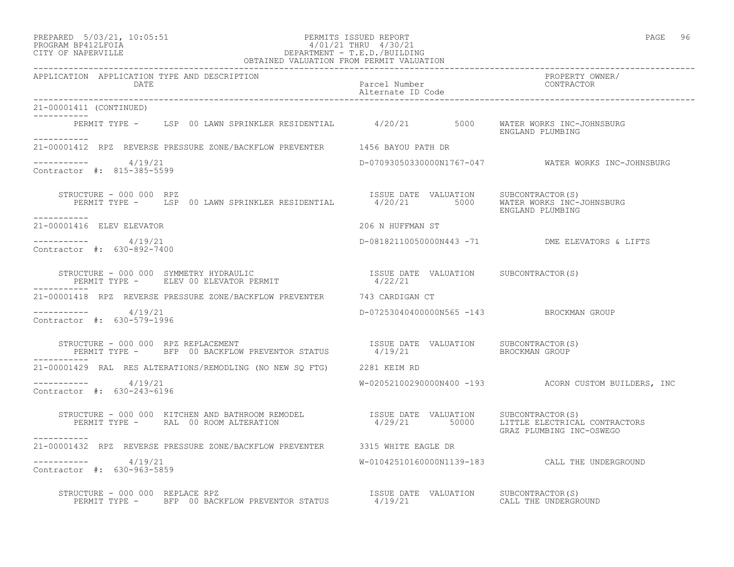| PREPARED        | $5/03/21$ , $10:05:51$ |  |
|-----------------|------------------------|--|
| <b>DDOOD315</b> |                        |  |

### PREPARED 5/03/21, 10:05:51 PERMITS ISSUED REPORT<br>PROGRAM BP412LFOIA PAGE 96 PAGE 96 ACCORD 4/01/21 THRU 4/30/21 PROGRAM BP412LFOIA  $4/01/21$  THRU  $4/30/21$ <br>CITY OF NAPERVILLE DEPARTMENT - T.E.D./BUILDIN CITY OF NAPERVILLE DEPARTMENT - T.E.D./BUILDING

| OBTAINED VALUATION FROM PERMIT VALUATION                                                                                                                                                                                                                                                                                                                                                                                           |                                          |                                                                         |  |
|------------------------------------------------------------------------------------------------------------------------------------------------------------------------------------------------------------------------------------------------------------------------------------------------------------------------------------------------------------------------------------------------------------------------------------|------------------------------------------|-------------------------------------------------------------------------|--|
| APPLICATION APPLICATION TYPE AND DESCRIPTION<br>DATE                                                                                                                                                                                                                                                                                                                                                                               | Parcel Number<br>Alternate ID Code       | PROPERTY OWNER/<br>CONTRACTOR                                           |  |
| 21-00001411 (CONTINUED)<br>----------                                                                                                                                                                                                                                                                                                                                                                                              |                                          |                                                                         |  |
| PERMIT TYPE - LSP 00 LAWN SPRINKLER RESIDENTIAL 4/20/21 5000 WATER WORKS INC-JOHNSBURG                                                                                                                                                                                                                                                                                                                                             |                                          | ENGLAND PLUMBING                                                        |  |
| 21-00001412 RPZ REVERSE PRESSURE ZONE/BACKFLOW PREVENTER 1456 BAYOU PATH DR                                                                                                                                                                                                                                                                                                                                                        |                                          |                                                                         |  |
| $--------- 4/19/21$<br>Contractor #: 815-385-5599                                                                                                                                                                                                                                                                                                                                                                                  |                                          | D-07093050330000N1767-047 WATER WORKS INC-JOHNSBURG                     |  |
| RUCTURE - 000 000 RPZ<br>PERMIT TYPE - LSP 00 LAWN SPRINKLER RESIDENTIAL 1/20/21 5000 WATER WORKS INC-JOHNSBURG<br>STRUCTURE - 000 000 RPZ<br>-----------                                                                                                                                                                                                                                                                          |                                          | ENGLAND PLUMBING                                                        |  |
| 21-00001416 ELEV ELEVATOR                                                                                                                                                                                                                                                                                                                                                                                                          | 206 N HUFFMAN ST                         |                                                                         |  |
| $--------- 4/19/21$<br>Contractor #: 630-892-7400                                                                                                                                                                                                                                                                                                                                                                                  |                                          | D-08182110050000N443 -71 DME ELEVATORS & LIFTS                          |  |
| $\begin{tabular}{lllllllllll} \texttt{STRUCTURE} & - & 000 & 000 & \texttt{SYMMETRY HYDRAULIC} & & & & & & & & & & \\ \texttt{PERMIT TYPE} & - & & & & & & & & & \\ \texttt{PERMIT TYPE} & - & & & & & & & & \\ \end{tabular} \begin{tabular}{lllllllllllll} \texttt{LSTNE} & - & & & & & & & \\ \texttt{NISTRE} & - & & & & & & \\ \texttt{NISTRE} & - & & & & & \\ \texttt{NISTRE} & - & & & & \\ \end{tabular}$<br>------------ |                                          |                                                                         |  |
| 21-00001418 RPZ REVERSE PRESSURE ZONE/BACKFLOW PREVENTER 743 CARDIGAN CT                                                                                                                                                                                                                                                                                                                                                           |                                          |                                                                         |  |
| $--------- 4/19/21$<br>Contractor #: 630-579-1996                                                                                                                                                                                                                                                                                                                                                                                  | D-07253040400000N565 -143 BROCKMAN GROUP |                                                                         |  |
| STRUCTURE - 000 000 RPZ REPLACEMENT                                 ISSUE DATE VALUATION     SUBCONTRACTOR(S)<br>PERMIT TYPE -     BFP 00 BACKFLOW PREVENTOR STATUS         4/19/21             BROCKMAN GROUP<br>-----------                                                                                                                                                                                                      |                                          |                                                                         |  |
| 21-00001429 RAL RES ALTERATIONS/REMODLING (NO NEW SQ FTG) 2281 KEIM RD                                                                                                                                                                                                                                                                                                                                                             |                                          |                                                                         |  |
| $--------- 4/19/21$<br>Contractor #: 630-243-6196                                                                                                                                                                                                                                                                                                                                                                                  |                                          | $W-02052100290000N400 -193$ ACORN CUSTOM BUILDERS, INC                  |  |
| $\begin{array}{cccccc} \texttt{STRUCTURE} & - & 000 & 000 & \texttt{KITCHEN AND BATHROM REMODEL} & & & & & & \\ \texttt{PERMIT TYPE} & - & \texttt{RAL} & 00\texttt{ ROM AITERATION} & & & & & \\ \texttt{PERMIT TYPE} & - & \texttt{RAL} & 00\texttt{ ROM AITERATION} & & & & & \\ \end{array}$                                                                                                                                   |                                          | 4/29/21 50000 LITTLE ELECTRICAL CONTRACTORS<br>GRAZ PLUMBING INC-OSWEGO |  |
| 21-00001432 RPZ REVERSE PRESSURE ZONE/BACKFLOW PREVENTER 3315 WHITE EAGLE DR                                                                                                                                                                                                                                                                                                                                                       |                                          |                                                                         |  |
| -----------    4/19/21<br>Contractor #: 630-963-5859                                                                                                                                                                                                                                                                                                                                                                               |                                          | W-01042510160000N1139-183 CALL THE UNDERGROUND                          |  |
| STRUCTURE - 000 000 REPLACE RPZ<br>PERMIT TYPE - BFP 00 BACKFLOW PREVENTOR STATUS 4/19/21 CALL THE UNDERGROUND                                                                                                                                                                                                                                                                                                                     |                                          |                                                                         |  |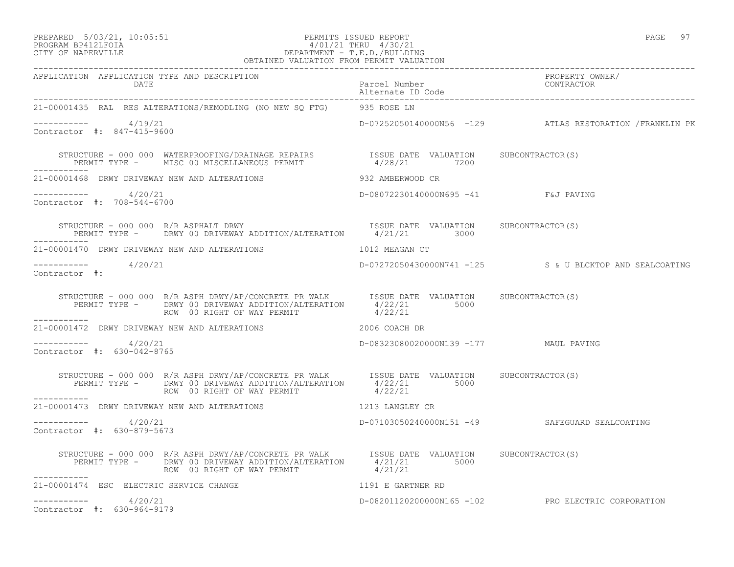### PREPARED 5/03/21, 10:05:51 PERMITS ISSUED REPORT PAGE 97 PROGRAM BP412LFOIA 4/01/21 THRU 4/30/21 CITY OF NAPERVILLE DEPARTMENT - T.E.D./BUILDING OBTAINED VALUATION FROM PERMIT VALUATION

| APPLICATION APPLICATION TYPE AND DESCRIPTION PACK PACKER PUROPER PACK PACK PACK PROPERTY OWNER/<br>DATE Parcel Number alternate ID Code Alternate ID Code Alternate ID Code Packer Puroper and Alternate ID Code    |                                       |                                                         |
|---------------------------------------------------------------------------------------------------------------------------------------------------------------------------------------------------------------------|---------------------------------------|---------------------------------------------------------|
| 21-00001435 RAL RES ALTERATIONS/REMODLING (NO NEW SQ FTG) 935 ROSE LN                                                                                                                                               |                                       |                                                         |
| $--------- 4/19/21$<br>Contractor #: 847-415-9600                                                                                                                                                                   |                                       | D-07252050140000N56 -129 ATLAS RESTORATION /FRANKLIN PK |
| STRUCTURE - 000 000 WATERPROOFING/DRAINAGE REPAIRS             ISSUE DATE VALUATION     SUBCONTRACTOR(S)<br>PERMIT TYPE -     MISC 00 MISCELLANEOUS PERMIT                   4/28/21        7200                    |                                       |                                                         |
| 21-00001468 DRWY DRIVEWAY NEW AND ALTERATIONS                                                                                                                                                                       | 932 AMBERWOOD CR                      |                                                         |
| $--------- 4/20/21$<br>Contractor #: 708-544-6700                                                                                                                                                                   | D-08072230140000N695 -41 F&J PAVING   |                                                         |
|                                                                                                                                                                                                                     |                                       |                                                         |
| 21-00001470 DRWY DRIVEWAY NEW AND ALTERATIONS                                                                                                                                                                       | 1012 MEAGAN CT                        |                                                         |
| $--------- 4/20/21$<br>Contractor #:                                                                                                                                                                                |                                       | D-07272050430000N741 -125 S & U BLCKTOP AND SEALCOATING |
| STRUCTURE - 000 000 R/R ASPH DRWY/AP/CONCRETE PR WALK ISSUE DATE VALUATION SUBCONTRACTOR(S)<br>PERMIT TYPE - DRWY 00 DRIVEWAY ADDITION/ALTERATION $4/22/21$ 5000<br>---------<br>------------                       |                                       |                                                         |
| 21-00001472 DRWY DRIVEWAY NEW AND ALTERATIONS $2006$ COACH DR                                                                                                                                                       |                                       |                                                         |
| $--------- 4/20/21$<br>Contractor #: 630-042-8765                                                                                                                                                                   | D-08323080020000N139 -177 MAUL PAVING |                                                         |
| STRUCTURE - 000 000 R/R ASPH DRWY/AP/CONCRETE PR WALK ISSUE DATE VALUATION SUBCONTRACTOR(S)<br>PERMIT TYPE - DRWY 00 DRIVEWAY ADDITION/ALTERATION 4/22/21 5000<br>ROW 00 RIGHT OF WAY PERMIT 4/22/21<br>___________ |                                       |                                                         |
| 21-00001473 DRWY DRIVEWAY NEW AND ALTERATIONS 1213 LANGLEY CR                                                                                                                                                       |                                       |                                                         |
| $--------- 4/20/21$<br>Contractor #: 630-879-5673                                                                                                                                                                   |                                       | D-07103050240000N151 -49 SAFEGUARD SEALCOATING          |
| STRUCTURE - 000 000 R/R ASPH DRWY/AP/CONCRETE PR WALK<br>PERMIT TYPE - DRWY 00 DRIVEWAY ADDITION/ALTERATION 4/21/21 5000<br>ROW 00 RIGHT OF WAY PERMIT 4/21/21<br>------------                                      |                                       |                                                         |
| 21-00001474 ESC ELECTRIC SERVICE CHANGE<br>1191 E GARTNER RD                                                                                                                                                        |                                       |                                                         |
| $--------- 4/20/21$<br>Contractor #: 630-964-9179                                                                                                                                                                   |                                       | D-08201120200000N165 -102 PRO ELECTRIC CORPORATION      |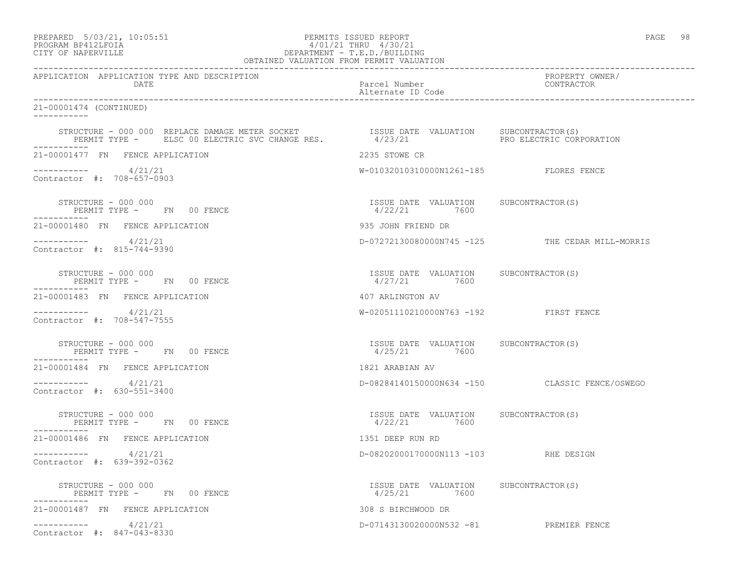## PREPARED 5/03/21, 10:05:51 PERMITS ISSUED REPORT PAGE 98 PROGRAM BP412LFOIA 4/01/21 THRU 4/30/21 CITY OF NAPERVILLE DEPARTMENT - T.E.D./BUILDING

| OBTAINED VALUATION FROM PERMIT VALUATION                                                                                                                                                                                                                                                                                                           |                                                         |                                                 |  |  |
|----------------------------------------------------------------------------------------------------------------------------------------------------------------------------------------------------------------------------------------------------------------------------------------------------------------------------------------------------|---------------------------------------------------------|-------------------------------------------------|--|--|
| APPLICATION APPLICATION TYPE AND DESCRIPTION<br>DATE                                                                                                                                                                                                                                                                                               | Parcel Number<br>Alternate ID Code                      | PROPERTY OWNER/<br>CONTRACTOR                   |  |  |
| 21-00001474 (CONTINUED)<br>$- - - - - - - - - -$                                                                                                                                                                                                                                                                                                   |                                                         |                                                 |  |  |
| $\begin{array}{cccc} \texttt{STRUCTURE} & - & 000 & 000 & \texttt{REPLACE} & \texttt{DAMAGE} & \texttt{METER} & \texttt{SCCKET} & \texttt{ISSUE} & \texttt{DATE} & \texttt{VALUATION} & \texttt{SUBCONTRACTOR(S)} \\ \texttt{PERMIT TYPE} & - & \texttt{ELSC 00 ELECTRIC SVC CHANGE RES} & 4/23/21 & \texttt{PRO ELECTRIC CORPORTION} \end{array}$ |                                                         |                                                 |  |  |
| 21-00001477 FN FENCE APPLICATION                                                                                                                                                                                                                                                                                                                   | 2235 STOWE CR                                           |                                                 |  |  |
| $--------- 4/21/21$<br>Contractor #: 708-657-0903                                                                                                                                                                                                                                                                                                  | W-01032010310000N1261-185 FLORES FENCE                  |                                                 |  |  |
| STRUCTURE - 000 000<br>PERMIT TYPE - FN 00 FENCE                                                                                                                                                                                                                                                                                                   | ISSUE DATE VALUATION SUBCONTRACTOR (S)<br>4/22/21 7600  |                                                 |  |  |
| 21-00001480 FN FENCE APPLICATION                                                                                                                                                                                                                                                                                                                   | 935 JOHN FRIEND DR                                      |                                                 |  |  |
| 4/21/21<br>Contractor #: 815-744-9390                                                                                                                                                                                                                                                                                                              |                                                         | D-07272130080000N745 -125 THE CEDAR MILL-MORRIS |  |  |
| STRUCTURE - 000 000<br>PERMIT TYPE - FN 00 FENCE                                                                                                                                                                                                                                                                                                   | ISSUE DATE VALUATION SUBCONTRACTOR(S)<br>4/27/21 7600   |                                                 |  |  |
| 21-00001483 FN FENCE APPLICATION                                                                                                                                                                                                                                                                                                                   | 407 ARLINGTON AV                                        |                                                 |  |  |
| 4/21/21<br>Contractor #: 708-547-7555                                                                                                                                                                                                                                                                                                              | W-02051110210000N763 -192 FIRST FENCE                   |                                                 |  |  |
| STRUCTURE - 000 000<br>PERMIT TYPE - FN 00 FENCE                                                                                                                                                                                                                                                                                                   | ISSUE DATE VALUATION SUBCONTRACTOR(S)<br>4/25/21 7600   |                                                 |  |  |
| 21-00001484 FN FENCE APPLICATION                                                                                                                                                                                                                                                                                                                   | 1821 ARABIAN AV                                         |                                                 |  |  |
| 4/21/21<br>Contractor #: 630-551-3400                                                                                                                                                                                                                                                                                                              |                                                         | D-08284140150000N634 -150 CLASSIC FENCE/OSWEGO  |  |  |
| STRUCTURE - 000 000<br>PERMIT TYPE - FN 00 FENCE<br>----------                                                                                                                                                                                                                                                                                     | ISSUE DATE VALUATION SUBCONTRACTOR(S)<br>$4/22/21$ 7600 |                                                 |  |  |
| 21-00001486 FN FENCE APPLICATION                                                                                                                                                                                                                                                                                                                   | 1351 DEEP RUN RD                                        |                                                 |  |  |
| 4/21/21<br>Contractor #: 639-392-0362                                                                                                                                                                                                                                                                                                              | D-08202000170000N113 -103 RHE DESIGN                    |                                                 |  |  |
| STRUCTURE - 000 000<br>PERMIT TYPE - FN 00 FENCE                                                                                                                                                                                                                                                                                                   | ISSUE DATE VALUATION SUBCONTRACTOR(S)<br>4/25/21 7600   |                                                 |  |  |
| 21-00001487 FN FENCE APPLICATION                                                                                                                                                                                                                                                                                                                   | 308 S BIRCHWOOD DR                                      |                                                 |  |  |
| ------------<br>4/21/21<br>Contractor #: 847-043-8330                                                                                                                                                                                                                                                                                              | D-07143130020000N532 -81 PREMIER FENCE                  |                                                 |  |  |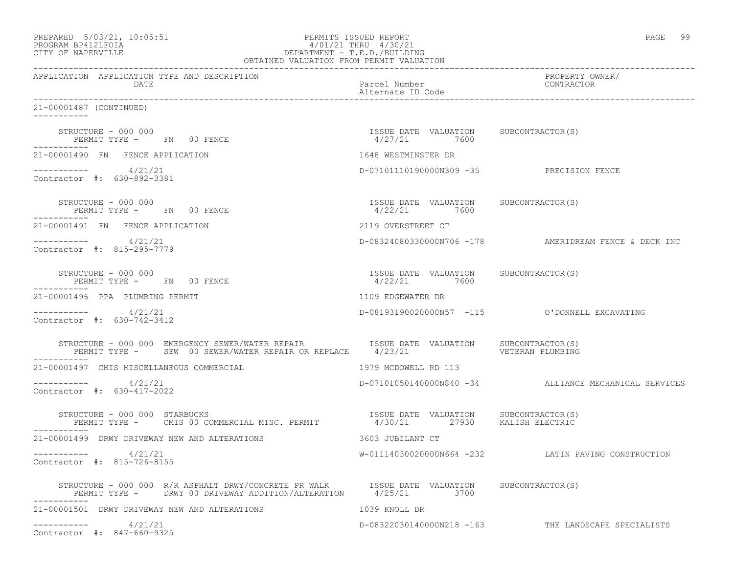| PREPARED 5/03/21, 10:05:51<br>PROGRAM BP412LFOIA<br>4/01/21 THRU 4/30/21<br>DEPARTMENT - T.E.D./BUILDING<br>OBTAINED VALUATION FROM PERMIT VALUATION<br>CITY OF NAPERVILLE | PERMITS ISSUED REPORT<br>4/01/21 THRU 4/30/21           | PAGE<br>- 99                                          |
|----------------------------------------------------------------------------------------------------------------------------------------------------------------------------|---------------------------------------------------------|-------------------------------------------------------|
| APPLICATION APPLICATION TYPE AND DESCRIPTION<br>DATE                                                                                                                       | Parcel Number<br>Alternate ID Code                      | PROPERTY OWNER/<br>CONTRACTOR                         |
| 21-00001487 (CONTINUED)                                                                                                                                                    |                                                         |                                                       |
| STRUCTURE - 000 000<br>PERMIT TYPE - FN 00 FENCE<br>-----------                                                                                                            | ISSUE DATE VALUATION SUBCONTRACTOR(S)<br>$4/27/21$ 7600 |                                                       |
| 21-00001490 FN FENCE APPLICATION                                                                                                                                           | 1648 WESTMINSTER DR                                     |                                                       |
| ----------- 4/21/21<br>Contractor #: 630-892-3381                                                                                                                          | D-07101110190000N309 -35 PRECISION FENCE                |                                                       |
| STRUCTURE - 000 000<br>PERMIT TYPE - FN 00 FENCE                                                                                                                           | ISSUE DATE VALUATION SUBCONTRACTOR(S)<br>4/22/21 7600   |                                                       |
| 21-00001491 FN FENCE APPLICATION                                                                                                                                           | 2119 OVERSTREET CT                                      |                                                       |
| $-$ ---------- $4/21/21$<br>Contractor #: 815-295-7779                                                                                                                     |                                                         | D-08324080330000N706 -178 AMERIDREAM FENCE & DECK INC |
| STRUCTURE - 000 000<br>PERMIT TYPE - FN 00 FENCE<br>-----------                                                                                                            | ISSUE DATE VALUATION SUBCONTRACTOR(S)<br>4/22/21 7600   |                                                       |
| 21-00001496 PPA PLUMBING PERMIT                                                                                                                                            | 1109 EDGEWATER DR                                       |                                                       |
| $--------- 4/21/21$<br>Contractor #: 630-742-3412                                                                                                                          |                                                         | D-08193190020000N57 -115 0'DONNELL EXCAVATING         |
|                                                                                                                                                                            |                                                         | VETERAN PLUMBING                                      |
| 21-00001497 CMIS MISCELLANEOUS COMMERCIAL                                                                                                                                  | 1979 MCDOWELL RD 113                                    |                                                       |
| -----------    4/21/21<br>Contractor #: 630-417-2022                                                                                                                       |                                                         | D-07101050140000N840 -34 ALLIANCE MECHANICAL SERVICES |
| STRUCTURE - 000 000 STARBUCKS<br>PERMIT TYPE - CMIS 00 COMMERCIAL MISC. PERMIT 4/30/21 27930 KALISH ELECTRIC                                                               | ISSUE DATE VALUATION SUBCONTRACTOR(S)                   |                                                       |
| 21-00001499 DRWY DRIVEWAY NEW AND ALTERATIONS                                                                                                                              | 3603 JUBILANT CT                                        |                                                       |
| 4/21/21<br>------------<br>Contractor #: 815-726-8155                                                                                                                      |                                                         | W-01114030020000N664 -232 LATIN PAVING CONSTRUCTION   |
| STRUCTURE - 000 000 R/R ASPHALT DRWY/CONCRETE PR WALK TSSUE DATE VALUATION SUBCONTRACTOR(S)<br>PERMIT TYPE - DRWY 00 DRIVEWAY ADDITION/ALTERATION 4/25/21<br>-----------   | 3700                                                    |                                                       |
| 21-00001501 DRWY DRIVEWAY NEW AND ALTERATIONS                                                                                                                              | 1039 KNOLL DR                                           |                                                       |
| 4/21/21<br>Contractor #: 847-660-9325                                                                                                                                      | D-08322030140000N218 -163                               | THE LANDSCAPE SPECIALISTS                             |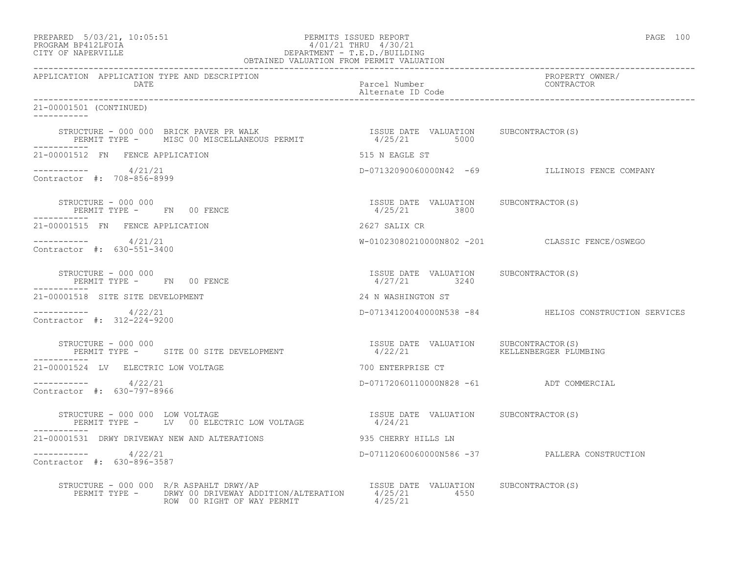| PREPARED            | $5/03/21$ , $10:05:51$ |  |
|---------------------|------------------------|--|
| גדרת ולולפם וגמרוסם |                        |  |

### PREPARED 5/03/21, 10:05:51 PERMITS ISSUED REPORT PAGE 100 PROGRAM BP412LFOIA  $4/01/21$  THRU 4/30/21<br>CITY OF NAPERVILLE DEPARTMENT - T.E.D./BUILDIN CITY OF NAPERVILLE DEPARTMENT - T.E.D./BUILDING

| OBTAINED VALUATION FROM PERMIT VALUATION                                                                                                                                                                      |                                                         |                                                       |  |
|---------------------------------------------------------------------------------------------------------------------------------------------------------------------------------------------------------------|---------------------------------------------------------|-------------------------------------------------------|--|
| APPLICATION APPLICATION TYPE AND DESCRIPTION<br>DATE                                                                                                                                                          | Parcel Number<br>Alternate ID Code                      | PROPERTY OWNER/<br>CONTRACTOR                         |  |
| 21-00001501 (CONTINUED)                                                                                                                                                                                       |                                                         |                                                       |  |
| STRUCTURE – 000 000 BRICK PAVER PR WALK                                 ISSUE DATE VALUATION     SUBCONTRACTOR(S)<br>PERMIT TYPE –      MISC 00 MISCELLANEOUS PERMIT                     4/25/21         5000 |                                                         |                                                       |  |
| 21-00001512 FN FENCE APPLICATION                                                                                                                                                                              | 515 N EAGLE ST                                          |                                                       |  |
| $-$ ---------- $4/21/21$<br>Contractor #: 708-856-8999                                                                                                                                                        |                                                         | D-07132090060000N42 -69 ILLINOIS FENCE COMPANY        |  |
| STRUCTURE - 000 000<br>PERMIT TYPE - FN 00 FENCE                                                                                                                                                              | ISSUE DATE VALUATION SUBCONTRACTOR(S)<br>4/25/21 3800   |                                                       |  |
| 21-00001515 FN FENCE APPLICATION                                                                                                                                                                              | 2627 SALIX CR                                           |                                                       |  |
| $--------- 4/21/21$<br>Contractor #: 630-551-3400                                                                                                                                                             |                                                         | W-01023080210000N802 -201 CLASSIC FENCE/OSWEGO        |  |
| STRUCTURE - 000 000<br>PERMIT TYPE - FN 00 FENCE                                                                                                                                                              | ISSUE DATE VALUATION SUBCONTRACTOR(S)<br>$4/27/21$ 3240 |                                                       |  |
| 21-00001518 SITE SITE DEVELOPMENT                                                                                                                                                                             | 24 N WASHINGTON ST                                      |                                                       |  |
| $--------- 4/22/21$<br>Contractor #: 312-224-9200                                                                                                                                                             |                                                         | D-07134120040000N538 -84 HELIOS CONSTRUCTION SERVICES |  |
| STRUCTURE - 000 000<br>PERMIT TYPE - SITE 00 SITE DEVELOPMENT                                                                                                                                                 | ISSUE DATE VALUATION SUBCONTRACTOR(S)<br>4/22/21        | KELLENBERGER PLUMBING                                 |  |
| 21-00001524 LV ELECTRIC LOW VOLTAGE                                                                                                                                                                           | 700 ENTERPRISE CT                                       |                                                       |  |
| ----------     4/22/21<br>Contractor #: 630-797-8966                                                                                                                                                          | D-07172060110000N828 -61 ADT COMMERCIAL                 |                                                       |  |
| STRUCTURE - 000 000 LOW VOLTAGE<br>PERMIT TYPE - LV 00 ELECTRIC LOW VOLTAGE                                                                                                                                   | ISSUE DATE VALUATION SUBCONTRACTOR (S)<br>4/24/21       |                                                       |  |
|                                                                                                                                                                                                               |                                                         |                                                       |  |
| ----------- 4/22/21<br>Contractor #: 630-896-3587                                                                                                                                                             |                                                         | D-07112060060000N586 -37 PALLERA CONSTRUCTION         |  |
| VUCTURE - 000 000 R/R ASPAHLT DRWY/AP<br>PERMIT TYPE -    DRWY 00 DRIVEWAY ADDITION/ALTERATION        4/25/21         4550<br>STRUCTURE - 000 000 R/R ASPAHLT DRWY/AP<br>ROW 00 RIGHT OF WAY PERMIT           | 4/25/21                                                 |                                                       |  |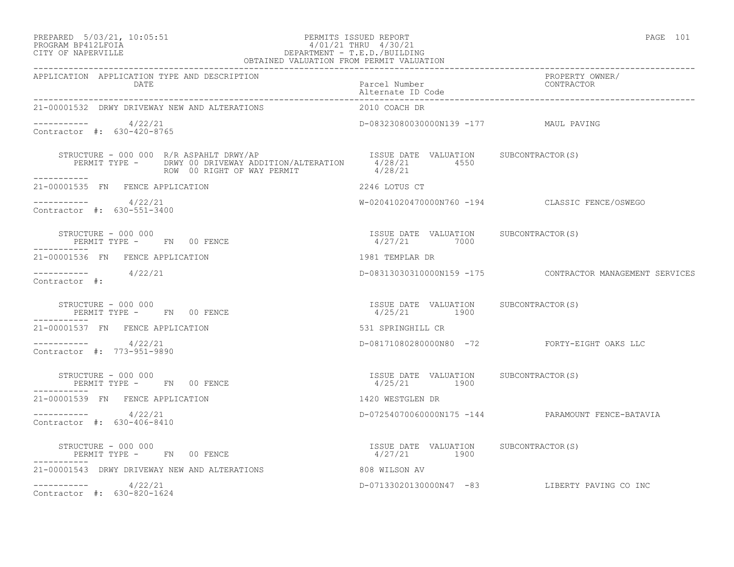## PREPARED 5/03/21, 10:05:51 PERMITS ISSUED REPORT PAGE 101 PROGRAM BP412LFOIA 4/01/21 THRU 4/30/21 CITY OF NAPERVILLE DEPARTMENT - T.E.D./BUILDING

| OBTAINED VALUATION FROM PERMIT VALUATION                                              |                                                       |                                                          |  |
|---------------------------------------------------------------------------------------|-------------------------------------------------------|----------------------------------------------------------|--|
| APPLICATION APPLICATION TYPE AND DESCRIPTION<br><b>DATE</b><br>---------------------- | Parcel Number<br>Alternate ID Code                    | PROPERTY OWNER/<br>CONTRACTOR                            |  |
| 21-00001532 DRWY DRIVEWAY NEW AND ALTERATIONS                                         | 2010 COACH DR                                         |                                                          |  |
| $--------- 4/22/21$<br>Contractor #: 630-420-8765                                     | D-08323080030000N139 -177 MAUL PAVING                 |                                                          |  |
|                                                                                       |                                                       |                                                          |  |
| 21-00001535 FN FENCE APPLICATION                                                      | 2246 LOTUS CT                                         |                                                          |  |
| ----------- 4/22/21<br>Contractor #: 630-551-3400                                     |                                                       | W-02041020470000N760 -194 CLASSIC FENCE/OSWEGO           |  |
| STRUCTURE - 000 000<br>PERMIT TYPE - FN 00 FENCE                                      | ISSUE DATE VALUATION SUBCONTRACTOR(S)<br>4/27/21 7000 |                                                          |  |
| 21-00001536 FN FENCE APPLICATION                                                      | 1981 TEMPLAR DR                                       |                                                          |  |
| $--------- 4/22/21$<br>Contractor #:                                                  |                                                       | D-08313030310000N159 -175 CONTRACTOR MANAGEMENT SERVICES |  |
| STRUCTURE - 000 000<br>PERMIT TYPE - FN 00 FENCE                                      | ISSUE DATE VALUATION SUBCONTRACTOR(S)<br>4/25/21 1900 |                                                          |  |
| 21-00001537 FN FENCE APPLICATION                                                      | 531 SPRINGHILL CR                                     |                                                          |  |
| $       4/22/21$<br>Contractor #: 773-951-9890                                        |                                                       | D-08171080280000N80 -72 FORTY-EIGHT OAKS LLC             |  |
| STRUCTURE - 000 000<br>PERMIT TYPE - FN 00 FENCE                                      | ISSUE DATE VALUATION SUBCONTRACTOR(S)<br>4/25/21 1900 |                                                          |  |
| 21-00001539 FN FENCE APPLICATION                                                      | 1420 WESTGLEN DR                                      |                                                          |  |
| $----------$ 4/22/21<br>Contractor #: 630-406-8410                                    |                                                       | D-07254070060000N175 -144 PARAMOUNT FENCE-BATAVIA        |  |
| STRUCTURE - 000 000<br>PERMIT TYPE - FN 00 FENCE                                      | ISSUE DATE VALUATION SUBCONTRACTOR(S)<br>4/27/21 1900 |                                                          |  |
| 21-00001543 DRWY DRIVEWAY NEW AND ALTERATIONS                                         | 808 WILSON AV                                         |                                                          |  |
| $--------- 4/22/21$<br>Contractor #: 630-820-1624                                     |                                                       | D-07133020130000N47 -83 LIBERTY PAVING CO INC            |  |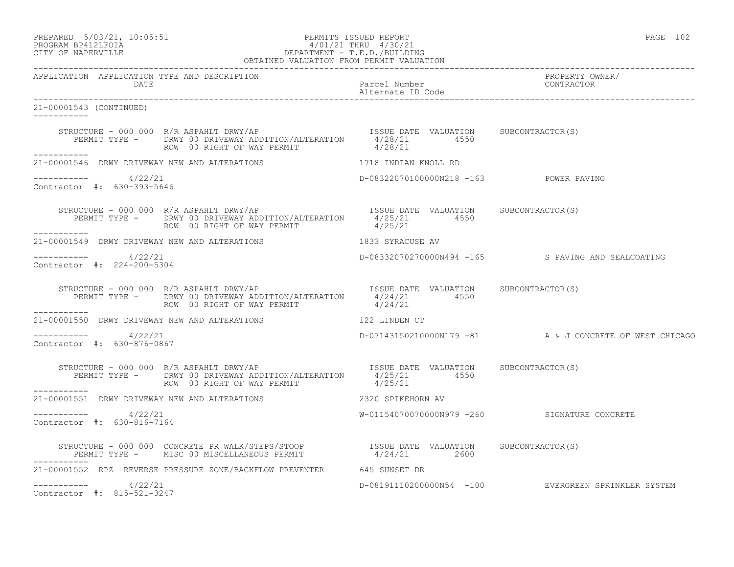PREPARED 5/03/21, 10:05:51 PERMITS ISSUED REPORT PAGE 102

# PROGRAM BP412LFOIA 4/01/21 THRU 4/30/21 CITY OF NAPERVILLE DEPARTMENT - T.E.D./BUILDING

| OBTAINED VALUATION FROM PERMIT VALUATION                      |                                                                                                                                                                                                            |                                        |                                                         |
|---------------------------------------------------------------|------------------------------------------------------------------------------------------------------------------------------------------------------------------------------------------------------------|----------------------------------------|---------------------------------------------------------|
| APPLICATION APPLICATION TYPE AND DESCRIPTION<br>DATE          |                                                                                                                                                                                                            | Parcel Number<br>Alternate ID Code     | PROPERTY OWNER/<br>CONTRACTOR                           |
| 21-00001543 (CONTINUED)                                       |                                                                                                                                                                                                            |                                        |                                                         |
| ------------                                                  | STRUCTURE - 000 000 R/R ASPAHLT DRWY/AP<br>PERMIT TYPE - DRWY 00 DRIVEWAY ADDITION/ALTERATION 4/28/21 4550<br>ROW 00 RIGHT OF WAY PERMIT 4/28/21                                                           |                                        |                                                         |
| 21-00001546 DRWY DRIVEWAY NEW AND ALTERATIONS                 |                                                                                                                                                                                                            | 1718 INDIAN KNOLL RD                   |                                                         |
| $--------- 4/22/21$<br>Contractor #: 630-393-5646             |                                                                                                                                                                                                            | D-08322070100000N218 -163 POWER PAVING |                                                         |
|                                                               | STRUCTURE - 000 000 R/R ASPAHLT DRWY/AP<br>ISSUE DATE VALUATION SUBCONTRACTOR(S)<br>PERMIT TYPE - DRWY 00 DRIVEWAY ADDITION/ALTERATION 4/25/21 4550<br>ROW 00 RIGHT OF WAY PERMIT                          | 4/25/21                                |                                                         |
|                                                               | 21-00001549 DRWY DRIVEWAY NEW AND ALTERATIONS 1833 SYRACUSE AV                                                                                                                                             |                                        |                                                         |
| -----------    4/22/21<br>Contractor #: 224-200-5304          |                                                                                                                                                                                                            |                                        | D-08332070270000N494 -165 S PAVING AND SEALCOATING      |
|                                                               | STRUCTURE - 000 000 R/R ASPAHLT DRWY/AP<br>PERMIT TYPE - DRWY 00 DRIVEWAY ADDITION/ALTERATION $4/24/21$ 4550 4550<br>ROW 00 RIGHT OF WAY PERMIT                                                            | 4/24/21                                |                                                         |
| ___________                                                   | 21-00001550 DRWY DRIVEWAY NEW AND ALTERATIONS 422 LINDEN CT                                                                                                                                                |                                        |                                                         |
| $--------- 4/22/21$<br>Contractor #: 630-876-0867             |                                                                                                                                                                                                            |                                        | D-07143150210000N179 -81 A & J CONCRETE OF WEST CHICAGO |
|                                                               |                                                                                                                                                                                                            |                                        |                                                         |
| ------------<br>21-00001551 DRWY DRIVEWAY NEW AND ALTERATIONS |                                                                                                                                                                                                            | 2320 SPIKEHORN AV                      |                                                         |
| ----------- 4/22/21<br>Contractor #: 630-816-7164             |                                                                                                                                                                                                            |                                        | W-01154070070000N979 -260 SIGNATURE CONCRETE            |
|                                                               | STRUCTURE - 000 000 CONCRETE PR WALK/STEPS/STOOP                ISSUE DATE VALUATION      SUBCONTRACTOR(S)<br>PERMIT TYPE -       MISC 00 MISCELLANEOUS PERMIT                      4/24/21           2600 |                                        |                                                         |
|                                                               | 21-00001552 RPZ REVERSE PRESSURE ZONE/BACKFLOW PREVENTER 645 SUNSET DR                                                                                                                                     |                                        |                                                         |
| $--------- 4/22/21$<br>Contractor #: 815-521-3247             |                                                                                                                                                                                                            |                                        | D-08191110200000N54 -100 EVERGREEN SPRINKLER SYSTEM     |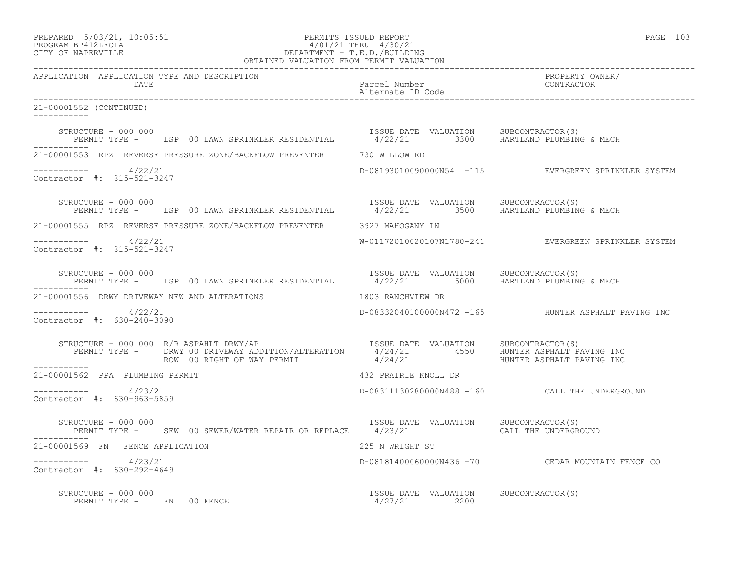| PREPARED | $5/03/21$ , $10:05:51$                  |  |
|----------|-----------------------------------------|--|
|          | $\begin{array}{c}\n\hline\n\end{array}$ |  |

### PREPARED 5/03/21, 10:05:51 PERMITS ISSUED REPORT<br>PROGRAM BP412LFOIA PAGE 103<br>
9/01/21 THRU 4/30/21 PROGRAM BP412LFOIA  $4/01/21$  THRU  $4/30/21$ <br>CITY OF NAPERVILLE DEPARTMENT - T.E.D./BUILDIN CITY OF NAPERVILLE DEPARTMENT - T.E.D./BUILDING

| OBTAINED VALUATION FROM PERMIT VALUATION             |                                                                                                                        |                                       |                                                      |
|------------------------------------------------------|------------------------------------------------------------------------------------------------------------------------|---------------------------------------|------------------------------------------------------|
| APPLICATION APPLICATION TYPE AND DESCRIPTION<br>DATE |                                                                                                                        | Parcel Number<br>Alternate ID Code    | PROPERTY OWNER/<br>CONTRACTOR                        |
| 21-00001552 (CONTINUED)                              |                                                                                                                        |                                       |                                                      |
| STRUCTURE - 000 000                                  | STRUCTURE - 000 000<br>PERMIT TYPE - LSP 00 LAWN SPRINKLER RESIDENTIAL And the Magnus of Martiand PluMBING & MECH      |                                       |                                                      |
|                                                      | 21-00001553 RPZ REVERSE PRESSURE ZONE/BACKFLOW PREVENTER 730 WILLOW RD                                                 |                                       |                                                      |
| $--------- 4/22/21$<br>Contractor #: 815-521-3247    |                                                                                                                        |                                       | D-08193010090000N54 -115 EVERGREEN SPRINKLER SYSTEM  |
| -----------                                          | STRUCTURE - 000 000<br>PERMIT TYPE - LSP 00 LAWN SPRINKLER RESIDENTIAL And the Manuaric of HARTLAND PLUMBING & MECH    |                                       |                                                      |
|                                                      | 21-00001555 RPZ REVERSE PRESSURE ZONE/BACKFLOW PREVENTER 3927 MAHOGANY LN                                              |                                       |                                                      |
| $--------- 4/22/21$<br>Contractor #: 815-521-3247    |                                                                                                                        |                                       | W-01172010020107N1780-241 EVERGREEN SPRINKLER SYSTEM |
|                                                      | STRUCTURE - 000 000<br>PERMIT TYPE - LSP 00 LAWN SPRINKLER RESIDENTIAL 4/22/21 5000 HARTLAND PLUMBING & MECH           |                                       |                                                      |
|                                                      | 21-00001556 DRWY DRIVEWAY NEW AND ALTERATIONS THE RESERVE RESOLUTION OR                                                |                                       |                                                      |
| $--------- 4/22/21$<br>Contractor #: 630-240-3090    |                                                                                                                        |                                       | D-08332040100000N472 -165 HUNTER ASPHALT PAVING INC  |
|                                                      |                                                                                                                        |                                       |                                                      |
| 21-00001562 PPA PLUMBING PERMIT                      |                                                                                                                        | 432 PRAIRIE KNOLL DR                  |                                                      |
| $--------$ 4/23/21<br>Contractor #: 630-963-5859     |                                                                                                                        |                                       | D-08311130280000N488 -160 CALL THE UNDERGROUND       |
| STRUCTURE - 000 000                                  | PERMIT TYPE - SEW 00 SEWER/WATER REPAIR OR REPLACE 4/23/21 CALL THE UNDERGROUND                                        | ISSUE DATE VALUATION SUBCONTRACTOR(S) |                                                      |
| 21-00001569 FN FENCE APPLICATION                     |                                                                                                                        | 225 N WRIGHT ST                       |                                                      |
| $--------- 4/23/21$<br>Contractor #: 630-292-4649    |                                                                                                                        |                                       | D-08181400060000N436 -70 CEDAR MOUNTAIN FENCE CO     |
| STRUCTURE - 000 000<br>PERMIT TYPE - FN 00 FENCE     | $\begin{array}{cccc}\n\text{ISSUE} & \text{DATE} & \text{VALUATION} \\ 0 & \text{FENCE} & 4/27/21 & 2200\n\end{array}$ | ISSUE DATE VALUATION SUBCONTRACTOR(S) |                                                      |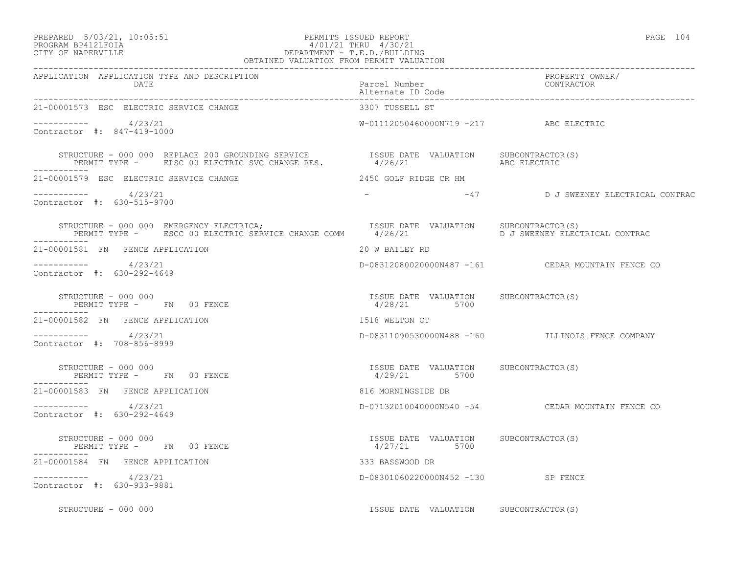### PREPARED 5/03/21, 10:05:51 PERMITS ISSUED REPORT PAGE 104 PROGRAM BP412LFOIA 4/01/21 THRU 4/30/21 CITY OF NAPERVILLE DEPARTMENT - T.E.D./BUILDING OBTAINED VALUATION FROM PERMIT VALUATION

| APPLICATION APPLICATION TYPE AND DESCRIPTION<br>DATE                                                                                                                               | Parcel Number<br>Alternate ID Code                       | PROPERTY OWNER/<br>CONTRACTOR                     |
|------------------------------------------------------------------------------------------------------------------------------------------------------------------------------------|----------------------------------------------------------|---------------------------------------------------|
| 21-00001573 ESC ELECTRIC SERVICE CHANGE                                                                                                                                            | 3307 TUSSELL ST                                          |                                                   |
| $--------- 4/23/21$<br>Contractor #: 847-419-1000                                                                                                                                  | W-01112050460000N719 -217 ABC ELECTRIC                   |                                                   |
|                                                                                                                                                                                    |                                                          |                                                   |
| 21-00001579 ESC ELECTRIC SERVICE CHANGE                                                                                                                                            | 2450 GOLF RIDGE CR HM                                    |                                                   |
| $--------- 4/23/21$<br>Contractor #: 630-515-9700                                                                                                                                  |                                                          | -47 D J SWEENEY ELECTRICAL CONTRAC                |
| STRUCTURE - 000 000 EMERGENCY ELECTRICA;<br>TSSUE DATE VALUATION SUBCONTRACTOR(S)<br>PERMIT TYPE - ESCC 00 ELECTRIC SERVICE CHANGE COMM 4/26/21 5 PERMIT TYPE - ELECTRICAL CONTRAC |                                                          |                                                   |
| 21-00001581 FN FENCE APPLICATION                                                                                                                                                   | 20 W BAILEY RD                                           |                                                   |
| $--------- 4/23/21$<br>Contractor #: 630-292-4649                                                                                                                                  |                                                          | D-08312080020000N487 -161 CEDAR MOUNTAIN FENCE CO |
| STRUCTURE - 000 000<br>PERMIT TYPE - FN 00 FENCE                                                                                                                                   | ISSUE DATE VALUATION SUBCONTRACTOR (S)<br>$4/28/21$ 5700 |                                                   |
| 21-00001582 FN FENCE APPLICATION                                                                                                                                                   | 1518 WELTON CT                                           |                                                   |
| $--------- 4/23/21$<br>Contractor #: 708-856-8999                                                                                                                                  |                                                          | D-08311090530000N488 -160 ILLINOIS FENCE COMPANY  |
| STRUCTURE - 000 000<br>PERMIT TYPE - FN 00 FENCE                                                                                                                                   | ISSUE DATE VALUATION SUBCONTRACTOR(S)<br>4/29/21 5700    |                                                   |
| 21-00001583 FN FENCE APPLICATION                                                                                                                                                   | 816 MORNINGSIDE DR                                       |                                                   |
| $--------- 4/23/21$<br>Contractor #: 630-292-4649                                                                                                                                  |                                                          | D-07132010040000N540 -54 CEDAR MOUNTAIN FENCE CO  |
| STRUCTURE - 000 000<br>PERMIT TYPE - FN 00 FENCE<br>--------                                                                                                                       | ISSUE DATE VALUATION SUBCONTRACTOR(S)<br>4/27/21 5700    |                                                   |
| -----------<br>21-00001584 FN FENCE APPLICATION                                                                                                                                    | 333 BASSWOOD DR                                          |                                                   |
| $--------- 4/23/21$<br>Contractor #: 630-933-9881                                                                                                                                  | D-08301060220000N452 -130 SP FENCE                       |                                                   |
| STRUCTURE - 000 000                                                                                                                                                                | ISSUE DATE VALUATION SUBCONTRACTOR(S)                    |                                                   |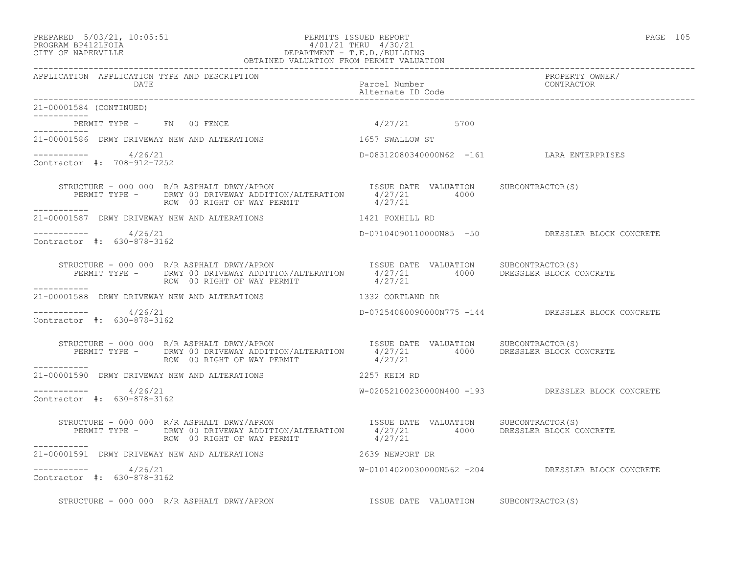### PREPARED 5/03/21, 10:05:51 PERMITS ISSUED REPORT PAGE 105 PROGRAM BP412LFOIA 4/01/21 THRU 4/30/21 CITY OF NAPERVILLE DEPARTMENT - T.E.D./BUILDING OBTAINED VALUATION FROM PERMIT VALUATION

| APPLICATION APPLICATION TYPE AND DESCRIPTION       |                                                                                                                                                                                                                   |                                           |                                                   |
|----------------------------------------------------|-------------------------------------------------------------------------------------------------------------------------------------------------------------------------------------------------------------------|-------------------------------------------|---------------------------------------------------|
| DATE                                               |                                                                                                                                                                                                                   | Parcel Number                             | PROPERTY OWNER/<br>CONTRACTOR                     |
| 21-00001584 (CONTINUED)<br>------------            |                                                                                                                                                                                                                   |                                           |                                                   |
| PERMIT TYPE - FN 00 FENCE                          |                                                                                                                                                                                                                   | $4/27/21$ 5700                            |                                                   |
|                                                    | 21-00001586 DRWY DRIVEWAY NEW AND ALTERATIONS                                                                                                                                                                     | 1657 SWALLOW ST                           |                                                   |
| $----------$ 4/26/21<br>Contractor #: 708-912-7252 |                                                                                                                                                                                                                   | D-08312080340000N62 -161 LARA ENTERPRISES |                                                   |
| ___________                                        | STRUCTURE - 000 000 R/R ASPHALT DRWY/APRON<br>PERMIT TYPE - DRWY 00 DRIVEWAY ADDITION/ALTERATION 4/27/21 4000<br>------- ROW 00 RIGHT OF WAY PERMIT 4/27/21                                                       |                                           |                                                   |
|                                                    | 21-00001587 DRWY DRIVEWAY NEW AND ALTERATIONS 4421 FOXHILL RD                                                                                                                                                     |                                           |                                                   |
| $--------- 4/26/21$<br>Contractor #: 630-878-3162  |                                                                                                                                                                                                                   |                                           | D-07104090110000N85 -50 DRESSLER BLOCK CONCRETE   |
|                                                    | ROW 00 RIGHT OF WAY PERMIT                                                                                                                                                                                        | 4/27/21                                   |                                                   |
|                                                    | 21-00001588 DRWY DRIVEWAY NEW AND ALTERATIONS 40 1332 CORTLAND DR                                                                                                                                                 |                                           |                                                   |
| $--------- 4/26/21$<br>Contractor #: 630-878-3162  |                                                                                                                                                                                                                   |                                           | D-07254080090000N775 -144 DRESSLER BLOCK CONCRETE |
| ___________                                        | STRUCTURE - 000 000 R/R ASPHALT DRWY/APRON ISSUE DATE VALUATION SUBCONTRACTOR(S)<br>PERMIT TYPE - DRWY 00 DRIVEWAY ADDITION/ALTERATION 4/27/21 4000 DRESSLER BLOCK CONCRETE<br>ROW 00 RIGHT OF WAY PERMIT 4/27/21 |                                           |                                                   |
|                                                    | 21-00001590 DRWY DRIVEWAY NEW AND ALTERATIONS THE RELEVING 2257 KEIM RD                                                                                                                                           |                                           |                                                   |
| $--------- 4/26/21$<br>Contractor #: 630-878-3162  |                                                                                                                                                                                                                   |                                           | W-02052100230000N400 -193 DRESSLER BLOCK CONCRETE |
| -----------                                        | STRUCTURE - 000 000 R/R ASPHALT DRWY/APRON<br>PERMIT TYPE - DRWY 00 DRIVEWAY ADDITION/ALTERATION 1/27/21 4000 DRESSLER BLOCK CONCRETE<br>------- ROW 00 RIGHT OF WAY PERMIT 4/27/21                               |                                           |                                                   |
| 21-00001591 DRWY DRIVEWAY NEW AND ALTERATIONS      |                                                                                                                                                                                                                   | 2639 NEWPORT DR                           |                                                   |
| $--------- 4/26/21$<br>Contractor #: 630-878-3162  |                                                                                                                                                                                                                   |                                           | W-01014020030000N562 -204 DRESSLER BLOCK CONCRETE |
|                                                    | STRUCTURE - 000 000 R/R ASPHALT DRWY/APRON                                                                                                                                                                        | ISSUE DATE VALUATION SUBCONTRACTOR(S)     |                                                   |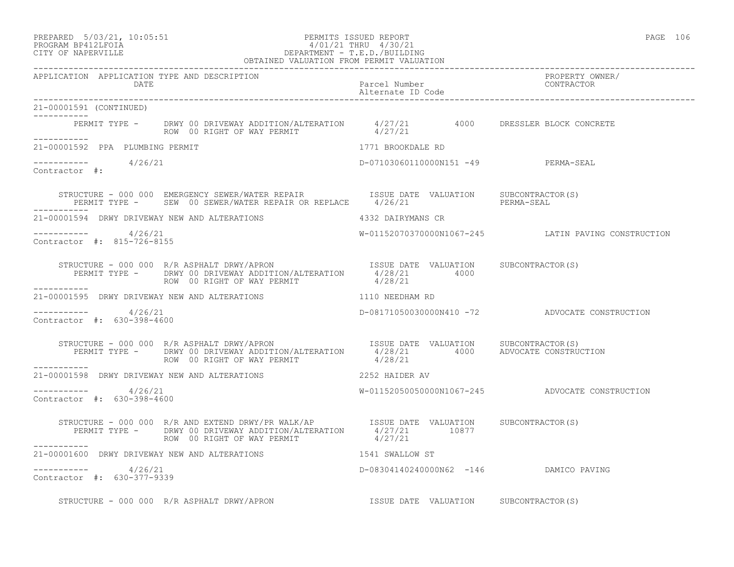### PREPARED 5/03/21, 10:05:51 PERMITS ISSUED REPORT PAGE 106 PROGRAM BP412LFOIA  $4/01/21$  THRU  $4/30/21$ <br>CITY OF NAPERVILLE CITY OF NAPERVILLE DEPARTMENT - T.E.D./BUILDING

| OBTAINED VALUATION FROM PERMIT VALUATION              |                                                                                                                                                                                                                                                                                                                                                                                                                             |                                       |                                                     |
|-------------------------------------------------------|-----------------------------------------------------------------------------------------------------------------------------------------------------------------------------------------------------------------------------------------------------------------------------------------------------------------------------------------------------------------------------------------------------------------------------|---------------------------------------|-----------------------------------------------------|
| APPLICATION APPLICATION TYPE AND DESCRIPTION<br>DATE  |                                                                                                                                                                                                                                                                                                                                                                                                                             | Parcel Number<br>Alternate ID Code    | PROPERTY OWNER/<br>CONTRACTOR                       |
| 21-00001591 (CONTINUED)                               |                                                                                                                                                                                                                                                                                                                                                                                                                             |                                       |                                                     |
| ___________                                           | PERMIT TYPE - DRWY 00 DRIVEWAY ADDITION/ALTERATION 4/27/21 4000 DRESSLER BLOCK CONCRETE<br>ROW 00 RIGHT OF WAY PERMIT 4/27/21                                                                                                                                                                                                                                                                                               |                                       |                                                     |
| 21-00001592 PPA PLUMBING PERMIT                       |                                                                                                                                                                                                                                                                                                                                                                                                                             | 1771 BROOKDALE RD                     |                                                     |
| $--------- 4/26/21$<br>Contractor #:                  |                                                                                                                                                                                                                                                                                                                                                                                                                             | D-07103060110000N151 -49 PERMA-SEAL   |                                                     |
|                                                       | STRUCTURE - 000 000 EMERGENCY SEWER/WATER REPAIR ISSUE DATE VALUATION SUBCONTRACTOR(S)<br>PERMIT TYPE - SEW 00 SEWER/WATER REPAIR OR REPLACE 4/26/21 PERMA-SEAL                                                                                                                                                                                                                                                             |                                       |                                                     |
|                                                       | 21-00001594 DRWY DRIVEWAY NEW AND ALTERATIONS 4332 DAIRYMANS CR                                                                                                                                                                                                                                                                                                                                                             |                                       |                                                     |
| $--------- 4/26/21$<br>Contractor #: 815-726-8155     |                                                                                                                                                                                                                                                                                                                                                                                                                             |                                       | W-01152070370000N1067-245 LATIN PAVING CONSTRUCTION |
|                                                       | $\begin{array}{cccc} \texttt{STRUCTURE} & - & 000 & 000 & \texttt{R/R} & \texttt{ASPHALT} & \texttt{DRWY/APRON} & \texttt{ISSUE} & \texttt{DATE} & \texttt{VALUATION} & \texttt{SUBCONTRACTOR(S)} \\ \texttt{PERMIT TYPE} & - & - & - & - & \texttt{DRWY} & 00 & \texttt{RIUATION} & \texttt{ALUATION} & 4/28/21 & 4000 \\ \texttt{ROM} & \texttt{ROW} & 00 & \texttt{RIGHT OF WAY PERMIT} & 4/28/21 & 4000 \\ \end{array}$ |                                       |                                                     |
|                                                       | 21-00001595 DRWY DRIVEWAY NEW AND ALTERATIONS THE RESOLUTION MEEDHAM RD                                                                                                                                                                                                                                                                                                                                                     |                                       |                                                     |
| $--------- 4/26/21$<br>Contractor #: 630-398-4600     |                                                                                                                                                                                                                                                                                                                                                                                                                             |                                       | D-08171050030000N410 -72 ADVOCATE CONSTRUCTION      |
| ___________                                           | STRUCTURE - 000 000 R/R ASPHALT DRWY/APRON<br>PERMIT TYPE - DRWY 00 DRIVEWAY ADDITION/ALTERATION 4/28/21 4000 ADVOCATE CONSTRUCTION<br>ROW 00 RIGHT OF WAY PERMIT 4/28/21                                                                                                                                                                                                                                                   |                                       |                                                     |
|                                                       | 21-00001598 DRWY DRIVEWAY NEW AND ALTERATIONS 4252 HAIDER AV                                                                                                                                                                                                                                                                                                                                                                |                                       |                                                     |
| -----------     4/26/21<br>Contractor #: 630-398-4600 |                                                                                                                                                                                                                                                                                                                                                                                                                             |                                       | W-01152050050000N1067-245 ADVOCATE CONSTRUCTION     |
|                                                       | STRUCTURE - 000 000 R/R AND EXTEND DRWY/PR WALK/AP<br>PERMIT TYPE - DRWY 00 DRIVEWAY ADDITION/ALTERATION $4/27/21$ 10877<br>ROW 00 RIGHT OF WAY PERMIT 4/27/21                                                                                                                                                                                                                                                              |                                       |                                                     |
| ___________                                           | 21-00001600 DRWY DRIVEWAY NEW AND ALTERATIONS 1541 SWALLOW ST                                                                                                                                                                                                                                                                                                                                                               |                                       |                                                     |
| $--------- 4/26/21$<br>Contractor #: 630-377-9339     |                                                                                                                                                                                                                                                                                                                                                                                                                             |                                       | D-08304140240000N62 -146 DAMICO PAVING              |
|                                                       | STRUCTURE - 000 000 R/R ASPHALT DRWY/APRON                                                                                                                                                                                                                                                                                                                                                                                  | ISSUE DATE VALUATION SUBCONTRACTOR(S) |                                                     |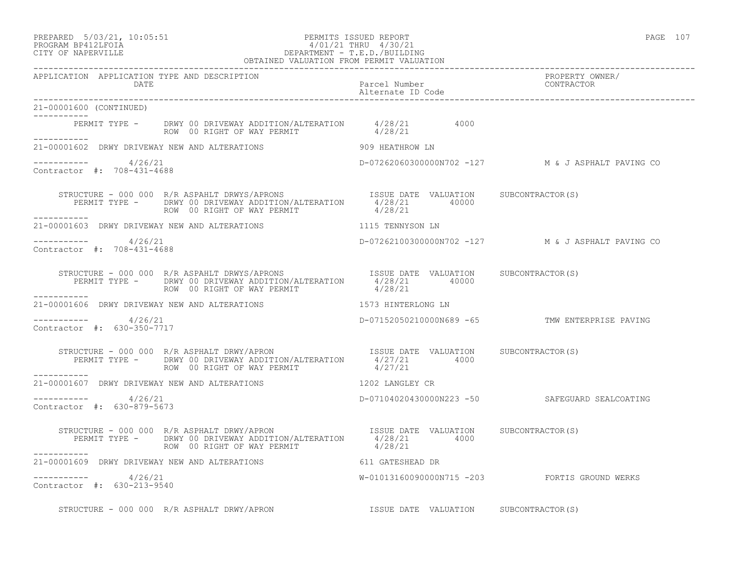#### PREPARED 5/03/21, 10:05:51 PERMITS ISSUED REPORT PAGE 107 PROGRAM BP412LFOIA 4/01/21 THRU 4/30/21 CITY OF NAPERVILLE DEPARTMENT - T.E.D./BUILDING DEPARTMENT - T.E.D./BUILDING<br>OBTAINED VALUATION FROM PERMIT VALUATION

| APPLICATION APPLICATION TYPE AND DESCRIPTION<br>DATE |                                                                                                                                                                                                                                                                                                                                          | Parcel Number<br>Alternate ID Code    | PROPERTY OWNER/<br>CONTRACTOR                     |
|------------------------------------------------------|------------------------------------------------------------------------------------------------------------------------------------------------------------------------------------------------------------------------------------------------------------------------------------------------------------------------------------------|---------------------------------------|---------------------------------------------------|
| 21-00001600 (CONTINUED)                              |                                                                                                                                                                                                                                                                                                                                          |                                       |                                                   |
| ___________<br>___________                           | PERMIT TYPE - DRWY 00 DRIVEWAY ADDITION/ALTERATION 4/28/21 4000<br>ROW 00 RIGHT OF WAY PERMIT 4/28/21                                                                                                                                                                                                                                    |                                       |                                                   |
|                                                      | 21-00001602 DRWY DRIVEWAY NEW AND ALTERATIONS 909 HEATHROW LN                                                                                                                                                                                                                                                                            |                                       |                                                   |
| $--------- 4/26/21$<br>Contractor #: 708-431-4688    |                                                                                                                                                                                                                                                                                                                                          |                                       | D-07262060300000N702 -127 M & J ASPHALT PAVING CO |
| ___________                                          | STRUCTURE - 000 000 R/R ASPAHLT DRWYS/APRONS ISSUE DATE VALUATION SUBCONTRACTOR(S)<br>PERMIT TYPE - DRWY 00 DRIVEWAY ADDITION/ALTERATION 4/28/21 40000<br>ROW 00 RIGHT OF WAY PERMIT 4/28/21                                                                                                                                             |                                       |                                                   |
|                                                      | 21-00001603 DRWY DRIVEWAY NEW AND ALTERATIONS TERM AND THE SERVING ON THE SERVING OF A LILE                                                                                                                                                                                                                                              |                                       |                                                   |
| $--------- 4/26/21$<br>Contractor #: 708-431-4688    |                                                                                                                                                                                                                                                                                                                                          |                                       | D-07262100300000N702 -127 M & J ASPHALT PAVING CO |
| ____________                                         | STRUCTURE - 000 000 R/R ASPAHLT DRWYS/APRONS TSSUE DATE VALUATION SUBCONTRACTOR(S)<br>PERMIT TYPE - DRWY 00 DRIVEWAY ADDITION/ALTERATION 4/28/21 40000<br>------- ROW 00 RIGHT OF WAY PERMIT 4/28/21                                                                                                                                     |                                       |                                                   |
|                                                      | 21-00001606 DRWY DRIVEWAY NEW AND ALTERATIONS THE RESERVED METALLIC LISTS HINTERLONG IN                                                                                                                                                                                                                                                  |                                       |                                                   |
| $--------- 4/26/21$<br>Contractor #: 630-350-7717    |                                                                                                                                                                                                                                                                                                                                          |                                       | D-07152050210000N689 -65 TMW ENTERPRISE PAVING    |
| . _ _ _ _ _ _ _ _ _                                  | STRUCTURE - 000 000 R/R ASPHALT DRWY/APRON<br>PERMIT TYPE - DRWY 00 DRIVEWAY ADDITION/ALTERATION 4/27/21 4000<br>2000 1/27/21 4000<br>ROW 00 RIGHT OF WAY PERMIT                                                                                                                                                                         | 4/27/21                               |                                                   |
|                                                      | 21-00001607 DRWY DRIVEWAY NEW AND ALTERATIONS 1202 LANGLEY CR                                                                                                                                                                                                                                                                            |                                       |                                                   |
| ----------- 4/26/21<br>Contractor #: 630-879-5673    |                                                                                                                                                                                                                                                                                                                                          |                                       | D-07104020430000N223 -50 SAFEGUARD SEALCOATING    |
| ------------                                         | STRUCTURE - 000 000 R/R ASPHALT DRWY/APRON <a>&gt; 1988<br/> 1988<br/> 1988<br/> 1988<br/> 1988<br/> 1988<br/> 1988<br/> 1988<br/> 1988<br/> 1988<br/> 1988<br/> 1988<br/> 1988<br/> 1988<br/> 1988<br/> 1988<br/> 1988<br/> 1988<br/>PERMIT TYPE - DRWY 00 DRIVEWAY ADDITION/ALTERATION 4/28/21 4000<br/>ROW 00 RIGHT OF WAY PERMIT</a> | 4/28/21                               |                                                   |
|                                                      | 21-00001609 DRWY DRIVEWAY NEW AND ALTERATIONS THE RESPONSE OF STRESHEAD DR                                                                                                                                                                                                                                                               |                                       |                                                   |
| $--------- 4/26/21$<br>Contractor #: 630-213-9540    |                                                                                                                                                                                                                                                                                                                                          |                                       | W-01013160090000N715 -203 FORTIS GROUND WERKS     |
|                                                      | STRUCTURE - 000 000 R/R ASPHALT DRWY/APRON                                                                                                                                                                                                                                                                                               | ISSUE DATE VALUATION SUBCONTRACTOR(S) |                                                   |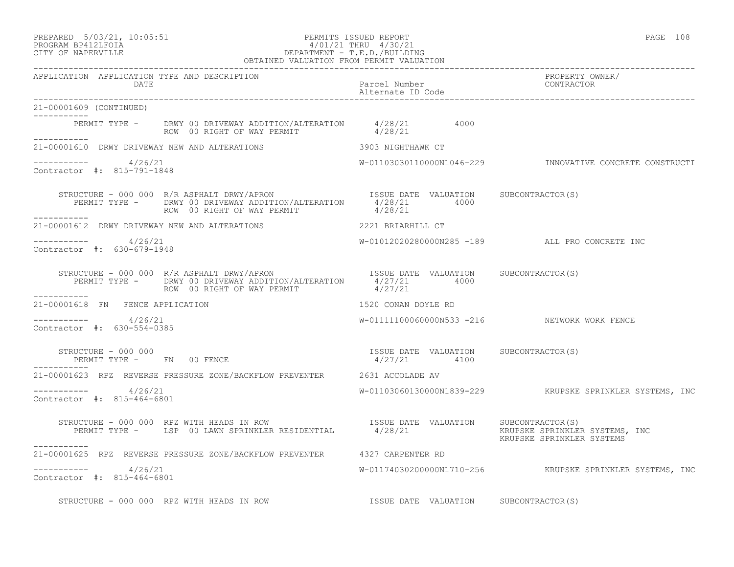PREPARED 5/03/21, 10:05:51 PERMITS ISSUED REPORT PAGE 108

# PROGRAM BP412LFOIA 4/01/21 THRU 4/30/21 CITY OF NAPERVILLE DEPARTMENT - T.E.D./BUILDING

|                                                      | OBTAINED VALUATION FROM PERMIT VALUATION                                                                                                                                    |                                                       |                                                          |
|------------------------------------------------------|-----------------------------------------------------------------------------------------------------------------------------------------------------------------------------|-------------------------------------------------------|----------------------------------------------------------|
| APPLICATION APPLICATION TYPE AND DESCRIPTION<br>DATE |                                                                                                                                                                             | Parcel Number<br>Alternate ID Code                    | PROPERTY OWNER/<br>CONTRACTOR                            |
| 21-00001609 (CONTINUED)                              |                                                                                                                                                                             |                                                       |                                                          |
|                                                      | PERMIT TYPE - DRWY 00 DRIVEWAY ADDITION/ALTERATION 4/28/21 4000<br>ROW 00 RIGHT OF WAY PERMIT 4/28/21                                                                       |                                                       |                                                          |
|                                                      | 21-00001610 DRWY DRIVEWAY NEW AND ALTERATIONS 3903 NIGHTHAWK CT                                                                                                             |                                                       |                                                          |
| $--------- 4/26/21$<br>Contractor #: 815-791-1848    |                                                                                                                                                                             |                                                       | W-01103030110000N1046-229 INNOVATIVE CONCRETE CONSTRUCTI |
| ------------                                         | STRUCTURE - 000 000 R/R ASPHALT DRWY/APRON ISSUE DATE VALUATION SUBCONTRACTOR(S)<br>PERMIT TYPE - DRWY 00 DRIVEWAY ADDITION/ALTERATION 4/28/21 4000<br>---------            |                                                       |                                                          |
|                                                      | 21-00001612 DRWY DRIVEWAY NEW AND ALTERATIONS 2221 BRIARHILL CT                                                                                                             |                                                       |                                                          |
| $--------- 4/26/21$<br>Contractor #: 630-679-1948    |                                                                                                                                                                             |                                                       | W-01012020280000N285 -189 ALL PRO CONCRETE INC           |
|                                                      | STRUCTURE - 000 000 R/R ASPHALT DRWY/APRON<br>PERMIT TYPE - DRWY 00 DRIVE ALLERATION/ALTERATION 4/27/21 4000<br>ROW 00 RIGHT OF WAY PERMIT                                  | 4/27/21                                               |                                                          |
| 21-00001618 FN FENCE APPLICATION                     |                                                                                                                                                                             | 1520 CONAN DOYLE RD                                   |                                                          |
| ----------- 4/26/21<br>Contractor #: 630-554-0385    |                                                                                                                                                                             |                                                       | W-01111100060000N533 -216 NETWORK WORK FENCE             |
| STRUCTURE - 000 000                                  | PERMIT TYPE - FN 00 FENCE                                                                                                                                                   | ISSUE DATE VALUATION SUBCONTRACTOR(S)<br>4/27/21 4100 |                                                          |
|                                                      | 21-00001623 RPZ REVERSE PRESSURE ZONE/BACKFLOW PREVENTER 2631 ACCOLADE AV                                                                                                   |                                                       |                                                          |
| $--------- 4/26/21$<br>Contractor #: 815-464-6801    |                                                                                                                                                                             |                                                       | W-01103060130000N1839-229 KRUPSKE SPRINKLER SYSTEMS, INC |
| -----------                                          | STRUCTURE - 000 000 RPZ WITH HEADS IN ROW<br>PERMIT TYPE - LSP 00 LAWN SPRINKLER RESIDENTIAL 4/28/21 MENUATION RESERT MENT TYPE - LSP 00 LAWN SPRINKLER RESIDENTIAL 4/28/21 |                                                       | KRUPSKE SPRINKLER SYSTEMS                                |
|                                                      | 21-00001625 RPZ REVERSE PRESSURE ZONE/BACKFLOW PREVENTER 4327 CARPENTER RD                                                                                                  |                                                       |                                                          |
| $--------- 4/26/21$<br>Contractor #: 815-464-6801    |                                                                                                                                                                             |                                                       | W-01174030200000N1710-256 KRUPSKE SPRINKLER SYSTEMS, INC |
|                                                      | STRUCTURE - 000 000 RPZ WITH HEADS IN ROW                                                                                                                                   | ISSUE DATE VALUATION SUBCONTRACTOR(S)                 |                                                          |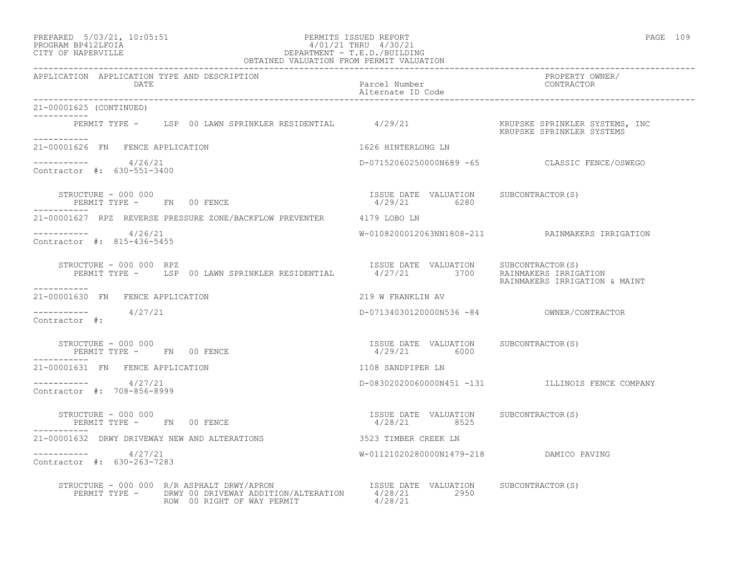| PREPARED | $5/03/21$ ,                                                                                                                                                                                                                                                                                                                        | 10:05:5 |
|----------|------------------------------------------------------------------------------------------------------------------------------------------------------------------------------------------------------------------------------------------------------------------------------------------------------------------------------------|---------|
|          | $\mathbb{R}$ $\mathbb{R}$ $\mathbb{R}$ $\mathbb{R}$ $\mathbb{R}$ $\mathbb{R}$ $\mathbb{R}$ $\mathbb{R}$ $\mathbb{R}$ $\mathbb{R}$ $\mathbb{R}$ $\mathbb{R}$ $\mathbb{R}$ $\mathbb{R}$ $\mathbb{R}$ $\mathbb{R}$ $\mathbb{R}$ $\mathbb{R}$ $\mathbb{R}$ $\mathbb{R}$ $\mathbb{R}$ $\mathbb{R}$ $\mathbb{R}$ $\mathbb{R}$ $\mathbb{$ |         |

### PREPARED 5/03/21, 10:05:51 PERMITS ISSUED REPORT PAGE 109 PROGRAM BP412LFOIA 4/01/21 THRU 4/30/21 CITY OF NAPERVILLE DEPARTMENT - T.E.D./BUILDING

| OBTAINED VALUATION FROM PERMIT VALUATION                                                                                                |                                                        |                                                  |
|-----------------------------------------------------------------------------------------------------------------------------------------|--------------------------------------------------------|--------------------------------------------------|
| APPLICATION APPLICATION TYPE AND DESCRIPTION<br>DATE                                                                                    | Parcel Number<br>Alternate ID Code                     | PROPERTY OWNER/<br>CONTRACTOR                    |
| 21-00001625 (CONTINUED)                                                                                                                 |                                                        |                                                  |
| ------------                                                                                                                            |                                                        |                                                  |
| 21-00001626 FN FENCE APPLICATION                                                                                                        | 1626 HINTERLONG LN                                     |                                                  |
| $--------- 4/26/21$<br>Contractor #: 630-551-3400                                                                                       |                                                        | D-07152060250000N689 -65 CLASSIC FENCE/OSWEGO    |
| STRUCTURE - 000 000                                                                                                                     |                                                        |                                                  |
| 21-00001627 RPZ REVERSE PRESSURE ZONE/BACKFLOW PREVENTER 4179 LOBO LN                                                                   |                                                        |                                                  |
| $--------- 4/26/21$<br>Contractor #: 815-436-5455                                                                                       |                                                        | W-0108200012063NN1808-211 RAINMAKERS IRRIGATION  |
| FRUCTURE - 000 000 RPZ<br>PERMIT TYPE - LSP 00 LAWN SPRINKLER RESIDENTIAL 4/27/21 3700 RAINMAKERS IRRIGATION<br>STRUCTURE - 000 000 RPZ |                                                        | RAINMAKERS IRRIGATION & MAINT                    |
| ------------<br>21-00001630 FN FENCE APPLICATION                                                                                        | 219 W FRANKLIN AV                                      |                                                  |
| $--------- 4/27/21$<br>Contractor #:                                                                                                    |                                                        |                                                  |
| STRUCTURE - 000 000<br>PERMIT TYPE - FN 00 FENCE                                                                                        | ISSUE DATE VALUATION SUBCONTRACTOR(S)<br>4/29/21 6000  |                                                  |
| 21-00001631 FN FENCE APPLICATION                                                                                                        | 1108 SANDPIPER LN                                      |                                                  |
| $--------$ 4/27/21<br>Contractor #: 708-856-8999                                                                                        |                                                        | D-08302020060000N451 -131 ILLINOIS FENCE COMPANY |
| STRUCTURE - 000 000<br>PERMIT TYPE - FN 00 FENCE                                                                                        | ISSUE DATE VALUATION SUBCONTRACTOR (S)<br>4/28/21 8525 |                                                  |
| 21-00001632 DRWY DRIVEWAY NEW AND ALTERATIONS 3523 TIMBER CREEK LN                                                                      |                                                        |                                                  |
| $--------- 4/27/21$<br>Contractor #: 630-263-7283                                                                                       |                                                        |                                                  |
| ROW 00 RIGHT OF WAY PERMIT                                                                                                              | 4/28/21                                                |                                                  |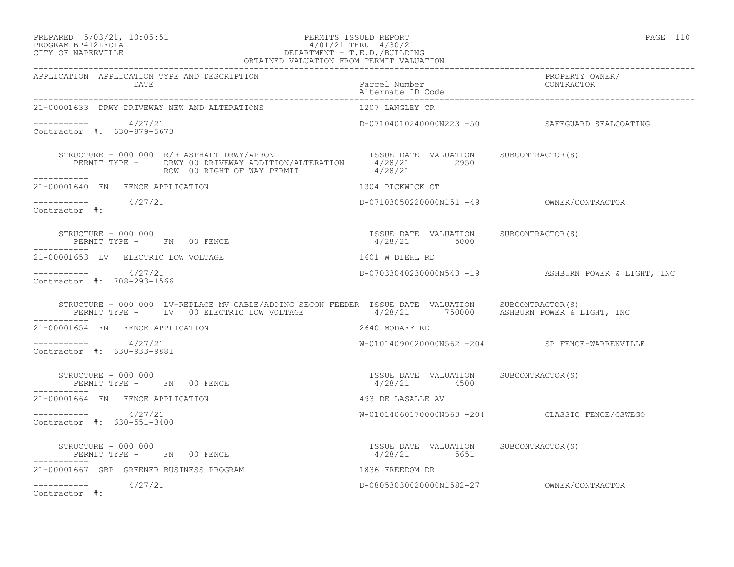# PREPARED 5/03/21, 10:05:51 PERMITS ISSUED REPORT<br>PROGRAM BP412LFOIA PAGE 110 PROGRAM BP412LFOIA 4/01/21 THRU 4/30/21 CITY OF NAPERVILLE DEPARTMENT - T.E.D./BUILDING

| OBTAINED VALUATION FROM PERMIT VALUATION                                                                                                                                                                                                                                                                                                       |                                                       |                                                     |
|------------------------------------------------------------------------------------------------------------------------------------------------------------------------------------------------------------------------------------------------------------------------------------------------------------------------------------------------|-------------------------------------------------------|-----------------------------------------------------|
| APPLICATION APPLICATION TYPE AND DESCRIPTION<br>DATE<br>__________________________                                                                                                                                                                                                                                                             | Parcel Number<br>Alternate ID Code                    | PROPERTY OWNER/<br>CONTRACTOR                       |
| 21-00001633 DRWY DRIVEWAY NEW AND ALTERATIONS                                                                                                                                                                                                                                                                                                  | 1207 LANGLEY CR                                       |                                                     |
| $--------- 4/27/21$<br>Contractor #: 630-879-5673                                                                                                                                                                                                                                                                                              |                                                       | D-07104010240000N223 -50 SAFEGUARD SEALCOATING      |
| $\begin{array}{cccc} \texttt{STRUCTURE}\ -\ 000\ 000\ &R/R\ \texttt{ASPHALT\ DRWY/APRON} &\texttt{ISSUE\ DATE\ \texttt{VALUATION}} &\texttt{SUBCONTRACTOR(S)}\\ \texttt{PERMIT TYPE}\ -\ &\texttt{DRWY\ 00\ \texttt{RICHH OF WAY PERMIT} &\texttt{4/28/21} \\ \texttt{ROW}\ 00\ \texttt{RIGHT OF WAY PERMIT} &\texttt{4/28/21} \\ \end{array}$ |                                                       |                                                     |
| 21-00001640 FN FENCE APPLICATION                                                                                                                                                                                                                                                                                                               | 1304 PICKWICK CT                                      |                                                     |
| $--------- 4/27/21$<br>Contractor #:                                                                                                                                                                                                                                                                                                           |                                                       |                                                     |
| STRUCTURE - 000 000<br>PERMIT TYPE - FN 00 FENCE                                                                                                                                                                                                                                                                                               | ISSUE DATE VALUATION SUBCONTRACTOR(S)<br>4/28/21 5000 |                                                     |
| 21-00001653 LV ELECTRIC LOW VOLTAGE                                                                                                                                                                                                                                                                                                            | 1601 W DIEHL RD                                       |                                                     |
| $--------- 4/27/21$<br>Contractor #: 708-293-1566                                                                                                                                                                                                                                                                                              |                                                       | D-07033040230000N543 -19 ASHBURN POWER & LIGHT, INC |
| STRUCTURE - 000 000 LV-REPLACE MV CABLE/ADDING SECON FEEDER ISSUE DATE VALUATION SUBCONTRACTOR(S)<br>PERMIT TYPE - LV 00 ELECTRIC LOW VOLTAGE 4/28/21 750000 ASHBURN POWER & LIGHT, INC                                                                                                                                                        |                                                       |                                                     |
| 21-00001654 FN FENCE APPLICATION                                                                                                                                                                                                                                                                                                               | 2640 MODAFF RD                                        |                                                     |
| $--------- 4/27/21$<br>Contractor #: 630-933-9881                                                                                                                                                                                                                                                                                              |                                                       | W-01014090020000N562 -204 SP FENCE-WARRENVILLE      |
| STRUCTURE - 000 000<br>PERMIT TYPE - FN 00 FENCE                                                                                                                                                                                                                                                                                               | ISSUE DATE VALUATION SUBCONTRACTOR(S)<br>4/28/21 4500 |                                                     |
| 21-00001664 FN FENCE APPLICATION                                                                                                                                                                                                                                                                                                               | 493 DE LASALLE AV                                     |                                                     |
| $--------- 4/27/21$<br>Contractor #: 630-551-3400                                                                                                                                                                                                                                                                                              |                                                       | W-01014060170000N563 -204 CLASSIC FENCE/OSWEGO      |
| STRUCTURE - 000 000<br>PERMIT TYPE - FN 00 FENCE                                                                                                                                                                                                                                                                                               | ISSUE DATE VALUATION SUBCONTRACTOR(S)<br>4/28/21 5651 |                                                     |
| 21-00001667 GBP GREENER BUSINESS PROGRAM                                                                                                                                                                                                                                                                                                       | 1836 FREEDOM DR                                       |                                                     |
| $--------- 4/27/21$<br>Contractor #:                                                                                                                                                                                                                                                                                                           |                                                       |                                                     |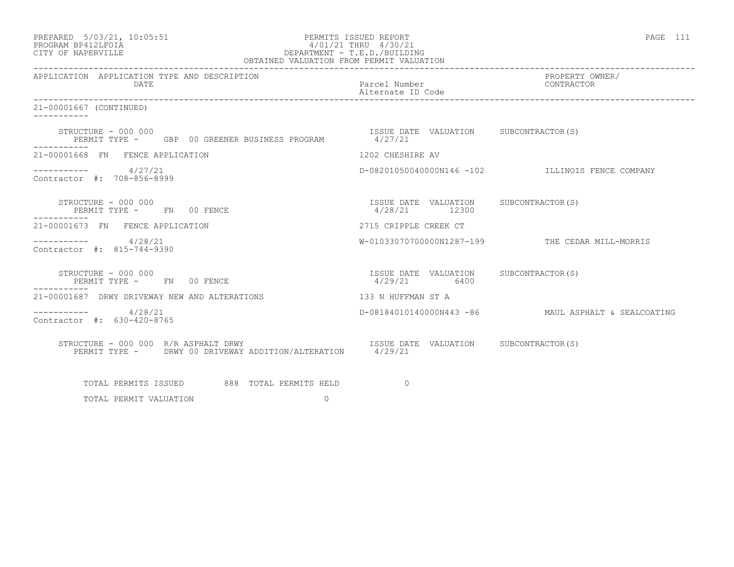| PREPARED            | $5/03/21$ , $10:05:51$ |  |
|---------------------|------------------------|--|
| DDOCD3M DD410T DOT3 |                        |  |

### PREPARED 5/03/21, 10:05:51 PERMITS ISSUED REPORT PAGE 111 PROGRAM BP412LFOIA 4/01/21 THRU 4/30/21 CITY OF NAPERVILLE DEPARTMENT - T.E.D./BUILDING

| OBTAINED VALUATION FROM PERMIT VALUATION                                                    |                                                        |                                                     |
|---------------------------------------------------------------------------------------------|--------------------------------------------------------|-----------------------------------------------------|
| APPLICATION APPLICATION TYPE AND DESCRIPTION<br>DATE                                        | Parcel Number<br>Alternate ID Code                     | PROPERTY OWNER/<br>CONTRACTOR                       |
| 21-00001667 (CONTINUED)                                                                     |                                                        |                                                     |
| STRUCTURE - 000 000<br>PERMIT TYPE - GBP 00 GREENER BUSINESS PROGRAM 4/27/21<br>----------- | ISSUE DATE VALUATION SUBCONTRACTOR(S)                  |                                                     |
| 21-00001668 FN FENCE APPLICATION                                                            | 1202 CHESHIRE AV                                       |                                                     |
| $--------- 4/27/21$<br>Contractor #: 708-856-8999                                           |                                                        | D-08201050040000N146 -102 ILLINOIS FENCE COMPANY    |
| STRUCTURE - 000 000<br>PERMIT TYPE - FN 00 FENCE<br>-----------                             | ISSUE DATE VALUATION SUBCONTRACTOR(S)<br>4/28/21 12300 |                                                     |
| 21-00001673 FN FENCE APPLICATION                                                            | 2715 CRIPPLE CREEK CT                                  |                                                     |
| $--------- 4/28/21$<br>Contractor #: 815-744-9390                                           |                                                        | W-01033070700000N1287-199 THE CEDAR MILL-MORRIS     |
| STRUCTURE - 000 000<br>PERMIT TYPE - FN 00 FENCE<br>-----------                             | ISSUE DATE VALUATION SUBCONTRACTOR(S)<br>4/29/21 6400  |                                                     |
| 21-00001687 DRWY DRIVEWAY NEW AND ALTERATIONS                                               | 133 N HUFFMAN ST A                                     |                                                     |
| $--------- 4/28/21$<br>Contractor #: 630-420-8765                                           |                                                        | D-08184010140000N443 -86 MAUL ASPHALT & SEALCOATING |
| STRUCTURE - 000 000 R/R ASPHALT DRWY                                                        |                                                        |                                                     |
| TOTAL PERMITS ISSUED 688 TOTAL PERMITS HELD                                                 | $\overline{a}$                                         |                                                     |

TOTAL PERMIT VALUATION 0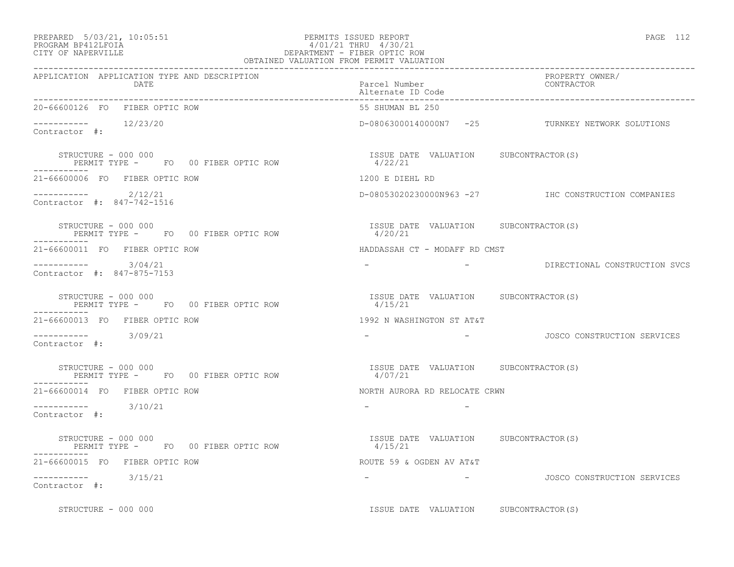# PREPARED 5/03/21, 10:05:51 PERMITS ISSUED REPORT PAGE 112 PROGRAM BP412LFOIA 4/01/21 THRU 4/30/21  $\begin{tabular}{lcccccc} PREPARED & 5/03/21, & 10:05:51 & & & & & & & & & & \multicolumn{2}{c}{\small PERMITS} & SSUBD REPORT \\ PROGRAM BP412LFOIA & & & & & & & & & & & 4/01/21 THENU & 4/30/21 \\ \multicolumn{2}{c}{CITY OF NAPERVILLE} & & & & & & & & & \multicolumn{2}{c}{\small DEPARTMENT - FIBER OPT C ROW} \end{tabular}$

|                                                                    | OBTAINED VALUATION FROM PERMIT VALUATION          |                                                     |
|--------------------------------------------------------------------|---------------------------------------------------|-----------------------------------------------------|
| APPLICATION APPLICATION TYPE AND DESCRIPTION<br>DATE               | Parcel Number<br>Alternate ID Code                | PROPERTY OWNER/<br>CONTRACTOR                       |
| 20-66600126 FO FIBER OPTIC ROW                                     | 55 SHUMAN BL 250                                  |                                                     |
| $--------$ 12/23/20<br>Contractor #:                               |                                                   | D-08063000140000N7 -25 TURNKEY NETWORK SOLUTIONS    |
| STRUCTURE - 000 000<br>PERMIT TYPE - FO 00 FIBER OPTIC ROW 4/22/21 | ISSUE DATE VALUATION SUBCONTRACTOR(S)             |                                                     |
| 21-66600006 FO FIBER OPTIC ROW                                     | 1200 E DIEHL RD                                   |                                                     |
| $--------- 2/12/21$<br>Contractor #: 847-742-1516                  |                                                   | D-08053020230000N963 -27 IHC CONSTRUCTION COMPANIES |
| STRUCTURE - 000 000<br>PERMIT TYPE - FO 00 FIBER OPTIC ROW         | ISSUE DATE VALUATION SUBCONTRACTOR(S)<br>4/20/21  |                                                     |
| 21-66600011 FO FIBER OPTIC ROW                                     | HADDASSAH CT - MODAFF RD CMST                     |                                                     |
| $--------$ 3/04/21<br>Contractor #: 847-875-7153                   |                                                   | - DIRECTIONAL CONSTRUCTION SVCS                     |
| STRUCTURE - 000 000<br>PERMIT TYPE - FOOOFIBER OPTIC ROW           | ISSUE DATE VALUATION SUBCONTRACTOR (S)<br>4/15/21 |                                                     |
| 21-66600013 FO FIBER OPTIC ROW                                     | 1992 N WASHINGTON ST AT&T                         |                                                     |
| $--------$ 3/09/21<br>Contractor #:                                |                                                   | JOSCO CONSTRUCTION SERVICES                         |
| STRUCTURE - 000 000<br>PERMIT TYPE - FO 00 FIBER OPTIC ROW         | ISSUE DATE VALUATION SUBCONTRACTOR(S)<br>4/07/21  |                                                     |
| 21-66600014 FO FIBER OPTIC ROW                                     | NORTH AURORA RD RELOCATE CRWN                     |                                                     |
| $--------- 3/10/21$<br>Contractor #:                               |                                                   |                                                     |
| STRUCTURE - 000 000<br>PERMIT TYPE - FO 00 FIBER OPTIC ROW         | ISSUE DATE VALUATION SUBCONTRACTOR (S)<br>4/15/21 |                                                     |
| 21-66600015 FO FIBER OPTIC ROW                                     | ROUTE 59 & OGDEN AV AT&T                          |                                                     |
| $--------$ 3/15/21<br>Contractor #:                                | <b>Contract Contract Contract</b>                 | JOSCO CONSTRUCTION SERVICES                         |
| STRUCTURE - 000 000                                                | ISSUE DATE VALUATION SUBCONTRACTOR(S)             |                                                     |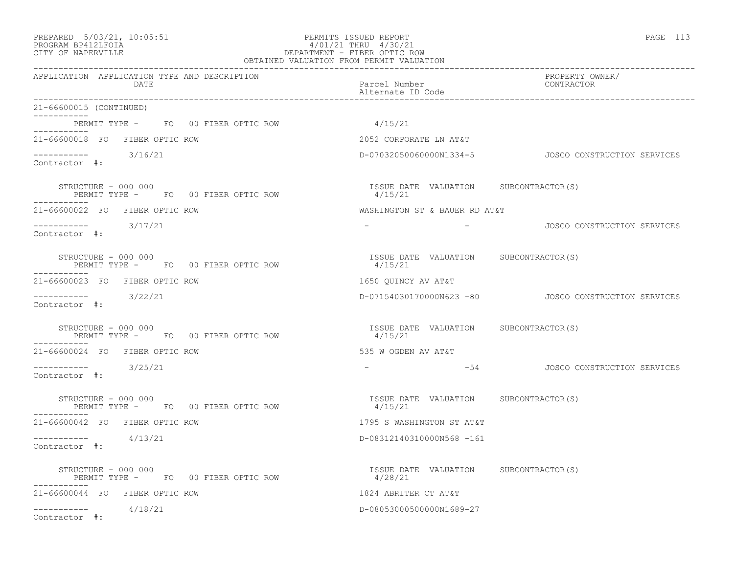#### PREPARED 5/03/21, 10:05:51 PERMITS ISSUED REPORT PAGE 113 PROGRAM BP412LFOIA 4/01/21 THRU 4/30/21 CITY OF NAPERVILLE DEPARTMENT - FIBER OPTIC ROW OBTAINED VALUATION FROM PERMIT VALUATION

| APPLICATION APPLICATION TYPE AND DESCRIPTION<br>DATE                      | Parcel Number<br>Alternate ID Code                | PROPERTY OWNER/<br>CONTRACTOR                           |
|---------------------------------------------------------------------------|---------------------------------------------------|---------------------------------------------------------|
| 21-66600015 (CONTINUED)                                                   |                                                   |                                                         |
| PERMIT TYPE - FO 00 FIBER OPTIC ROW<br>__________                         | 4/15/21                                           |                                                         |
| 21-66600018 FO FIBER OPTIC ROW                                            | 2052 CORPORATE LN AT&T                            |                                                         |
| $--------$ 3/16/21<br>Contractor #:                                       |                                                   | D-07032050060000N1334-5    JOSCO CONSTRUCTION SERVICES  |
| STRUCTURE - 000 000<br>PERMIT TYPE - FO 00 FIBER OPTIC ROW<br>----------- | ISSUE DATE VALUATION SUBCONTRACTOR(S)<br>4/15/21  |                                                         |
| 21-66600022 FO FIBER OPTIC ROW                                            | WASHINGTON ST & BAUER RD AT&T                     |                                                         |
| $--------$ 3/17/21<br>Contractor #:                                       |                                                   | - COSCO CONSTRUCTION SERVICES                           |
| STRUCTURE - 000 000<br>PERMIT TYPE - FO 00 FIBER OPTIC ROW                | ISSUE DATE VALUATION SUBCONTRACTOR (S)<br>4/15/21 |                                                         |
| 21-66600023 FO FIBER OPTIC ROW                                            | 1650 QUINCY AV AT&T                               |                                                         |
| $--------$ 3/22/21<br>Contractor #:                                       |                                                   | D-07154030170000N623 -80    JOSCO CONSTRUCTION SERVICES |
| STRUCTURE - 000 000<br>PERMIT TYPE - FO 00 FIBER OPTIC ROW                | ISSUE DATE VALUATION SUBCONTRACTOR(S)<br>4/15/21  |                                                         |
| -----------<br>21-66600024 FO FIBER OPTIC ROW                             | 535 W OGDEN AV AT&T                               |                                                         |
| $--------$ 3/25/21<br>Contractor #:                                       |                                                   | -54 JOSCO CONSTRUCTION SERVICES                         |
| STRUCTURE - 000 000<br>PERMIT TYPE - FO 00 FIBER OPTIC ROW                | ISSUE DATE VALUATION SUBCONTRACTOR(S)<br>4/15/21  |                                                         |
| 21-66600042 FO FIBER OPTIC ROW                                            | 1795 S WASHINGTON ST AT&T                         |                                                         |
| $--------- 4/13/21$<br>Contractor #:                                      | D-08312140310000N568 -161                         |                                                         |
| STRUCTURE - 000 000<br>PERMIT TYPE - FO 00 FIBER OPTIC ROW                | ISSUE DATE VALUATION SUBCONTRACTOR(S)<br>4/28/21  |                                                         |
| 21-66600044 FO FIBER OPTIC ROW                                            | 1824 ABRITER CT AT&T                              |                                                         |
| $--------- 4/18/21$<br>Contractor #:                                      | D-08053000500000N1689-27                          |                                                         |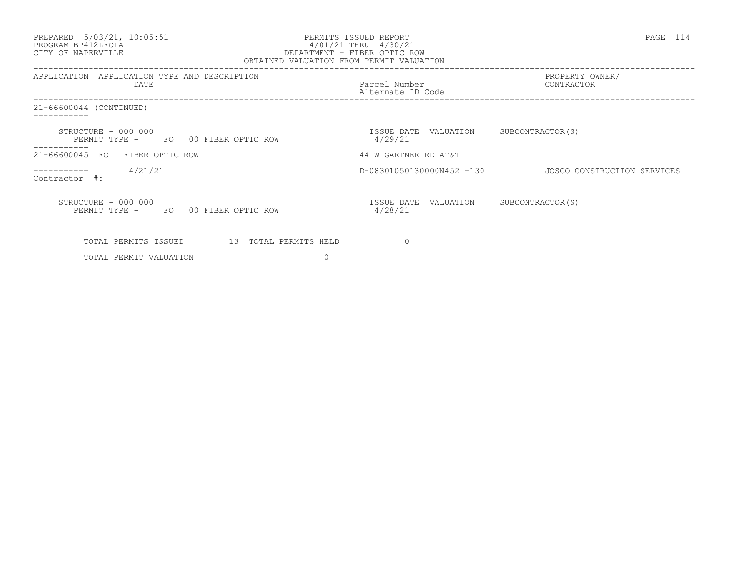#### PREPARED 5/03/21, 10:05:51 PERMITS ISSUED REPORT PAGE 114 PROGRAM BP412LFOIA 4/01/21 THRU 4/30/21 CITY OF NAPERVILLE DEPARTMENT - FIBER OPTIC ROW OBTAINED VALUATION FROM PERMIT VALUATION

| APPLICATION<br>APPLICATION TYPE AND DESCRIPTION<br>DATE                             | Parcel Number<br>Alternate ID Code | PROPERTY OWNER/<br>CONTRACTOR |
|-------------------------------------------------------------------------------------|------------------------------------|-------------------------------|
| 21-66600044 (CONTINUED)                                                             |                                    |                               |
| STRUCTURE - 000 000<br>PERMIT TYPE -<br>FO 00 FIBER OPTIC ROW                       | ISSUE DATE VALUATION<br>4/29/21    | SUBCONTRACTOR(S)              |
| 21-66600045 FO<br>FIBER OPTIC ROW                                                   | 44 W GARTNER RD AT&T               |                               |
| 4/21/21<br>Contractor #:                                                            | D-08301050130000N452 -130          | JOSCO CONSTRUCTION SERVICES   |
| STRUCTURE - 000 000<br>PERMIT TYPE -<br>FO 00 FIBER OPTIC ROW                       | ISSUE DATE VALUATION<br>4/28/21    | SUBCONTRACTOR (S)             |
| 13 TOTAL PERMITS HELD<br>TOTAL PERMITS ISSUED<br>$\Omega$<br>TOTAL PERMIT VALUATION | $\Omega$                           |                               |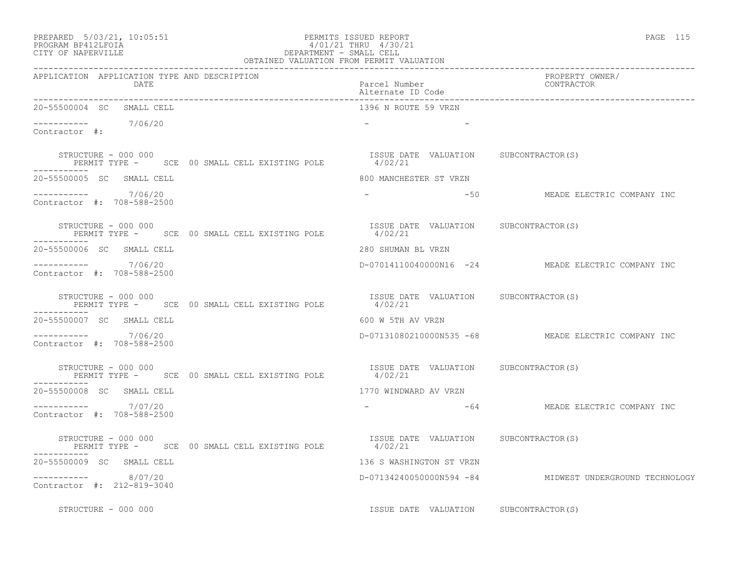| PREPARED |  | $5/03/21$ , 10:05:53 |
|----------|--|----------------------|
|          |  |                      |

### PREPARED 5/03/21, 10:05:51 PERMITS ISSUED REPORT<br>PROGRAM BP412LFOIA PAGE 115 PROGRAM BP412LFOIA  $4/01/21$  THRU  $4/30/21$ <br>CITY OF NAPERVILLE DEPARTMENT - SMALL CELL CITY OF NAPERVILLE DEPARTMENT - SMALL CELL

| OBTAINED VALUATION FROM PERMIT VALUATION                                                                                                         |                                                  |                                                         |
|--------------------------------------------------------------------------------------------------------------------------------------------------|--------------------------------------------------|---------------------------------------------------------|
| APPLICATION APPLICATION TYPE AND DESCRIPTION<br>DATE                                                                                             | Parcel Number<br>Alternate ID Code               | PROPERTY OWNER/<br>CONTRACTOR                           |
| 20-55500004 SC SMALL CELL                                                                                                                        | 1396 N ROUTE 59 VRZN                             |                                                         |
| $--------$ 7/06/20<br>Contractor #:                                                                                                              |                                                  |                                                         |
| STRUCTURE - 000 000<br>PERMIT TYPE - SCE 00 SMALL CELL EXISTING POLE 4/02/21                                                                     | ISSUE DATE VALUATION SUBCONTRACTOR(S)            |                                                         |
| 20-55500005 SC SMALL CELL                                                                                                                        | 800 MANCHESTER ST VRZN                           |                                                         |
| $--------- 7/06/20$<br>Contractor #: 708-588-2500                                                                                                | $-$                                              | -50 THE MEADE ELECTRIC COMPANY INC                      |
| STRUCTURE - 000 000<br>PERMIT TYPE - SCE 00 SMALL CELL EXISTING POLE<br>-----------                                                              | ISSUE DATE VALUATION SUBCONTRACTOR(S)<br>4/02/21 |                                                         |
| 20-55500006 SC SMALL CELL                                                                                                                        | 280 SHUMAN BL VRZN                               |                                                         |
| ---------- 7/06/20<br>Contractor #: 708-588-2500                                                                                                 |                                                  | D-07014110040000N16 -24 MEADE ELECTRIC COMPANY INC      |
| TRUCTURE - 000 000<br>PERMIT TYPE - SCE 00 SMALL CELL EXISTING POLE 4/02/21 PERMIT TYPE - SCE 00 SMALL CELL EXISTING POLE<br>STRUCTURE - 000 000 |                                                  |                                                         |
| 20-55500007 SC SMALL CELL                                                                                                                        | 600 W 5TH AV VRZN                                |                                                         |
| $--------$ 7/06/20<br>Contractor #: 708-588-2500                                                                                                 |                                                  | D-07131080210000N535 -68 MEADE ELECTRIC COMPANY INC     |
| STRUCTURE - 000 000<br>PERMIT TYPE - SCE 00 SMALL CELL EXISTING POLE 4/02/21                                                                     | ISSUE DATE VALUATION SUBCONTRACTOR(S)            |                                                         |
| 20-55500008 SC SMALL CELL                                                                                                                        | 1770 WINDWARD AV VRZN                            |                                                         |
| $--------- 7/07/20$<br>Contractor #: 708-588-2500                                                                                                |                                                  | -64 MEADE ELECTRIC COMPANY INC                          |
| STRUCTURE - 000 000<br>PERMIT TYPE - SCE 00 SMALL CELL EXISTING POLE 4/02/21                                                                     | ISSUE DATE VALUATION SUBCONTRACTOR(S)            |                                                         |
| 20-55500009 SC SMALL CELL                                                                                                                        | 136 S WASHINGTON ST VRZN                         |                                                         |
| 8/07/20<br>Contractor #: 212-819-3040                                                                                                            |                                                  | D-07134240050000N594 -84 MIDWEST UNDERGROUND TECHNOLOGY |
| STRUCTURE - 000 000                                                                                                                              | ISSUE DATE VALUATION SUBCONTRACTOR(S)            |                                                         |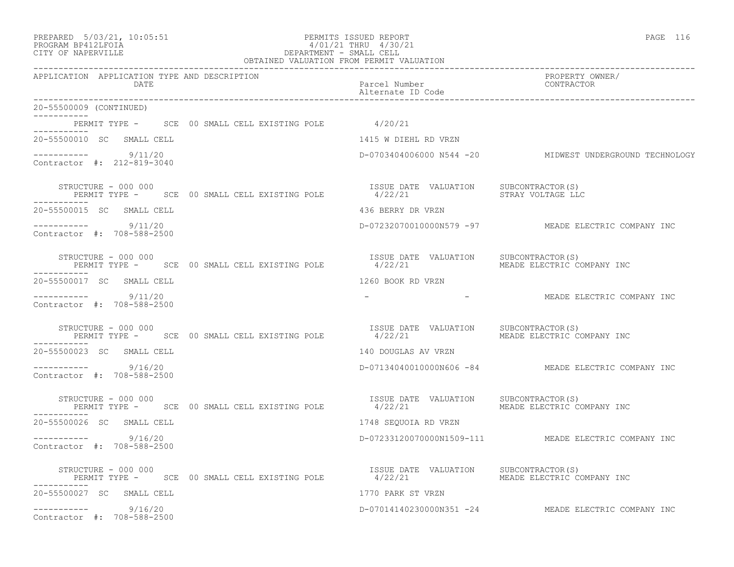| PREPARED |  |  | $5/03/21$ , | 10:05:51 |  |  |  |  |  |  |
|----------|--|--|-------------|----------|--|--|--|--|--|--|
|----------|--|--|-------------|----------|--|--|--|--|--|--|

# PREPARED 5/03/21, 10:05:51 PERMITS ISSUED REPORT<br>PROGRAM BP412LFOIA PAGE 116 PROGRAM BP412LFOIA 4/01/21 THRU 4/30/21 CITY OF NAPERVILLE (1999) CITY OF NAPERVILLE DEPARTMENT - SMALL CELL

| OBTAINED VALUATION FROM PERMIT VALUATION                                                                                                     |                                       |                                                         |  |  |  |  |
|----------------------------------------------------------------------------------------------------------------------------------------------|---------------------------------------|---------------------------------------------------------|--|--|--|--|
| APPLICATION APPLICATION TYPE AND DESCRIPTION<br>DATE                                                                                         | Parcel Number<br>Alternate ID Code    | PROPERTY OWNER/<br>CONTRACTOR                           |  |  |  |  |
| 20-55500009 (CONTINUED)                                                                                                                      |                                       |                                                         |  |  |  |  |
| PERMIT TYPE - SCE 00 SMALL CELL EXISTING POLE 4/20/21                                                                                        |                                       |                                                         |  |  |  |  |
| 20-55500010 SC SMALL CELL                                                                                                                    | 1415 W DIEHL RD VRZN                  |                                                         |  |  |  |  |
| $--------- 9/11/20$<br>Contractor #: 212-819-3040                                                                                            |                                       | D-0703404006000 N544 -20 MIDWEST UNDERGROUND TECHNOLOGY |  |  |  |  |
| STRUCTURE - 000 000<br>PERMIT TYPE - SCE 00 SMALL CELL EXISTING POLE 4/22/21 422/21 STRAY VOLTAGE LLC                                        | ISSUE DATE VALUATION SUBCONTRACTOR(S) |                                                         |  |  |  |  |
| 20-55500015 SC SMALL CELL                                                                                                                    | 436 BERRY DR VRZN                     |                                                         |  |  |  |  |
| $--------- 9/11/20$<br>Contractor #: 708-588-2500                                                                                            |                                       | D-07232070010000N579 -97 MEADE ELECTRIC COMPANY INC     |  |  |  |  |
| STRUCTURE - 000 000<br>PERMIT TYPE -       SCE   00 SMALL CELL EXISTING POLE               4/22/21          MEADE ELECTRIC C<br>------------ |                                       | MEADE ELECTRIC COMPANY INC                              |  |  |  |  |
| 20-55500017 SC SMALL CELL                                                                                                                    | 1260 BOOK RD VRZN                     |                                                         |  |  |  |  |
| $--------- 9/11/20$<br>Contractor #: 708-588-2500                                                                                            |                                       | - MEADE ELECTRIC COMPANY INC                            |  |  |  |  |
| STRUCTURE - 000 000<br>PERMIT TYPE - SCE 00 SMALL CELL EXISTING POLE 4/22/21                                                                 | ISSUE DATE VALUATION                  | SUBCONTRACTOR(S)<br>MEADE ELECTRIC COMPANY INC          |  |  |  |  |
| 20-55500023 SC SMALL CELL                                                                                                                    | 140 DOUGLAS AV VRZN                   |                                                         |  |  |  |  |
| $--------$ 9/16/20<br>Contractor #: 708-588-2500                                                                                             |                                       | D-07134040010000N606 -84 MEADE ELECTRIC COMPANY INC     |  |  |  |  |
| STRUCTURE - 000 000<br>PERMIT TYPE - SCE 00 SMALL CELL EXISTING POLE 4/22/21                                                                 | ISSUE DATE VALUATION SUBCONTRACTOR(S) | MEADE ELECTRIC COMPANY INC                              |  |  |  |  |
| 20-55500026 SC SMALL CELL                                                                                                                    | 1748 SEQUOIA RD VRZN                  |                                                         |  |  |  |  |
| $--------- 9/16/20$<br>Contractor #: 708-588-2500                                                                                            |                                       | D-07233120070000N1509-111 MEADE ELECTRIC COMPANY INC    |  |  |  |  |
| STRUCTURE - 000 000<br>PERMIT TYPE -      SCE  00 SMALL CELL EXISTING POLE              4/22/21                 MEADE ELECTRIC COMPANY INC   |                                       |                                                         |  |  |  |  |
| 20-55500027 SC SMALL CELL                                                                                                                    | 1770 PARK ST VRZN                     |                                                         |  |  |  |  |
| $--------- 9/16/20$<br>Contractor #: 708-588-2500                                                                                            |                                       | D-07014140230000N351 -24 MEADE ELECTRIC COMPANY INC     |  |  |  |  |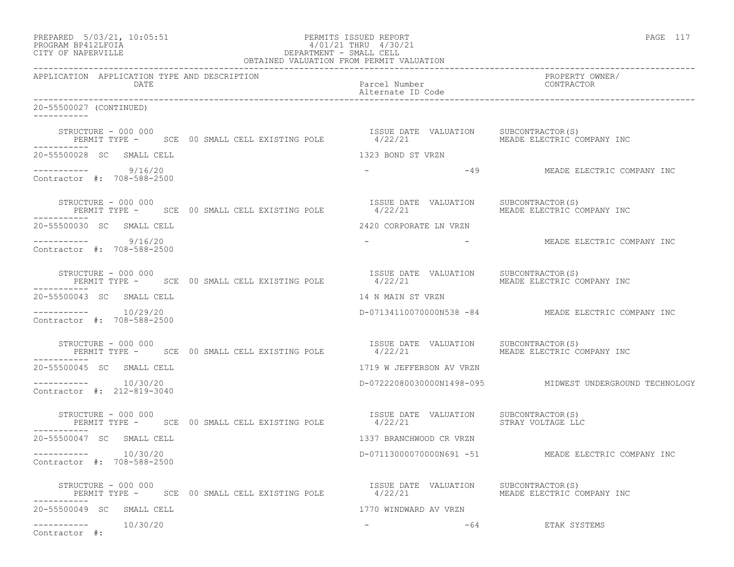| PREPARED 5/03/21, 10:05:51 PERMITS ISSUED REPORT<br>PROGRAM BP412LFOIA 4/01/21 THRU 4/30/21<br>CITY OF NAPERVILLE CLIDER OBTAINED VALUATION FROM PERMIT VALUATION                |                                                          | PAGE 117                                            |  |  |
|----------------------------------------------------------------------------------------------------------------------------------------------------------------------------------|----------------------------------------------------------|-----------------------------------------------------|--|--|
| APPLICATION APPLICATION TYPE AND DESCRIPTION<br>DATE                                                                                                                             | Parcel Number<br>Alternate ID Code                       | PROPERTY OWNER/<br>CONTRACTOR                       |  |  |
| 20-55500027 (CONTINUED)                                                                                                                                                          |                                                          |                                                     |  |  |
| STRUCTURE - 000 000<br>STRUCTURE - 000 000<br>PERMIT TYPE -     SCE  00 SMALL CELL EXISTING POLE              4/22/21                  MEADE ELECTRIC COMPANY INC<br>----------- | ISSUE DATE VALUATION SUBCONTRACTOR(S)                    |                                                     |  |  |
| 20-55500028 SC SMALL CELL                                                                                                                                                        | 1323 BOND ST VRZN                                        |                                                     |  |  |
| $--------- 9/16/20$<br>Contractor #: 708-588-2500                                                                                                                                |                                                          | - 49 MEADE ELECTRIC COMPANY INC                     |  |  |
| STRUCTURE – 000 000<br>PERMIT TYPE - SCE 00 SMALL CELL EXISTING POLE 4/22/21                                                                                                     | ISSUE DATE VALUATION SUBCONTRACTOR(S)                    | MEADE ELECTRIC COMPANY INC                          |  |  |
| 20-55500030 SC SMALL CELL                                                                                                                                                        | 2420 CORPORATE LN VRZN                                   |                                                     |  |  |
| $--------- 9/16/20$<br>Contractor #: 708-588-2500                                                                                                                                |                                                          | - ANNEADE ELECTRIC COMPANY INC                      |  |  |
|                                                                                                                                                                                  |                                                          |                                                     |  |  |
| 20-55500043 SC SMALL CELL                                                                                                                                                        | 14 N MAIN ST VRZN                                        |                                                     |  |  |
| $--------- 10/29/20$<br>Contractor #: 708-588-2500                                                                                                                               | D-07134110070000N538 -84 MEADE ELECTRIC COMPANY INC      |                                                     |  |  |
| STRUCTURE - 000 000<br>PERMIT TYPE -      SCE  00 SMALL CELL EXISTING POLE             4/22/21               MEADE ELECTRIC COMPANY IN<br>----------                             |                                                          | MEADE ELECTRIC COMPANY INC                          |  |  |
| 20-55500045 SC SMALL CELL                                                                                                                                                        | 1719 W JEFFERSON AV VRZN                                 |                                                     |  |  |
| Contractor #: 212-819-3040                                                                                                                                                       | D-07222080030000N1498-095 MIDWEST UNDERGROUND TECHNOLOGY |                                                     |  |  |
| STRUCTURE - 000 000<br>PERMIT TYPE - SCE 00 SMALL CELL EXISTING POLE 4/22/21 STRAY VOLTAGE LLC                                                                                   | ISSUE DATE VALUATION SUBCONTRACTOR(S)                    |                                                     |  |  |
| 20-55500047 SC SMALL CELL                                                                                                                                                        | 1337 BRANCHWOOD CR VRZN                                  |                                                     |  |  |
| 10/30/20<br>-----------<br>Contractor #: 708-588-2500                                                                                                                            |                                                          | D-07113000070000N691 -51 MEADE ELECTRIC COMPANY INC |  |  |
| STRUCTURE - 000 000<br>PERMIT TYPE - SCE 00 SMALL CELL EXISTING POLE                                                                                                             | ISSUE DATE VALUATION<br>4/22/21                          | SUBCONTRACTOR(S)<br>MEADE ELECTRIC COMPANY INC      |  |  |
| 20-55500049 SC SMALL CELL                                                                                                                                                        | 1770 WINDWARD AV VRZN                                    |                                                     |  |  |
| 10/30/20<br>-----------<br>Contractor #:                                                                                                                                         | -64                                                      | ETAK SYSTEMS                                        |  |  |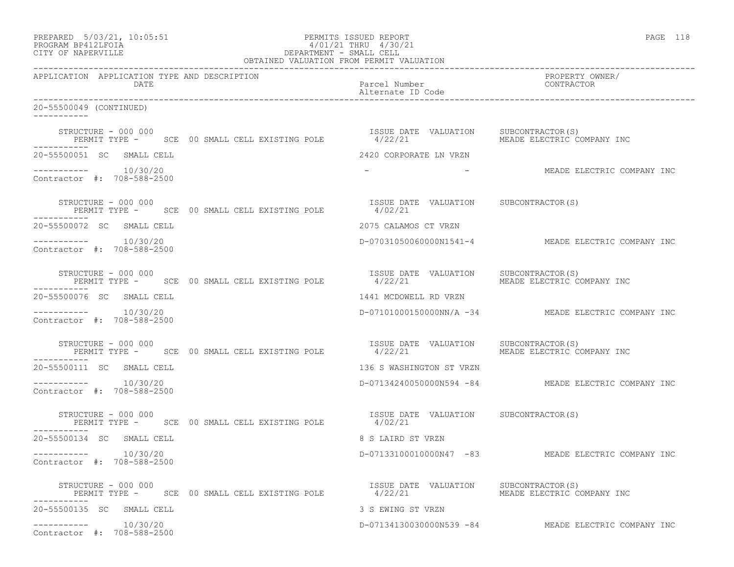| PREPARED 5/03/21, 10:05:51<br>PERMITS ISSUED REPORT<br>PROGRAM BP412LFOIA<br>CITY OF NAPERVILLE<br>CITY OF NAPERVILLE<br>CELL<br>OBTAINED VALUATION FROM PERMIT VALUATION |                                                                                                                                                                                | PAGE 118 |  |  |
|---------------------------------------------------------------------------------------------------------------------------------------------------------------------------|--------------------------------------------------------------------------------------------------------------------------------------------------------------------------------|----------|--|--|
|                                                                                                                                                                           |                                                                                                                                                                                |          |  |  |
| 20-55500049 (CONTINUED)                                                                                                                                                   |                                                                                                                                                                                |          |  |  |
| -----------                                                                                                                                                               | ISSUE DATE VALUATION SUBCONTRACTOR(S)<br>STRUCTURE - 000 000<br>PERMIT TYPE -    SCE  00 SMALL CELL EXISTING POLE             4/22/21               MEADE ELECTRIC COMPANY INC |          |  |  |
| 20-55500051 SC SMALL CELL                                                                                                                                                 | 2420 CORPORATE LN VRZN                                                                                                                                                         |          |  |  |
| $--------- 10/30/20$<br>Contractor #: 708-588-2500                                                                                                                        | - THE MEADE ELECTRIC COMPANY INC                                                                                                                                               |          |  |  |
| STRUCTURE – 000 000                                                                                                                                                       | STRUCTURE - 000 000<br>PERMIT TYPE - SCE 00 SMALL CELL EXISTING POLE 4/02/21                                                                                                   |          |  |  |
| 20-55500072 SC SMALL CELL                                                                                                                                                 | 2075 CALAMOS CT VRZN                                                                                                                                                           |          |  |  |
| $--------- 10/30/20$<br>Contractor #: 708-588-2500                                                                                                                        | D-07031050060000N1541-4 MEADE ELECTRIC COMPANY INC                                                                                                                             |          |  |  |
| STRUCTURE - 000 000<br>------------                                                                                                                                       | RUCTURE - 000 000<br>PERMIT TYPE - SCE 00 SMALL CELL EXISTING POLE 4/22/21 MEADE ELECTRIC COMPANY INC                                                                          |          |  |  |
| 20-55500076 SC SMALL CELL                                                                                                                                                 | 1441 MCDOWELL RD VRZN                                                                                                                                                          |          |  |  |
| $--------- 10/30/20$<br>Contractor #: 708-588-2500                                                                                                                        | D-07101000150000NN/A -34 MEADE ELECTRIC COMPANY INC                                                                                                                            |          |  |  |
| STRUCTURE - 000 000<br>PERMIT TYPE - SCE 00 SMALL CELL EXISTING POLE 4/22/21<br>-----------                                                                               | ISSUE DATE VALUATION SUBCONTRACTOR(S)<br>MEADE ELECTRIC COMPANY INC                                                                                                            |          |  |  |
| 20-55500111 SC SMALL CELL                                                                                                                                                 | 136 S WASHINGTON ST VRZN                                                                                                                                                       |          |  |  |
| $--------- 10/30/20$<br>Contractor #: 708-588-2500                                                                                                                        | D-07134240050000N594 -84 MEADE ELECTRIC COMPANY INC                                                                                                                            |          |  |  |
| STRUCTURE - 000 000<br>PERMIT TYPE - SCE 00 SMALL CELL EXISTING POLE 4/02/21<br>-----------                                                                               | ISSUE DATE VALUATION SUBCONTRACTOR(S)                                                                                                                                          |          |  |  |
| 20-55500134 SC SMALL CELL                                                                                                                                                 | 8 S LAIRD ST VRZN                                                                                                                                                              |          |  |  |
| 10/30/20<br>-----------<br>Contractor #: 708-588-2500                                                                                                                     | D-07133100010000N47 -83 MEADE ELECTRIC COMPANY INC                                                                                                                             |          |  |  |
| STRUCTURE - 000 000<br>PERMIT TYPE - SCE 00 SMALL CELL EXISTING POLE                                                                                                      | ISSUE DATE VALUATION SUBCONTRACTOR(S)<br>4/22/21<br>MEADE ELECTRIC COMPANY INC                                                                                                 |          |  |  |
| 20-55500135 SC SMALL CELL                                                                                                                                                 | 3 S EWING ST VRZN                                                                                                                                                              |          |  |  |
| $--------- 10/30/20$<br>Contractor #: 708-588-2500                                                                                                                        | D-07134130030000N539 -84 MEADE ELECTRIC COMPANY INC                                                                                                                            |          |  |  |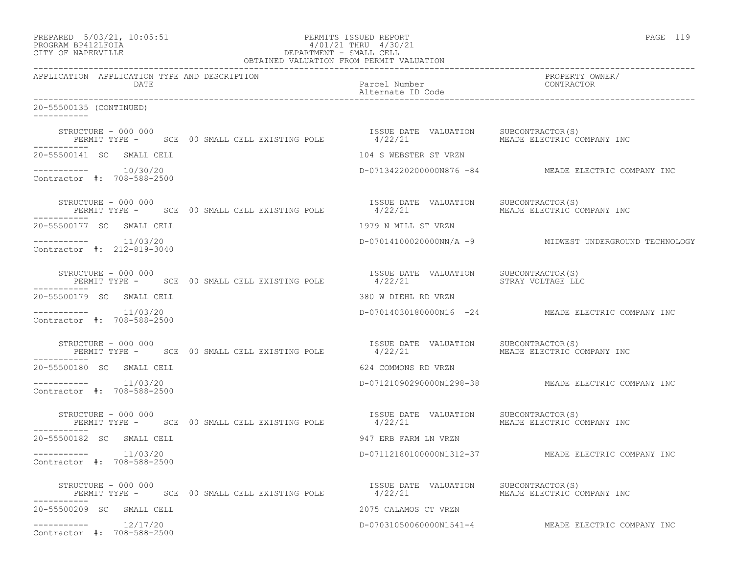| PREPARED 5/03/21, 10:05:51<br>PERMITS ISSUED REPORT<br>PROGRAM BP412LFOIA<br>CITY OF NAPERVILLE<br>CITY OF NAPERVILLE<br>CITY OF NAPERVILLE<br>CELL  OBTAINED VALUATION FROM PERMIT VALUATION |                                                                              | PAGE 119                                               |  |  |
|-----------------------------------------------------------------------------------------------------------------------------------------------------------------------------------------------|------------------------------------------------------------------------------|--------------------------------------------------------|--|--|
| APPLICATION APPLICATION TYPE AND DESCRIPTION<br><b>Example 12 DATE</b>                                                                                                                        | Parcel Number<br>Alternate ID Code<br>Alternate ID Code                      | PROPERTY OWNER/                                        |  |  |
| 20-55500135 (CONTINUED)                                                                                                                                                                       |                                                                              |                                                        |  |  |
| STRUCTURE – 000 000<br>PERMIT TYPE –    SCE  00 SMALL CELL EXISTING POLE             4/22/21              MEADE ELECTRIC COMPANY INC<br>-----------                                           |                                                                              |                                                        |  |  |
| 20-55500141 SC SMALL CELL                                                                                                                                                                     |                                                                              |                                                        |  |  |
| $--------- 10/30/20$<br>Contractor #: 708-588-2500                                                                                                                                            | 104 S WEBSTER ST VRZN<br>D-07134220200000N876 -84 MEADE ELECTRIC COMPANY INC |                                                        |  |  |
| STRUCTURE - 000 000<br>PERMIT TYPE -     SCE  00 SMALL CELL EXISTING POLE             4/22/21                MEADE ELECTRIC COMPANY INC                                                       |                                                                              |                                                        |  |  |
| 20-55500177 SC SMALL CELL                                                                                                                                                                     | 1979 N MILL ST VRZN                                                          |                                                        |  |  |
| $--------- 11/03/20$<br>Contractor #: 212-819-3040                                                                                                                                            |                                                                              | D-07014100020000NN/A -9 MIDWEST UNDERGROUND TECHNOLOGY |  |  |
| ------------                                                                                                                                                                                  |                                                                              |                                                        |  |  |
| 20-55500179 SC SMALL CELL                                                                                                                                                                     |                                                                              |                                                        |  |  |
| $--------- 11/03/20$<br>Contractor #: 708-588-2500                                                                                                                                            | 380 W DIEHL RD VRZN<br>D-07014030180000N16 -24 MEADE ELECTRIC COMPANY INC    |                                                        |  |  |
| STRUCTURE - 000 000<br>PERMIT TYPE -      SCE  00 SMALL CELL EXISTING POLE              4/22/21<br>-----------                                                                                | ISSUE DATE VALUATION SUBCONTRACTOR(S)                                        | MEADE ELECTRIC COMPANY INC                             |  |  |
| 20-55500180 SC SMALL CELL                                                                                                                                                                     | 624 COMMONS RD VRZN                                                          |                                                        |  |  |
| $--------- 11/03/20$<br>Contractor #: 708-588-2500                                                                                                                                            |                                                                              | D-07121090290000N1298-38 MEADE ELECTRIC COMPANY INC    |  |  |
| STRUCTURE - 000 000<br>PERMIT TYPE - SCE 00 SMALL CELL EXISTING POLE 4/22/21                                                                                                                  | ISSUE DATE VALUATION SUBCONTRACTOR(S)                                        | MEADE ELECTRIC COMPANY INC                             |  |  |
| 20-55500182 SC SMALL CELL                                                                                                                                                                     | 947 ERB FARM LN VRZN                                                         |                                                        |  |  |
| $--------- 11/03/20$<br>Contractor #: 708-588-2500                                                                                                                                            |                                                                              | D-07112180100000N1312-37 MEADE ELECTRIC COMPANY INC    |  |  |
| STRUCTURE - 000 000<br>PERMIT TYPE - SCE 00 SMALL CELL EXISTING POLE                                                                                                                          | ISSUE DATE VALUATION SUBCONTRACTOR(S)<br>4/22/21                             | MEADE ELECTRIC COMPANY INC                             |  |  |
| 20-55500209 SC SMALL CELL                                                                                                                                                                     | 2075 CALAMOS CT VRZN                                                         |                                                        |  |  |
| $--------- 12/17/20$<br>Contractor #: 708-588-2500                                                                                                                                            |                                                                              | D-07031050060000N1541-4 MEADE ELECTRIC COMPANY INC     |  |  |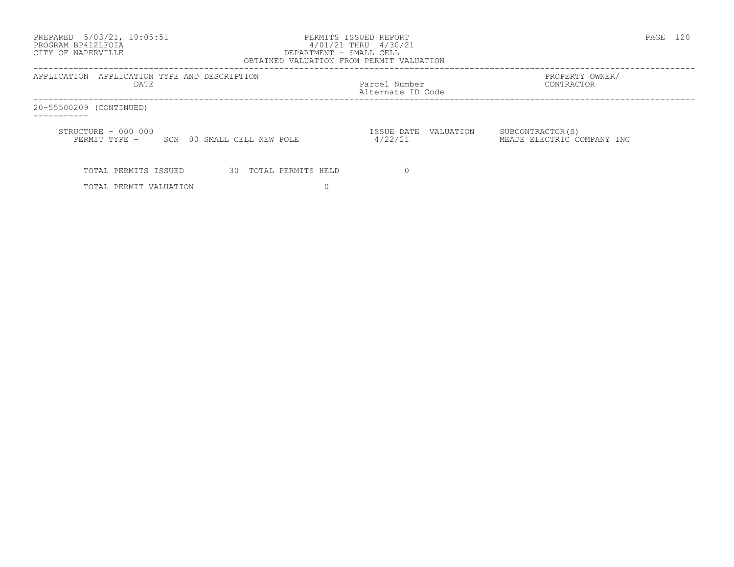| PREPARED 5/03/21, 10:05:51<br>PROGRAM BP412LFOIA<br>CITY OF NAPERVILLE | PERMITS ISSUED REPORT<br>4/01/21 THRU 4/30/21<br>DEPARTMENT - SMALL CELL<br>OBTAINED VALUATION FROM PERMIT VALUATION | PAGE<br>-120                                    |
|------------------------------------------------------------------------|----------------------------------------------------------------------------------------------------------------------|-------------------------------------------------|
| APPLICATION APPLICATION TYPE AND DESCRIPTION<br>DATE                   | Parcel Number<br>Alternate ID Code                                                                                   | PROPERTY OWNER/<br>CONTRACTOR                   |
| 20-55500209 (CONTINUED)                                                |                                                                                                                      |                                                 |
| STRUCTURE - 000 000<br>PERMIT TYPE - SCN 00 SMALL CELL NEW POLE        | ISSUE DATE VALUATION<br>4/22/21                                                                                      | SUBCONTRACTOR (S)<br>MEADE ELECTRIC COMPANY INC |
| 30 TOTAL PERMITS HELD<br>TOTAL PERMITS ISSUED                          |                                                                                                                      |                                                 |
| TOTAL PERMIT VALUATION                                                 |                                                                                                                      |                                                 |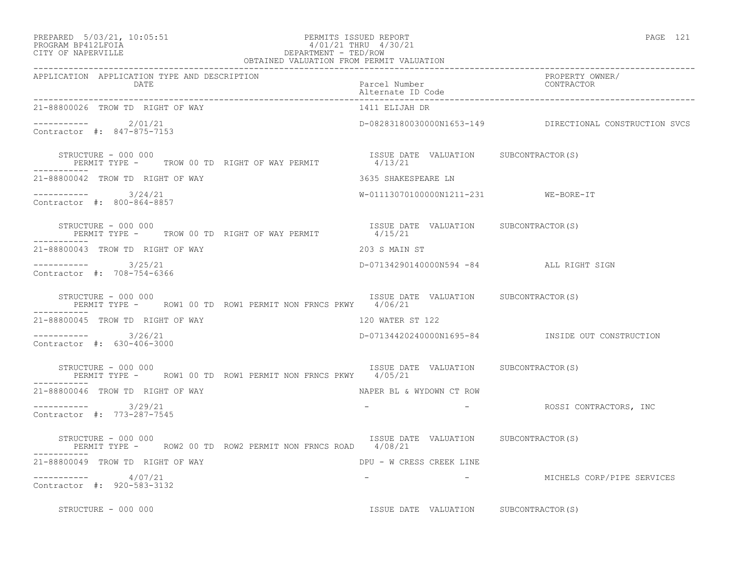| PREPARED | $5/03/21$ , $10:05:51$ |  |
|----------|------------------------|--|
|          |                        |  |

### PREPARED 5/03/21, 10:05:51 PERMITS ISSUED REPORT<br>PROGRAM BP412LFOIA PAGE 121 PERMITS ISSUED REPORT 4/01/21 THRU 4/30/21 PROGRAM BP412LFOIA  $4/01/21$  THRU  $4/30/21$  CITY OF NAPERVILLE DEPARTMENT - TED/ROW

| OBTAINED VALUATION FROM PERMIT VALUATION                                                                                  |                                         |                                                         |
|---------------------------------------------------------------------------------------------------------------------------|-----------------------------------------|---------------------------------------------------------|
| APPLICATION APPLICATION TYPE AND DESCRIPTION<br>DATE                                                                      | Parcel Number<br>Alternate ID Code      | PROPERTY OWNER/<br>CONTRACTOR                           |
| 21-88800026 TROW TD RIGHT OF WAY                                                                                          | 1411 ELIJAH DR                          |                                                         |
| ---------- 2/01/21<br>Contractor #: 847-875-7153                                                                          |                                         | D-08283180030000N1653-149 DIRECTIONAL CONSTRUCTION SVCS |
| STRUCTURE - 000 000<br>STRUCTURE - 000 000<br>PERMIT TYPE -       TROW 00 TD  RIGHT OF WAY PERMIT                 4/13/21 | ISSUE DATE VALUATION SUBCONTRACTOR(S)   |                                                         |
| 21-88800042 TROW TD RIGHT OF WAY                                                                                          | 3635 SHAKESPEARE LN                     |                                                         |
| $--------- 3/24/21$<br>Contractor #: 800-864-8857                                                                         | W-01113070100000N1211-231 WE-BORE-IT    |                                                         |
| STRUCTURE - 000 000<br>PERMIT TYPE - TROW 00 TD RIGHT OF WAY PERMIT 4/15/21                                               | ISSUE DATE VALUATION SUBCONTRACTOR(S)   |                                                         |
| 21-88800043 TROW TD RIGHT OF WAY                                                                                          | 203 S MAIN ST                           |                                                         |
| -----------     3/25/21<br>Contractor #: 708-754-6366                                                                     | D-07134290140000N594 -84 ALL RIGHT SIGN |                                                         |
| STRUCTURE - 000 000<br>PERMIT TYPE -     ROW1 00 TD ROW1 PERMIT NON FRNCS PKWY     4/06/21                                | ISSUE DATE VALUATION SUBCONTRACTOR(S)   |                                                         |
| 21-88800045 TROW TD RIGHT OF WAY                                                                                          | 120 WATER ST 122                        |                                                         |
| $--------- 3/26/21$<br>Contractor #: 630-406-3000                                                                         |                                         | D-07134420240000N1695-84 INSIDE OUT CONSTRUCTION        |
| STRUCTURE - 000 000<br>PERMIT TYPE - ROW1 00 TD ROW1 PERMIT NON FRNCS PKWY 4/05/21                                        | ISSUE DATE VALUATION SUBCONTRACTOR(S)   |                                                         |
| 21-88800046 TROW TD RIGHT OF WAY                                                                                          | NAPER BL & WYDOWN CT ROW                |                                                         |
| $--------- 3/29/21$<br>Contractor #: 773-287-7545                                                                         |                                         | - ROSSI CONTRACTORS, INC                                |
| STRUCTURE - 000 000<br>PERMIT TYPE - ROW2 00 TD ROW2 PERMIT NON FRNCS ROAD 4/08/21                                        | ISSUE DATE VALUATION SUBCONTRACTOR(S)   |                                                         |
| 21-88800049 TROW TD RIGHT OF WAY                                                                                          | DPU - W CRESS CREEK LINE                |                                                         |
| ---------- 4/07/21<br>Contractor #: 920-583-3132                                                                          |                                         | - MICHELS CORP/PIPE SERVICES                            |
| STRUCTURE - 000 000                                                                                                       | ISSUE DATE VALUATION SUBCONTRACTOR(S)   |                                                         |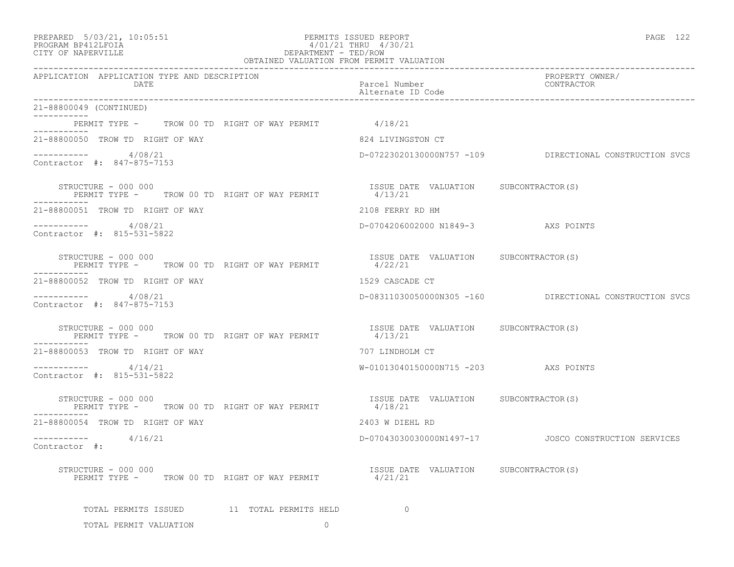| PREPARED | $5/03/21$ , | 10:05:5 |
|----------|-------------|---------|
|----------|-------------|---------|

# PREPARED 5/03/21, 10:05:51 PERMITS ISSUED REPORT<br>PROGRAM BP412LFOIA PAGE 122 PROGRAM BP412LFOIA 4/01/21 THRU 4/30/21 CITY OF NAPERVILLE CITY OF NAPERVILLE **Example 20** and the contract of the DEPARTMENT - TED/ROW

|                                                                             | OBTAINED VALUATION FROM PERMIT VALUATION         |                                                         |  |  |  |  |  |
|-----------------------------------------------------------------------------|--------------------------------------------------|---------------------------------------------------------|--|--|--|--|--|
| APPLICATION APPLICATION TYPE AND DESCRIPTION<br>DATE                        | Parcel Number<br>Alternate ID Code               | PROPERTY OWNER/<br>CONTRACTOR                           |  |  |  |  |  |
| 21-88800049 (CONTINUED)                                                     |                                                  |                                                         |  |  |  |  |  |
| PERMIT TYPE - TROW 00 TD RIGHT OF WAY PERMIT 4/18/21                        |                                                  |                                                         |  |  |  |  |  |
| ----------<br>21-88800050 TROW TD RIGHT OF WAY                              | 824 LIVINGSTON CT                                |                                                         |  |  |  |  |  |
| $--------- 4/08/21$<br>Contractor #: 847-875-7153                           |                                                  | D-07223020130000N757 -109 DIRECTIONAL CONSTRUCTION SVCS |  |  |  |  |  |
| STRUCTURE - 000 000<br>PERMIT TYPE - TROW 00 TD RIGHT OF WAY PERMIT         | ISSUE DATE VALUATION SUBCONTRACTOR(S)<br>4/13/21 |                                                         |  |  |  |  |  |
| 21-88800051 TROW TD RIGHT OF WAY                                            | 2108 FERRY RD HM                                 |                                                         |  |  |  |  |  |
| ----------- 4/08/21<br>Contractor #: 815-531-5822                           | D-0704206002000 N1849-3 AXS POINTS               |                                                         |  |  |  |  |  |
| STRUCTURE - 000 000<br>PERMIT TYPE - TROW 00 TD RIGHT OF WAY PERMIT         | ISSUE DATE VALUATION SUBCONTRACTOR(S)<br>4/22/21 |                                                         |  |  |  |  |  |
| 21-88800052 TROW TD RIGHT OF WAY                                            | 1529 CASCADE CT                                  |                                                         |  |  |  |  |  |
| -----------     4/08/21<br>Contractor #: 847-875-7153                       |                                                  | D-08311030050000N305 -160 DIRECTIONAL CONSTRUCTION SVCS |  |  |  |  |  |
| STRUCTURE - 000 000<br>PERMIT TYPE - TROW 00 TD RIGHT OF WAY PERMIT 4/13/21 | ISSUE DATE VALUATION SUBCONTRACTOR(S)            |                                                         |  |  |  |  |  |
| 21-88800053 TROW TD RIGHT OF WAY                                            | 707 LINDHOLM CT                                  |                                                         |  |  |  |  |  |
| ----------- 4/14/21<br>Contractor #: 815-531-5822                           | W-01013040150000N715 -203 AXS POINTS             |                                                         |  |  |  |  |  |
| STRUCTURE - 000 000<br>PERMIT TYPE - TROW 00 TD RIGHT OF WAY PERMIT         | ISSUE DATE VALUATION SUBCONTRACTOR(S)<br>4/18/21 |                                                         |  |  |  |  |  |
| 21-88800054 TROW TD RIGHT OF WAY                                            | 2403 W DIEHL RD                                  |                                                         |  |  |  |  |  |
| $--------- 4/16/21$<br>Contractor #:                                        |                                                  | D-07043030030000N1497-17 JOSCO CONSTRUCTION SERVICES    |  |  |  |  |  |
| STRUCTURE - 000 000<br>PERMIT TYPE - TROW 00 TD RIGHT OF WAY PERMIT         | ISSUE DATE VALUATION SUBCONTRACTOR(S)<br>4/21/21 |                                                         |  |  |  |  |  |
| TOTAL PERMITS ISSUED 11 TOTAL PERMITS HELD                                  | $\Omega$                                         |                                                         |  |  |  |  |  |
| TOTAL PERMIT VALUATION<br>$\Omega$                                          |                                                  |                                                         |  |  |  |  |  |